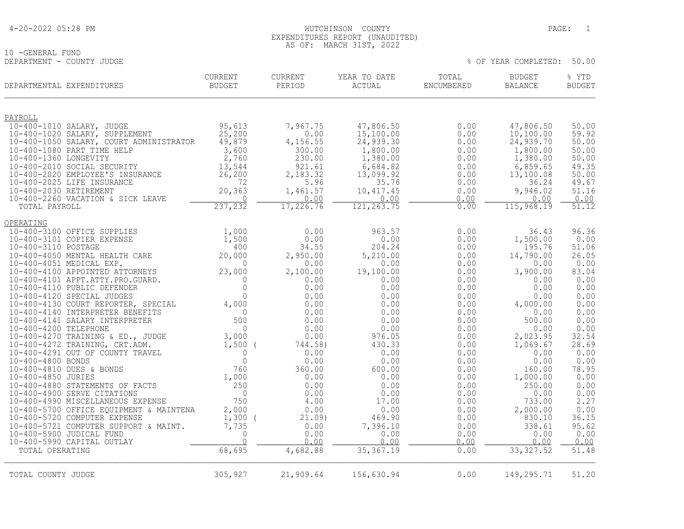| 4-20-2022 05:28 PM |
|--------------------|
|--------------------|

### 4-20-2022 05:28 PM HUTCHINSON COUNTY PAGE: 1 EXPENDITURES REPORT (UNAUDITED) AS OF: MARCH 31ST, 2022

 $8$  OF YEAR COMPLETED: 50.00

10 -GENERAL FUND<br>DEPARTMENT - COUNTY JUDGE

| DEPARTMENTAL EXPENDITURES                                          | <b>CURRENT</b><br>BUDGET | <b>CURRENT</b><br>PERIOD | YEAR TO DATE<br>ACTUAL | TOTAL<br>ENCUMBERED | <b>BUDGET</b><br><b>BALANCE</b> | % YTD<br><b>BUDGET</b> |
|--------------------------------------------------------------------|--------------------------|--------------------------|------------------------|---------------------|---------------------------------|------------------------|
| PAYROLL                                                            |                          |                          |                        |                     |                                 |                        |
| 10-400-1010 SALARY, JUDGE                                          | 95,613                   | 7,967.75                 | 47,806.50              | 0.00                | 47,806.50                       | 50.00                  |
| 10-400-1020 SALARY, SUPPLEMENT                                     | 25,200                   | 0.00                     | 15,100.00              | 0.00                | 10, 100.00                      | 59.92                  |
| 10-400-1050 SALARY, COURT ADMINISTRATOR                            | 49,879                   | 4,156.55                 | 24,939.30              | 0.00                | 24,939.70                       | 50.00                  |
| 10-400-1080 PART TIME HELP<br>10-400-1360 LONGEVITY                | 3,600<br>2,760           | 300.00<br>230.00         | 1,800.00<br>1,380.00   | 0.00<br>0.00        | 1,800.00<br>1,380.00            | 50.00<br>50.00         |
| 10-400-2010 SOCIAL SECURITY                                        | 13,544                   | 921.61                   | 6,684.82               | 0.00                | 6,859.65                        | 49.35                  |
| 10-400-2020 EMPLOYEE'S INSURANCE                                   | 26, 200                  | 2,183.32                 | 13,099.92              | 0.00                | 13,100.08                       | 50.00                  |
| 10-400-2025 LIFE INSURANCE                                         | 72                       | 5.96                     | 35.76                  | 0.00                | 36.24                           | 49.67                  |
| 10-400-2030 RETIREMENT                                             | 20,363                   | 1,461.57                 | 10, 417.45             | 0.00                | 9,946.02                        | 51.16                  |
| 10-400-2260 VACATION & SICK LEAVE                                  | $\Omega$                 | 0.00                     | 0.00                   | 0.00                | 0.00                            | 0.00                   |
| TOTAL PAYROLL                                                      | 237,232                  | 17,226.76                | 121, 263.75            | 0.00                | 115,968.19                      | $\overline{51.12}$     |
| OPERATING                                                          |                          |                          |                        |                     |                                 |                        |
| 10-400-3100 OFFICE SUPPLIES                                        | 1,000                    | 0.00                     | 963.57                 | 0.00                | 36.43                           | 96.36                  |
| 10-400-3101 COPIER EXPENSE                                         | 1,500                    | 0.00                     | 0.00                   | 0.00                | 1,500.00                        | 0.00                   |
| 10-400-3110 POSTAGE<br>10-400-4050 MENTAL HEALTH CARE              | 400<br>20,000            | 34.55<br>2,950.00        | 204.24<br>5,210.00     | 0.00<br>0.00        | 195.76<br>14,790.00             | 51.06<br>26.05         |
| 10-400-4051 MEDICAL EXP.                                           | $\Omega$                 | 0.00                     | 0.00                   | 0.00                | 0.00                            | 0.00                   |
| 10-400-4100 APPOINTED ATTORNEYS                                    | 23,000                   | 2,100.00                 | 19,100.00              | 0.00                | 3,900.00                        | 83.04                  |
| 10-400-4101 APPT.ATTY.PRO.GUARD.                                   | $\mathbf{0}$             | 0.00                     | 0.00                   | 0.00                | 0.00                            | 0.00                   |
| 10-400-4110 PUBLIC DEFENDER                                        | $\mathbf{0}$             | 0.00                     | 0.00                   | 0.00                | 0.00                            | 0.00                   |
| 10-400-4120 SPECIAL JUDGES                                         | $\Omega$                 | 0.00                     | 0.00                   | 0.00                | 0.00                            | 0.00                   |
| 10-400-4130 COURT REPORTER, SPECIAL                                | 4,000                    | 0.00                     | 0.00                   | 0.00                | 4,000.00                        | 0.00                   |
| 10-400-4140 INTERPRETER BENEFITS<br>10-400-4141 SALARY INTERPRETER | $\overline{0}$<br>500    | 0.00<br>0.00             | 0.00<br>0.00           | 0.00<br>0.00        | 0.00<br>500.00                  | 0.00<br>0.00           |
| 10-400-4200 TELEPHONE                                              | $\Omega$                 | 0.00                     | 0.00                   | 0.00                | 0.00                            | 0.00                   |
| 10-400-4270 TRAINING & ED., JUDGE                                  | 3,000                    | 0.00                     | 976.05                 | 0.00                | 2,023.95                        | 32.54                  |
| 10-400-4272 TRAINING, CRT.ADM.                                     | $1,500$ (                | 744.58)                  | 430.33                 | 0.00                | 1,069.67                        | 28.69                  |
| 10-400-4291 OUT OF COUNTY TRAVEL                                   | $\overline{0}$           | 0.00                     | 0.00                   | 0.00                | 0.00                            | 0.00                   |
| 10-400-4800 BONDS                                                  | $\mathbb O$              | 0.00                     | 0.00                   | 0.00                | 0.00                            | 0.00                   |
| 10-400-4810 DUES & BONDS                                           | 760                      | 360.00                   | 600.00                 | 0.00                | 160.00                          | 78.95                  |
| 10-400-4850 JURIES<br>10-400-4880 STATEMENTS OF FACTS              | 1,000<br>250             | 0.00<br>0.00             | 0.00<br>0.00           | 0.00<br>0.00        | 1,000.00<br>250.00              | 0.00<br>0.00           |
| 10-400-4900 SERVE CITATIONS                                        | $\overline{0}$           | 0.00                     | 0.00                   | 0.00                | 0.00                            | 0.00                   |
| 10-400-4990 MISCELLANEOUS EXPENSE                                  | 750                      | 4.00                     | 17.00                  | 0.00                | 733.00                          | 2.27                   |
| 10-400-5700 OFFICE EQUIPMENT & MAINTENA                            | 2,000                    | 0.00                     | 0.00                   | 0.00                | 2,000.00                        | 0.00                   |
| 10-400-5720 COMPUTER EXPENSE                                       | 1,300                    | 21.09                    | 469.90                 | 0.00                | 830.10                          | 36.15                  |
| 10-400-5721 COMPUTER SUPPORT & MAINT.                              | 7,735                    | 0.00                     | 7,396.10               | 0.00                | 338.61                          | 95.62                  |
| 10-400-5900 JUDICAL FUND                                           | $\mathbf 0$              | 0.00                     | 0.00                   | 0.00                | 0.00                            | 0.00                   |
| 10-400-5990 CAPITAL OUTLAY                                         | $\Omega$<br>68,695       | 0.00<br>4,682.88         | 0.00<br>35, 367.19     | 0.00<br>0.00        | 0.00<br>33, 327.52              | 0.00<br>51.48          |
| TOTAL OPERATING                                                    |                          |                          |                        |                     |                                 |                        |
| TOTAL COUNTY JUDGE                                                 | 305,927                  | 21,909.64                | 156,630.94             | 0.00                | 149,295.71                      | 51.20                  |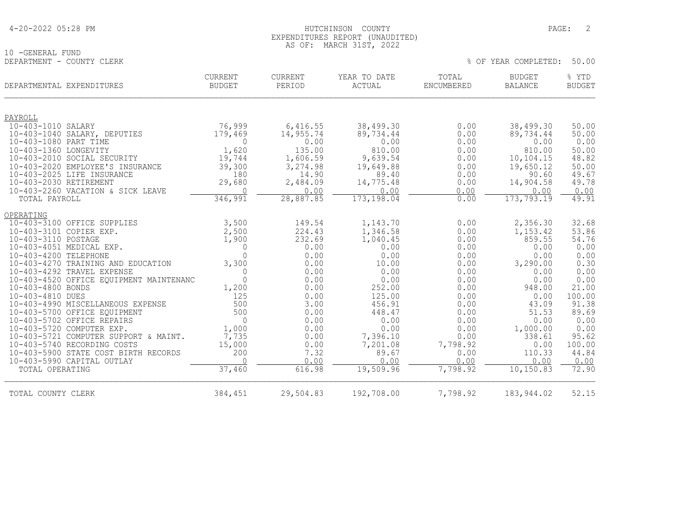10 -GENERAL FUND<br>DEPARTMENT - COUNTY CLERK

### EXPENDITURES REPORT (UNAUDITED) AS OF: MARCH 31ST, 2022

| DEPARTMENTAL EXPENDITURES                                           | <b>CURRENT</b><br><b>BUDGET</b> | <b>CURRENT</b><br>PERIOD | YEAR TO DATE<br><b>ACTUAL</b> | TOTAL<br>ENCUMBERED | <b>BUDGET</b><br><b>BALANCE</b> | % YTD<br><b>BUDGET</b> |
|---------------------------------------------------------------------|---------------------------------|--------------------------|-------------------------------|---------------------|---------------------------------|------------------------|
| PAYROLL                                                             |                                 |                          |                               |                     |                                 |                        |
| 10-403-1010 SALARY                                                  | 76,999                          | 6,416.55                 | 38,499.30                     | 0.00                | 38,499.30                       | 50.00                  |
| 10-403-1040 SALARY, DEPUTIES                                        | 179,469                         | 14,955.74                | 89,734.44                     | 0.00                | 89,734.44                       | 50.00                  |
| 10-403-1080 PART TIME                                               | 0                               | 0.00                     | 0.00                          | 0.00                | 0.00                            | 0.00                   |
| 10-403-1360 LONGEVITY                                               | 1,620                           | 135.00                   | 810.00                        | 0.00                | 810.00                          | 50.00                  |
| 10-403-2010 SOCIAL SECURITY                                         | 19,744                          | 1,606.59                 | 9,639.54                      | 0.00                | 10,104.15                       | 48.82                  |
| 10-403-2020 EMPLOYEE'S INSURANCE                                    | 39,300                          | 3,274.98                 | 19,649.88                     | 0.00                | 19,650.12                       | 50.00                  |
| 10-403-2025 LIFE INSURANCE                                          | 180                             | 14.90                    | 89.40                         | 0.00                | 90.60                           | 49.67                  |
| 10-403-2030 RETIREMENT                                              | 29,680                          | 2,484.09                 | 14,775.48                     | 0.00                | 14,904.58                       | 49.78                  |
| 10-403-2260 VACATION & SICK LEAVE                                   | $\Omega$                        | 0.00                     | 0.00                          | 0.00                | 0.00                            | 0.00                   |
| TOTAL PAYROLL                                                       | 346,991                         | 28,887.85                | 173,198.04                    | 0.00                | 173, 793.19                     | 49.91                  |
| OPERATING                                                           |                                 |                          |                               |                     |                                 |                        |
| 10-403-3100 OFFICE SUPPLIES                                         | 3,500                           | 149.54                   | 1,143.70                      | 0.00                | 2,356.30                        | 32.68                  |
| 10-403-3101 COPIER EXP.                                             | 2,500                           | 224.43                   | 1,346.58                      | 0.00                | 1,153.42                        | 53.86                  |
| 10-403-3110 POSTAGE                                                 | 1,900                           | 232.69                   | 1,040.45                      | 0.00                | 859.55                          | 54.76                  |
| 10-403-4051 MEDICAL EXP.                                            | $\mathbf{0}$                    | 0.00                     | 0.00                          | 0.00                | 0.00                            | 0.00                   |
| 10-403-4200 TELEPHONE                                               | $\Omega$                        | 0.00                     | 0.00                          | 0.00                | 0.00                            | 0.00                   |
| 10-403-4270 TRAINING AND EDUCATION                                  | 3,300                           | 0.00                     | 10.00                         | 0.00                | 3,290.00                        | 0.30                   |
| 10-403-4292 TRAVEL EXPENSE                                          | 0                               | 0.00                     | 0.00                          | 0.00                | 0.00                            | 0.00                   |
| 10-403-4520 OFFICE EQUIPMENT MAINTENANC                             | $\Omega$                        | 0.00                     | 0.00                          | 0.00                | 0.00                            | 0.00                   |
| 10-403-4800 BONDS                                                   | 1,200                           | 0.00                     | 252.00                        | 0.00                | 948.00                          | 21.00                  |
| 10-403-4810 DUES                                                    | 125                             | 0.00                     | 125.00                        | 0.00                | 0.00                            | 100.00                 |
| 10-403-4990 MISCELLANEOUS EXPENSE                                   | 500                             | 3.00                     | 456.91                        | 0.00                | 43.09                           | 91.38                  |
| 10-403-5700 OFFICE EQUIPMENT                                        | 500                             | 0.00                     | 448.47                        | 0.00                | 51.53                           | 89.69                  |
| 10-403-5702 OFFICE REPAIRS                                          | $\Omega$                        | 0.00                     | 0.00                          | 0.00                | 0.00                            | 0.00                   |
| 10-403-5720 COMPUTER EXP.                                           | 1,000                           | 0.00                     | 0.00                          | 0.00                | 1,000.00                        | 0.00                   |
| 10-403-5721 COMPUTER SUPPORT & MAINT.                               | 7,735                           | 0.00                     | 7,396.10                      | 0.00                | 338.61                          | 95.62                  |
| 10-403-5740 RECORDING COSTS<br>10-403-5900 STATE COST BIRTH RECORDS | 15,000<br>200                   | 0.00<br>7.32             | 7,201.08<br>89.67             | 7,798.92<br>0.00    | 0.00<br>110.33                  | 100.00<br>44.84        |
|                                                                     | $\bigcap$                       | 0.00                     | 0.00                          | 0.00                | 0.00                            |                        |
| 10-403-5990 CAPITAL OUTLAY<br>TOTAL OPERATING                       | 37,460                          | 616.98                   | 19,509.96                     | 7,798.92            | 10,150.83                       | 0.00<br>72.90          |
|                                                                     |                                 |                          |                               |                     |                                 |                        |
| TOTAL COUNTY CLERK                                                  | 384,451                         | 29,504.83                | 192,708.00                    | 7,798.92            | 183, 944.02                     | 52.15                  |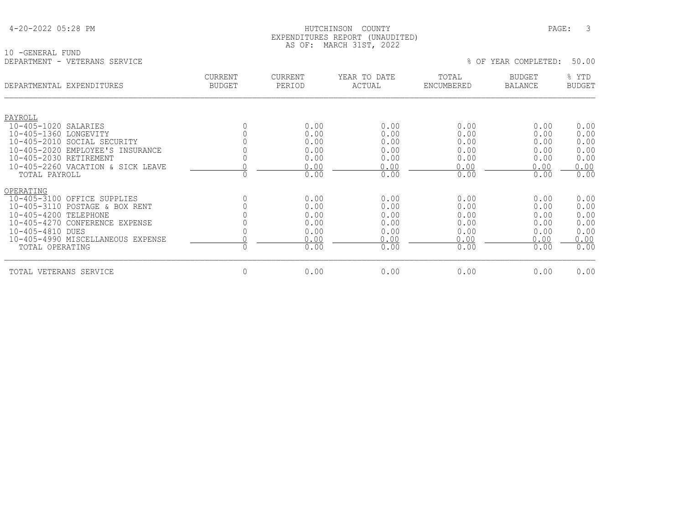### HUTCHINSON COUNTY PAGE: 3 EXPENDITURES REPORT (UNAUDITED) AS OF: MARCH 31ST, 2022

10 -GENERAL FUND<br>DEPARTMENT - VETERANS SERVICE

| DEPARTMENTAL EXPENDITURES                             | <b>CURRENT</b><br><b>BUDGET</b> | <b>CURRENT</b><br>PERIOD | YEAR TO DATE<br>ACTUAL | TOTAL<br>ENCUMBERED | <b>BUDGET</b><br><b>BALANCE</b> | % YTD<br><b>BUDGET</b> |
|-------------------------------------------------------|---------------------------------|--------------------------|------------------------|---------------------|---------------------------------|------------------------|
| PAYROLL                                               |                                 |                          |                        |                     |                                 |                        |
| 10-405-1020 SALARIES                                  | 0                               | 0.00                     | 0.00                   | 0.00                | 0.00                            | 0.00                   |
| 10-405-1360 LONGEVITY<br>10-405-2010 SOCIAL SECURITY  |                                 | 0.00<br>0.00             | 0.00<br>0.00           | 0.00<br>0.00        | 0.00<br>0.00                    | 0.00<br>0.00           |
| 10-405-2020 EMPLOYEE'S INSURANCE                      |                                 | 0.00                     | 0.00                   | 0.00                | 0.00                            | 0.00                   |
| 10-405-2030 RETIREMENT                                | 0                               | 0.00                     | 0.00                   | 0.00                | 0.00                            | 0.00                   |
| 10-405-2260 VACATION & SICK LEAVE                     |                                 | 0.00                     | 0.00                   | 0.00                | 0.00                            | 0.00                   |
| TOTAL PAYROLL                                         | $\Omega$                        | 0.00                     | 0.00                   | 0.00                | 0.00                            | 0.00                   |
| OPERATING                                             |                                 |                          |                        |                     |                                 |                        |
| 10-405-3100 OFFICE SUPPLIES                           | 0                               | 0.00                     | 0.00                   | 0.00                | 0.00                            | 0.00                   |
| 10-405-3110 POSTAGE & BOX RENT                        |                                 | 0.00                     | 0.00                   | 0.00                | 0.00                            | 0.00                   |
| 10-405-4200 TELEPHONE                                 |                                 | 0.00                     | 0.00                   | 0.00                | 0.00                            | 0.00                   |
| 10-405-4270 CONFERENCE EXPENSE                        |                                 | 0.00                     | 0.00                   | 0.00                | 0.00                            | 0.00                   |
| 10-405-4810 DUES<br>10-405-4990 MISCELLANEOUS EXPENSE |                                 | 0.00<br>0.00             | 0.00<br>0.00           | 0.00<br>0.00        | 0.00<br>0.00                    | 0.00<br>0.00           |
| TOTAL OPERATING                                       | $\Omega$                        | 0.00                     | 0.00                   | 0.00                | 0.00                            | 0.00                   |
| VETERANS SERVICE<br>TOTAL                             | 0                               | 0.00                     | 0.00                   | 0.00                | 0.00                            | 0.00                   |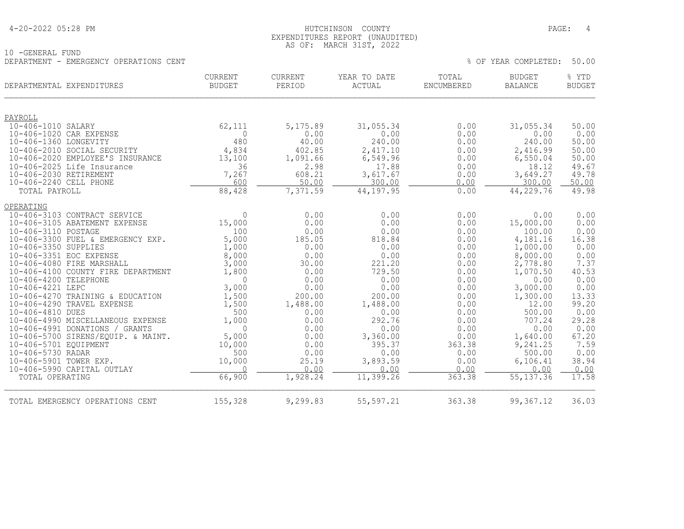| 4-20-2022 05:28 PM |  |  |
|--------------------|--|--|
|--------------------|--|--|

10 -GENERAL FUND

### HUTCHINSON COUNTY PAGE: 4 EXPENDITURES REPORT (UNAUDITED) AS OF: MARCH 31ST, 2022

| DEPARTMENT - EMERGENCY OPERATIONS CENT               |                                 |                   |                        |                     | % OF YEAR COMPLETED:            | 50.00                  |
|------------------------------------------------------|---------------------------------|-------------------|------------------------|---------------------|---------------------------------|------------------------|
| DEPARTMENTAL EXPENDITURES                            | <b>CURRENT</b><br><b>BUDGET</b> | CURRENT<br>PERIOD | YEAR TO DATE<br>ACTUAL | TOTAL<br>ENCUMBERED | <b>BUDGET</b><br><b>BALANCE</b> | % YTD<br><b>BUDGET</b> |
| PAYROLL                                              |                                 |                   |                        |                     |                                 |                        |
| 10-406-1010 SALARY                                   | 62,111                          | 5, 175.89         | 31,055.34              | 0.00                | 31,055.34                       | 50.00                  |
| 10-406-1020 CAR EXPENSE                              | $\Omega$                        | 0.00              | 0.00                   | 0.00                | 0.00                            | 0.00                   |
| 10-406-1360 LONGEVITY                                | 480                             | 40.00             | 240.00                 | 0.00                | 240.00                          | 50.00                  |
| 10-406-2010 SOCIAL SECURITY                          | 4,834                           | 402.85            | 2,417.10               | 0.00                | 2,416.99                        | 50.00                  |
| 10-406-2020 EMPLOYEE'S INSURANCE                     | 13,100                          | 1,091.66          | 6,549.96               | 0.00                | 6,550.04                        | 50.00                  |
| 10-406-2025 Life Insurance<br>10-406-2030 RETIREMENT | 36<br>7,267                     | 2.98<br>608.21    | 17.88<br>3,617.67      | 0.00<br>0.00        | 18.12<br>3,649.27               | 49.67<br>49.78         |
| 10-406-2240 CELL PHONE                               | 600                             | 50.00             | 300.00                 | 0.00                | 300.00                          | 50.00                  |
| TOTAL PAYROLL                                        | 88,428                          | 7,371.59          | 44,197.95              | 0.00                | 44,229.76                       | 49.98                  |
|                                                      |                                 |                   |                        |                     |                                 |                        |
| OPERATING                                            |                                 |                   |                        |                     |                                 |                        |
| 10-406-3103 CONTRACT SERVICE                         | $\Omega$                        | 0.00              | 0.00                   | 0.00                | 0.00                            | 0.00                   |
| 10-406-3105 ABATEMENT EXPENSE                        | 15,000                          | 0.00              | 0.00                   | 0.00                | 15,000.00                       | 0.00                   |
| 10-406-3110 POSTAGE                                  | 100                             | 0.00              | 0.00                   | 0.00                | 100.00                          | 0.00                   |
| 10-406-3300 FUEL & EMERGENCY EXP.                    | 5,000                           | 185.05            | 818.84                 | 0.00                | 4,181.16                        | 16.38                  |
| 10-406-3350 SUPPLIES                                 | 1,000                           | 0.00              | 0.00                   | 0.00                | 1,000.00                        | 0.00                   |
| 10-406-3351 EOC EXPENSE<br>10-406-4080 FIRE MARSHALL | 8,000<br>3,000                  | 0.00<br>30.00     | 0.00<br>221.20         | 0.00<br>0.00        | 8,000.00<br>2,778.80            | 0.00<br>7.37           |
| 10-406-4100 COUNTY FIRE DEPARTMENT                   | 1,800                           | 0.00              | 729.50                 | 0.00                | 1,070.50                        | 40.53                  |
| 10-406-4200 TELEPHONE                                | $\Omega$                        | 0.00              | 0.00                   | 0.00                | 0.00                            | 0.00                   |
| 10-406-4221 LEPC                                     | 3,000                           | 0.00              | 0.00                   | 0.00                | 3,000.00                        | 0.00                   |
| 10-406-4270 TRAINING & EDUCATION                     | 1,500                           | 200.00            | 200.00                 | 0.00                | 1,300.00                        | 13.33                  |
| 10-406-4290 TRAVEL EXPENSE                           | 1,500                           | 1,488.00          | 1,488.00               | 0.00                | 12.00                           | 99.20                  |
| 10-406-4810 DUES                                     | 500                             | 0.00              | 0.00                   | 0.00                | 500.00                          | 0.00                   |
| 10-406-4990 MISCELLANEOUS EXPENSE                    | 1,000                           | 0.00              | 292.76                 | 0.00                | 707.24                          | 29.28                  |
| 10-406-4991 DONATIONS / GRANTS                       | $\Omega$                        | 0.00              | 0.00                   | 0.00                | 0.00                            | 0.00                   |
| 10-406-5700 SIRENS/EQUIP. & MAINT.                   | 5,000                           | 0.00              | 3,360.00               | 0.00                | 1,640.00                        | 67.20                  |
| 10-406-5701 EOUIPMENT                                | 10,000                          | 0.00              | 395.37                 | 363.38              | 9,241.25                        | 7.59                   |
| 10-406-5730 RADAR                                    | 500                             | 0.00              | 0.00                   | 0.00                | 500.00                          | 0.00                   |
| 10-406-5901 TOWER EXP.                               | 10,000                          | 25.19             | 3,893.59               | 0.00                | 6,106.41                        | 38.94                  |
| 10-406-5990 CAPITAL OUTLAY<br>TOTAL OPERATING        | $\cap$<br>66,900                | 0.00<br>1,928.24  | 0.00<br>11,399.26      | 0.00<br>363.38      | 0.00<br>55, 137.36              | 0.00<br>17.58          |
|                                                      |                                 |                   |                        |                     |                                 |                        |
| TOTAL EMERGENCY OPERATIONS CENT                      | 155,328                         | 9,299.83          | 55,597.21              | 363.38              | 99, 367.12                      | 36.03                  |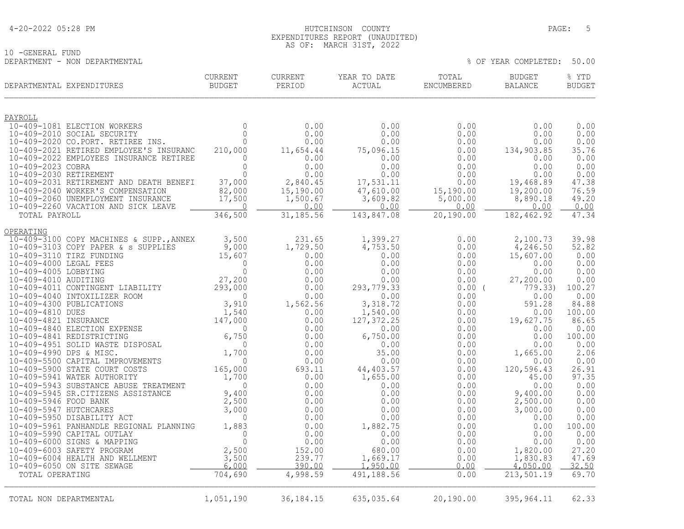### 4-20-2022 05:28 PM HUTCHINSON COUNTY PAGE: 5 EXPENDITURES REPORT (UNAUDITED) AS OF: MARCH 31ST, 2022

% OF YEAR COMPLETED: 50.00

10 -GENERAL FUND<br>DEPARTMENT - NON DEPARTMENTAL

| DEPARTMENTAL EXPENDITURES                                                                                                                                                                                 | <b>CURRENT</b><br><b>BUDGET</b> | CURRENT<br>PERIOD     | YEAR TO DATE<br>ACTUAL | TOTAL<br>ENCUMBERED   | <b>BUDGET</b><br><b>BALANCE</b> | % YTD<br><b>BUDGET</b> |
|-----------------------------------------------------------------------------------------------------------------------------------------------------------------------------------------------------------|---------------------------------|-----------------------|------------------------|-----------------------|---------------------------------|------------------------|
|                                                                                                                                                                                                           |                                 |                       |                        |                       |                                 |                        |
| PAYROLL<br>10-409-1081 ELECTION WORKERS                                                                                                                                                                   | $\overline{0}$                  | 0.00                  | 0.00                   | 0.00                  | 0.00                            | 0.00                   |
| 10-409-2010 SOCIAL SECURITY                                                                                                                                                                               | $\Omega$                        | 0.00                  | 0.00                   | 0.00                  | 0.00                            | 0.00                   |
| 10-409-2020 CO.PORT. RETIREE INS.<br>10-409-2021 RETIRED EMPLOYEE'S INSURANC                                                                                                                              | $\Omega$                        | 0.00                  | 0.00                   | 0.00                  | 0.00                            | 0.00<br>35.76          |
| 10-409-2022 EMPLOYEES INSURANCE RETIREE                                                                                                                                                                   | 210,000<br>$\mathbf{0}$         | 11,654.44<br>0.00     | 75,096.15<br>0.00      | 0.00<br>0.00          | 134,903.85<br>0.00              | 0.00                   |
| 10-409-2023 COBRA                                                                                                                                                                                         | $\Omega$                        | 0.00                  | 0.00                   | 0.00                  | 0.00                            | 0.00                   |
| 10-409-2030 RETIREMENT                                                                                                                                                                                    | $\Omega$                        | 0.00                  | 0.00                   | 0.00                  | 0.00                            | 0.00                   |
| 10-409-2031 RETIREMENT AND DEATH BENEFI                                                                                                                                                                   | 37,000                          | 2,840.45              | 17,531.11              | 0.00                  | 19,468.89                       | 47.38                  |
| 10-409-2040 WORKER'S COMPENSATION<br>10-409-2060 UNEMPLOYMENT INSURANCE                                                                                                                                   | 82,000<br>17,500                | 15,190.00<br>1,500.67 | 47,610.00<br>3,609.82  | 15,190.00<br>5,000.00 | 19,200.00<br>8,890.18           | 76.59<br>49.20         |
| 10-409-2260 VACATION AND SICK LEAVE                                                                                                                                                                       | $\overline{0}$                  | 0.00                  | 0.00                   | 0.00                  | 0.00                            | 0.00                   |
| TOTAL PAYROLL                                                                                                                                                                                             | 346,500                         | 31,185.56             | 143,847.08             | 20,190.00             | 182,462.92                      | 47.34                  |
| OPERATING                                                                                                                                                                                                 |                                 |                       |                        |                       |                                 |                        |
| 10-409-3100 COPY MACHINES & SUPP., ANNEX                                                                                                                                                                  | 3,500                           | 231.65                | 1,399.27               | 0.00                  | 2,100.73                        | 39.98                  |
| 10-409-3103 COPY PAPER & s SUPPLIES<br>10-409-3110 TIRZ FUNDING                                                                                                                                           | 9,000<br>15,607                 | 1,729.50<br>0.00      | 4,753.50<br>0.00       | 0.00<br>0.00          | 4,246.50<br>15,607.00           | 52.82<br>0.00          |
| 10-409-4000 LEGAL FEES                                                                                                                                                                                    | $\overline{0}$                  | 0.00                  | 0.00                   | 0.00                  | 0.00                            | 0.00                   |
| 10-409-4005 LOBBYING                                                                                                                                                                                      | $\mathbf 0$                     | 0.00                  | 0.00                   | 0.00                  | 0.00                            | 0.00                   |
| 10-409-4010 AUDITING                                                                                                                                                                                      | 27,200                          | 0.00                  | 0.00                   | 0.00                  | 27,200.00                       | 0.00                   |
| 10-409-4011 CONTINGENT LIABILITY 293,000<br>10-409-4040 INTOXILIZER ROOM 0<br>10-409-4300 PUBLICATIONS 3,910<br>10-409-4810 DUES 1,540<br>10-409-4821 INSURANCE 147,000<br>10-409-4840 ELECTION EXPENSE 2 |                                 | 0.00<br>0.00          | 293,779.33<br>0.00     | $0.00$ (<br>0.00      | 779.33)<br>0.00                 | 100.27<br>0.00         |
|                                                                                                                                                                                                           |                                 | 1,562.56              | 3,318.72               | 0.00                  | 591.28                          | 84.88                  |
|                                                                                                                                                                                                           |                                 | 0.00                  | 1,540.00               | 0.00                  | 0.00                            | 100.00                 |
|                                                                                                                                                                                                           |                                 | 0.00                  | 127, 372.25            | 0.00                  | 19,627.75                       | 86.65                  |
| 10-409-4841 REDISTRICTING                                                                                                                                                                                 | 6,750                           | 0.00<br>0.00          | 0.00<br>6,750.00       | 0.00<br>0.00          | 0.00<br>0.00                    | 0.00<br>100.00         |
| 10-409-4951 SOLID WASTE DISPOSAL                                                                                                                                                                          | $\Omega$                        | 0.00                  | 0.00                   | 0.00                  | 0.00                            | 0.00                   |
| 10-409-4990 DPS & MISC.                                                                                                                                                                                   | 1,700                           | 0.00                  | 35.00                  | 0.00                  | 1,665.00                        | 2.06                   |
| 10-409-5500 CAPITAL IMPROVEMENTS                                                                                                                                                                          | $\Omega$                        | 0.00                  | 0.00                   | 0.00                  | 0.00                            | 0.00                   |
| 10-409-5900 STATE COURT COSTS<br>10-409-5941 WATER AUTHORITY                                                                                                                                              | 165,000<br>1,700                | 693.11<br>0.00        | 44,403.57<br>1,655.00  | 0.00<br>0.00          | 120,596.43<br>45.00             | 26.91<br>97.35         |
| 10-409-5943 SUBSTANCE ABUSE TREATMENT                                                                                                                                                                     | $\Omega$                        | 0.00                  | 0.00                   | 0.00                  | 0.00                            | 0.00                   |
| 10-409-5945 SR.CITIZENS ASSISTANCE                                                                                                                                                                        | 9,400                           | 0.00                  | 0.00                   | 0.00                  | 9,400.00                        | 0.00                   |
| 10-409-5946 FOOD BANK                                                                                                                                                                                     | 2,500                           | 0.00                  | 0.00                   | 0.00                  | 2,500.00                        | 0.00                   |
| 10-409-5947 HUTCHCARES<br>10-409-5950 DISABILITY ACT                                                                                                                                                      | 3,000<br>$\mathbf 0$            | 0.00<br>0.00          | 0.00<br>0.00           | 0.00<br>0.00          | 3,000.00<br>0.00                | 0.00<br>0.00           |
| 10-409-5961 PANHANDLE REGIONAL PLANNING                                                                                                                                                                   | 1,883                           | 0.00                  | 1,882.75               | 0.00                  | 0.00                            | 100.00                 |
| 10-409-5990 CAPITAL OUTLAY                                                                                                                                                                                | $\overline{0}$                  | 0.00                  | 0.00                   | 0.00                  | 0.00                            | 0.00                   |
| 10-409-6000 SIGNS & MAPPING                                                                                                                                                                               | $\mathbf 0$                     | 0.00                  | 0.00                   | 0.00                  | 0.00                            | 0.00                   |
| 10-409-6003 SAFETY PROGRAM<br>10-409-6004 HEALTH AND WELLMENT                                                                                                                                             | 2,500                           | 152.00<br>239.77      | 680.00<br>1,669.17     | 0.00<br>0.00          | 1,820.00<br>1,830.83            | 27.20<br>47.69         |
| 10-409-6050 ON SITE SEWAGE                                                                                                                                                                                | 3,500<br>6,000                  | 390.00                | 1,950.00               | 0.00                  | 4,050.00                        | 32.50                  |
| TOTAL OPERATING                                                                                                                                                                                           | 704,690                         | 4,998.59              | 491,188.56             | 0.00                  | 213,501.19                      | 69.70                  |
|                                                                                                                                                                                                           |                                 |                       |                        |                       |                                 |                        |
| TOTAL NON DEPARTMENTAL                                                                                                                                                                                    | 1,051,190                       | 36, 184. 15           | 635,035.64             | 20,190.00             | 395,964.11                      | 62.33                  |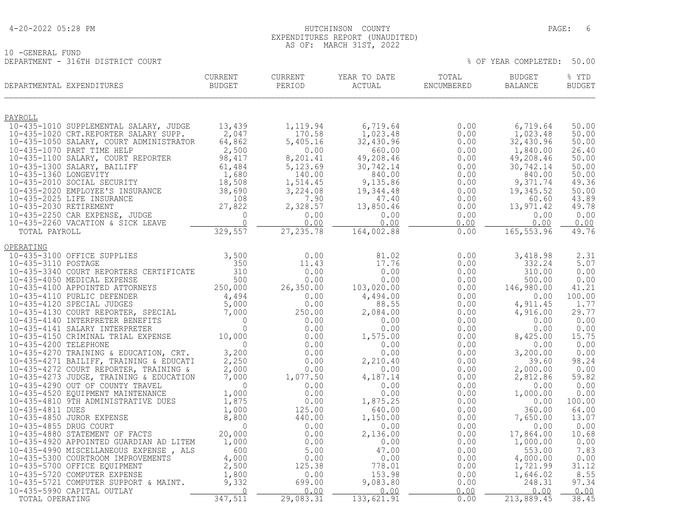10 -GENERAL FUND

### 4-20-2022 05:28 PM HUTCHINSON COUNTY PAGE: 6 EXPENDITURES REPORT (UNAUDITED) AS OF: MARCH 31ST, 2022

DEPARTMENT - 316TH DISTRICT COURT % OF YEAR COMPLETED: 50.00

| PAYROLL<br>13,439<br>10-435-1010 SUPPLEMENTAL SALARY, JUDGE<br>6,719.64<br>0.00<br>6,719.64<br>1,119.94<br>2,047<br>1,023.48<br>10-435-1020 CRT.REPORTER SALARY SUPP.<br>170.58<br>0.00<br>1,023.48<br>64,862<br>5,405.16<br>32,430.96<br>10-435-1050 SALARY, COURT ADMINISTRATOR<br>32,430.96<br>0.00<br>2,500<br>1,840.00<br>26.40<br>10-435-1070 PART TIME HELP<br>0.00<br>660.00<br>0.00<br>10-435-1100 SALARY, COURT REPORTER<br>98,417<br>49,208.46<br>49,208.46<br>8,201.41<br>0.00<br>50.00<br>10-435-1300 SALARY, BAILIFF<br>61,484<br>5,123.69<br>30,742.14<br>0.00<br>30,742.14<br>50.00<br>10-435-1360 LONGEVITY<br>$\frac{1,680}{18,508}$<br>38,690<br>140.00<br>840.00<br>840.00<br>0.00<br>10-435-1360 LONGEVITY<br>10-435-2010 SOCIAL SECURITY<br>9,135.86<br>9,371.74<br>1,514.45<br>0.00<br>3,224.08<br>19,344.48<br>19,345.52<br>0.00<br>10-435-2010 SOCIAL SECURITI<br>10-435-2020 EMPLOYEE'S INSURANCE 38,690<br>10-435-2025 LIFE INSURANCE 108<br>10-435-2030 RETIREMENT 27,822<br>10-435-2250 CAR EXPENSE, JUDGE 0<br>10-435-2250 CAR EXPENSE, JUDGE 0<br>10-435-2250 VACATION<br>7.90<br>0.00<br>43.89<br>47.40<br>60.60<br>2,328.57<br>13,850.46<br>13,971.42<br>49.78<br>0.00<br>0.00<br>0.00<br>0.00<br>0.00<br>0.00<br>0.00<br>0.00<br>0.00<br>0.00<br>329,557<br>165, 553.96<br>27, 235.78<br>164,002.88<br>TOTAL PAYROLL<br>0.00<br>OPERATING<br>10-435-3100 OFFICE SUPPLIES<br>3,500<br>0.00<br>81.02<br>0.00<br>3,418.98<br>10-435-3110 POSTAGE<br>11.43<br>17.76<br>332.24<br>5.07<br>350<br>0.00<br>10-435-3340 COURT REPORTERS CERTIFICATE<br>310<br>0.00<br>0.00<br>0.00<br>310.00<br>0.00<br>0.00<br>10-435-4050 MEDICAL EXPENSE<br>500<br>0.00<br>500.00<br>0.00<br>0.00<br>250,000<br>26,350.00<br>10-435-4100 APPOINTED ATTORNEYS<br>103,020.00<br>0.00<br>146,980.00<br>10-435-4110 PURLIC DEFENDER<br>$\frac{4}{5}$ , 494<br>5, 000<br>7, 000<br>4,494.00<br>0.00<br>0.00<br>0.00<br>10-435-4120 SPECIAL JUDGES<br>0.00<br>88.55<br>0.00<br>4,911.45<br>29.77<br>10-435-4130 COURT REPORTER, SPECIAL<br>10-435-4140 INTERPRETER BENEFITS<br>10-435-4141 SALARY INTERPRETER<br>250.00<br>2,084.00<br>0.00<br>4,916.00<br>$\overline{0}$<br>0.00<br>0.00<br>0.00<br>0.00<br>0.00<br>$\Omega$<br>0.00<br>0.00<br>0.00<br>0.00<br>0.00 | DEPARTMENTAL EXPENDITURES | CURRENT<br><b>BUDGET</b> | CURRENT<br>PERIOD | YEAR TO DATE<br>ACTUAL | TOTAL<br>ENCUMBERED | <b>BUDGET</b><br>BALANCE | % YTD<br><b>BUDGET</b> |
|------------------------------------------------------------------------------------------------------------------------------------------------------------------------------------------------------------------------------------------------------------------------------------------------------------------------------------------------------------------------------------------------------------------------------------------------------------------------------------------------------------------------------------------------------------------------------------------------------------------------------------------------------------------------------------------------------------------------------------------------------------------------------------------------------------------------------------------------------------------------------------------------------------------------------------------------------------------------------------------------------------------------------------------------------------------------------------------------------------------------------------------------------------------------------------------------------------------------------------------------------------------------------------------------------------------------------------------------------------------------------------------------------------------------------------------------------------------------------------------------------------------------------------------------------------------------------------------------------------------------------------------------------------------------------------------------------------------------------------------------------------------------------------------------------------------------------------------------------------------------------------------------------------------------------------------------------------------------------------------------------------------------------------------------------------------------------------------------------------------------------------------------------------------------------------------------------------------------------------------------------------------------------|---------------------------|--------------------------|-------------------|------------------------|---------------------|--------------------------|------------------------|
|                                                                                                                                                                                                                                                                                                                                                                                                                                                                                                                                                                                                                                                                                                                                                                                                                                                                                                                                                                                                                                                                                                                                                                                                                                                                                                                                                                                                                                                                                                                                                                                                                                                                                                                                                                                                                                                                                                                                                                                                                                                                                                                                                                                                                                                                              |                           |                          |                   |                        |                     |                          |                        |
|                                                                                                                                                                                                                                                                                                                                                                                                                                                                                                                                                                                                                                                                                                                                                                                                                                                                                                                                                                                                                                                                                                                                                                                                                                                                                                                                                                                                                                                                                                                                                                                                                                                                                                                                                                                                                                                                                                                                                                                                                                                                                                                                                                                                                                                                              |                           |                          |                   |                        |                     |                          | 50.00                  |
|                                                                                                                                                                                                                                                                                                                                                                                                                                                                                                                                                                                                                                                                                                                                                                                                                                                                                                                                                                                                                                                                                                                                                                                                                                                                                                                                                                                                                                                                                                                                                                                                                                                                                                                                                                                                                                                                                                                                                                                                                                                                                                                                                                                                                                                                              |                           |                          |                   |                        |                     |                          | 50.00                  |
|                                                                                                                                                                                                                                                                                                                                                                                                                                                                                                                                                                                                                                                                                                                                                                                                                                                                                                                                                                                                                                                                                                                                                                                                                                                                                                                                                                                                                                                                                                                                                                                                                                                                                                                                                                                                                                                                                                                                                                                                                                                                                                                                                                                                                                                                              |                           |                          |                   |                        |                     |                          | 50.00                  |
|                                                                                                                                                                                                                                                                                                                                                                                                                                                                                                                                                                                                                                                                                                                                                                                                                                                                                                                                                                                                                                                                                                                                                                                                                                                                                                                                                                                                                                                                                                                                                                                                                                                                                                                                                                                                                                                                                                                                                                                                                                                                                                                                                                                                                                                                              |                           |                          |                   |                        |                     |                          |                        |
|                                                                                                                                                                                                                                                                                                                                                                                                                                                                                                                                                                                                                                                                                                                                                                                                                                                                                                                                                                                                                                                                                                                                                                                                                                                                                                                                                                                                                                                                                                                                                                                                                                                                                                                                                                                                                                                                                                                                                                                                                                                                                                                                                                                                                                                                              |                           |                          |                   |                        |                     |                          |                        |
|                                                                                                                                                                                                                                                                                                                                                                                                                                                                                                                                                                                                                                                                                                                                                                                                                                                                                                                                                                                                                                                                                                                                                                                                                                                                                                                                                                                                                                                                                                                                                                                                                                                                                                                                                                                                                                                                                                                                                                                                                                                                                                                                                                                                                                                                              |                           |                          |                   |                        |                     |                          | 50.00                  |
|                                                                                                                                                                                                                                                                                                                                                                                                                                                                                                                                                                                                                                                                                                                                                                                                                                                                                                                                                                                                                                                                                                                                                                                                                                                                                                                                                                                                                                                                                                                                                                                                                                                                                                                                                                                                                                                                                                                                                                                                                                                                                                                                                                                                                                                                              |                           |                          |                   |                        |                     |                          | 49.36                  |
|                                                                                                                                                                                                                                                                                                                                                                                                                                                                                                                                                                                                                                                                                                                                                                                                                                                                                                                                                                                                                                                                                                                                                                                                                                                                                                                                                                                                                                                                                                                                                                                                                                                                                                                                                                                                                                                                                                                                                                                                                                                                                                                                                                                                                                                                              |                           |                          |                   |                        |                     |                          | 50.00                  |
|                                                                                                                                                                                                                                                                                                                                                                                                                                                                                                                                                                                                                                                                                                                                                                                                                                                                                                                                                                                                                                                                                                                                                                                                                                                                                                                                                                                                                                                                                                                                                                                                                                                                                                                                                                                                                                                                                                                                                                                                                                                                                                                                                                                                                                                                              |                           |                          |                   |                        |                     |                          |                        |
|                                                                                                                                                                                                                                                                                                                                                                                                                                                                                                                                                                                                                                                                                                                                                                                                                                                                                                                                                                                                                                                                                                                                                                                                                                                                                                                                                                                                                                                                                                                                                                                                                                                                                                                                                                                                                                                                                                                                                                                                                                                                                                                                                                                                                                                                              |                           |                          |                   |                        |                     |                          |                        |
|                                                                                                                                                                                                                                                                                                                                                                                                                                                                                                                                                                                                                                                                                                                                                                                                                                                                                                                                                                                                                                                                                                                                                                                                                                                                                                                                                                                                                                                                                                                                                                                                                                                                                                                                                                                                                                                                                                                                                                                                                                                                                                                                                                                                                                                                              |                           |                          |                   |                        |                     |                          | 0.00                   |
|                                                                                                                                                                                                                                                                                                                                                                                                                                                                                                                                                                                                                                                                                                                                                                                                                                                                                                                                                                                                                                                                                                                                                                                                                                                                                                                                                                                                                                                                                                                                                                                                                                                                                                                                                                                                                                                                                                                                                                                                                                                                                                                                                                                                                                                                              |                           |                          |                   |                        |                     |                          | 49.76                  |
|                                                                                                                                                                                                                                                                                                                                                                                                                                                                                                                                                                                                                                                                                                                                                                                                                                                                                                                                                                                                                                                                                                                                                                                                                                                                                                                                                                                                                                                                                                                                                                                                                                                                                                                                                                                                                                                                                                                                                                                                                                                                                                                                                                                                                                                                              |                           |                          |                   |                        |                     |                          |                        |
|                                                                                                                                                                                                                                                                                                                                                                                                                                                                                                                                                                                                                                                                                                                                                                                                                                                                                                                                                                                                                                                                                                                                                                                                                                                                                                                                                                                                                                                                                                                                                                                                                                                                                                                                                                                                                                                                                                                                                                                                                                                                                                                                                                                                                                                                              |                           |                          |                   |                        |                     |                          | 2.31                   |
|                                                                                                                                                                                                                                                                                                                                                                                                                                                                                                                                                                                                                                                                                                                                                                                                                                                                                                                                                                                                                                                                                                                                                                                                                                                                                                                                                                                                                                                                                                                                                                                                                                                                                                                                                                                                                                                                                                                                                                                                                                                                                                                                                                                                                                                                              |                           |                          |                   |                        |                     |                          |                        |
|                                                                                                                                                                                                                                                                                                                                                                                                                                                                                                                                                                                                                                                                                                                                                                                                                                                                                                                                                                                                                                                                                                                                                                                                                                                                                                                                                                                                                                                                                                                                                                                                                                                                                                                                                                                                                                                                                                                                                                                                                                                                                                                                                                                                                                                                              |                           |                          |                   |                        |                     |                          |                        |
|                                                                                                                                                                                                                                                                                                                                                                                                                                                                                                                                                                                                                                                                                                                                                                                                                                                                                                                                                                                                                                                                                                                                                                                                                                                                                                                                                                                                                                                                                                                                                                                                                                                                                                                                                                                                                                                                                                                                                                                                                                                                                                                                                                                                                                                                              |                           |                          |                   |                        |                     |                          | 41.21                  |
|                                                                                                                                                                                                                                                                                                                                                                                                                                                                                                                                                                                                                                                                                                                                                                                                                                                                                                                                                                                                                                                                                                                                                                                                                                                                                                                                                                                                                                                                                                                                                                                                                                                                                                                                                                                                                                                                                                                                                                                                                                                                                                                                                                                                                                                                              |                           |                          |                   |                        |                     |                          | 100.00                 |
|                                                                                                                                                                                                                                                                                                                                                                                                                                                                                                                                                                                                                                                                                                                                                                                                                                                                                                                                                                                                                                                                                                                                                                                                                                                                                                                                                                                                                                                                                                                                                                                                                                                                                                                                                                                                                                                                                                                                                                                                                                                                                                                                                                                                                                                                              |                           |                          |                   |                        |                     |                          | 1.77                   |
|                                                                                                                                                                                                                                                                                                                                                                                                                                                                                                                                                                                                                                                                                                                                                                                                                                                                                                                                                                                                                                                                                                                                                                                                                                                                                                                                                                                                                                                                                                                                                                                                                                                                                                                                                                                                                                                                                                                                                                                                                                                                                                                                                                                                                                                                              |                           |                          |                   |                        |                     |                          |                        |
|                                                                                                                                                                                                                                                                                                                                                                                                                                                                                                                                                                                                                                                                                                                                                                                                                                                                                                                                                                                                                                                                                                                                                                                                                                                                                                                                                                                                                                                                                                                                                                                                                                                                                                                                                                                                                                                                                                                                                                                                                                                                                                                                                                                                                                                                              |                           |                          |                   |                        |                     |                          |                        |
| 10-435-4150 CRIMINAL TRIAL EXPENSE                                                                                                                                                                                                                                                                                                                                                                                                                                                                                                                                                                                                                                                                                                                                                                                                                                                                                                                                                                                                                                                                                                                                                                                                                                                                                                                                                                                                                                                                                                                                                                                                                                                                                                                                                                                                                                                                                                                                                                                                                                                                                                                                                                                                                                           |                           | 10,000                   | 0.00              | 1,575.00               | 0.00                | 8,425.00                 | 15.75                  |
| 10-435-4200 TELEPHONE<br>$\Omega$<br>0.00<br>0.00<br>0.00<br>0.00                                                                                                                                                                                                                                                                                                                                                                                                                                                                                                                                                                                                                                                                                                                                                                                                                                                                                                                                                                                                                                                                                                                                                                                                                                                                                                                                                                                                                                                                                                                                                                                                                                                                                                                                                                                                                                                                                                                                                                                                                                                                                                                                                                                                            |                           |                          |                   |                        |                     |                          | 0.00                   |
| 10-435-4270 TRAINING & EDUCATION, CRT.<br>3,200<br>0.00<br>3,200.00<br>0.00<br>0.00                                                                                                                                                                                                                                                                                                                                                                                                                                                                                                                                                                                                                                                                                                                                                                                                                                                                                                                                                                                                                                                                                                                                                                                                                                                                                                                                                                                                                                                                                                                                                                                                                                                                                                                                                                                                                                                                                                                                                                                                                                                                                                                                                                                          |                           |                          |                   |                        |                     |                          | 0.00                   |
| 2,250<br>10-435-4271 BAILIFF, TRAINING & EDUCATI<br>0.00<br>2,210.40<br>0.00<br>39.60                                                                                                                                                                                                                                                                                                                                                                                                                                                                                                                                                                                                                                                                                                                                                                                                                                                                                                                                                                                                                                                                                                                                                                                                                                                                                                                                                                                                                                                                                                                                                                                                                                                                                                                                                                                                                                                                                                                                                                                                                                                                                                                                                                                        |                           |                          |                   |                        |                     |                          | 98.24                  |
| 2,000.00<br>2,000<br>10-435-4272 COURT REPORTER, TRAINING &<br>0.00<br>0.00<br>0.00<br>1,077.50<br>10-435-4273 JUDGE, TRAINING & EDUCATION<br>4,187.14<br>2,812.86<br>7,000<br>0.00                                                                                                                                                                                                                                                                                                                                                                                                                                                                                                                                                                                                                                                                                                                                                                                                                                                                                                                                                                                                                                                                                                                                                                                                                                                                                                                                                                                                                                                                                                                                                                                                                                                                                                                                                                                                                                                                                                                                                                                                                                                                                          |                           |                          |                   |                        |                     |                          | 0.00<br>59.82          |
| 10-435-4290 OUT OF COUNTY TRAVEL<br>$\Omega$<br>0.00<br>0.00<br>0.00<br>0.00                                                                                                                                                                                                                                                                                                                                                                                                                                                                                                                                                                                                                                                                                                                                                                                                                                                                                                                                                                                                                                                                                                                                                                                                                                                                                                                                                                                                                                                                                                                                                                                                                                                                                                                                                                                                                                                                                                                                                                                                                                                                                                                                                                                                 |                           |                          |                   |                        |                     |                          | 0.00                   |
| 1,000<br>0.00<br>0.00<br>1,000.00<br>10-435-4520 EQUIPMENT MAINTENANCE<br>0.00                                                                                                                                                                                                                                                                                                                                                                                                                                                                                                                                                                                                                                                                                                                                                                                                                                                                                                                                                                                                                                                                                                                                                                                                                                                                                                                                                                                                                                                                                                                                                                                                                                                                                                                                                                                                                                                                                                                                                                                                                                                                                                                                                                                               |                           |                          |                   |                        |                     |                          | 0.00                   |
| 10-435-4810 9TH ADMINISTRATIVE DUES<br>1,875<br>0.00<br>1,875.25<br>0.00<br>0.00                                                                                                                                                                                                                                                                                                                                                                                                                                                                                                                                                                                                                                                                                                                                                                                                                                                                                                                                                                                                                                                                                                                                                                                                                                                                                                                                                                                                                                                                                                                                                                                                                                                                                                                                                                                                                                                                                                                                                                                                                                                                                                                                                                                             |                           |                          |                   |                        |                     |                          | 100.00                 |
| 10-435-4811 DUES<br>1,000<br>125.00<br>640.00<br>0.00<br>360.00                                                                                                                                                                                                                                                                                                                                                                                                                                                                                                                                                                                                                                                                                                                                                                                                                                                                                                                                                                                                                                                                                                                                                                                                                                                                                                                                                                                                                                                                                                                                                                                                                                                                                                                                                                                                                                                                                                                                                                                                                                                                                                                                                                                                              |                           |                          |                   |                        |                     |                          | 64.00                  |
| 7,650.00<br>10-435-4850 JUROR EXPENSE<br>8,800<br>440.00<br>1,150.00<br>0.00<br>10-435-4855 DRUG COURT<br>$\Omega$                                                                                                                                                                                                                                                                                                                                                                                                                                                                                                                                                                                                                                                                                                                                                                                                                                                                                                                                                                                                                                                                                                                                                                                                                                                                                                                                                                                                                                                                                                                                                                                                                                                                                                                                                                                                                                                                                                                                                                                                                                                                                                                                                           |                           |                          |                   |                        |                     |                          | 13.07                  |
| 0.00<br>0.00<br>0.00<br>0.00<br>10-435-4880 STATEMENT OF FACTS<br>20,000<br>17,864.00<br>0.00<br>2,136.00<br>0.00                                                                                                                                                                                                                                                                                                                                                                                                                                                                                                                                                                                                                                                                                                                                                                                                                                                                                                                                                                                                                                                                                                                                                                                                                                                                                                                                                                                                                                                                                                                                                                                                                                                                                                                                                                                                                                                                                                                                                                                                                                                                                                                                                            |                           |                          |                   |                        |                     |                          | 0.00<br>10.68          |
| 10-435-4920 APPOINTED GUARDIAN AD LITEM<br>1,000<br>0.00<br>0.00<br>1,000.00<br>0.00                                                                                                                                                                                                                                                                                                                                                                                                                                                                                                                                                                                                                                                                                                                                                                                                                                                                                                                                                                                                                                                                                                                                                                                                                                                                                                                                                                                                                                                                                                                                                                                                                                                                                                                                                                                                                                                                                                                                                                                                                                                                                                                                                                                         |                           |                          |                   |                        |                     |                          | 0.00                   |
| 10-435-4990 MISCELLANEOUS EXPENSE, ALS<br>600<br>5.00<br>47.00<br>553.00<br>0.00                                                                                                                                                                                                                                                                                                                                                                                                                                                                                                                                                                                                                                                                                                                                                                                                                                                                                                                                                                                                                                                                                                                                                                                                                                                                                                                                                                                                                                                                                                                                                                                                                                                                                                                                                                                                                                                                                                                                                                                                                                                                                                                                                                                             |                           |                          |                   |                        |                     |                          | 7.83                   |
| 10-435-5300 COURTROOM IMPROVEMENTS<br>4,000<br>0.00<br>0.00<br>4,000.00<br>0.00<br>$\frac{4,000}{2,500}$                                                                                                                                                                                                                                                                                                                                                                                                                                                                                                                                                                                                                                                                                                                                                                                                                                                                                                                                                                                                                                                                                                                                                                                                                                                                                                                                                                                                                                                                                                                                                                                                                                                                                                                                                                                                                                                                                                                                                                                                                                                                                                                                                                     |                           |                          |                   |                        |                     |                          | 0.00                   |
| 125.38<br>778.01<br>10-435-5700 OFFICE EQUIPMENT<br>0.00<br>1,721.99                                                                                                                                                                                                                                                                                                                                                                                                                                                                                                                                                                                                                                                                                                                                                                                                                                                                                                                                                                                                                                                                                                                                                                                                                                                                                                                                                                                                                                                                                                                                                                                                                                                                                                                                                                                                                                                                                                                                                                                                                                                                                                                                                                                                         |                           |                          |                   |                        |                     |                          | 31.12                  |
| 1,800<br>0.00<br>10-435-5720 COMPUTER EXPENSE<br>153.98<br>0.00<br>1,646.02<br>699.00<br>10-435-5721 COMPUTER SUPPORT & MAINT.<br>9,332<br>9,083.80<br>0.00<br>248.31                                                                                                                                                                                                                                                                                                                                                                                                                                                                                                                                                                                                                                                                                                                                                                                                                                                                                                                                                                                                                                                                                                                                                                                                                                                                                                                                                                                                                                                                                                                                                                                                                                                                                                                                                                                                                                                                                                                                                                                                                                                                                                        |                           |                          |                   |                        |                     |                          | 8.55<br>97.34          |
| 10-435-5990 CAPITAL OUTLAY<br>$\bigcirc$<br>0.00<br>0.00<br>0.00<br>0.00                                                                                                                                                                                                                                                                                                                                                                                                                                                                                                                                                                                                                                                                                                                                                                                                                                                                                                                                                                                                                                                                                                                                                                                                                                                                                                                                                                                                                                                                                                                                                                                                                                                                                                                                                                                                                                                                                                                                                                                                                                                                                                                                                                                                     |                           |                          |                   |                        |                     |                          | 0.00                   |
| 347,511<br>29,083.31<br>133,621.91<br>0.00<br>213,889.45<br>TOTAL OPERATING                                                                                                                                                                                                                                                                                                                                                                                                                                                                                                                                                                                                                                                                                                                                                                                                                                                                                                                                                                                                                                                                                                                                                                                                                                                                                                                                                                                                                                                                                                                                                                                                                                                                                                                                                                                                                                                                                                                                                                                                                                                                                                                                                                                                  |                           |                          |                   |                        |                     |                          | 38.45                  |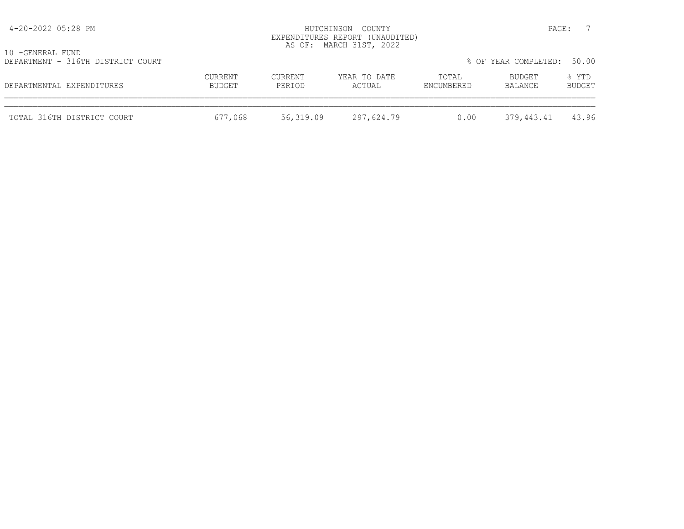| 4-20-2022 05:28 PM                                    |                   |                   | HUTCHINSON COUNTY<br>EXPENDITURES REPORT (UNAUDITED)<br>AS OF: MARCH 31ST, 2022 |                     |                      | PAGE:           |
|-------------------------------------------------------|-------------------|-------------------|---------------------------------------------------------------------------------|---------------------|----------------------|-----------------|
| 10 -GENERAL FUND<br>DEPARTMENT - 316TH DISTRICT COURT |                   |                   |                                                                                 |                     | % OF YEAR COMPLETED: | 50.00           |
| DEPARTMENTAL EXPENDITURES                             | CURRENT<br>BUDGET | CURRENT<br>PERIOD | YEAR TO DATE<br>ACTUAL                                                          | TOTAL<br>ENCUMBERED | BUDGET<br>BALANCE    | % YTD<br>BUDGET |
| TOTAL 316TH DISTRICT COURT                            | 677,068           | 56,319.09         | 297,624.79                                                                      | 0.00                | 379,443.41           | 43.96           |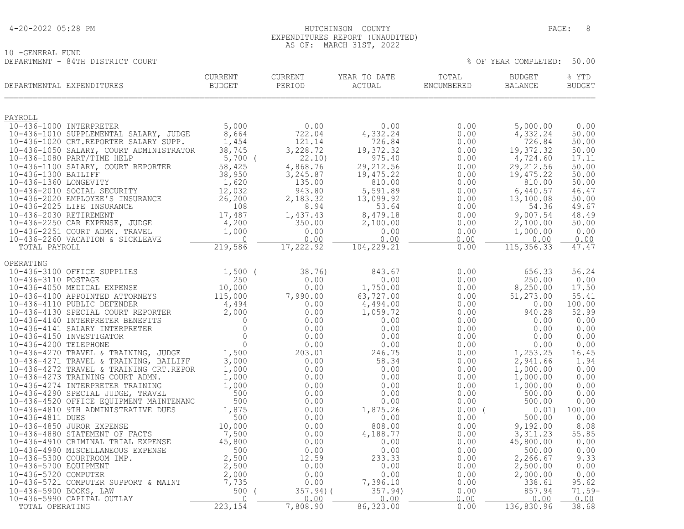10 -GENERAL FUND

### 4-20-2022 05:28 PM HUTCHINSON COUNTY PAGE: 8 EXPENDITURES REPORT (UNAUDITED) AS OF: MARCH 31ST, 2022

DEPARTMENT - 84TH DISTRICT COURT % OF YEAR COMPLETED: 50.00

| PAYROLL<br>5,000<br>10-436-1000 INTERPRETER<br>$0.00$<br>722.04<br>5,000.00<br>0.00<br>0.00<br>4,332.24<br>10-436-1010 SUPPLEMENTAL SALARY, JUDGE<br>8,664<br>4,332.24<br>0.00<br>10-436-1020 CRT.REPORTER SALARY SUPP.<br>121.14<br>726.84<br>1,454<br>726.84<br>0.00<br>19,372.32<br>38,745<br>3,228.72<br>19,372.32<br>0.00<br>10-436-1050 SALARY, COURT ADMINISTRATOR<br>22.10)<br>10-436-1080 PART/TIME HELP<br>$5,700$ (<br>975.40<br>0.00<br>4,724.60<br>29, 212.56<br>29, 212.56<br>0.00<br>10-436-1100 SALARY, COURT REPORTER<br>58,425<br>4,868.76<br>10-436-1300 BAILIFF<br>38,950<br>3,245.87<br>19,475.22<br>0.00<br>19,475.22<br>10-436-1360 LONGEVITY<br>1,620<br>135.00<br>810.00<br>0.00<br>810.00<br>10-436-2010 SOCIAL SECURITY<br>12,032<br>943.80<br>5,591.89<br>0.00<br>6,440.57<br>26, 200<br>10-436-2020 EMPLOYEE'S INSURANCE<br>2,183.32<br>13,099.92<br>0.00<br>13,100.08<br>108<br>10-436-2025 LIFE INSURANCE<br>8.94<br>53.64<br>0.00<br>54.36<br>17,487<br>10-436-2030 RETIREMENT<br>9,007.54<br>1,437.43<br>8,479.18<br>0.00<br>10-436-2250 CAR EXPENSE, JUDGE<br>4,200<br>350.00<br>2,100.00<br>0.00<br>2,100.00<br>1,000<br>10-436-2251 COURT ADMN. TRAVEL<br>0.00<br>0.00<br>1,000.00<br>0.00<br>10-436-2260 VACATION & SICKLEAVE<br>$\bigcap$<br>0.00<br>0.00<br>0.00<br>0.00<br>219,586<br>17,222.92<br>104, 229.21<br>0.00<br>115, 356.33<br>TOTAL PAYROLL<br>OPERATING<br>10-436-3100 OFFICE SUPPLIES<br>$1,500$ (<br>38.76)<br>843.67<br>0.00<br>656.33<br>250<br>0.00<br>10-436-3110 POSTAGE<br>0.00<br>0.00<br>250.00<br>10,000<br>0.00<br>10-436-4050 MEDICAL EXPENSE<br>1,750.00<br>0.00<br>8,250.00<br>10-436-4100 APPOINTED ATTORNEYS<br>115,000<br>63,727.00<br>51,273.00<br>7,990.00<br>0.00<br>10-436-4110 PUBLIC DEFENDER<br>4,494<br>0.00<br>4,494.00<br>0.00<br>0.00<br>10-436-4110 PUBLIC DEFENDER<br>10-436-4130 SPECIAL COURT REPORTER<br>10-436-4140 INTERDRETER RENEFITS<br>0.00<br>52.99<br>1,059.72<br>0.00<br>940.28<br>10-436-4110 PUBLIC DEFENDER<br>10-436-4130 SPECIAL COURT REPORTER 2,000<br>10-436-4140 INTERPRETER BENEFITS 0<br>10-436-4141 SALARY INTERPRETER 0<br>10-436-4150 INVESTIGATOR 0<br>10-436-4150 INVESTIGATOR 0<br>10-436-4150 INVESTIGATOR<br>0.00<br>0.00<br>0.00<br>0.00<br>0.00<br>0.00<br>0.00<br>0.00 | DEPARTMENTAL EXPENDITURES | <b>CURRENT</b><br>BUDGET | <b>CURRENT</b><br>PERIOD | YEAR TO DATE<br>ACTUAL | TOTAL<br>ENCUMBERED | <b>BUDGET</b><br>BALANCE | % YTD<br><b>BUDGET</b> |
|---------------------------------------------------------------------------------------------------------------------------------------------------------------------------------------------------------------------------------------------------------------------------------------------------------------------------------------------------------------------------------------------------------------------------------------------------------------------------------------------------------------------------------------------------------------------------------------------------------------------------------------------------------------------------------------------------------------------------------------------------------------------------------------------------------------------------------------------------------------------------------------------------------------------------------------------------------------------------------------------------------------------------------------------------------------------------------------------------------------------------------------------------------------------------------------------------------------------------------------------------------------------------------------------------------------------------------------------------------------------------------------------------------------------------------------------------------------------------------------------------------------------------------------------------------------------------------------------------------------------------------------------------------------------------------------------------------------------------------------------------------------------------------------------------------------------------------------------------------------------------------------------------------------------------------------------------------------------------------------------------------------------------------------------------------------------------------------------------------------------------------------------------------------------------------------------------------------------------------------------------------------------------------------------|---------------------------|--------------------------|--------------------------|------------------------|---------------------|--------------------------|------------------------|
|                                                                                                                                                                                                                                                                                                                                                                                                                                                                                                                                                                                                                                                                                                                                                                                                                                                                                                                                                                                                                                                                                                                                                                                                                                                                                                                                                                                                                                                                                                                                                                                                                                                                                                                                                                                                                                                                                                                                                                                                                                                                                                                                                                                                                                                                                             |                           |                          |                          |                        |                     |                          |                        |
|                                                                                                                                                                                                                                                                                                                                                                                                                                                                                                                                                                                                                                                                                                                                                                                                                                                                                                                                                                                                                                                                                                                                                                                                                                                                                                                                                                                                                                                                                                                                                                                                                                                                                                                                                                                                                                                                                                                                                                                                                                                                                                                                                                                                                                                                                             |                           |                          |                          |                        |                     |                          | 0.00                   |
|                                                                                                                                                                                                                                                                                                                                                                                                                                                                                                                                                                                                                                                                                                                                                                                                                                                                                                                                                                                                                                                                                                                                                                                                                                                                                                                                                                                                                                                                                                                                                                                                                                                                                                                                                                                                                                                                                                                                                                                                                                                                                                                                                                                                                                                                                             |                           |                          |                          |                        |                     |                          | 50.00                  |
|                                                                                                                                                                                                                                                                                                                                                                                                                                                                                                                                                                                                                                                                                                                                                                                                                                                                                                                                                                                                                                                                                                                                                                                                                                                                                                                                                                                                                                                                                                                                                                                                                                                                                                                                                                                                                                                                                                                                                                                                                                                                                                                                                                                                                                                                                             |                           |                          |                          |                        |                     |                          | 50.00                  |
|                                                                                                                                                                                                                                                                                                                                                                                                                                                                                                                                                                                                                                                                                                                                                                                                                                                                                                                                                                                                                                                                                                                                                                                                                                                                                                                                                                                                                                                                                                                                                                                                                                                                                                                                                                                                                                                                                                                                                                                                                                                                                                                                                                                                                                                                                             |                           |                          |                          |                        |                     |                          | 50.00                  |
|                                                                                                                                                                                                                                                                                                                                                                                                                                                                                                                                                                                                                                                                                                                                                                                                                                                                                                                                                                                                                                                                                                                                                                                                                                                                                                                                                                                                                                                                                                                                                                                                                                                                                                                                                                                                                                                                                                                                                                                                                                                                                                                                                                                                                                                                                             |                           |                          |                          |                        |                     |                          | 17.11                  |
|                                                                                                                                                                                                                                                                                                                                                                                                                                                                                                                                                                                                                                                                                                                                                                                                                                                                                                                                                                                                                                                                                                                                                                                                                                                                                                                                                                                                                                                                                                                                                                                                                                                                                                                                                                                                                                                                                                                                                                                                                                                                                                                                                                                                                                                                                             |                           |                          |                          |                        |                     |                          | 50.00<br>50.00         |
|                                                                                                                                                                                                                                                                                                                                                                                                                                                                                                                                                                                                                                                                                                                                                                                                                                                                                                                                                                                                                                                                                                                                                                                                                                                                                                                                                                                                                                                                                                                                                                                                                                                                                                                                                                                                                                                                                                                                                                                                                                                                                                                                                                                                                                                                                             |                           |                          |                          |                        |                     |                          | 50.00                  |
|                                                                                                                                                                                                                                                                                                                                                                                                                                                                                                                                                                                                                                                                                                                                                                                                                                                                                                                                                                                                                                                                                                                                                                                                                                                                                                                                                                                                                                                                                                                                                                                                                                                                                                                                                                                                                                                                                                                                                                                                                                                                                                                                                                                                                                                                                             |                           |                          |                          |                        |                     |                          | 46.47                  |
|                                                                                                                                                                                                                                                                                                                                                                                                                                                                                                                                                                                                                                                                                                                                                                                                                                                                                                                                                                                                                                                                                                                                                                                                                                                                                                                                                                                                                                                                                                                                                                                                                                                                                                                                                                                                                                                                                                                                                                                                                                                                                                                                                                                                                                                                                             |                           |                          |                          |                        |                     |                          | 50.00                  |
|                                                                                                                                                                                                                                                                                                                                                                                                                                                                                                                                                                                                                                                                                                                                                                                                                                                                                                                                                                                                                                                                                                                                                                                                                                                                                                                                                                                                                                                                                                                                                                                                                                                                                                                                                                                                                                                                                                                                                                                                                                                                                                                                                                                                                                                                                             |                           |                          |                          |                        |                     |                          | 49.67                  |
|                                                                                                                                                                                                                                                                                                                                                                                                                                                                                                                                                                                                                                                                                                                                                                                                                                                                                                                                                                                                                                                                                                                                                                                                                                                                                                                                                                                                                                                                                                                                                                                                                                                                                                                                                                                                                                                                                                                                                                                                                                                                                                                                                                                                                                                                                             |                           |                          |                          |                        |                     |                          | 48.49<br>50.00         |
|                                                                                                                                                                                                                                                                                                                                                                                                                                                                                                                                                                                                                                                                                                                                                                                                                                                                                                                                                                                                                                                                                                                                                                                                                                                                                                                                                                                                                                                                                                                                                                                                                                                                                                                                                                                                                                                                                                                                                                                                                                                                                                                                                                                                                                                                                             |                           |                          |                          |                        |                     |                          | 0.00                   |
|                                                                                                                                                                                                                                                                                                                                                                                                                                                                                                                                                                                                                                                                                                                                                                                                                                                                                                                                                                                                                                                                                                                                                                                                                                                                                                                                                                                                                                                                                                                                                                                                                                                                                                                                                                                                                                                                                                                                                                                                                                                                                                                                                                                                                                                                                             |                           |                          |                          |                        |                     |                          | 0.00                   |
|                                                                                                                                                                                                                                                                                                                                                                                                                                                                                                                                                                                                                                                                                                                                                                                                                                                                                                                                                                                                                                                                                                                                                                                                                                                                                                                                                                                                                                                                                                                                                                                                                                                                                                                                                                                                                                                                                                                                                                                                                                                                                                                                                                                                                                                                                             |                           |                          |                          |                        |                     |                          | 47.47                  |
|                                                                                                                                                                                                                                                                                                                                                                                                                                                                                                                                                                                                                                                                                                                                                                                                                                                                                                                                                                                                                                                                                                                                                                                                                                                                                                                                                                                                                                                                                                                                                                                                                                                                                                                                                                                                                                                                                                                                                                                                                                                                                                                                                                                                                                                                                             |                           |                          |                          |                        |                     |                          |                        |
|                                                                                                                                                                                                                                                                                                                                                                                                                                                                                                                                                                                                                                                                                                                                                                                                                                                                                                                                                                                                                                                                                                                                                                                                                                                                                                                                                                                                                                                                                                                                                                                                                                                                                                                                                                                                                                                                                                                                                                                                                                                                                                                                                                                                                                                                                             |                           |                          |                          |                        |                     |                          | 56.24                  |
|                                                                                                                                                                                                                                                                                                                                                                                                                                                                                                                                                                                                                                                                                                                                                                                                                                                                                                                                                                                                                                                                                                                                                                                                                                                                                                                                                                                                                                                                                                                                                                                                                                                                                                                                                                                                                                                                                                                                                                                                                                                                                                                                                                                                                                                                                             |                           |                          |                          |                        |                     |                          | 0.00                   |
|                                                                                                                                                                                                                                                                                                                                                                                                                                                                                                                                                                                                                                                                                                                                                                                                                                                                                                                                                                                                                                                                                                                                                                                                                                                                                                                                                                                                                                                                                                                                                                                                                                                                                                                                                                                                                                                                                                                                                                                                                                                                                                                                                                                                                                                                                             |                           |                          |                          |                        |                     |                          | 17.50                  |
|                                                                                                                                                                                                                                                                                                                                                                                                                                                                                                                                                                                                                                                                                                                                                                                                                                                                                                                                                                                                                                                                                                                                                                                                                                                                                                                                                                                                                                                                                                                                                                                                                                                                                                                                                                                                                                                                                                                                                                                                                                                                                                                                                                                                                                                                                             |                           |                          |                          |                        |                     |                          | 55.41                  |
|                                                                                                                                                                                                                                                                                                                                                                                                                                                                                                                                                                                                                                                                                                                                                                                                                                                                                                                                                                                                                                                                                                                                                                                                                                                                                                                                                                                                                                                                                                                                                                                                                                                                                                                                                                                                                                                                                                                                                                                                                                                                                                                                                                                                                                                                                             |                           |                          |                          |                        |                     |                          | 100.00                 |
|                                                                                                                                                                                                                                                                                                                                                                                                                                                                                                                                                                                                                                                                                                                                                                                                                                                                                                                                                                                                                                                                                                                                                                                                                                                                                                                                                                                                                                                                                                                                                                                                                                                                                                                                                                                                                                                                                                                                                                                                                                                                                                                                                                                                                                                                                             |                           |                          |                          |                        |                     |                          | 0.00                   |
|                                                                                                                                                                                                                                                                                                                                                                                                                                                                                                                                                                                                                                                                                                                                                                                                                                                                                                                                                                                                                                                                                                                                                                                                                                                                                                                                                                                                                                                                                                                                                                                                                                                                                                                                                                                                                                                                                                                                                                                                                                                                                                                                                                                                                                                                                             |                           |                          |                          |                        |                     |                          | 0.00                   |
|                                                                                                                                                                                                                                                                                                                                                                                                                                                                                                                                                                                                                                                                                                                                                                                                                                                                                                                                                                                                                                                                                                                                                                                                                                                                                                                                                                                                                                                                                                                                                                                                                                                                                                                                                                                                                                                                                                                                                                                                                                                                                                                                                                                                                                                                                             |                           |                          | 0.00                     | 0.00                   | 0.00                | 0.00                     | 0.00                   |
| 0.00<br>0.00<br>0.00<br>0.00                                                                                                                                                                                                                                                                                                                                                                                                                                                                                                                                                                                                                                                                                                                                                                                                                                                                                                                                                                                                                                                                                                                                                                                                                                                                                                                                                                                                                                                                                                                                                                                                                                                                                                                                                                                                                                                                                                                                                                                                                                                                                                                                                                                                                                                                |                           |                          |                          |                        |                     |                          | 0.00                   |
| 10-436-4270 TRAVEL & TRAINING, JUDGE<br>1,500<br>203.01<br>246.75<br>1,253.25<br>0.00                                                                                                                                                                                                                                                                                                                                                                                                                                                                                                                                                                                                                                                                                                                                                                                                                                                                                                                                                                                                                                                                                                                                                                                                                                                                                                                                                                                                                                                                                                                                                                                                                                                                                                                                                                                                                                                                                                                                                                                                                                                                                                                                                                                                       |                           |                          |                          |                        |                     |                          | 16.45                  |
| 3,000<br>2,941.66<br>10-436-4271 TRAVEL & TRAINING, BAILIFF<br>0.00<br>58.34<br>0.00                                                                                                                                                                                                                                                                                                                                                                                                                                                                                                                                                                                                                                                                                                                                                                                                                                                                                                                                                                                                                                                                                                                                                                                                                                                                                                                                                                                                                                                                                                                                                                                                                                                                                                                                                                                                                                                                                                                                                                                                                                                                                                                                                                                                        |                           |                          |                          |                        |                     |                          | 1.94                   |
| 10-436-4272 TRAVEL & TRAINING CRT.REPOR<br>1,000<br>0.00<br>0.00<br>1,000.00<br>0.00                                                                                                                                                                                                                                                                                                                                                                                                                                                                                                                                                                                                                                                                                                                                                                                                                                                                                                                                                                                                                                                                                                                                                                                                                                                                                                                                                                                                                                                                                                                                                                                                                                                                                                                                                                                                                                                                                                                                                                                                                                                                                                                                                                                                        |                           |                          |                          |                        |                     |                          | 0.00                   |
| 10-436-4273 TRAINING COURT ADMN.<br>0.00<br>0.00<br>1,000.00<br>1,000<br>0.00<br>10-436-4274 INTERPRETER TRAINING<br>1,000<br>0.00<br>0.00<br>0.00<br>1,000.00                                                                                                                                                                                                                                                                                                                                                                                                                                                                                                                                                                                                                                                                                                                                                                                                                                                                                                                                                                                                                                                                                                                                                                                                                                                                                                                                                                                                                                                                                                                                                                                                                                                                                                                                                                                                                                                                                                                                                                                                                                                                                                                              |                           |                          |                          |                        |                     |                          | 0.00<br>0.00           |
| 500<br>10-436-4290 SPECIAL JUDGE, TRAVEL<br>0.00<br>0.00<br>0.00<br>500.00                                                                                                                                                                                                                                                                                                                                                                                                                                                                                                                                                                                                                                                                                                                                                                                                                                                                                                                                                                                                                                                                                                                                                                                                                                                                                                                                                                                                                                                                                                                                                                                                                                                                                                                                                                                                                                                                                                                                                                                                                                                                                                                                                                                                                  |                           |                          |                          |                        |                     |                          | 0.00                   |
| 10-436-4520 OFFICE EQUIPMENT MAINTENANC<br>500<br>0.00<br>0.00<br>500.00<br>0.00                                                                                                                                                                                                                                                                                                                                                                                                                                                                                                                                                                                                                                                                                                                                                                                                                                                                                                                                                                                                                                                                                                                                                                                                                                                                                                                                                                                                                                                                                                                                                                                                                                                                                                                                                                                                                                                                                                                                                                                                                                                                                                                                                                                                            |                           |                          |                          |                        |                     |                          | 0.00                   |
| 10-436-4810 9TH ADMINISTRATIVE DUES<br>1,875<br>0.00<br>1,875.26<br>$0.00$ (<br>0.01)                                                                                                                                                                                                                                                                                                                                                                                                                                                                                                                                                                                                                                                                                                                                                                                                                                                                                                                                                                                                                                                                                                                                                                                                                                                                                                                                                                                                                                                                                                                                                                                                                                                                                                                                                                                                                                                                                                                                                                                                                                                                                                                                                                                                       |                           |                          |                          |                        |                     |                          | 100.00                 |
| 10-436-4811 DUES<br>500<br>500.00<br>0.00<br>0.00<br>0.00                                                                                                                                                                                                                                                                                                                                                                                                                                                                                                                                                                                                                                                                                                                                                                                                                                                                                                                                                                                                                                                                                                                                                                                                                                                                                                                                                                                                                                                                                                                                                                                                                                                                                                                                                                                                                                                                                                                                                                                                                                                                                                                                                                                                                                   |                           |                          |                          |                        |                     |                          | 0.00                   |
| 10-436-4850 JUROR EXPENSE<br>10-436-4880 STATEMENT OF FACTS<br>10,000<br>0.00<br>9,192.00<br>0.00<br>808.00                                                                                                                                                                                                                                                                                                                                                                                                                                                                                                                                                                                                                                                                                                                                                                                                                                                                                                                                                                                                                                                                                                                                                                                                                                                                                                                                                                                                                                                                                                                                                                                                                                                                                                                                                                                                                                                                                                                                                                                                                                                                                                                                                                                 |                           |                          |                          |                        |                     |                          | 8.08                   |
| 7,500<br>0.00<br>3,311.23<br>4,188.77<br>0.00<br>10-436-4910 CRIMINAL TRIAL EXPENSE<br>45,800<br>0.00<br>0.00<br>45,800.00<br>0.00                                                                                                                                                                                                                                                                                                                                                                                                                                                                                                                                                                                                                                                                                                                                                                                                                                                                                                                                                                                                                                                                                                                                                                                                                                                                                                                                                                                                                                                                                                                                                                                                                                                                                                                                                                                                                                                                                                                                                                                                                                                                                                                                                          |                           |                          |                          |                        |                     |                          | 55.85<br>0.00          |
| 10-436-4990 MISCELLANEOUS EXPENSE<br>0.00<br>500.00<br>500<br>0.00<br>0.00                                                                                                                                                                                                                                                                                                                                                                                                                                                                                                                                                                                                                                                                                                                                                                                                                                                                                                                                                                                                                                                                                                                                                                                                                                                                                                                                                                                                                                                                                                                                                                                                                                                                                                                                                                                                                                                                                                                                                                                                                                                                                                                                                                                                                  |                           |                          |                          |                        |                     |                          | 0.00                   |
| 2,500<br>12.59<br>10-436-5300 COURTROOM IMP.<br>233.33<br>0.00<br>2,266.67                                                                                                                                                                                                                                                                                                                                                                                                                                                                                                                                                                                                                                                                                                                                                                                                                                                                                                                                                                                                                                                                                                                                                                                                                                                                                                                                                                                                                                                                                                                                                                                                                                                                                                                                                                                                                                                                                                                                                                                                                                                                                                                                                                                                                  |                           |                          |                          |                        |                     |                          | 9.33                   |
| 2,500<br>10-436-5700 EQUIPMENT<br>0.00<br>0.00<br>0.00<br>2,500.00                                                                                                                                                                                                                                                                                                                                                                                                                                                                                                                                                                                                                                                                                                                                                                                                                                                                                                                                                                                                                                                                                                                                                                                                                                                                                                                                                                                                                                                                                                                                                                                                                                                                                                                                                                                                                                                                                                                                                                                                                                                                                                                                                                                                                          |                           |                          |                          |                        |                     |                          | 0.00                   |
| 2,000<br>10-436-5720 COMPUTER<br>0.00<br>2,000.00<br>0.00<br>0.00                                                                                                                                                                                                                                                                                                                                                                                                                                                                                                                                                                                                                                                                                                                                                                                                                                                                                                                                                                                                                                                                                                                                                                                                                                                                                                                                                                                                                                                                                                                                                                                                                                                                                                                                                                                                                                                                                                                                                                                                                                                                                                                                                                                                                           |                           |                          |                          |                        |                     |                          | 0.00                   |
| 10-436-5721 COMPUTER SUPPORT & MAINT<br>7,735<br>0.00<br>7,396.10<br>0.00<br>338.61                                                                                                                                                                                                                                                                                                                                                                                                                                                                                                                                                                                                                                                                                                                                                                                                                                                                                                                                                                                                                                                                                                                                                                                                                                                                                                                                                                                                                                                                                                                                                                                                                                                                                                                                                                                                                                                                                                                                                                                                                                                                                                                                                                                                         |                           |                          |                          |                        |                     |                          | 95.62                  |
| 10-436-5900 BOOKS, LAW<br>500(<br>$357.94$ ) (<br>357.94)<br>0.00<br>857.94<br>0.00<br>0.00<br>0.00<br>$\Omega$                                                                                                                                                                                                                                                                                                                                                                                                                                                                                                                                                                                                                                                                                                                                                                                                                                                                                                                                                                                                                                                                                                                                                                                                                                                                                                                                                                                                                                                                                                                                                                                                                                                                                                                                                                                                                                                                                                                                                                                                                                                                                                                                                                             |                           |                          |                          |                        |                     |                          | $71.59-$<br>0.00       |
| 0.00<br>10-436-5990 CAPITAL OUTLAY<br>223,154<br>7,808.90<br>86, 323.00<br>0.00<br>136,830.96<br>TOTAL OPERATING                                                                                                                                                                                                                                                                                                                                                                                                                                                                                                                                                                                                                                                                                                                                                                                                                                                                                                                                                                                                                                                                                                                                                                                                                                                                                                                                                                                                                                                                                                                                                                                                                                                                                                                                                                                                                                                                                                                                                                                                                                                                                                                                                                            |                           |                          |                          |                        |                     |                          | 38.68                  |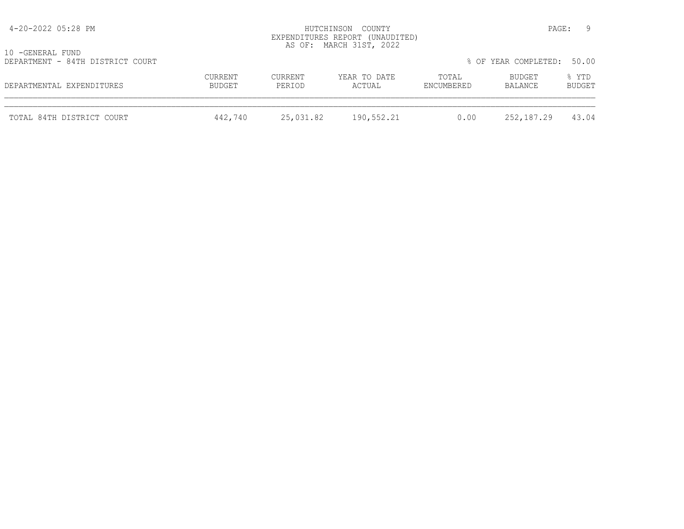| 4-20-2022 05:28 PM                                   |                   |                   | HUTCHINSON COUNTY<br>EXPENDITURES REPORT (UNAUDITED)<br>AS OF: MARCH 31ST, 2022 |                     | PAGE:                | - 9             |
|------------------------------------------------------|-------------------|-------------------|---------------------------------------------------------------------------------|---------------------|----------------------|-----------------|
| 10 -GENERAL FUND<br>DEPARTMENT - 84TH DISTRICT COURT |                   |                   |                                                                                 |                     | % OF YEAR COMPLETED: | 50.00           |
| DEPARTMENTAL EXPENDITURES                            | CURRENT<br>BUDGET | CURRENT<br>PERIOD | YEAR TO DATE<br>ACTUAL                                                          | TOTAL<br>ENCUMBERED | BUDGET<br>BALANCE    | % YTD<br>BUDGET |
| TOTAL 84TH DISTRICT COURT                            | 442,740           | 25,031.82         | 190,552.21                                                                      | 0.00                | 252,187.29           | 43.04           |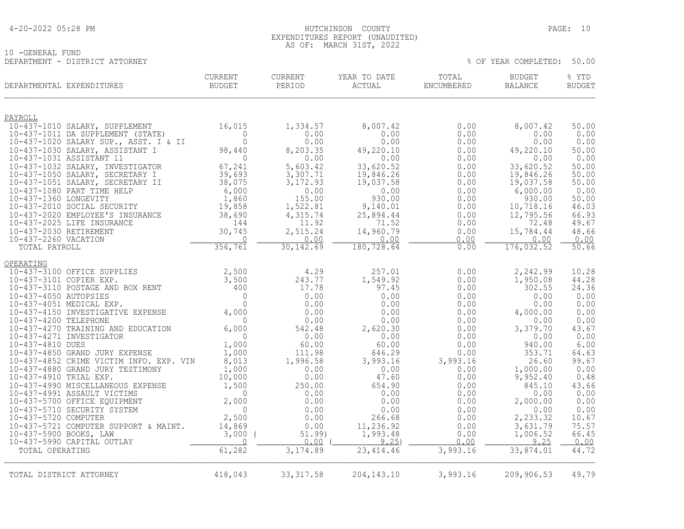### 4-20-2022 05:28 PM HUTCHINSON COUNTY PAGE: 10 EXPENDITURES REPORT (UNAUDITED) AS OF: MARCH 31ST, 2022

10 -GENERAL FUND DEPARTMENT - DISTRICT ATTORNEY % OF YEAR COMPLETED: 50.00

| DEPARTMENTAL EXPENDITURES                                                                                                                                                                                             | CURRENT<br><b>BUDGET</b>              | CURRENT<br>PERIOD | YEAR TO DATE<br>$\verb ACTUAL $ | TOTAL<br>ENCUMBERED | BUDGET<br>BALANCE    | % YTD<br><b>BUDGET</b> |
|-----------------------------------------------------------------------------------------------------------------------------------------------------------------------------------------------------------------------|---------------------------------------|-------------------|---------------------------------|---------------------|----------------------|------------------------|
| PAYROLL                                                                                                                                                                                                               |                                       |                   |                                 |                     |                      |                        |
| 10-437-1010 SALARY, SUPPLEMENT                                                                                                                                                                                        | 16,015                                | 1,334.57          | 8,007.42                        | 0.00                | 8,007.42             | 50.00                  |
| 10-437-1011 DA SUPPLEMENT (STATE)                                                                                                                                                                                     | $\overline{0}$                        | 0.00              | 0.00                            | 0.00                | 0.00                 | 0.00                   |
| 10-437-1020 SALARY SUP., ASST. I & II                                                                                                                                                                                 | $\Omega$                              | 0.00              | 0.00                            | 0.00                | 0.00                 | 0.00                   |
| 10-437-1030 SALARY, ASSISTANT I<br>10-437-1031 ASSISTANT 11                                                                                                                                                           | 98,440<br>$\overline{0}$              | 8,203.35<br>0.00  | 49,220.10<br>0.00               | 0.00<br>0.00        | 49,220.10<br>0.00    | 50.00<br>0.00          |
| 10-437-1032 SALARY, INVESTIGATOR                                                                                                                                                                                      | $67, 24$<br>39,693<br>38,075<br>6,000 | 5,603.42          | 33,620.52                       | 0.00                | 33,620.52            | 50.00                  |
| 10-437-1050 SALARY, SECRETARY I                                                                                                                                                                                       |                                       | 3,307.71          | 19,846.26                       | 0.00                | 19,846.26            | 50.00                  |
| 10-437-1051 SALARY, SECRETARY II                                                                                                                                                                                      |                                       | 3, 172.93         | 19,037.58                       | 0.00                | 19,037.58            | 50.00                  |
| 10-437-1080 PART TIME HELP                                                                                                                                                                                            |                                       | 0.00              | 0.00                            | 0.00                | 6,000.00             | 0.00                   |
| 10-437-1360 LONGEVITY                                                                                                                                                                                                 | 1,860                                 | 155.00            | 930.00                          | 0.00                | 930.00               | 50.00                  |
| 10-437-2010 SOCIAL SECURITY                                                                                                                                                                                           | 19,858<br>ANCE 38,690                 | 1,522.81          | 9,140.01                        | 0.00                | 10,718.16            | 46.03                  |
| 10-437-2020 EMPLOYEE'S INSURANCE<br>10-437-2025 LIFE INSURANCE                                                                                                                                                        | 144                                   | 4,315.74<br>11.92 | 25,894.44<br>71.52              | 0.00<br>0.00        | 12,795.56<br>72.48   | 66.93<br>49.67         |
| 10-437-2030 RETIREMENT                                                                                                                                                                                                | 30,745                                | 2,515.24          | 14,960.79                       | 0.00                | 15,784.44            | 48.66                  |
| 10-437-2260 VACATION                                                                                                                                                                                                  | $\bigcirc$                            | 0.00              | 0.00                            | 0.00                | 0.00                 | 0.00                   |
| TOTAL PAYROLL                                                                                                                                                                                                         | 356, 761                              | 30, 142.69        | 180,728.64                      | 0.00                | 176,032.52           | 50.66                  |
| OPERATING                                                                                                                                                                                                             |                                       |                   |                                 |                     |                      |                        |
| <u>10-437-3100</u> OFFICE SUPPLIES 2,500<br>10-437-3101 COPIER EXP. 3,500<br>10-437-3110 POSTAGE AND BOX RENT 400<br>10-437-4050 AUTOPSIES 0<br>10-437-4051 MEDICAL EXP. 0<br>10-437-4150 INVESTIGATIVE EXPENSE 4,000 |                                       | 4.29              | 257.01                          | 0.00                | 2,242.99             | 10.28                  |
|                                                                                                                                                                                                                       |                                       | 243.77            | 1,549.92                        | 0.00                | 1,950.08             | 44.28                  |
|                                                                                                                                                                                                                       |                                       | 17.78             | 97.45                           | 0.00                | 302.55               | 24.36                  |
|                                                                                                                                                                                                                       |                                       | 0.00              | 0.00                            | 0.00                | 0.00                 | 0.00                   |
|                                                                                                                                                                                                                       |                                       | 0.00<br>0.00      | 0.00<br>0.00                    | 0.00<br>0.00        | 0.00<br>4,000.00     | 0.00<br>0.00           |
| 10-437-4200 TELEPHONE                                                                                                                                                                                                 | $\overline{0}$                        | 0.00              | 0.00                            | 0.00                | 0.00                 | 0.00                   |
| 10-437-4270 TRAINING AND EDUCATION                                                                                                                                                                                    | 6,000                                 | 542.48            | 2,620.30                        | 0.00                | 3,379.70             | 43.67                  |
| 10-437-4271 INVESTIGATOR                                                                                                                                                                                              | $\overline{0}$                        | 0.00              | 0.00                            | 0.00                | 0.00                 | 0.00                   |
| 10-437-4810 DUES                                                                                                                                                                                                      | 1,000                                 | 60.00             | 60.00                           | 0.00                | 940.00               | 6.00                   |
| 10-437-4850 GRAND JURY EXPENSE                                                                                                                                                                                        | 1,000                                 | 111.98            | 646.29                          | 0.00                | 353.71               | 64.63                  |
| 10-437-4852 CRIME VICTIM INFO. EXP. VIN                                                                                                                                                                               | 8,013                                 | 1,996.58          | 3,993.16                        | 3,993.16            | 26.60                | 99.67                  |
| 10-437-4880 GRAND JURY TESTIMONY<br>10-437-4910 TRIAL EXP.                                                                                                                                                            | 1,000<br>10,000                       | 0.00<br>0.00      | 0.00<br>47.60                   | 0.00<br>0.00        | 1,000.00<br>9,952.40 | 0.00<br>0.48           |
| 10-437-4990 MISCELLANEOUS EXPENSE                                                                                                                                                                                     | 1,500                                 | 250.00            | 654.90                          | 0.00                | 845.10               | 43.66                  |
| 10-437-4991 ASSAULT VICTIMS                                                                                                                                                                                           | $\overline{0}$                        | 0.00              | 0.00                            | 0.00                | 0.00                 | 0.00                   |
| 10-437-5700 OFFICE EQUIPMENT                                                                                                                                                                                          | 2,000                                 | 0.00              | 0.00                            | 0.00                | 2,000.00             | 0.00                   |
| 10-437-5710 SECURITY SYSTEM                                                                                                                                                                                           | $\overline{0}$                        | 0.00              | 0.00                            | 0.00                | 0.00                 | 0.00                   |
| 10-437-5720 COMPUTER                                                                                                                                                                                                  | 2,500                                 | 0.00              | 266.68                          | 0.00                | 2,233.32             | 10.67                  |
| 10-437-5721 COMPUTER SUPPORT & MAINT.                                                                                                                                                                                 | 14,869                                | 0.00              | 11,236.92                       | 0.00                | 3,631.79             | 75.57                  |
| 10-437-5900 BOOKS, LAW<br>10-437-5990 CAPITAL OUTLAY                                                                                                                                                                  | $3,000$ (<br>$\overline{0}$           | 51.99)<br>0.00    | 1,993.48<br>9.25                | 0.00<br>0.00        | 1,006.52<br>9.25     | 66.45<br>0.00          |
| TOTAL OPERATING                                                                                                                                                                                                       | 61,282                                | 3,174.89          | 23,414.46                       | 3,993.16            | 33,874.01            | 44.72                  |
|                                                                                                                                                                                                                       |                                       |                   |                                 |                     |                      |                        |
| TOTAL DISTRICT ATTORNEY                                                                                                                                                                                               | 418,043                               | 33, 317.58        | 204, 143. 10                    | 3,993.16            | 209,906.53           | 49.79                  |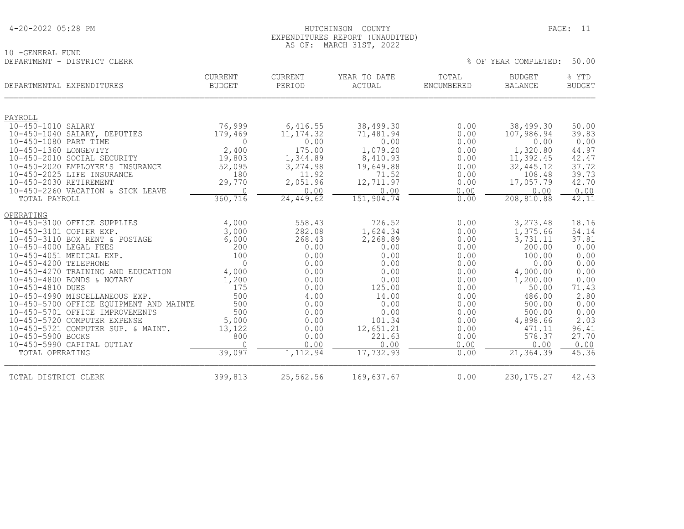| 4-20-2022 05:28 PM |  |  |
|--------------------|--|--|
|--------------------|--|--|

### HUTCHINSON COUNTY PAGE: 11 EXPENDITURES REPORT (UNAUDITED) AS OF: MARCH 31ST, 2022

% OF YEAR COMPLETED: 50.00

10 -GENERAL FUND<br>DEPARTMENT - DISTRICT CLERK

|                         | DEPARTMENTAL EXPENDITURES                                       | CURRENT<br><b>BUDGET</b> | <b>CURRENT</b><br>PERIOD | YEAR TO DATE<br><b>ACTUAL</b> | TOTAL<br><b>ENCUMBERED</b> | <b>BUDGET</b><br><b>BALANCE</b> | % YTD<br><b>BUDGET</b> |
|-------------------------|-----------------------------------------------------------------|--------------------------|--------------------------|-------------------------------|----------------------------|---------------------------------|------------------------|
| PAYROLL                 |                                                                 |                          |                          |                               |                            |                                 |                        |
| 10-450-1010 SALARY      |                                                                 | 76,999                   | 6,416.55                 | 38,499.30                     | 0.00                       | 38,499.30                       | 50.00                  |
| 10-450-1080 PART TIME   | 10-450-1040 SALARY, DEPUTIES                                    | 179,469<br>$\Omega$      | 11, 174.32<br>0.00       | 71,481.94<br>0.00             | 0.00<br>0.00               | 107,986.94<br>0.00              | 39.83<br>0.00          |
| 10-450-1360 LONGEVITY   |                                                                 | 2,400                    | 175.00                   | 1,079.20                      | 0.00                       | 1,320.80                        | 44.97                  |
|                         | 10-450-2010 SOCIAL SECURITY                                     | 19,803                   | 1,344.89                 | 8,410.93                      | 0.00                       | 11,392.45                       | 42.47                  |
|                         | 10-450-2020 EMPLOYEE'S INSURANCE                                | 52,095                   | 3,274.98                 | 19,649.88                     | 0.00                       | 32, 445.12                      | 37.72                  |
|                         | 10-450-2025 LIFE INSURANCE                                      | 180                      | 11.92                    | 71.52                         | 0.00                       | 108.48                          | 39.73                  |
| 10-450-2030 RETIREMENT  |                                                                 | 29,770                   | 2,051.96                 | 12,711.97                     | 0.00                       | 17,057.79                       | 42.70                  |
| TOTAL PAYROLL           | 10-450-2260 VACATION & SICK LEAVE                               | $\Omega$<br>360,716      | 0.00<br>24,449.62        | 0.00<br>151,904.74            | 0.00<br>0.00               | 0.00<br>208,810.88              | 0.00<br>42.11          |
|                         |                                                                 |                          |                          |                               |                            |                                 |                        |
| OPERATING               |                                                                 |                          |                          |                               |                            |                                 |                        |
|                         | 10-450-3100 OFFICE SUPPLIES                                     | 4,000                    | 558.43                   | 726.52                        | 0.00                       | 3,273.48                        | 18.16                  |
| 10-450-3101 COPIER EXP. |                                                                 | 3,000                    | 282.08                   | 1,624.34                      | 0.00                       | 1,375.66                        | 54.14                  |
| 10-450-4000 LEGAL FEES  | 10-450-3110 BOX RENT & POSTAGE                                  | 6,000<br>200             | 268.43<br>0.00           | 2,268.89<br>0.00              | 0.00<br>0.00               | 3,731.11<br>200.00              | 37.81<br>0.00          |
|                         | 10-450-4051 MEDICAL EXP.                                        | 100                      | 0.00                     | 0.00                          | 0.00                       | 100.00                          | 0.00                   |
| 10-450-4200 TELEPHONE   |                                                                 | $\Omega$                 | 0.00                     | 0.00                          | 0.00                       | 0.00                            | 0.00                   |
|                         | 10-450-4270 TRAINING AND EDUCATION                              | 4,000                    | 0.00                     | 0.00                          | 0.00                       | 4,000.00                        | 0.00                   |
|                         | 10-450-4800 BONDS & NOTARY                                      | 1,200                    | 0.00                     | 0.00                          | 0.00                       | 1,200.00                        | 0.00                   |
| 10-450-4810 DUES        |                                                                 | 175                      | 0.00                     | 125.00                        | 0.00                       | 50.00                           | 71.43                  |
|                         | 10-450-4990 MISCELLANEOUS EXP.                                  | 500                      | 4.00                     | 14.00                         | 0.00                       | 486.00                          | 2.80                   |
|                         | 10-450-5700 OFFICE EQUIPMENT AND MAINTE                         | 500                      | 0.00                     | 0.00                          | 0.00                       | 500.00                          | 0.00                   |
|                         | 10-450-5701 OFFICE IMPROVEMENTS<br>10-450-5720 COMPUTER EXPENSE | 500<br>5,000             | 0.00<br>0.00             | 0.00<br>101.34                | 0.00<br>0.00               | 500.00<br>4,898.66              | 0.00<br>2.03           |
|                         | 10-450-5721 COMPUTER SUP. & MAINT.                              | 13,122                   | 0.00                     | 12,651.21                     | 0.00                       | 471.11                          | 96.41                  |
| 10-450-5900 BOOKS       |                                                                 | 800                      | 0.00                     | 221.63                        | 0.00                       | 578.37                          | 27.70                  |
|                         | 10-450-5990 CAPITAL OUTLAY                                      | $\cap$                   | 0.00                     | 0.00                          | 0.00                       | 0.00                            | 0.00                   |
| TOTAL OPERATING         |                                                                 | 39,097                   | 1,112.94                 | 17,732.93                     | 0.00                       | 21, 364.39                      | 45.36                  |
| TOTAL DISTRICT CLERK    |                                                                 | 399,813                  | 25,562.56                | 169,637.67                    | 0.00                       | 230, 175. 27                    | 42.43                  |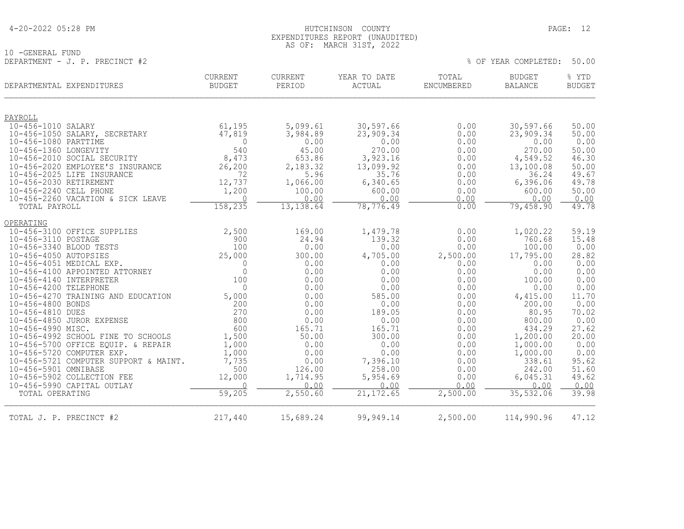### 4-20-2022 05:28 PM HUTCHINSON COUNTY PAGE: 12 EXPENDITURES REPORT (UNAUDITED) AS OF: MARCH 31ST, 2022

 $8$  OF YEAR COMPLETED: 50.00

10 -GENERAL FUND<br>DEPARTMENT - J. P. PRECINCT #2

| DEPARTMENTAL EXPENDITURES                             | CURRENT<br><b>BUDGET</b> | CURRENT<br>PERIOD    | YEAR TO DATE<br>ACTUAL | TOTAL<br><b>ENCUMBERED</b> | BUDGET<br><b>BALANCE</b> | % YTD<br><b>BUDGET</b> |
|-------------------------------------------------------|--------------------------|----------------------|------------------------|----------------------------|--------------------------|------------------------|
|                                                       |                          |                      |                        |                            |                          |                        |
| PAYROLL                                               |                          |                      |                        |                            |                          |                        |
| 10-456-1010 SALARY                                    | 61,195<br>47,819         | 5,099.61<br>3,984.89 | 30,597.66<br>23,909.34 | 0.00<br>0.00               | 30,597.66<br>23,909.34   | 50.00<br>50.00         |
| 10-456-1050 SALARY, SECRETARY<br>10-456-1080 PARTTIME | $\Omega$                 | 0.00                 | 0.00                   | 0.00                       | 0.00                     | 0.00                   |
| 10-456-1360 LONGEVITY                                 | 540                      | 45.00                | 270.00                 | 0.00                       | 270.00                   | 50.00                  |
| 10-456-2010 SOCIAL SECURITY                           | 8,473                    | 653.86               | 3,923.16               | 0.00                       | 4,549.52                 | 46.30                  |
| 10-456-2020 EMPLOYEE'S INSURANCE                      | 26,200                   | 2,183.32             | 13,099.92              | 0.00                       | 13,100.08                | 50.00                  |
| 10-456-2025 LIFE INSURANCE                            | 72                       | 5.96                 | 35.76                  | 0.00                       | 36.24                    | 49.67                  |
| 10-456-2030 RETIREMENT                                | 12,737                   | 1,066.00             | 6,340.65               | 0.00                       | 6,396.06                 | 49.78                  |
| 10-456-2240 CELL PHONE                                | 1,200                    | 100.00               | 600.00                 | 0.00                       | 600.00                   | 50.00                  |
| 10-456-2260 VACATION & SICK LEAVE                     | $\overline{0}$           | 0.00                 | 0.00                   | 0.00                       | 0.00                     | 0.00                   |
| TOTAL PAYROLL                                         | 158, 235                 | 13,138.64            | 78, 776.49             | 0.00                       | 79,458.90                | 49.78                  |
| OPERATING                                             |                          |                      |                        |                            |                          |                        |
| 10-456-3100 OFFICE SUPPLIES                           | 2,500                    | 169.00               | 1,479.78               | 0.00                       | 1,020.22                 | 59.19                  |
| 10-456-3110 POSTAGE                                   | 900                      | 24.94                | 139.32                 | 0.00                       | 760.68                   | 15.48                  |
| 10-456-3340 BLOOD TESTS                               | 100                      | 0.00                 | 0.00                   | 0.00                       | 100.00                   | 0.00                   |
| 10-456-4050 AUTOPSIES                                 | 25,000                   | 300.00               | 4,705.00               | 2,500.00                   | 17,795.00                | 28.82                  |
| 10-456-4051 MEDICAL EXP.                              | $\Omega$                 | 0.00                 | 0.00                   | 0.00                       | 0.00                     | 0.00                   |
| 10-456-4100 APPOINTED ATTORNEY                        | $\mathbf{0}$             | 0.00                 | 0.00                   | 0.00                       | 0.00                     | 0.00                   |
| 10-456-4140 INTERPRETER<br>10-456-4200 TELEPHONE      | 100<br>$\Omega$          | 0.00                 | 0.00                   | 0.00                       | 100.00                   | 0.00                   |
| 10-456-4270 TRAINING AND EDUCATION                    | 5,000                    | 0.00<br>0.00         | 0.00<br>585.00         | 0.00<br>0.00               | 0.00<br>4,415.00         | 0.00<br>11.70          |
| 10-456-4800 BONDS                                     | 200                      | 0.00                 | 0.00                   | 0.00                       | 200.00                   | 0.00                   |
| 10-456-4810 DUES                                      | 270                      | 0.00                 | 189.05                 | 0.00                       | 80.95                    | 70.02                  |
| 10-456-4850 JUROR EXPENSE                             | 800                      | 0.00                 | 0.00                   | 0.00                       | 800.00                   | 0.00                   |
| 10-456-4990 MISC.                                     | 600                      | 165.71               | 165.71                 | 0.00                       | 434.29                   | 27.62                  |
| 10-456-4992 SCHOOL FINE TO SCHOOLS                    | 1,500                    | 50.00                | 300.00                 | 0.00                       | 1,200.00                 | 20.00                  |
| 10-456-5700 OFFICE EQUIP. & REPAIR                    | 1,000                    | 0.00                 | 0.00                   | 0.00                       | 1,000.00                 | 0.00                   |
| 10-456-5720 COMPUTER EXP.                             | 1,000                    | 0.00                 | 0.00                   | 0.00                       | 1,000.00                 | 0.00                   |
| 10-456-5721 COMPUTER SUPPORT & MAINT.                 | 7,735                    | 0.00                 | 7,396.10               | 0.00                       | 338.61                   | 95.62                  |
| 10-456-5901 OMNIBASE                                  | 500                      | 126.00               | 258.00                 | 0.00                       | 242.00                   | 51.60                  |
| 10-456-5902 COLLECTION FEE                            | 12,000                   | 1,714.95             | 5,954.69               | 0.00                       | 6,045.31                 | 49.62                  |
| 10-456-5990 CAPITAL OUTLAY                            | $\Omega$                 | 0.00                 | 0.00                   | 0.00                       | 0.00                     | 0.00                   |
| TOTAL OPERATING                                       | 59,205                   | 2,550.60             | 21, 172.65             | 2,500.00                   | 35,532.06                | 39.98                  |
| TOTAL J. P. PRECINCT #2                               | 217,440                  | 15,689.24            | 99,949.14              | 2,500.00                   | 114,990.96               | 47.12                  |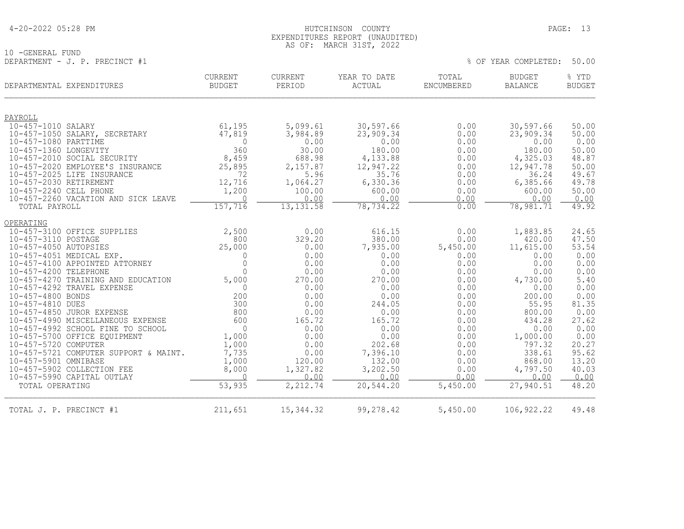### 4-20-2022 05:28 PM HUTCHINSON COUNTY PAGE: 13 EXPENDITURES REPORT (UNAUDITED) AS OF: MARCH 31ST, 2022

10 -GENERAL FUND DEPARTMENT - J. P. PRECINCT #1  $\%$  OF YEAR COMPLETED: 50.00

|                               | DEPARTMENTAL EXPENDITURES                                  | <b>CURRENT</b><br><b>BUDGET</b> | CURRENT<br>PERIOD | YEAR TO DATE<br>ACTUAL | TOTAL<br>ENCUMBERED | <b>BUDGET</b><br><b>BALANCE</b> | % YTD<br><b>BUDGET</b> |
|-------------------------------|------------------------------------------------------------|---------------------------------|-------------------|------------------------|---------------------|---------------------------------|------------------------|
|                               |                                                            |                                 |                   |                        |                     |                                 |                        |
| PAYROLL<br>10-457-1010 SALARY |                                                            | 61,195                          | 5,099.61          | 30,597.66              | 0.00                | 30,597.66                       | 50.00                  |
|                               | 10-457-1050 SALARY, SECRETARY                              | 47,819                          | 3,984.89          | 23,909.34              | 0.00                | 23,909.34                       | 50.00                  |
| 10-457-1080 PARTTIME          |                                                            | $\Omega$                        | 0.00              | 0.00                   | 0.00                | 0.00                            | 0.00                   |
| 10-457-1360 LONGEVITY         |                                                            | 360                             | 30.00             | 180.00                 | 0.00                | 180.00                          | 50.00                  |
|                               | 10-457-2010 SOCIAL SECURITY                                | 8,459                           | 688.98            | 4,133.88               | 0.00                | 4,325.03                        | 48.87                  |
|                               | 10-457-2020 EMPLOYEE'S INSURANCE                           | 25,895                          | 2,157.87          | 12,947.22              | 0.00                | 12,947.78                       | 50.00                  |
|                               | 10-457-2025 LIFE INSURANCE                                 | 72                              | 5.96              | 35.76                  | 0.00                | 36.24                           | 49.67                  |
| 10-457-2030 RETIREMENT        |                                                            | 12,716                          | 1,064.27          | 6,330.36               | 0.00                | 6,385.66                        | 49.78                  |
| 10-457-2240 CELL PHONE        |                                                            | 1,200                           | 100.00<br>0.00    | 600.00                 | 0.00                | 600.00                          | 50.00                  |
| TOTAL PAYROLL                 | 10-457-2260 VACATION AND SICK LEAVE                        | $\Omega$<br>157,716             | 13, 131.58        | 0.00<br>78,734.22      | 0.00<br>0.00        | 0.00<br>78,981.71               | 0.00<br>49.92          |
|                               |                                                            |                                 |                   |                        |                     |                                 |                        |
| OPERATING                     |                                                            |                                 |                   |                        |                     |                                 |                        |
|                               | 10-457-3100 OFFICE SUPPLIES                                | 2,500                           | 0.00              | 616.15                 | 0.00                | 1,883.85                        | 24.65                  |
| 10-457-3110 POSTAGE           |                                                            | 800                             | 329.20            | 380.00                 | 0.00                | 420.00                          | 47.50                  |
| 10-457-4050 AUTOPSIES         |                                                            | 25,000                          | 0.00              | 7,935.00               | 5,450.00            | 11,615.00                       | 53.54                  |
|                               | 10-457-4051 MEDICAL EXP.<br>10-457-4100 APPOINTED ATTORNEY | $\Omega$<br>$\mathbf 0$         | 0.00<br>0.00      | 0.00<br>0.00           | 0.00<br>0.00        | 0.00<br>0.00                    | 0.00<br>0.00           |
| 10-457-4200 TELEPHONE         |                                                            | $\bigcap$                       | 0.00              | 0.00                   | 0.00                | 0.00                            | 0.00                   |
|                               | 10-457-4270 TRAINING AND EDUCATION                         | 5,000                           | 270.00            | 270.00                 | 0.00                | 4,730.00                        | 5.40                   |
|                               | 10-457-4292 TRAVEL EXPENSE                                 | $\Omega$                        | 0.00              | 0.00                   | 0.00                | 0.00                            | 0.00                   |
| 10-457-4800 BONDS             |                                                            | 200                             | 0.00              | 0.00                   | 0.00                | 200.00                          | 0.00                   |
| 10-457-4810 DUES              |                                                            | 300                             | 0.00              | 244.05                 | 0.00                | 55.95                           | 81.35                  |
|                               | 10-457-4850 JUROR EXPENSE                                  | 800                             | 0.00              | 0.00                   | 0.00                | 800.00                          | 0.00                   |
|                               | 10-457-4990 MISCELLANEOUS EXPENSE                          | 600                             | 165.72            | 165.72                 | 0.00                | 434.28                          | 27.62                  |
|                               | 10-457-4992 SCHOOL FINE TO SCHOOL                          | $\Omega$                        | 0.00              | 0.00                   | 0.00                | 0.00                            | 0.00                   |
|                               | 10-457-5700 OFFICE EQUIPMENT                               | 1,000                           | 0.00              | 0.00                   | 0.00                | 1,000.00                        | 0.00                   |
| 10-457-5720 COMPUTER          | 10-457-5721 COMPUTER SUPPORT & MAINT.                      | 1,000<br>7,735                  | 0.00<br>0.00      | 202.68<br>7,396.10     | 0.00<br>0.00        | 797.32<br>338.61                | 20.27<br>95.62         |
| 10-457-5901 OMNIBASE          |                                                            | 1,000                           | 120.00            | 132.00                 | 0.00                | 868.00                          | 13.20                  |
|                               | 10-457-5902 COLLECTION FEE                                 | 8,000                           | 1,327.82          | 3,202.50               | 0.00                | 4,797.50                        | 40.03                  |
|                               | 10-457-5990 CAPITAL OUTLAY                                 | $\Omega$                        | 0.00              | 0.00                   | 0.00                | 0.00                            | 0.00                   |
| TOTAL OPERATING               |                                                            | 53,935                          | 2,212.74          | 20,544.20              | 5,450.00            | 27,940.51                       | 48.20                  |
| TOTAL J. P. PRECINCT #1       |                                                            | 211,651                         | 15, 344.32        | 99,278.42              | 5,450.00            | 106, 922.22                     | 49.48                  |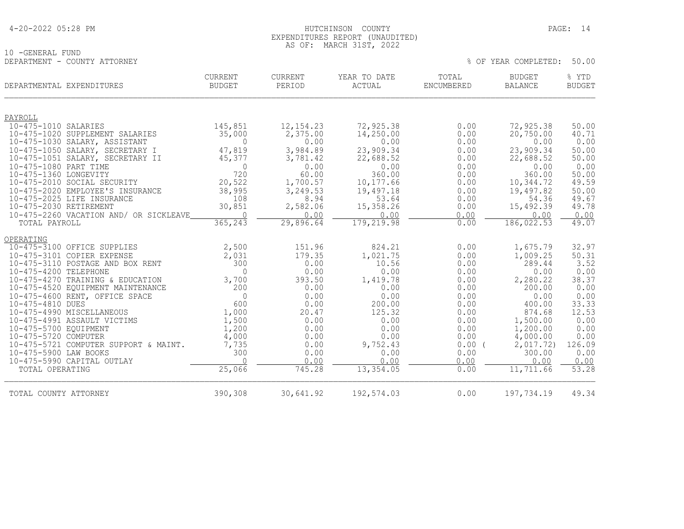### HUTCHINSON COUNTY PAGE: 14 EXPENDITURES REPORT (UNAUDITED) AS OF: MARCH 31ST, 2022

|                              | AS VI. | , MARUR JIJI, ZUZZ |  |                            |  |
|------------------------------|--------|--------------------|--|----------------------------|--|
| 10 -GENERAL FUND             |        |                    |  |                            |  |
| DEPARTMENT - COUNTY ATTORNEY |        |                    |  | % OF YEAR COMPLETED: 50.00 |  |

|                                                | DEPARTMENTAL EXPENDITURES              | <b>CURRENT</b><br><b>BUDGET</b> | <b>CURRENT</b><br>PERIOD | YEAR TO DATE<br>ACTUAL | TOTAL<br>ENCUMBERED | <b>BUDGET</b><br><b>BALANCE</b> | % YTD<br><b>BUDGET</b> |
|------------------------------------------------|----------------------------------------|---------------------------------|--------------------------|------------------------|---------------------|---------------------------------|------------------------|
| PAYROLL                                        |                                        |                                 |                          |                        |                     |                                 |                        |
| 10-475-1010 SALARIES                           |                                        | 145,851                         | 12, 154.23               | 72,925.38              | 0.00                | 72,925.38                       | 50.00                  |
|                                                | 10-475-1020 SUPPLEMENT SALARIES        | 35,000                          | 2,375.00                 | 14,250.00              | 0.00                | 20,750.00                       | 40.71                  |
|                                                | 10-475-1030 SALARY, ASSISTANT          | $\overline{0}$                  | 0.00                     | 0.00                   | 0.00                | 0.00                            | 0.00                   |
|                                                | 10-475-1050 SALARY, SECRETARY I        | 47,819                          | 3,984.89                 | 23,909.34              | 0.00                | 23,909.34                       | 50.00                  |
|                                                | 10-475-1051 SALARY, SECRETARY II       | 45,377                          | 3,781.42                 | 22,688.52              | 0.00                | 22,688.52                       | 50.00                  |
| 10-475-1080 PART TIME<br>10-475-1360 LONGEVITY |                                        | $\Omega$<br>720                 | 0.00<br>60.00            | 0.00<br>360.00         | 0.00<br>0.00        | 0.00<br>360.00                  | 0.00<br>50.00          |
|                                                | 10-475-2010 SOCIAL SECURITY            | 20,522                          | 1,700.57                 | 10,177.66              | 0.00                | 10,344.72                       | 49.59                  |
|                                                | 10-475-2020 EMPLOYEE'S INSURANCE       | 38,995                          | 3,249.53                 | 19,497.18              | 0.00                | 19,497.82                       | 50.00                  |
|                                                | 10-475-2025 LIFE INSURANCE             | 108                             | 8.94                     | 53.64                  | 0.00                | 54.36                           | 49.67                  |
| 10-475-2030 RETIREMENT                         |                                        | 30,851                          | 2,582.06                 | 15,358.26              | 0.00                | 15,492.39                       | 49.78                  |
|                                                | 10-475-2260 VACATION AND/ OR SICKLEAVE | $\bigcap$                       | 0.00                     | 0.00                   | 0.00                | 0.00                            | 0.00                   |
| TOTAL PAYROLL                                  |                                        | 365,243                         | 29,896.64                | 179, 219.98            | 0.00                | 186,022.53                      | 49.07                  |
| OPERATING                                      |                                        |                                 |                          |                        |                     |                                 |                        |
|                                                | 10-475-3100 OFFICE SUPPLIES            | 2,500                           | 151.96                   | 824.21                 | 0.00                | 1,675.79                        | 32.97                  |
|                                                | 10-475-3101 COPIER EXPENSE             | 2,031                           | 179.35                   | 1,021.75               | 0.00                | 1,009.25                        | 50.31                  |
|                                                | 10-475-3110 POSTAGE AND BOX RENT       | 300                             | 0.00                     | 10.56                  | 0.00                | 289.44                          | 3.52                   |
| 10-475-4200 TELEPHONE                          |                                        | $\Omega$                        | 0.00                     | 0.00                   | 0.00                | 0.00                            | 0.00                   |
|                                                | 10-475-4270 TRAINING & EDUCATION       | 3,700                           | 393.50                   | 1,419.78               | 0.00                | 2,280.22                        | 38.37                  |
|                                                | 10-475-4520 EQUIPMENT MAINTENANCE      | 200                             | 0.00                     | 0.00                   | 0.00                | 200.00                          | 0.00                   |
| 10-475-4810 DUES                               | 10-475-4600 RENT, OFFICE SPACE         | $\Omega$<br>600                 | 0.00<br>0.00             | 0.00<br>200.00         | 0.00<br>0.00        | 0.00<br>400.00                  | 0.00<br>33.33          |
|                                                | 10-475-4990 MISCELLANEOUS              | 1,000                           | 20.47                    | 125.32                 | 0.00                | 874.68                          | 12.53                  |
|                                                | 10-475-4991 ASSAULT VICTIMS            | 1,500                           | 0.00                     | 0.00                   | 0.00                | 1,500.00                        | 0.00                   |
| 10-475-5700 EQUIPMENT                          |                                        | 1,200                           | 0.00                     | 0.00                   | 0.00                | 1,200.00                        | 0.00                   |
| 10-475-5720 COMPUTER                           |                                        | 4,000                           | 0.00                     | 0.00                   | 0.00                | 4,000.00                        | 0.00                   |
|                                                | 10-475-5721 COMPUTER SUPPORT & MAINT.  | 7,735                           | 0.00                     | 9,752.43               | 0.00(               | 2,017.72)                       | 126.09                 |
| 10-475-5900 LAW BOOKS                          |                                        | 300                             | 0.00                     | 0.00                   | 0.00                | 300.00                          | 0.00                   |
| TOTAL OPERATING                                | 10-475-5990 CAPITAL OUTLAY             | $\cap$<br>25,066                | 0.00<br>745.28           | 0.00<br>13, 354.05     | 0.00<br>0.00        | 0.00<br>11,711.66               | 0.00<br>53.28          |
|                                                |                                        |                                 |                          |                        |                     |                                 |                        |
| TOTAL COUNTY ATTORNEY                          |                                        | 390,308                         | 30,641.92                | 192,574.03             | 0.00                | 197,734.19                      | 49.34                  |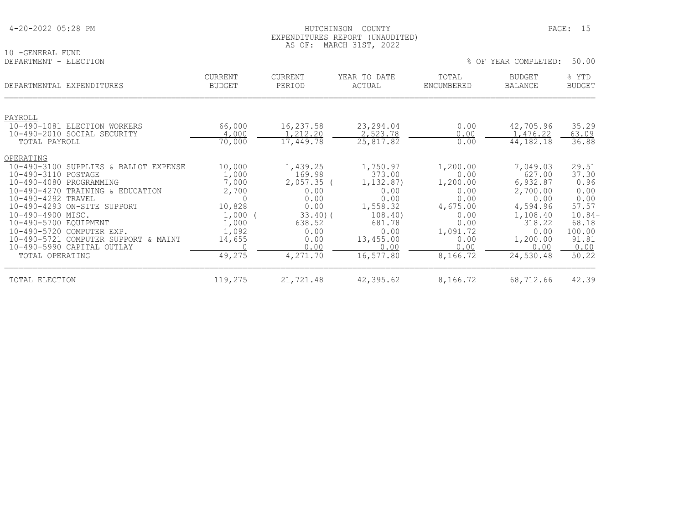| 4-20-2022 05:28 PM |  |  |
|--------------------|--|--|
|--------------------|--|--|

### HUTCHINSON COUNTY PAGE: 15 EXPENDITURES REPORT (UNAUDITED) AS OF: MARCH 31ST, 2022

10 -GENERAL FUND<br>DEPARTMENT - ELE

| DEPARTMENT - ELECTION                                       |                                 |                          |                        | OF<br>⊱             | YEAR COMPLETED:          | 50.00                  |
|-------------------------------------------------------------|---------------------------------|--------------------------|------------------------|---------------------|--------------------------|------------------------|
| DEPARTMENTAL EXPENDITURES                                   | <b>CURRENT</b><br><b>BUDGET</b> | <b>CURRENT</b><br>PERIOD | YEAR TO DATE<br>ACTUAL | TOTAL<br>ENCUMBERED | <b>BUDGET</b><br>BALANCE | % YTD<br><b>BUDGET</b> |
| PAYROLL                                                     |                                 |                          |                        |                     |                          |                        |
| 10-490-1081 ELECTION WORKERS<br>10-490-2010 SOCIAL SECURITY | 66,000<br>4,000                 | 16,237.58<br>,212.20     | 23,294.04<br>2,523.78  | 0.00<br>0.00        | 42,705.96<br>,476.22     | 35.29<br>63.09         |
| TOTAL PAYROLL                                               | 70,000                          | 17,449.78                | 25,817.82              | 0.00                | 44, 182. 18              | 36.88                  |
| OPERATING                                                   |                                 |                          |                        |                     |                          |                        |
| 10-490-3100 SUPPLIES & BALLOT EXPENSE                       | 10,000                          | 1,439.25                 | 1,750.97               | 1,200.00            | 7,049.03                 | 29.51                  |
| 10-490-3110 POSTAGE<br>10-490-4080 PROGRAMMING              | 1,000<br>7,000                  | 169.98<br>2,057.35       | 373.00<br>1,132.87)    | 0.00<br>1,200.00    | 627.00<br>6,932.87       | 37.30<br>0.96          |
| 10-490-4270 TRAINING & EDUCATION                            | 2,700                           | 0.00                     | 0.00                   | 0.00                | 2,700.00                 | 0.00                   |
| 10-490-4292 TRAVEL                                          |                                 | 0.00                     | 0.00                   | 0.00                | 0.00                     | 0.00                   |
| 10-490-4293 ON-SITE SUPPORT                                 | 10,828                          | 0.00                     | 1,558.32               | 4,675.00            | 4,594.96                 | 57.57                  |
| 10-490-4900 MISC.                                           | 1,000                           | 33.40(                   | 108.40                 | 0.00                | 1,108.40                 | $10.84-$               |
| 10-490-5700 EQUIPMENT                                       | 1,000                           | 638.52                   | 681.78                 | 0.00                | 318.22                   | 68.18                  |
| 10-490-5720 COMPUTER EXP.                                   | 1,092                           | 0.00                     | 0.00                   | 1,091.72            | 0.00                     | 100.00                 |
| 10-490-5721 COMPUTER SUPPORT & MAINT                        | 14,655                          | 0.00                     | 13,455.00              | 0.00                | 1,200.00                 | 91.81                  |
| 10-490-5990 CAPITAL OUTLAY                                  |                                 | 0.00                     | 0.00                   | 0.00                | 0.00                     | 0.00                   |
| TOTAL OPERATING                                             | 49,275                          | 4,271.70                 | 16,577.80              | 8,166.72            | 24,530.48                | 50.22                  |

| TOTAL ELECTION | 119 275<br>エエフ・ムノマ | 21,721.48<br>$\mathcal{D}$ 1 . | 42,395.62 | 8,166.72 | 68,712.66 | 42.39 |
|----------------|--------------------|--------------------------------|-----------|----------|-----------|-------|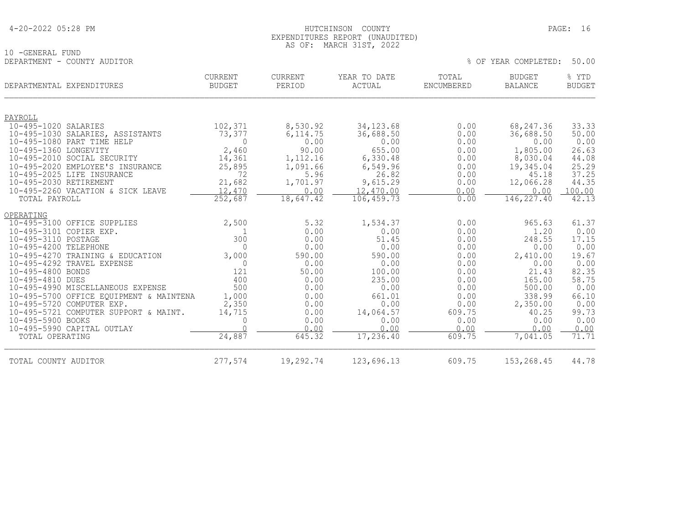| 4-20-2022 05:28 PM |  |  |
|--------------------|--|--|
|--------------------|--|--|

### 4-20-2022 05:28 PM HUTCHINSON COUNTY PAGE: 16 EXPENDITURES REPORT (UNAUDITED) AS OF: MARCH 31ST, 2022

% OF YEAR COMPLETED: 50.00

10 -GENERAL FUND<br>DEPARTMENT - COUNTY AUDITOR

| DEPARTMENTAL EXPENDITURES                                                                                                                                                                                                                                                                                                                                                                                                                                  | <b>CURRENT</b><br><b>BUDGET</b>                                                                                    | <b>CURRENT</b><br>PERIOD                                                                                                  | YEAR TO DATE<br>ACTUAL                                                                                                                      | TOTAL<br>ENCUMBERED                                                                                                      | <b>BUDGET</b><br><b>BALANCE</b>                                                                                                              | % YTD<br><b>BUDGET</b>                                                                                                       |
|------------------------------------------------------------------------------------------------------------------------------------------------------------------------------------------------------------------------------------------------------------------------------------------------------------------------------------------------------------------------------------------------------------------------------------------------------------|--------------------------------------------------------------------------------------------------------------------|---------------------------------------------------------------------------------------------------------------------------|---------------------------------------------------------------------------------------------------------------------------------------------|--------------------------------------------------------------------------------------------------------------------------|----------------------------------------------------------------------------------------------------------------------------------------------|------------------------------------------------------------------------------------------------------------------------------|
| PAYROLL                                                                                                                                                                                                                                                                                                                                                                                                                                                    |                                                                                                                    |                                                                                                                           |                                                                                                                                             |                                                                                                                          |                                                                                                                                              |                                                                                                                              |
| 10-495-1020 SALARIES<br>10-495-1030 SALARIES, ASSISTANTS<br>10-495-1080 PART TIME HELP<br>10-495-1360 LONGEVITY<br>10-495-2010 SOCIAL SECURITY<br>10-495-2020 EMPLOYEE'S INSURANCE<br>10-495-2025 LIFE INSURANCE<br>10-495-2030 RETIREMENT<br>10-495-2260 VACATION & SICK LEAVE                                                                                                                                                                            | 102,371<br>73,377<br>$\mathbf 0$<br>2,460<br>14,361<br>25,895<br>72<br>21,682<br>12,470                            | 8,530.92<br>6, 114.75<br>0.00<br>90.00<br>1,112.16<br>1,091.66<br>5.96<br>1,701.97<br>0.00                                | 34, 123.68<br>36,688.50<br>0.00<br>655.00<br>6,330.48<br>6,549.96<br>26.82<br>9,615.29<br>12,470.00                                         | 0.00<br>0.00<br>0.00<br>0.00<br>0.00<br>0.00<br>0.00<br>0.00<br>0.00                                                     | 68,247.36<br>36,688.50<br>0.00<br>1,805.00<br>8,030.04<br>19,345.04<br>45.18<br>12,066.28<br>0.00                                            | 33.33<br>50.00<br>0.00<br>26.63<br>44.08<br>25.29<br>37.25<br>44.35<br>100.00                                                |
| TOTAL PAYROLL                                                                                                                                                                                                                                                                                                                                                                                                                                              | 252,687                                                                                                            | 18,647.42                                                                                                                 | 106,459.73                                                                                                                                  | 0.00                                                                                                                     | 146,227.40                                                                                                                                   | 42.13                                                                                                                        |
| OPERATING<br>10-495-3100 OFFICE SUPPLIES<br>10-495-3101 COPIER EXP.<br>10-495-3110 POSTAGE<br>10-495-4200 TELEPHONE<br>10-495-4270 TRAINING & EDUCATION<br>10-495-4292 TRAVEL EXPENSE<br>10-495-4800 BONDS<br>10-495-4810 DUES<br>10-495-4990 MISCELLANEOUS EXPENSE<br>10-495-5700 OFFICE EQUIPMENT & MAINTENA<br>10-495-5720 COMPUTER EXP.<br>10-495-5721 COMPUTER SUPPORT & MAINT.<br>10-495-5900 BOOKS<br>10-495-5990 CAPITAL OUTLAY<br>TOTAL OPERATING | 2,500<br>1<br>300<br>$\Omega$<br>3,000<br>$\Omega$<br>121<br>400<br>500<br>1,000<br>2,350<br>14,715<br>0<br>24,887 | 5.32<br>0.00<br>0.00<br>0.00<br>590.00<br>0.00<br>50.00<br>0.00<br>0.00<br>0.00<br>0.00<br>0.00<br>0.00<br>0.00<br>645.32 | 1,534.37<br>0.00<br>51.45<br>0.00<br>590.00<br>0.00<br>100.00<br>235.00<br>0.00<br>661.01<br>0.00<br>14,064.57<br>0.00<br>0.00<br>17,236.40 | 0.00<br>0.00<br>0.00<br>0.00<br>0.00<br>0.00<br>0.00<br>0.00<br>0.00<br>0.00<br>0.00<br>609.75<br>0.00<br>0.00<br>609.75 | 965.63<br>1.20<br>248.55<br>0.00<br>2,410.00<br>0.00<br>21.43<br>165.00<br>500.00<br>338.99<br>2,350.00<br>40.25<br>0.00<br>0.00<br>7,041.05 | 61.37<br>0.00<br>17.15<br>0.00<br>19.67<br>0.00<br>82.35<br>58.75<br>0.00<br>66.10<br>0.00<br>99.73<br>0.00<br>0.00<br>71.71 |
| TOTAL COUNTY AUDITOR                                                                                                                                                                                                                                                                                                                                                                                                                                       | 277,574                                                                                                            | 19,292.74                                                                                                                 | 123,696.13                                                                                                                                  | 609.75                                                                                                                   | 153, 268.45                                                                                                                                  | 44.78                                                                                                                        |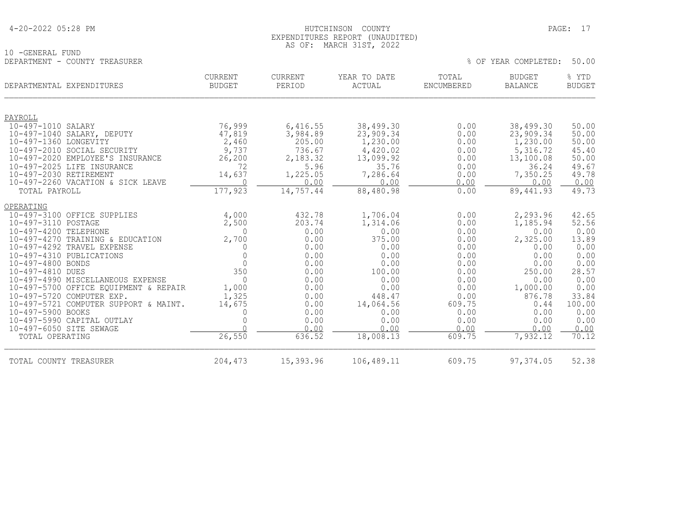### HUTCHINSON COUNTY PAGE: 17 EXPENDITURES REPORT (UNAUDITED) AS OF: MARCH 31ST, 2022

| 10 -GENERAL FUND              |         |         |              |       |                            |     |
|-------------------------------|---------|---------|--------------|-------|----------------------------|-----|
| DEPARTMENT - COUNTY TREASURER |         |         |              |       | % OF YEAR COMPLETED: 50.00 |     |
|                               | CURRENT | CURRENT | YEAR TO DATE | TOTAL | <b>BUDGET</b>              | YTD |

|  |  | OF YEAR COMPLETED: | 50.01 |  |
|--|--|--------------------|-------|--|
|--|--|--------------------|-------|--|

| DEPARTMENTAL EXPENDITURES                             | <b>CURRENT</b><br><b>BUDGET</b> | <b>CURRENT</b><br>PERIOD | YEAR TO DATE<br>ACTUAL | TOTAL<br>ENCUMBERED | <b>BUDGET</b><br><b>BALANCE</b> | % YTD<br><b>BUDGET</b> |
|-------------------------------------------------------|---------------------------------|--------------------------|------------------------|---------------------|---------------------------------|------------------------|
| PAYROLL                                               |                                 |                          |                        |                     |                                 |                        |
| 10-497-1010 SALARY                                    | 76,999                          | 6,416.55                 | 38,499.30              | 0.00                | 38,499.30                       | 50.00                  |
| 10-497-1040 SALARY, DEPUTY                            | 47,819                          | 3,984.89                 | 23,909.34              | 0.00                | 23,909.34                       | 50.00                  |
| 10-497-1360 LONGEVITY                                 | 2,460                           | 205.00                   | 1,230.00               | 0.00                | 1,230.00                        | 50.00                  |
| 10-497-2010 SOCIAL SECURITY                           | 9,737                           | 736.67                   | 4,420.02               | 0.00                | 5,316.72                        | 45.40                  |
| 10-497-2020 EMPLOYEE'S INSURANCE                      | 26,200                          | 2,183.32                 | 13,099.92              | 0.00                | 13,100.08                       | 50.00                  |
| 10-497-2025 LIFE INSURANCE                            | 72                              | 5.96                     | 35.76                  | 0.00                | 36.24                           | 49.67                  |
| 10-497-2030 RETIREMENT                                | 14,637                          | 1,225.05                 | 7,286.64               | 0.00                | 7,350.25                        | 49.78                  |
| 10-497-2260 VACATION & SICK LEAVE                     | $\Omega$<br>177,923             | 0.00<br>14,757.44        | 0.00                   | 0.00                | 0.00                            | 0.00<br>49.73          |
| TOTAL PAYROLL                                         |                                 |                          | 88,480.98              | 0.00                | 89,441.93                       |                        |
| OPERATING                                             |                                 |                          |                        |                     |                                 |                        |
| 10-497-3100 OFFICE SUPPLIES                           | 4,000                           | 432.78                   | 1,706.04               | 0.00                | 2,293.96                        | 42.65                  |
| 10-497-3110 POSTAGE                                   | 2,500                           | 203.74                   | 1,314.06               | 0.00                | 1,185.94                        | 52.56                  |
| 10-497-4200 TELEPHONE                                 | $\Omega$                        | 0.00                     | 0.00                   | 0.00                | 0.00                            | 0.00                   |
| 10-497-4270 TRAINING & EDUCATION                      | 2,700                           | 0.00                     | 375.00                 | 0.00                | 2,325.00                        | 13.89                  |
| 10-497-4292 TRAVEL EXPENSE                            | 0                               | 0.00                     | 0.00                   | 0.00                | 0.00                            | 0.00                   |
| 10-497-4310 PUBLICATIONS                              | $\overline{0}$                  | 0.00                     | 0.00                   | 0.00                | 0.00                            | 0.00                   |
| 10-497-4800 BONDS                                     | $\overline{0}$<br>350           | 0.00                     | 0.00                   | 0.00                | 0.00                            | 0.00                   |
| 10-497-4810 DUES<br>10-497-4990 MISCELLANEOUS EXPENSE | $\overline{0}$                  | 0.00<br>0.00             | 100.00                 | 0.00<br>0.00        | 250.00<br>0.00                  | 28.57                  |
| 10-497-5700 OFFICE EQUIPMENT & REPAIR                 | 1,000                           | 0.00                     | 0.00<br>0.00           | 0.00                | 1,000.00                        | 0.00<br>0.00           |
| 10-497-5720 COMPUTER EXP.                             | 1,325                           | 0.00                     | 448.47                 | 0.00                | 876.78                          | 33.84                  |
| 10-497-5721 COMPUTER SUPPORT & MAINT.                 | 14,675                          | 0.00                     | 14,064.56              | 609.75              | 0.44                            | 100.00                 |
| 10-497-5900 BOOKS                                     |                                 | 0.00                     | 0.00                   | 0.00                | 0.00                            | 0.00                   |
| 10-497-5990 CAPITAL OUTLAY                            |                                 | 0.00                     | 0.00                   | 0.00                | 0.00                            | 0.00                   |
| 10-497-6050 SITE SEWAGE                               |                                 | 0.00                     | 0.00                   | 0.00                | 0.00                            | 0.00                   |
| TOTAL OPERATING                                       | 26,550                          | 636.52                   | 18,008.13              | 609.75              | 7,932.12                        | 70.12                  |
| TOTAL COUNTY TREASURER                                | 204,473                         | 15,393.96                | 106,489.11             | 609.75              | 97, 374.05                      | 52.38                  |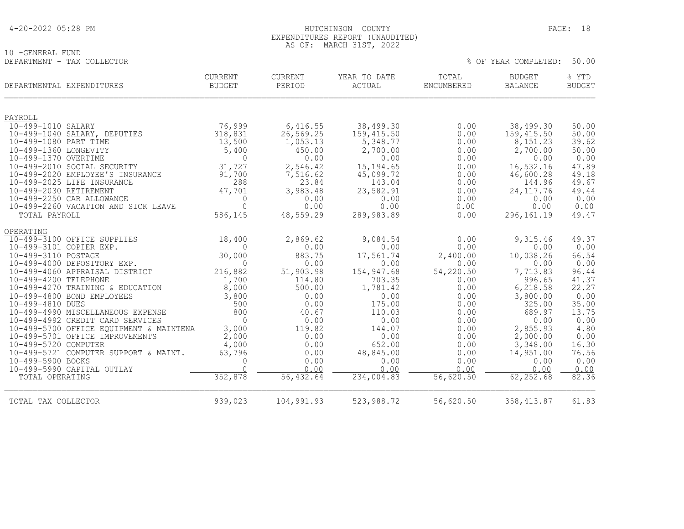10 -GENERAL FUND<br>DEPARTMENT - TAX COLLECTOR

### HUTCHINSON COUNTY PAGE: 18 EXPENDITURES REPORT (UNAUDITED) AS OF: MARCH 31ST, 2022

| DEPARTMENTAL EXPENDITURES |                                                                  | <b>CURRENT</b><br><b>BUDGET</b> | CURRENT<br>PERIOD   | YEAR TO DATE<br><b>ACTUAL</b> | TOTAL<br><b>ENCUMBERED</b> | <b>BUDGET</b><br><b>BALANCE</b> | % YTD<br><b>BUDGET</b> |
|---------------------------|------------------------------------------------------------------|---------------------------------|---------------------|-------------------------------|----------------------------|---------------------------------|------------------------|
| PAYROLL                   |                                                                  |                                 |                     |                               |                            |                                 |                        |
| 10-499-1010 SALARY        |                                                                  | 76,999                          | 6,416.55            | 38,499.30                     | 0.00                       | 38,499.30                       | 50.00                  |
|                           | 10-499-1040 SALARY, DEPUTIES                                     | 318,831                         | 26,569.25           | 159,415.50                    | 0.00                       | 159, 415.50                     | 50.00                  |
| 10-499-1080 PART TIME     |                                                                  | 13,500                          | 1,053.13            | 5,348.77                      | 0.00                       | 8,151.23                        | 39.62                  |
| 10-499-1360 LONGEVITY     |                                                                  | 5,400                           | 450.00              | 2,700.00                      | 0.00                       | 2,700.00                        | 50.00                  |
| 10-499-1370 OVERTIME      |                                                                  | $\Omega$                        | 0.00                | 0.00                          | 0.00                       | 0.00                            | 0.00                   |
|                           | 10-499-2010 SOCIAL SECURITY                                      | 31,727                          | 2,546.42            | 15, 194.65                    | 0.00                       | 16,532.16                       | 47.89                  |
|                           | 10-499-2020 EMPLOYEE'S INSURANCE                                 | 91,700                          | 7,516.62            | 45,099.72                     | 0.00                       | 46,600.28                       | 49.18                  |
|                           | 10-499-2025 LIFE INSURANCE                                       | 288                             | 23.84               | 143.04                        | 0.00                       | 144.96                          | 49.67                  |
| 10-499-2030 RETIREMENT    |                                                                  | 47,701                          | 3,983.48            | 23,582.91                     | 0.00                       | 24, 117.76                      | 49.44                  |
|                           | 10-499-2250 CAR ALLOWANCE<br>10-499-2260 VACATION AND SICK LEAVE | 0<br>$\Omega$                   | 0.00<br>0.00        | 0.00<br>0.00                  | 0.00<br>0.00               | 0.00<br>0.00                    | 0.00<br>0.00           |
| TOTAL PAYROLL             |                                                                  | 586,145                         | 48,559.29           | 289,983.89                    | 0.00                       | 296, 161.19                     | 49.47                  |
|                           |                                                                  |                                 |                     |                               |                            |                                 |                        |
| OPERATING                 |                                                                  |                                 |                     |                               |                            |                                 |                        |
|                           | 10-499-3100 OFFICE SUPPLIES                                      | 18,400                          | 2,869.62            | 9,084.54                      | 0.00                       | 9,315.46                        | 49.37                  |
| 10-499-3101 COPIER EXP.   |                                                                  |                                 | 0.00                | 0.00                          | 0.00                       | 0.00                            | 0.00                   |
| 10-499-3110 POSTAGE       |                                                                  | 30,000                          | 883.75              | 17,561.74                     | 2,400.00                   | 10,038.26                       | 66.54                  |
|                           | 10-499-4000 DEPOSITORY EXP.                                      | $\Omega$                        | 0.00                | 0.00                          | 0.00                       | 0.00                            | 0.00                   |
| 10-499-4200 TELEPHONE     | 10-499-4060 APPRAISAL DISTRICT                                   | 216,882<br>1,700                | 51,903.98<br>114.80 | 154,947.68<br>703.35          | 54,220.50<br>0.00          | 7,713.83<br>996.65              | 96.44<br>41.37         |
|                           | 10-499-4270 TRAINING & EDUCATION                                 | 8,000                           | 500.00              | 1,781.42                      | 0.00                       | 6,218.58                        | 22.27                  |
|                           | 10-499-4800 BOND EMPLOYEES                                       | 3,800                           | 0.00                | 0.00                          | 0.00                       | 3,800.00                        | 0.00                   |
| 10-499-4810 DUES          |                                                                  | 500                             | 0.00                | 175.00                        | 0.00                       | 325.00                          | 35.00                  |
|                           | 10-499-4990 MISCELLANEOUS EXPENSE                                | 800                             | 40.67               | 110.03                        | 0.00                       | 689.97                          | 13.75                  |
|                           | 10-499-4992 CREDIT CARD SERVICES                                 | $\bigcap$                       | 0.00                | 0.00                          | 0.00                       | 0.00                            | 0.00                   |
|                           | 10-499-5700 OFFICE EQUIPMENT & MAINTENA                          | 3,000                           | 119.82              | 144.07                        | 0.00                       | 2,855.93                        | 4.80                   |
|                           | 10-499-5701 OFFICE IMPROVEMENTS                                  | 2,000                           | 0.00                | 0.00                          | 0.00                       | 2,000.00                        | 0.00                   |
| 10-499-5720 COMPUTER      |                                                                  | 4,000                           | 0.00                | 652.00                        | 0.00                       | 3,348.00                        | 16.30                  |
|                           | 10-499-5721 COMPUTER SUPPORT & MAINT.                            | 63,796                          | 0.00                | 48,845.00                     | 0.00                       | 14,951.00                       | 76.56                  |
| 10-499-5900 BOOKS         |                                                                  | $\mathbf 0$                     | 0.00                | 0.00                          | 0.00                       | 0.00                            | 0.00                   |
|                           | 10-499-5990 CAPITAL OUTLAY                                       | $\bigcap$                       | 0.00                | 0.00                          | 0.00                       | 0.00                            | 0.00                   |
| TOTAL OPERATING           |                                                                  | 352,878                         | 56,432.64           | 234,004.83                    | 56,620.50                  | 62,252.68                       | 82.36                  |
| TOTAL TAX COLLECTOR       |                                                                  | 939,023                         | 104,991.93          | 523,988.72                    | 56,620.50                  | 358,413.87                      | 61.83                  |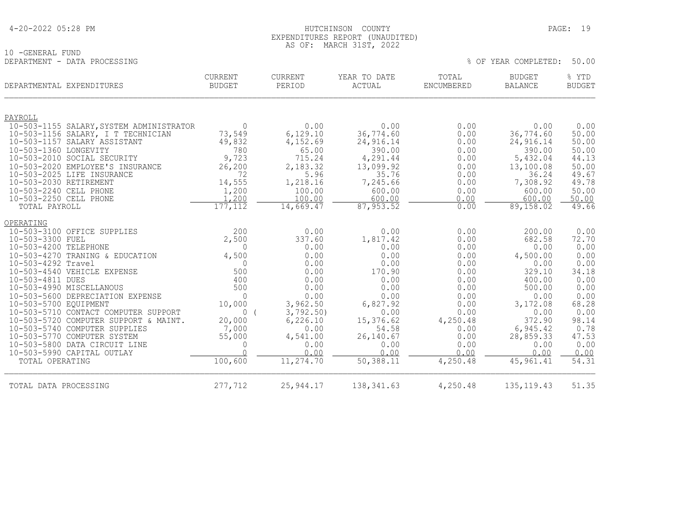| 4-20-2022 05:28 PM |
|--------------------|
|--------------------|

### HUTCHINSON COUNTY PAGE: 19 EXPENDITURES REPORT (UNAUDITED) AS OF: MARCH 31ST, 2022

% OF YEAR COMPLETED: 50.00

10 -GENERAL FUND<br>DEPARTMENT - DATA PROCESSING

| DEPARTMENTAL EXPENDITURES                                     | <b>CURRENT</b><br><b>BUDGET</b> | CURRENT<br>PERIOD    | YEAR TO DATE<br>ACTUAL | TOTAL<br><b>ENCUMBERED</b> | <b>BUDGET</b><br><b>BALANCE</b> | % YTD<br><b>BUDGET</b> |
|---------------------------------------------------------------|---------------------------------|----------------------|------------------------|----------------------------|---------------------------------|------------------------|
| PAYROLL                                                       |                                 |                      |                        |                            |                                 |                        |
| 10-503-1155 SALARY, SYSTEM ADMINISTRATOR                      | $\Omega$                        | 0.00                 | 0.00                   | 0.00                       | 0.00                            | 0.00                   |
| 10-503-1156 SALARY, I T TECHNICIAN                            | 73,549                          | 6,129.10             | 36,774.60              | 0.00                       | 36,774.60                       | 50.00                  |
| 10-503-1157 SALARY ASSISTANT                                  | 49,832                          | 4,152.69             | 24,916.14              | 0.00                       | 24,916.14                       | 50.00                  |
| 10-503-1360 LONGEVITY                                         | 780                             | 65.00                | 390.00                 | 0.00                       | 390.00                          | 50.00                  |
| 10-503-2010 SOCIAL SECURITY                                   | 9,723                           | 715.24               | 4,291.44               | 0.00                       | 5,432.04                        | 44.13                  |
| 10-503-2020 EMPLOYEE'S INSURANCE                              | 26,200                          | 2,183.32             | 13,099.92              | 0.00                       | 13,100.08                       | 50.00                  |
| 10-503-2025 LIFE INSURANCE<br>10-503-2030 RETIREMENT          | 72<br>14,555                    | 5.96<br>1,218.16     | 35.76<br>7,245.66      | 0.00<br>0.00               | 36.24<br>7,308.92               | 49.67<br>49.78         |
| 10-503-2240 CELL PHONE                                        | 1,200                           | 100.00               | 600.00                 | 0.00                       | 600.00                          | 50.00                  |
| 10-503-2250 CELL PHONE                                        | 1,200                           | 100.00               | 600.00                 | 0.00                       | 600.00                          | 50.00                  |
| TOTAL PAYROLL                                                 | 177,112                         | 14,669.47            | 87, 953.52             | 0.00                       | 89, 158.02                      | 49.66                  |
| OPERATING                                                     |                                 |                      |                        |                            |                                 |                        |
| 10-503-3100 OFFICE SUPPLIES                                   | 200                             | 0.00                 | 0.00                   | 0.00                       | 200.00                          | 0.00                   |
| 10-503-3300 FUEL                                              | 2,500                           | 337.60               | 1,817.42               | 0.00                       | 682.58                          | 72.70                  |
| 10-503-4200 TELEPHONE                                         | $\Omega$                        | 0.00                 | 0.00                   | 0.00                       | 0.00                            | 0.00                   |
| 10-503-4270 TRANING & EDUCATION                               | 4,500                           | 0.00                 | 0.00                   | 0.00                       | 4,500.00                        | 0.00                   |
| 10-503-4292 Travel                                            | $\Omega$                        | 0.00                 | 0.00                   | 0.00                       | 0.00                            | 0.00                   |
| 10-503-4540 VEHICLE EXPENSE                                   | 500                             | 0.00                 | 170.90                 | 0.00                       | 329.10                          | 34.18                  |
| 10-503-4811 DUES                                              | 400                             | 0.00                 | 0.00                   | 0.00                       | 400.00                          | 0.00                   |
| 10-503-4990 MISCELLANOUS                                      | 500                             | 0.00                 | 0.00                   | 0.00                       | 500.00                          | 0.00                   |
| 10-503-5600 DEPRECIATION EXPENSE                              | $\Omega$                        | 0.00                 | 0.00                   | 0.00                       | 0.00                            | 0.00                   |
| 10-503-5700 EQUIPMENT<br>10-503-5710 CONTACT COMPUTER SUPPORT | 10,000<br>$\Omega$              | 3,962.50<br>3,792.50 | 6,827.92<br>0.00       | 0.00<br>0.00               | 3,172.08<br>0.00                | 68.28<br>0.00          |
| 10-503-5720 COMPUTER SUPPORT & MAINT.                         | 20,000                          | 6, 226.10            | 15,376.62              | 4,250.48                   | 372.90                          | 98.14                  |
| 10-503-5740 COMPUTER SUPPLIES                                 | 7,000                           | 0.00                 | 54.58                  | 0.00                       | 6,945.42                        | 0.78                   |
| 10-503-5770 COMPUTER SYSTEM                                   | 55,000                          | 4,541.00             | 26,140.67              | 0.00                       | 28,859.33                       | 47.53                  |
| 10-503-5800 DATA CIRCUIT LINE                                 | $\Omega$                        | 0.00                 | 0.00                   | 0.00                       | 0.00                            | 0.00                   |
| 10-503-5990 CAPITAL OUTLAY                                    | $\cap$                          | 0.00                 | 0.00                   | 0.00                       | 0.00                            | 0.00                   |
| TOTAL OPERATING                                               | 100,600                         | 11,274.70            | 50,388.11              | 4,250.48                   | 45, 961.41                      | 54.31                  |
| TOTAL DATA PROCESSING                                         | 277,712                         | 25,944.17            | 138, 341.63            | 4,250.48                   | 135, 119. 43                    | 51.35                  |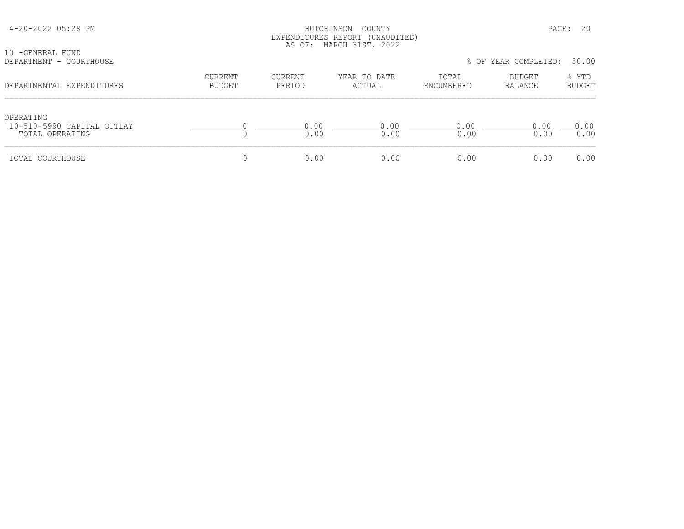| 10 - GENERAL FUND                                          |                                 |                          | EXPENDITURES REPORT (UNAUDITED)<br>AS OF: MARCH 31ST, 2022 |                     |                            |                 |
|------------------------------------------------------------|---------------------------------|--------------------------|------------------------------------------------------------|---------------------|----------------------------|-----------------|
| DEPARTMENT - COURTHOUSE                                    |                                 |                          |                                                            |                     | % OF YEAR COMPLETED: 50.00 |                 |
| DEPARTMENTAL EXPENDITURES                                  | <b>CURRENT</b><br><b>BUDGET</b> | <b>CURRENT</b><br>PERIOD | YEAR TO DATE<br>ACTUAL                                     | TOTAL<br>ENCUMBERED | BUDGET<br><b>BALANCE</b>   | % YTD<br>BUDGET |
| OPERATING<br>10-510-5990 CAPITAL OUTLAY<br>TOTAL OPERATING |                                 | 0.00<br>0.00             | 0.00<br>0.00                                               | 0.00<br>0.00        | 0.00<br>0.00               | 0.00<br>0.00    |
| TOTAL COURTHOUSE                                           | 0                               | 0.00                     | 0.00                                                       | 0.00                | 0.00                       | 0.00            |

4-20-2022 05:28 PM HUTCHINSON COUNTY PAGE: 20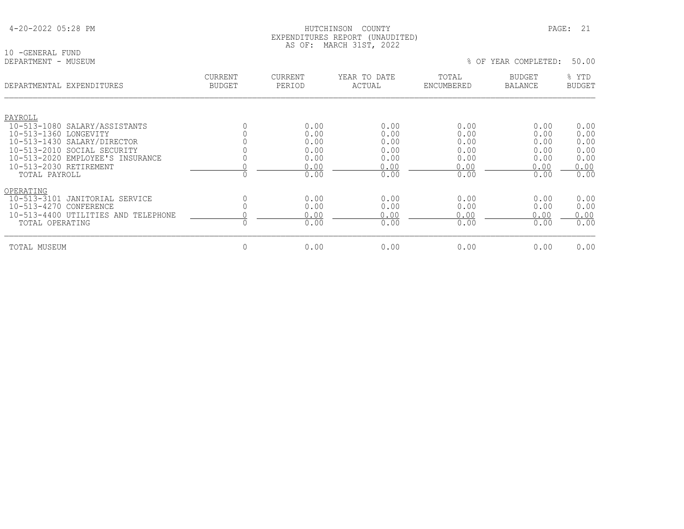10 -GENERAL FUND<br>DEPARTMENT - MUSEUM

| DEPARTMENTAL EXPENDITURES                            | CURRENT<br><b>BUDGET</b> | <b>CURRENT</b><br>PERIOD | YEAR TO DATE<br>ACTUAL | TOTAL<br>ENCUMBERED | <b>BUDGET</b><br>BALANCE | % YTD<br><b>BUDGET</b> |
|------------------------------------------------------|--------------------------|--------------------------|------------------------|---------------------|--------------------------|------------------------|
|                                                      |                          |                          |                        |                     |                          |                        |
| PAYROLL                                              |                          |                          |                        |                     |                          |                        |
| 10-513-1080 SALARY/ASSISTANTS                        |                          | 0.00                     | 0.00                   | 0.00                | 0.00                     | 0.00                   |
| 10-513-1360 LONGEVITY<br>10-513-1430 SALARY/DIRECTOR |                          | 0.00<br>0.00             | 0.00<br>0.00           | 0.00                | 0.00<br>0.00             | 0.00<br>0.00           |
| 10-513-2010 SOCIAL SECURITY                          |                          | 0.00                     | 0.00                   | 0.00<br>0.00        | 0.00                     | 0.00                   |
| 10-513-2020 EMPLOYEE'S INSURANCE                     |                          | 0.00                     | 0.00                   | 0.00                | 0.00                     | 0.00                   |
| 10-513-2030 RETIREMENT                               |                          | 0.00                     | 0.00                   | 0.00                | 0.00                     | 0.00                   |
| TOTAL PAYROLL                                        |                          | 0.00                     | 0.00                   | 0.00                | 0.00                     | 0.00                   |
| OPERATING                                            |                          |                          |                        |                     |                          |                        |
| $10 - 513 - 3101$<br>JANITORIAL SERVICE              |                          | 0.00                     | 0.00                   | 0.00                | 0.00                     | 0.00                   |
| 10-513-4270 CONFERENCE                               |                          | 0.00                     | 0.00                   | 0.00                | 0.00                     | 0.00                   |
| $10 - 513 - 4400$<br>TELEPHONE<br>UTILITIES AND      |                          | 0.00                     | 0.00                   | 0.00                | 0.00                     | 0.00                   |
| TOTAL OPERATING                                      |                          | 0.00                     | 0.00                   | 0.00                | 0.00                     | 0.00                   |
| TOTAL MUSEUM                                         |                          | 0.00                     | 0.00                   | 0.00                | 0.00                     | 0.00                   |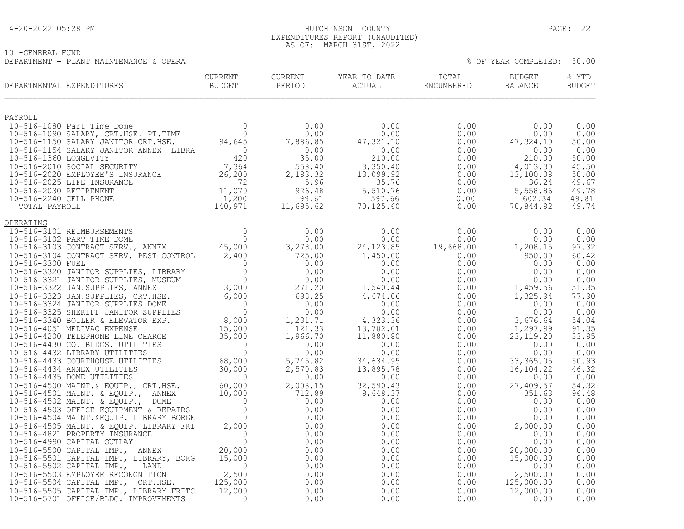### 4-20-2022 05:28 PM HUTCHINSON COUNTY PAGE: 22 EXPENDITURES REPORT (UNAUDITED) AS OF: MARCH 31ST, 2022

| 10 -GENERAL FUND                       |  |  |                            |  |
|----------------------------------------|--|--|----------------------------|--|
| DEPARTMENT - PLANT MAINTENANCE & OPERA |  |  | % OF YEAR COMPLETED: 50.00 |  |

| 0.00<br>0.00<br>50.00<br>0.00<br>50.00<br>45.50<br>50.00<br>49.67<br>49.78<br>602.34<br>49.81<br>49.74<br>0.00<br>0.00<br>97.32<br>60.42<br>0.00<br>0.00<br>0.00<br>51.35<br>77.90<br>0.00<br>0.00<br>54.04<br>91.35<br>33.95<br>0.00<br>0.00<br>50.93<br>46.32<br>0.00<br>54.32<br>96.48<br>0.00<br>0.00<br>0.00<br>0.00<br>0.00<br>0.00<br>0.00<br>0.00<br>0.00<br>0.00<br>0.00<br>0.00<br>0.00 | CURRENT<br>BUDGET<br>DEPARTMENTAL EXPENDITURES | CURRENT | CURRENT<br>PERIOD |  | % YTD<br><b>BUDGET</b> |
|---------------------------------------------------------------------------------------------------------------------------------------------------------------------------------------------------------------------------------------------------------------------------------------------------------------------------------------------------------------------------------------------------|------------------------------------------------|---------|-------------------|--|------------------------|
|                                                                                                                                                                                                                                                                                                                                                                                                   |                                                |         |                   |  |                        |
|                                                                                                                                                                                                                                                                                                                                                                                                   |                                                |         |                   |  |                        |
|                                                                                                                                                                                                                                                                                                                                                                                                   |                                                |         |                   |  |                        |
|                                                                                                                                                                                                                                                                                                                                                                                                   |                                                |         |                   |  |                        |
|                                                                                                                                                                                                                                                                                                                                                                                                   |                                                |         |                   |  |                        |
|                                                                                                                                                                                                                                                                                                                                                                                                   |                                                |         |                   |  |                        |
|                                                                                                                                                                                                                                                                                                                                                                                                   |                                                |         |                   |  |                        |
|                                                                                                                                                                                                                                                                                                                                                                                                   |                                                |         |                   |  |                        |
|                                                                                                                                                                                                                                                                                                                                                                                                   |                                                |         |                   |  |                        |
|                                                                                                                                                                                                                                                                                                                                                                                                   |                                                |         |                   |  |                        |
|                                                                                                                                                                                                                                                                                                                                                                                                   |                                                |         |                   |  |                        |
|                                                                                                                                                                                                                                                                                                                                                                                                   | OPERATING                                      |         |                   |  |                        |
|                                                                                                                                                                                                                                                                                                                                                                                                   |                                                |         |                   |  |                        |
|                                                                                                                                                                                                                                                                                                                                                                                                   |                                                |         |                   |  |                        |
|                                                                                                                                                                                                                                                                                                                                                                                                   |                                                |         |                   |  |                        |
|                                                                                                                                                                                                                                                                                                                                                                                                   |                                                |         |                   |  |                        |
|                                                                                                                                                                                                                                                                                                                                                                                                   |                                                |         |                   |  |                        |
|                                                                                                                                                                                                                                                                                                                                                                                                   |                                                |         |                   |  |                        |
|                                                                                                                                                                                                                                                                                                                                                                                                   |                                                |         |                   |  |                        |
|                                                                                                                                                                                                                                                                                                                                                                                                   |                                                |         |                   |  |                        |
|                                                                                                                                                                                                                                                                                                                                                                                                   |                                                |         |                   |  |                        |
|                                                                                                                                                                                                                                                                                                                                                                                                   |                                                |         |                   |  |                        |
|                                                                                                                                                                                                                                                                                                                                                                                                   |                                                |         |                   |  |                        |
|                                                                                                                                                                                                                                                                                                                                                                                                   |                                                |         |                   |  |                        |
|                                                                                                                                                                                                                                                                                                                                                                                                   |                                                |         |                   |  |                        |
|                                                                                                                                                                                                                                                                                                                                                                                                   |                                                |         |                   |  |                        |
|                                                                                                                                                                                                                                                                                                                                                                                                   |                                                |         |                   |  |                        |
|                                                                                                                                                                                                                                                                                                                                                                                                   |                                                |         |                   |  |                        |
|                                                                                                                                                                                                                                                                                                                                                                                                   |                                                |         |                   |  |                        |
|                                                                                                                                                                                                                                                                                                                                                                                                   |                                                |         |                   |  |                        |
|                                                                                                                                                                                                                                                                                                                                                                                                   |                                                |         |                   |  |                        |
|                                                                                                                                                                                                                                                                                                                                                                                                   |                                                |         |                   |  |                        |
|                                                                                                                                                                                                                                                                                                                                                                                                   |                                                |         |                   |  |                        |
|                                                                                                                                                                                                                                                                                                                                                                                                   |                                                |         |                   |  |                        |
|                                                                                                                                                                                                                                                                                                                                                                                                   |                                                |         |                   |  |                        |
|                                                                                                                                                                                                                                                                                                                                                                                                   |                                                |         |                   |  |                        |
|                                                                                                                                                                                                                                                                                                                                                                                                   |                                                |         |                   |  |                        |
|                                                                                                                                                                                                                                                                                                                                                                                                   |                                                |         |                   |  |                        |
|                                                                                                                                                                                                                                                                                                                                                                                                   |                                                |         |                   |  |                        |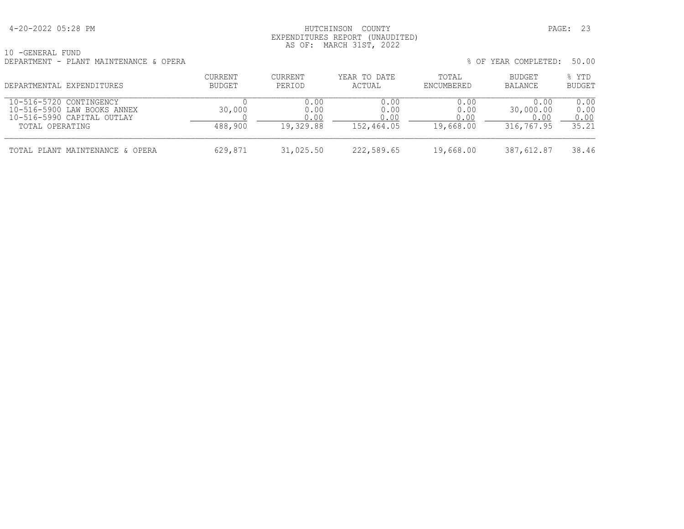### 4-20-2022 05:28 PM HUTCHINSON COUNTY PAGE: 23 EXPENDITURES REPORT (UNAUDITED) AS OF: MARCH 31ST, 2022

| 10 - GENERAL FUND |  |                                        |  |
|-------------------|--|----------------------------------------|--|
|                   |  | DEPARTMENT - PLANT MAINTENANCE & OPERA |  |

| DEPARTMENT - PLANT MAINTENANCE & OPERA |                          |                   |                        |                     | % OF YEAR COMPLETED: 50.00 |                 |
|----------------------------------------|--------------------------|-------------------|------------------------|---------------------|----------------------------|-----------------|
| DEPARTMENTAL EXPENDITURES              | CURRENT<br><b>BUDGET</b> | CURRENT<br>PERIOD | YEAR TO DATE<br>ACTUAL | TOTAL<br>ENCUMBERED | BUDGET<br>BALANCE          | % YTD<br>BUDGET |
| 10.516.5700.00107110711011             |                          | $\cap$            | $\cap$                 | $\cap$              | $\sim$ $\sim$              | $\cap$ $\cap$   |

| 10-516-5720 CONTINGENCY<br>10-516-5900 LAW BOOKS ANNEX<br>10-516-5990 CAPITAL OUTLAY<br>TOTAL OPERATING | 30,000<br>488,900 | 0.00<br>0.00<br>19,329.88 | 0.00<br>0.00<br>152,464.05 | 0.00<br>0.00<br>19,668.00 | 0.00<br>30,000.00<br>316,767.95 | ).OO<br>0.00<br>0.00<br>35.21 |
|---------------------------------------------------------------------------------------------------------|-------------------|---------------------------|----------------------------|---------------------------|---------------------------------|-------------------------------|
| TOTAL PLANT MAINTENANCE & OPERA                                                                         | 629,871           | 31,025.50                 | 222,589.65                 | 19,668.00                 | 387,612.87                      | 38.46                         |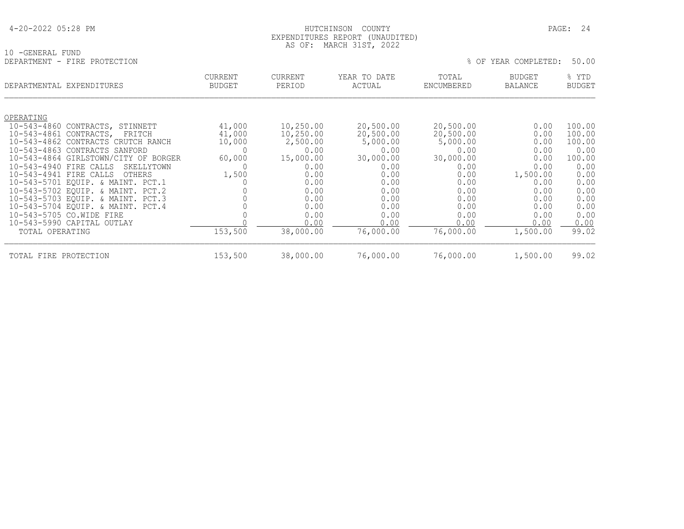| 4-20-2022 05:28 PM |  |  |
|--------------------|--|--|
|--------------------|--|--|

### HUTCHINSON COUNTY PAGE: 24 EXPENDITURES REPORT (UNAUDITED) AS OF: MARCH 31ST, 2022

| 10 - GENERAL FUND                    |                                 |                          |                        |                     |                          |                        |
|--------------------------------------|---------------------------------|--------------------------|------------------------|---------------------|--------------------------|------------------------|
| DEPARTMENT - FIRE PROTECTION         |                                 |                          |                        |                     | % OF YEAR COMPLETED:     | 50.00                  |
| DEPARTMENTAL EXPENDITURES            | <b>CURRENT</b><br><b>BUDGET</b> | <b>CURRENT</b><br>PERIOD | YEAR TO DATE<br>ACTUAL | TOTAL<br>ENCUMBERED | <b>BUDGET</b><br>BALANCE | % YTD<br><b>BUDGET</b> |
| OPERATING                            |                                 |                          |                        |                     |                          |                        |
| 10-543-4860 CONTRACTS, STINNETT      | 41,000                          | 10,250.00                | 20,500.00              | 20,500.00           | 0.00                     | 100.00                 |
| 10-543-4861 CONTRACTS,<br>FRITCH     | 41,000                          | 10,250.00                | 20,500.00              | 20,500.00           | 0.00                     | 100.00                 |
| 10-543-4862 CONTRACTS CRUTCH RANCH   | 10,000                          | 2,500.00                 | 5,000.00               | 5,000.00            | 0.00                     | 100.00                 |
| 10-543-4863 CONTRACTS SANFORD        |                                 | 0.00                     | 0.00                   | 0.00                | 0.00                     | 0.00                   |
| 10-543-4864 GIRLSTOWN/CITY OF BORGER | 60,000                          | 15,000.00                | 30,000.00              | 30,000.00           | 0.00                     | 100.00                 |
| 10-543-4940 FIRE CALLS<br>SKELLYTOWN |                                 | 0.00                     | 0.00                   | 0.00                | 0.00                     | 0.00                   |
| 10-543-4941 FIRE CALLS<br>OTHERS     | 1,500                           | 0.00                     | 0.00                   | 0.00                | 1,500.00                 | 0.00                   |
| 10-543-5701 EQUIP. & MAINT. PCT.1    |                                 | 0.00                     | 0.00                   | 0.00                | 0.00                     | 0.00                   |
| 10-543-5702 EQUIP. & MAINT. PCT.2    |                                 | 0.00                     | 0.00                   | 0.00                | 0.00                     | 0.00                   |
| 10-543-5703 EQUIP. & MAINT. PCT.3    |                                 | 0.00                     | 0.00                   | 0.00                | 0.00                     | 0.00                   |
| 10-543-5704 EQUIP. & MAINT. PCT.4    |                                 | 0.00                     | 0.00                   | 0.00                | 0.00                     | 0.00                   |
| 10-543-5705 CO.WIDE FIRE             |                                 | 0.00                     | 0.00                   | 0.00                | 0.00                     | 0.00                   |
| 10-543-5990 CAPITAL OUTLAY           |                                 | 0.00                     | 0.00                   | 0.00                | 0.00                     | 0.00                   |
| TOTAL OPERATING                      | 153,500                         | 38,000.00                | 76,000.00              | 76,000.00           | 1,500.00                 | 99.02                  |

TOTAL FIRE PROTECTION 153,500 38,000.00 76,000.00 76,000.00 1,500.00 99.02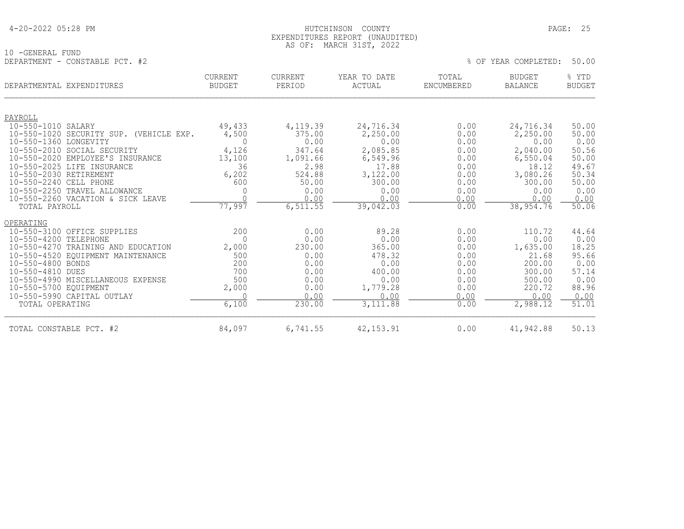### 4-20-2022 05:28 PM HUTCHINSON COUNTY PAGE: 25 EXPENDITURES REPORT (UNAUDITED) AS OF: MARCH 31ST, 2022

10 -GENERAL FUND

| TA ATIMITATI TAMA<br>DEPARTMENT - CONSTABLE PCT. #2              |                                 |                          |                        |                     | % OF YEAR COMPLETED:     | 50.00                  |
|------------------------------------------------------------------|---------------------------------|--------------------------|------------------------|---------------------|--------------------------|------------------------|
| DEPARTMENTAL EXPENDITURES                                        | <b>CURRENT</b><br><b>BUDGET</b> | <b>CURRENT</b><br>PERIOD | YEAR TO DATE<br>ACTUAL | TOTAL<br>ENCUMBERED | <b>BUDGET</b><br>BALANCE | % YTD<br><b>BUDGET</b> |
| PAYROLL                                                          |                                 |                          |                        |                     |                          |                        |
| 10-550-1010 SALARY<br>10-550-1020 SECURITY SUP.<br>(VEHICLE EXP. | 49,433<br>4,500                 | 4,119.39<br>375.00       | 24,716.34<br>2,250.00  | 0.00<br>0.00        | 24,716.34<br>2,250.00    | 50.00<br>50.00         |
| 10-550-1360 LONGEVITY                                            |                                 | 0.00                     | 0.00                   | 0.00                | 0.00                     | 0.00                   |
| 10-550-2010 SOCIAL SECURITY                                      | 4,126                           | 347.64                   | 2,085.85               | 0.00                | 2,040.00                 | 50.56                  |
| 10-550-2020 EMPLOYEE'S INSURANCE                                 | 13,100                          | 1,091.66                 | 6,549.96               | 0.00                | 6,550.04                 | 50.00                  |
| 10-550-2025 LIFE INSURANCE                                       | 36                              | 2.98                     | 17.88                  | 0.00                | 18.12                    | 49.67                  |
| 10-550-2030 RETIREMENT                                           | 6,202                           | 524.88                   | 3,122.00               | 0.00                | 3,080.26                 | 50.34                  |
| 10-550-2240 CELL PHONE                                           | 600                             | 50.00                    | 300.00                 | 0.00                | 300.00                   | 50.00                  |

| TOTAL CONSTABLE PCT. #2            | 84,097 | 6,741.55 | 42, 153.91 | 0.00 | 41,942.88 | 50.13 |
|------------------------------------|--------|----------|------------|------|-----------|-------|
| TOTAL OPERATING                    | 6,100  | 230.00   | 3,111.88   | 0.00 | 2,988.12  | 51.01 |
| 10-550-5990 CAPITAL OUTLAY         |        | 0.00     | 0.00       | 0.00 | 0.00      | 0.00  |
| 10-550-5700 EOUIPMENT              | 2,000  | 0.00     | 1,779.28   | 0.00 | 220.72    | 88.96 |
| 10-550-4990 MISCELLANEOUS EXPENSE  | 500    | 0.00     | 0.00       | 0.00 | 500.00    | 0.00  |
| 10-550-4810 DUES                   | 700    | 0.00     | 400.00     | 0.00 | 300.00    | 57.14 |
| 10-550-4800 BONDS                  | 200    | 0.00     | 0.00       | 0.00 | 200.00    | 0.00  |
| 10-550-4520 EQUIPMENT MAINTENANCE  | 500    | 0.00     | 478.32     | 0.00 | 21.68     | 95.66 |
| 10-550-4270 TRAINING AND EDUCATION | 2,000  | 230.00   | 365.00     | 0.00 | 1,635.00  | 18.25 |
| 10-550-4200 TELEPHONE              |        | 0.00     | 0.00       | 0.00 | 0.00      | 0.00  |
| 10-550-3100 OFFICE SUPPLIES        | 200    | 0.00     | 89.28      | 0.00 | 110.72    | 44.64 |
| OPERATING                          |        |          |            |      |           |       |
| TOTAL PAYROLL                      | 77,997 | 6,511.55 | 39,042.03  | 0.00 | 38,954.76 | 50.06 |
| 10-550-2260 VACATION & SICK LEAVE  |        | 0.00     | 0.00       | 0.00 | 0.00      | 0.00  |
| 10-550-2250 TRAVEL ALLOWANCE       |        | 0.00     | 0.00       | 0.00 | 0.00      | 0.00  |
| 10-550-2240 CELL PHONE             | 600    | 50.00    | 300.00     | 0.00 | 300.00    | 50.00 |
| 10-550-2030 RETIREMENT             | 6,202  | 524.88   | 3,122.00   | 0.00 | 3,080.26  | 50.34 |
|                                    |        |          |            |      |           |       |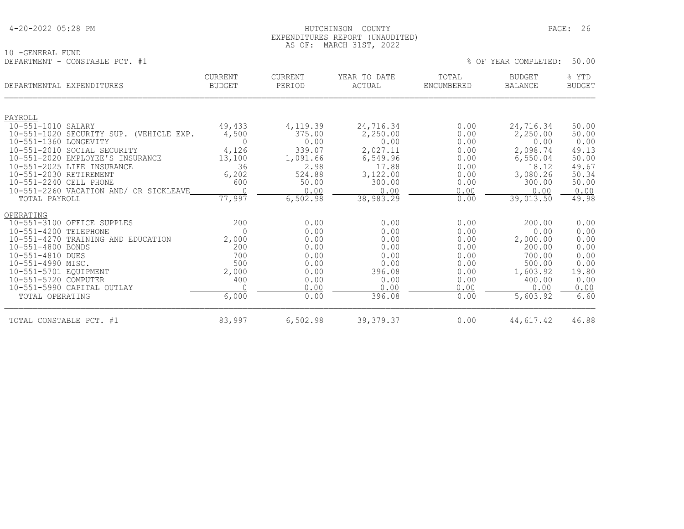### HUTCHINSON COUNTY PAGE: 26 EXPENDITURES REPORT (UNAUDITED) AS OF: MARCH 31ST, 2022

10 -GENERAL FUND<br>DEPARTMENT - CONSTABLE PCT. #1

| DEPARTMENTAL EXPENDITURES                                                                                                                                                             |                                                                                                                                                                                   | <b>CURRENT</b><br><b>BUDGET</b>                                        | <b>CURRENT</b><br>PERIOD                                                            | YEAR TO DATE<br>ACTUAL                                                                       | TOTAL<br>ENCUMBERED                                                          | <b>BUDGET</b><br><b>BALANCE</b>                                                                    | % YTD<br><b>BUDGET</b>                                                        |
|---------------------------------------------------------------------------------------------------------------------------------------------------------------------------------------|-----------------------------------------------------------------------------------------------------------------------------------------------------------------------------------|------------------------------------------------------------------------|-------------------------------------------------------------------------------------|----------------------------------------------------------------------------------------------|------------------------------------------------------------------------------|----------------------------------------------------------------------------------------------------|-------------------------------------------------------------------------------|
| PAYROLL<br>$10 - 551 - 1010$<br>$10 - 551 - 1360$<br>$10 - 551 - 2020$<br>$10 - 551 - 2025$<br>10-551-2030 RETIREMENT<br>10-551-2240 CELL PHONE                                       | SALARY<br>10-551-1020 SECURITY SUP. (VEHICLE EXP.<br>LONGEVITY<br>10-551-2010 SOCIAL SECURITY<br>EMPLOYEE'S INSURANCE<br>LIFE INSURANCE<br>10-551-2260 VACATION AND/ OR SICKLEAVE | 49,433<br>4,500<br>$\Omega$<br>4,126<br>13,100<br>36<br>6,202<br>600   | 4,119.39<br>375.00<br>0.00<br>339.07<br>1,091.66<br>2.98<br>524.88<br>50.00<br>0.00 | 24,716.34<br>2,250.00<br>0.00<br>2,027.11<br>6,549.96<br>17.88<br>3,122.00<br>300.00<br>0.00 | 0.00<br>0.00<br>0.00<br>0.00<br>0.00<br>0.00<br>0.00<br>0.00<br>0.00         | 24,716.34<br>2,250.00<br>0.00<br>2,098.74<br>6,550.04<br>18.12<br>3,080.26<br>300.00<br>0.00       | 50.00<br>50.00<br>0.00<br>49.13<br>50.00<br>49.67<br>50.34<br>50.00<br>0.00   |
| TOTAL PAYROLL                                                                                                                                                                         |                                                                                                                                                                                   | 77,997                                                                 | 6,502.98                                                                            | 38,983.29                                                                                    | 0.00                                                                         | 39,013.50                                                                                          | 49.98                                                                         |
| OPERATING<br>$10 - 551 - 4200$<br>$10 - 551 - 4270$<br>10-551-4800 BONDS<br>10-551-4810 DUES<br>10-551-4990 MISC.<br>10-551-5701 EOUIPMENT<br>10-551-5720 COMPUTER<br>TOTAL OPERATING | 10-551-3100 OFFICE SUPPLES<br>TELEPHONE<br>TRAINING AND EDUCATION<br>10-551-5990 CAPITAL OUTLAY                                                                                   | 200<br>$\Omega$<br>2,000<br>200<br>700<br>500<br>2,000<br>400<br>6,000 | 0.00<br>0.00<br>0.00<br>0.00<br>0.00<br>0.00<br>0.00<br>0.00<br>0.00<br>0.00        | 0.00<br>0.00<br>0.00<br>0.00<br>0.00<br>0.00<br>396.08<br>0.00<br>0.00<br>396.08             | 0.00<br>0.00<br>0.00<br>0.00<br>0.00<br>0.00<br>0.00<br>0.00<br>0.00<br>0.00 | 200.00<br>0.00<br>2,000.00<br>200.00<br>700.00<br>500.00<br>1,603.92<br>400.00<br>0.00<br>5,603.92 | 0.00<br>0.00<br>0.00<br>0.00<br>0.00<br>0.00<br>19.80<br>0.00<br>0.00<br>6.60 |
| TOTAL CONSTABLE PCT. #1                                                                                                                                                               |                                                                                                                                                                                   | 83,997                                                                 | 6,502.98                                                                            | 39, 379.37                                                                                   | 0.00                                                                         | 44,617.42                                                                                          | 46.88                                                                         |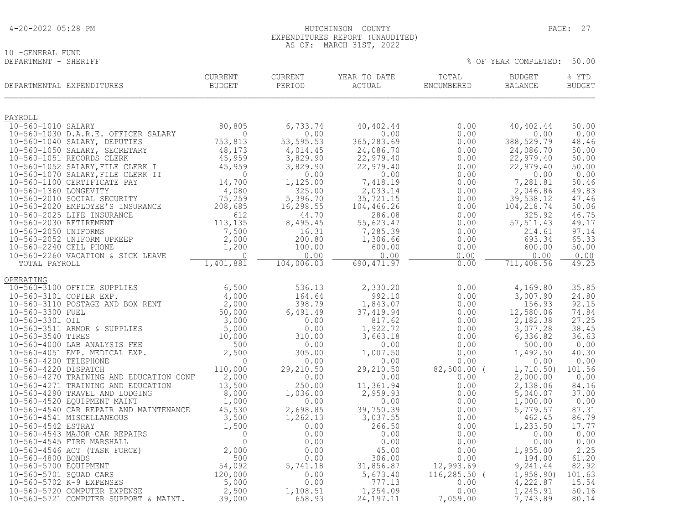| 4-20-2022 05:28 PM |  |  |
|--------------------|--|--|
|--------------------|--|--|

## 10 -GENERAL FUND<br>DEPARTMENT - SHERIFF

 EXPENDITURES REPORT (UNAUDITED) AS OF: MARCH 31ST, 2022

| DEPARTMENTAL EXPENDITURES                                                                                                                                                                                                                      | CURRENT<br>BUDGET         | ${\tt CURRENT}$<br>PERIOD | YEAR TO DATE<br>ACTUAL                                                        | TOTAL<br>ENCUMBERED | <b>BUDGET</b><br><b>BALANCE</b> | % YTD<br><b>BUDGET</b> |
|------------------------------------------------------------------------------------------------------------------------------------------------------------------------------------------------------------------------------------------------|---------------------------|---------------------------|-------------------------------------------------------------------------------|---------------------|---------------------------------|------------------------|
| PAYROLL                                                                                                                                                                                                                                        |                           |                           |                                                                               |                     |                                 |                        |
| 10-560-1010 SALARY                                                                                                                                                                                                                             | 80,805                    | 6,733.74                  | 40,402.44                                                                     | 0.00                | 40,402.44                       | 50.00                  |
| 10-560-1030 D.A.R.E. OFFICER SALARY<br>10-560-1040 SALARY, DEPUTIES                                                                                                                                                                            | $\overline{0}$<br>753,813 | 0.00<br>53, 595.53        | 0.00<br>365,283.69                                                            | 0.00<br>0.00        | 0.00<br>388,529.79              | 0.00<br>48.46          |
|                                                                                                                                                                                                                                                |                           | 4,014.45                  | 24,086.70                                                                     | 0.00                | 24,086.70                       | 50.00                  |
|                                                                                                                                                                                                                                                |                           | 3,829.90                  | 22,979.40                                                                     | 0.00                | 22,979.40                       | 50.00                  |
| 10-560-1040 SALARY, DEPUTIES<br>10-560-1040 SALARY, DEPUTIES<br>10-560-1050 SALARY, SECRETARY<br>10-560-1051 RECORDS CLERK<br>48,173<br>10-560-1052 SALARY, FILE CLERK I 45,959<br>10-560-1070 SALARY, FILE CLERK II<br>10-560-1070 SALARY,    |                           | 3,829.90                  | 22,979.40                                                                     | 0.00                | 22,979.40                       | 50.00                  |
|                                                                                                                                                                                                                                                |                           | 0.00<br>1,125.00          | 0.00<br>7,418.19                                                              | 0.00<br>0.00        | 0.00<br>7,281.81                | 0.00<br>50.46          |
|                                                                                                                                                                                                                                                |                           | 325.00                    | 2,033.14                                                                      | 0.00                | 2,046.86                        | 49.83                  |
|                                                                                                                                                                                                                                                |                           | 5,396.70                  | 35,721.15                                                                     | 0.00                | 39,538.12                       | 47.46                  |
|                                                                                                                                                                                                                                                |                           | 16,298.55                 | 104,466.26                                                                    | 0.00                | 104,218.74                      | 50.06                  |
|                                                                                                                                                                                                                                                |                           | 44.70<br>8,495.45         | 286.08<br>55,623.47                                                           | 0.00<br>0.00        | 325.92<br>57, 511.43            | 46.75<br>49.17         |
|                                                                                                                                                                                                                                                |                           | 16.31                     | 7,285.39                                                                      | 0.00                | 214.61                          | 97.14                  |
|                                                                                                                                                                                                                                                |                           | 200.80                    | 1,306.66                                                                      | 0.00                | 693.34                          | 65.33                  |
|                                                                                                                                                                                                                                                | $\bigcap$                 | 100.00<br>0.00            | 600.00<br>0.00                                                                | 0.00<br>0.00        | 600.00<br>0.00                  | 50.00<br>0.00          |
| 10-560-2260 VACATION & SICK LEAVE<br>TOTAL PAYROLL<br>TOTAL PAYROLL                                                                                                                                                                            | 1,401,881                 | 104,006.03                | 690, 471.97                                                                   | 0.00                | 711,408.56                      | 49.25                  |
| OPERATING                                                                                                                                                                                                                                      |                           |                           |                                                                               |                     |                                 |                        |
|                                                                                                                                                                                                                                                |                           | 536.13                    | 2,330.20                                                                      | 0.00                | 4,169.80                        | 35.85                  |
|                                                                                                                                                                                                                                                |                           | 164.64                    | 992.10                                                                        | 0.00                | 3,007.90                        | 24.80                  |
|                                                                                                                                                                                                                                                |                           | 398.79<br>6,491.49        | 1,843.07<br>37,419.94                                                         | 0.00<br>0.00        | 156.93<br>12,580.06             | 92.15<br>74.84         |
|                                                                                                                                                                                                                                                |                           | 0.00                      | 817.62                                                                        | 0.00                | 2,182.38                        | 27.25                  |
|                                                                                                                                                                                                                                                |                           | 0.00                      | 1,922.72                                                                      | 0.00                | 3,077.28                        | 38.45                  |
| 0<br>PERATING 10-560-3100 OFFICE SUPPLIES 6,500 10-560-3101 COPIER EXP. 4,000 10-560-3110 POSTAGE AND BOX RENT 2,000 10-560-3301 OIL 50,000 10-560-3511 ARMOR & SUPPLIES 50,000 10-560-3511 ARMOR & SUPPLIES 5,000 10-560-351                  |                           | 310.00                    | 3,663.18                                                                      | 0.00                | 6,336.82                        | 36.63                  |
|                                                                                                                                                                                                                                                |                           | 0.00<br>305.00            | 0.00<br>1,007.50                                                              | 0.00<br>0.00        | 500.00<br>1,492.50              | 0.00<br>40.30          |
|                                                                                                                                                                                                                                                |                           | 0.00                      | 0.00                                                                          | 0.00                | 0.00                            | 0.00                   |
|                                                                                                                                                                                                                                                |                           | 29,210.50                 | 29,210.50                                                                     | 82,500.00 (         | 1,710.50)                       | 101.56                 |
| 10-560-4270 TRAINING AND EDUCATION CONF<br>10-560-4271 TRAINING AND EDUCATION                                                                                                                                                                  | 2,000<br>13,500           | 0.00<br>250.00            | 0.00<br>11,361.94                                                             | 0.00<br>0.00        | 2,000.00<br>2,138.06            | 0.00<br>84.16          |
| 10-560-4290 TRAVEL AND LODGING                                                                                                                                                                                                                 | 8,000                     | 1,036.00                  |                                                                               | 0.00                | 5,040.07                        | 37.00                  |
| 10-560-4520 EQUIPMENT MAINT                                                                                                                                                                                                                    | 1,000                     | 0.00                      | $\begin{array}{r} .33 \\ 0.00 \\ 39,750.39 \\ 3,037.55 \\ 266.50 \end{array}$ | 0.00                | 1,000.00                        | 0.00                   |
| 10-560-4540 CAR REPAIR AND MAINTENANCE                                                                                                                                                                                                         | 45,530                    | 2,698.85                  |                                                                               | 0.00                | 5,779.57                        | 87.31                  |
|                                                                                                                                                                                                                                                |                           | 1,262.13<br>0.00          |                                                                               | 0.00<br>0.00        | 462.45<br>1,233.50              | 86.79<br>17.77         |
|                                                                                                                                                                                                                                                |                           | 0.00                      | 0.00                                                                          | 0.00                | 0.00                            | 0.00                   |
|                                                                                                                                                                                                                                                |                           | 0.00                      | 0.00                                                                          | 0.00                | 0.00                            | 0.00                   |
|                                                                                                                                                                                                                                                |                           | 0.00<br>0.00              | 45.00<br>306.00                                                               | 0.00<br>0.00        | 1,955.00<br>194.00              | 2.25<br>61.20          |
|                                                                                                                                                                                                                                                |                           | 5,741.18                  | 31,856.87                                                                     | 12,993.69           | 9,241.44                        | 82.92                  |
|                                                                                                                                                                                                                                                |                           | 0.00                      | 5,673.40                                                                      | $116, 285.50$ (     | 1,958.90)                       | 101.63                 |
| 10-560-4540 CAR REPAIR AND MAINTENANCE<br>10-560-4541 MISCELLANEOUS<br>10-560-4542 ESTRAY<br>10-560-4543 MAJOR CAR REPAIRS<br>10-560-4545 FIRE MARSHALL<br>10-560-4546 ACT (TASK FORCE)<br>2,000<br>10-560-5700 EQUIPMENT<br>10-560-5701 SQUAD |                           | 0.00                      | 777.13                                                                        | 0.00                | 4,222.87                        | 15.54                  |
| 10-560-5721 COMPUTER SUPPORT & MAINT.                                                                                                                                                                                                          | 39,000                    | 1,108.51<br>658.93        | 1,254.09<br>24, 197. 11                                                       | 0.00<br>7,059.00    | 1,245.91<br>7,743.89            | 50.16<br>80.14         |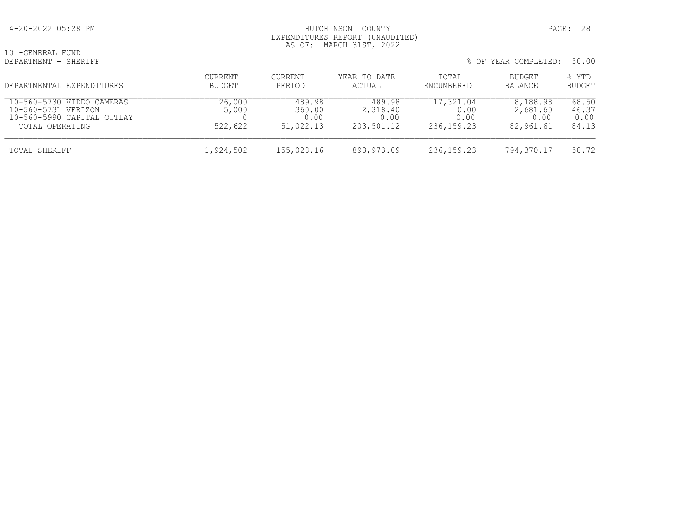### 4-20-2022 05:28 PM HUTCHINSON COUNTY PAGE: 28 EXPENDITURES REPORT (UNAUDITED) AS OF: MARCH 31ST, 2022

10 -GENERAL FUND<br>DEPARTMENT - SHERIFF

| DEPARTMENTAL EXPENDITURES                                                                         | CURRENT<br><b>BUDGET</b>   | <b>CURRENT</b><br>PERIOD      | YEAR TO DATE<br>ACTUAL                   | TOTAL<br>ENCUMBERED                       | BUDGET<br>BALANCE                         | % YTD<br><b>BUDGET</b>          |
|---------------------------------------------------------------------------------------------------|----------------------------|-------------------------------|------------------------------------------|-------------------------------------------|-------------------------------------------|---------------------------------|
| 10-560-5730 VIDEO CAMERAS<br>10-560-5731 VERIZON<br>10-560-5990 CAPITAL OUTLAY<br>TOTAL OPERATING | 26,000<br>5,000<br>522,622 | 489.98<br>360.00<br>51,022.13 | 489.98<br>2,318.40<br>0.00<br>203,501.12 | 17,321.04<br>0.00<br>0.00<br>236, 159. 23 | 8,188.98<br>2,681.60<br>0.00<br>82,961.61 | 68.50<br>46.37<br>0.00<br>84.13 |
| TOTAL SHERIFF                                                                                     | 1,924,502                  | 155,028.16                    | 893,973.09                               | 236, 159. 23                              | 794,370.17                                | 58.72                           |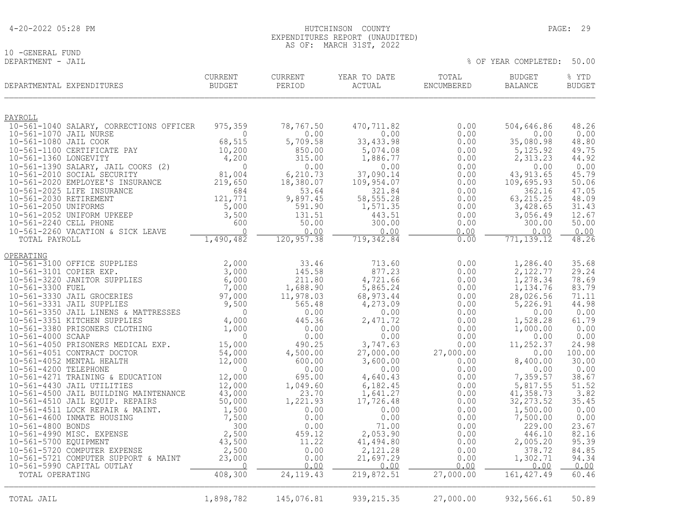| 4-20-2022 05:28 PM |
|--------------------|
|--------------------|

10 -GENERAL FUND<br>DEPARTMENT - JAIL

|                                                 | DEPARTMENTAL EXPENDITURES                                           | <b>CURRENT</b><br><b>BUDGET</b> | <b>CURRENT</b><br>PERIOD | YEAR TO DATE<br>ACTUAL | TOTAL<br>ENCUMBERED | <b>BUDGET</b><br><b>BALANCE</b> | % YTD<br><b>BUDGET</b> |
|-------------------------------------------------|---------------------------------------------------------------------|---------------------------------|--------------------------|------------------------|---------------------|---------------------------------|------------------------|
| PAYROLL                                         |                                                                     |                                 |                          |                        |                     |                                 |                        |
|                                                 | 10-561-1040 SALARY, CORRECTIONS OFFICER                             | 975,359                         | 78,767.50                | 470,711.82             | 0.00                | 504,646.86                      | 48.26                  |
| 10-561-1070 JAIL NURSE<br>10-561-1080 JAIL COOK |                                                                     | $\Omega$<br>68,515              | 0.00<br>5,709.58         | 0.00<br>33, 433.98     | 0.00<br>0.00        | 0.00<br>35,080.98               | 0.00<br>48.80          |
|                                                 | 10-561-1100 CERTIFICATE PAY                                         | 10,200                          | 850.00                   | 5,074.08               | 0.00                | 5,125.92                        | 49.75                  |
| 10-561-1360 LONGEVITY                           |                                                                     | 4,200                           | 315.00                   | 1,886.77               | 0.00                | 2,313.23                        | 44.92                  |
|                                                 | 10-561-1390 SALARY, JAIL COOKS (2)                                  | $\bigcap$                       | 0.00                     | 0.00                   | 0.00                | 0.00                            | 0.00                   |
|                                                 | 10-561-2010 SOCIAL SECURITY                                         | 81,004                          | 6,210.73                 | 37,090.14              | 0.00                | 43, 913.65                      | 45.79                  |
|                                                 | 10-561-2020 EMPLOYEE'S INSURANCE<br>10-561-2025 LIFE INSURANCE      | 219,650<br>684                  | 18,380.07<br>53.64       | 109,954.07<br>321.84   | 0.00<br>0.00        | 109,695.93<br>362.16            | 50.06<br>47.05         |
| 10-561-2030 RETIREMENT                          |                                                                     | 121,771                         | 9,897.45                 | 58, 555.28             | 0.00                | 63, 215.25                      | 48.09                  |
| 10-561-2050 UNIFORMS                            |                                                                     | 5,000                           | 591.90                   | 1,571.35               | 0.00                | 3,428.65                        | 31.43                  |
|                                                 | 10-561-2052 UNIFORM UPKEEP                                          | 3,500                           | 131.51                   | 443.51                 | 0.00                | 3,056.49                        | 12.67                  |
| 10-561-2240 CELL PHONE                          | 10-561-2260 VACATION & SICK LEAVE                                   | 600<br>$\Omega$                 | 50.00<br>0.00            | 300.00<br>0.00         | 0.00<br>0.00        | 300.00<br>0.00                  | 50.00<br>0.00          |
| TOTAL PAYROLL                                   |                                                                     | 1,490,482                       | 120,957.38               | 719,342.84             | 0.00                | 771, 139.12                     | 48.26                  |
|                                                 |                                                                     |                                 |                          |                        |                     |                                 |                        |
| OPERATING                                       | 10-561-3100 OFFICE SUPPLIES                                         | 2,000                           | 33.46                    | 713.60                 | 0.00                | 1,286.40                        | 35.68                  |
| 10-561-3101 COPIER EXP.                         |                                                                     | 3,000                           | 145.58                   | 877.23                 | 0.00                | 2,122.77                        | 29.24                  |
|                                                 | 10-561-3220 JANITOR SUPPLIES                                        | 6,000                           | 211.80                   | 4,721.66               | 0.00                | 1,278.34                        | 78.69                  |
| 10-561-3300 FUEL                                |                                                                     | 7,000                           | 1,688.90                 | 5,865.24               | 0.00                | 1,134.76                        | 83.79                  |
|                                                 | 10-561-3330 JAIL GROCERIES                                          | 97,000                          | 11,978.03                | 68, 973.44             | 0.00                | 28,026.56                       | 71.11                  |
|                                                 | 10-561-3331 JAIL SUPPLIES<br>10-561-3350 JAIL LINENS & MATTRESSES   | 9,500<br>$\Omega$               | 565.48<br>0.00           | 4,273.09<br>0.00       | 0.00<br>0.00        | 5,226.91<br>0.00                | 44.98<br>0.00          |
|                                                 | 10-561-3351 KITCHEN SUPPLIES                                        | 4,000                           | 445.36                   | 2,471.72               | 0.00                | 1,528.28                        | 61.79                  |
|                                                 | 10-561-3380 PRISONERS CLOTHING                                      | 1,000                           | 0.00                     | 0.00                   | 0.00                | 1,000.00                        | 0.00                   |
| 10-561-4000 SCAAP                               |                                                                     | $\Omega$                        | 0.00                     | 0.00                   | 0.00                | 0.00                            | 0.00                   |
|                                                 | 10-561-4050 PRISONERS MEDICAL EXP.<br>10-561-4051 CONTRACT DOCTOR   | 15,000<br>54,000                | 490.25<br>4,500.00       | 3,747.63<br>27,000.00  | 0.00<br>27,000.00   | 11,252.37<br>0.00               | 24.98<br>100.00        |
|                                                 | 10-561-4052 MENTAL HEALTH                                           | 12,000                          | 600.00                   | 3,600.00               | 0.00                | 8,400.00                        | 30.00                  |
| 10-561-4200 TELEPHONE                           |                                                                     | $\bigcap$                       | 0.00                     | 0.00                   | 0.00                | 0.00                            | 0.00                   |
|                                                 | 10-561-4271 TRAINING & EDUCATION                                    | 12,000                          | 695.00                   | 4,640.43               | 0.00                | 7,359.57                        | 38.67                  |
|                                                 | 10-561-4430 JAIL UTILITIES<br>10-561-4500 JAIL BUILDING MAINTENANCE | 12,000<br>43,000                | 1,049.60<br>23.70        | 6,182.45<br>1,641.27   | 0.00<br>0.00        | 5,817.55<br>41,358.73           | 51.52<br>3.82          |
|                                                 | 10-561-4510 JAIL EQUIP. REPAIRS                                     | 50,000                          | 1,221.93                 | 17,726.48              | 0.00                | 32, 273.52                      | 35.45                  |
|                                                 | 10-561-4511 LOCK REPAIR & MAINT.                                    | 1,500                           | 0.00                     | 0.00                   | 0.00                | 1,500.00                        | 0.00                   |
|                                                 | 10-561-4600 INMATE HOUSING                                          | 7,500                           | 0.00                     | 0.00                   | 0.00                | 7,500.00                        | 0.00                   |
| 10-561-4800 BONDS                               | 10-561-4990 MISC. EXPENSE                                           | 300                             | 0.00                     | 71.00                  | 0.00                | 229.00                          | 23.67                  |
| 10-561-5700 EQUIPMENT                           |                                                                     | 2,500<br>43,500                 | 459.12<br>11.22          | 2,053.90<br>41,494.80  | 0.00<br>0.00        | 446.10<br>2,005.20              | 82.16<br>95.39         |
|                                                 | 10-561-5720 COMPUTER EXPENSE                                        | 2,500                           | 0.00                     | 2,121.28               | 0.00                | 378.72                          | 84.85                  |
|                                                 | 10-561-5721 COMPUTER SUPPORT & MAINT                                | 23,000                          | 0.00                     | 21,697.29              | 0.00                | 1,302.71                        | 94.34                  |
|                                                 | 10-561-5990 CAPITAL OUTLAY                                          | $\Omega$<br>408,300             | 0.00                     | 0.00                   | 0.00                | 0.00                            | 0.00                   |
| TOTAL OPERATING                                 |                                                                     |                                 | 24, 119. 43              | 219,872.51             | 27,000.00           | 161, 427.49                     | 60.46                  |
| TOTAL JAIL                                      |                                                                     | 1,898,782                       | 145,076.81               | 939, 215.35            | 27,000.00           | 932,566.61                      | 50.89                  |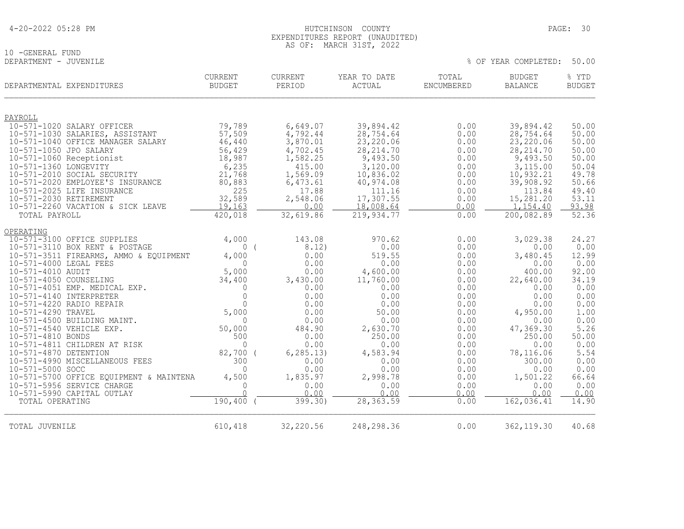|  | 4-20-2022 05:28 PM |  |  |
|--|--------------------|--|--|
|--|--------------------|--|--|

# 10 -GENERAL FUND<br>DEPARTMENT - JUVENILE

| DEPARTMENTAL EXPENDITURES                               | <b>CURRENT</b><br>BUDGET | <b>CURRENT</b><br>PERIOD | YEAR TO DATE<br>ACTUAL | TOTAL<br>ENCUMBERED | <b>BUDGET</b><br><b>BALANCE</b> | % YTD<br><b>BUDGET</b> |
|---------------------------------------------------------|--------------------------|--------------------------|------------------------|---------------------|---------------------------------|------------------------|
| PAYROLL                                                 |                          |                          |                        |                     |                                 |                        |
| 10-571-1020 SALARY OFFICER                              | 79,789                   | 6,649.07                 | 39,894.42              | 0.00                | 39,894.42                       | 50.00                  |
| 10-571-1030 SALARIES, ASSISTANT                         | 57,509                   | 4,792.44                 | 28,754.64              | 0.00                | 28,754.64                       | 50.00                  |
| 10-571-1040 OFFICE MANAGER SALARY                       | 46,440                   | 3,870.01                 | 23,220.06              | 0.00                | 23,220.06                       | 50.00                  |
| 10-571-1050 JPO SALARY                                  | 56,429                   | 4,702.45                 | 28, 214.70             | 0.00                | 28, 214.70                      | 50.00                  |
| 10-571-1060 Receptionist                                | 18,987                   | 1,582.25                 | 9,493.50               | 0.00                | 9,493.50                        | 50.00                  |
| 10-571-1360 LONGEVITY                                   | 6,235                    | 415.00                   | 3,120.00               | 0.00                | 3,115.00                        | 50.04                  |
| 10-571-2010 SOCIAL SECURITY                             | 21,768                   | 1,569.09                 | 10,836.02              | 0.00                | 10,932.21                       | 49.78                  |
| 10-571-2020 EMPLOYEE'S INSURANCE                        | 80,883                   | 6,473.61                 | 40,974.08              | 0.00                | 39,908.92                       | 50.66                  |
| 10-571-2025 LIFE INSURANCE                              | 225                      | 17.88                    | 111.16                 | 0.00                | 113.84                          | 49.40                  |
| 10-571-2030 RETIREMENT                                  | 32,589                   | 2,548.06                 | 17,307.55              | 0.00                | 15,281.20                       | 53.11                  |
| 10-571-2260 VACATION & SICK LEAVE                       | 19,163                   | 0.00                     | 18,008.64              | 0.00                | 1,154.40                        | 93.98                  |
| TOTAL PAYROLL                                           | 420,018                  | 32,619.86                | 219,934.77             | 0.00                | 200,082.89                      | 52.36                  |
| OPERATING                                               |                          |                          |                        |                     |                                 |                        |
| 10-571-3100 OFFICE SUPPLIES                             | 4,000                    | 143.08                   | 970.62                 | 0.00                | 3,029.38                        | 24.27                  |
| 10-571-3110 BOX RENT & POSTAGE                          | 0(                       | 8.12)                    | 0.00                   | 0.00                | 0.00                            | 0.00                   |
| 10-571-3511 FIREARMS, AMMO & EQUIPMENT                  | 4,000                    | 0.00                     | 519.55                 | 0.00                | 3,480.45                        | 12.99                  |
| 10-571-4000 LEGAL FEES                                  | $\bigcap$                | 0.00                     | 0.00                   | 0.00                | 0.00                            | 0.00                   |
| 10-571-4010 AUDIT                                       | 5,000                    | 0.00                     | 4,600.00               | 0.00                | 400.00                          | 92.00                  |
| 10-571-4050 COUNSELING                                  | 34,400                   | 3,430.00                 | 11,760.00              | 0.00                | 22,640.00                       | 34.19                  |
| 10-571-4051 EMP. MEDICAL EXP.                           | $\Omega$                 | 0.00                     | 0.00                   | 0.00                | 0.00                            | 0.00                   |
| 10-571-4140 INTERPRETER                                 | $\overline{0}$           | 0.00                     | 0.00                   | 0.00                | 0.00                            | 0.00                   |
| 10-571-4220 RADIO REPAIR                                | $\Omega$                 | 0.00                     | 0.00                   | 0.00                | 0.00                            | 0.00                   |
| 10-571-4290 TRAVEL                                      | 5,000<br>$\Omega$        | 0.00<br>0.00             | 50.00<br>0.00          | 0.00<br>0.00        | 4,950.00<br>0.00                | 1.00<br>0.00           |
| 10-571-4500 BUILDING MAINT.<br>10-571-4540 VEHICLE EXP. | 50,000                   | 484.90                   | 2,630.70               | 0.00                | 47,369.30                       | 5.26                   |
| 10-571-4810 BONDS                                       | 500                      | 0.00                     | 250.00                 | 0.00                | 250.00                          | 50.00                  |
| 10-571-4811 CHILDREN AT RISK                            | $\Omega$                 | 0.00                     | 0.00                   | 0.00                | 0.00                            | 0.00                   |
| 10-571-4870 DETENTION                                   | 82,700 (                 | 6, 285.13)               | 4,583.94               | 0.00                | 78,116.06                       | 5.54                   |
| 10-571-4990 MISCELLANEOUS FEES                          | 300                      | 0.00                     | 0.00                   | 0.00                | 300.00                          | 0.00                   |
| 10-571-5000 SOCC                                        | $\Omega$                 | 0.00                     | 0.00                   | 0.00                | 0.00                            | 0.00                   |
| 10-571-5700 OFFICE EQUIPMENT & MAINTENA                 | 4,500                    | 1,835.97                 | 2,998.78               | 0.00                | 1,501.22                        | 66.64                  |
| 10-571-5956 SERVICE CHARGE                              | $\Omega$                 | 0.00                     | 0.00                   | 0.00                | 0.00                            | 0.00                   |
| 10-571-5990 CAPITAL OUTLAY                              | $\cap$                   | 0.00                     | 0.00                   | 0.00                | 0.00                            | 0.00                   |
| TOTAL OPERATING                                         | 190,400                  | 399.30)                  | 28, 363.59             | 0.00                | 162,036.41                      | 14.90                  |
|                                                         |                          |                          |                        |                     |                                 |                        |
| TOTAL JUVENILE                                          | 610,418                  | 32,220.56                | 248,298.36             | 0.00                | 362, 119.30                     | 40.68                  |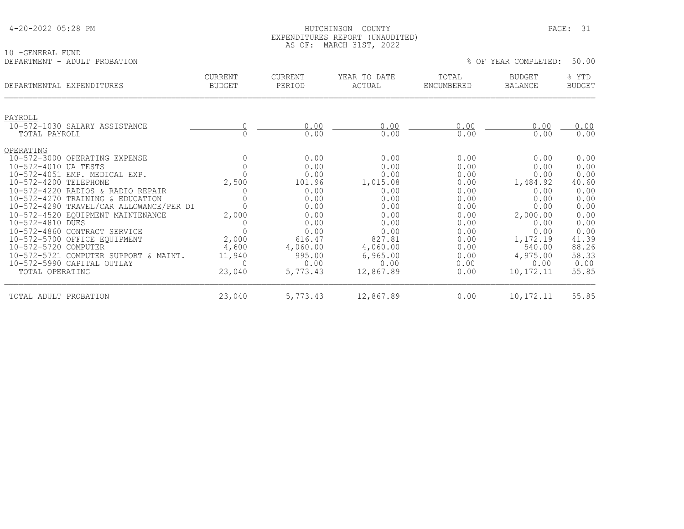| 4-20-2022 05:28 PM |  |  |
|--------------------|--|--|
|--------------------|--|--|

### HUTCHINSON COUNTY PAGE: 31 EXPENDITURES REPORT (UNAUDITED) AS OF: MARCH 31ST, 2022

|                                                                                                                                                                                                       |                                 | AU UI.                                             | L'INIVII JIUI, LVLL                                |                                              |                                                        |                                                |
|-------------------------------------------------------------------------------------------------------------------------------------------------------------------------------------------------------|---------------------------------|----------------------------------------------------|----------------------------------------------------|----------------------------------------------|--------------------------------------------------------|------------------------------------------------|
| -GENERAL FUND<br>10<br>DEPARTMENT - ADULT PROBATION                                                                                                                                                   |                                 |                                                    |                                                    |                                              | % OF YEAR COMPLETED:                                   | 50.00                                          |
| DEPARTMENTAL EXPENDITURES                                                                                                                                                                             | <b>CURRENT</b><br><b>BUDGET</b> | CURRENT<br>PERIOD                                  | YEAR TO DATE<br>ACTUAL                             | TOTAL<br>ENCUMBERED                          | <b>BUDGET</b><br><b>BALANCE</b>                        | % YTD<br><b>BUDGET</b>                         |
| PAYROLL<br>10-572-1030 SALARY ASSISTANCE<br>TOTAL PAYROLL                                                                                                                                             |                                 | 0.00<br>0.00                                       | 0.00<br>0.00                                       | 0.00<br>0.00                                 | 0.00<br>0.00                                           | 0.00<br>0.00                                   |
| OPERATING<br>10-572-3000 OPERATING EXPENSE<br>10-572-4010 UA TESTS<br>10-572-4051 EMP. MEDICAL EXP.<br>10-572-4200 TELEPHONE<br>10-572-4220 RADIOS & RADIO REPAIR<br>10-572-4270 TRAINING & EDUCATION | 2,500                           | 0.00<br>0.00<br>0.00<br>101.96<br>0.00<br>0.00     | 0.00<br>0.00<br>0.00<br>1,015.08<br>0.00<br>0.00   | 0.00<br>0.00<br>0.00<br>0.00<br>0.00<br>0.00 | 0.00<br>0.00<br>0.00<br>1,484.92<br>0.00<br>0.00       | 0.00<br>0.00<br>0.00<br>40.60<br>0.00<br>0.00  |
| 10-572-4290 TRAVEL/CAR ALLOWANCE/PER DI<br>10-572-4520 EQUIPMENT MAINTENANCE<br>10-572-4810 DUES<br>10-572-4860 CONTRACT SERVICE<br>10-572-5700 OFFICE EQUIPMENT<br>10-572-5720 COMPUTER              | 2,000<br>2,000<br>4,600         | 0.00<br>0.00<br>0.00<br>0.00<br>616.47<br>4,060.00 | 0.00<br>0.00<br>0.00<br>0.00<br>827.81<br>4,060.00 | 0.00<br>0.00<br>0.00<br>0.00<br>0.00<br>0.00 | 0.00<br>2,000.00<br>0.00<br>0.00<br>1,172.19<br>540.00 | 0.00<br>0.00<br>0.00<br>0.00<br>41.39<br>88.26 |
| 10-572-5721 COMPUTER SUPPORT & MAINT.<br>10-572-5990 CAPITAL OUTLAY<br>TOTAL OPERATING                                                                                                                | 11,940<br>23,040                | 995.00<br>0.00<br>5,773.43                         | 6,965.00<br>0.00<br>12,867.89                      | 0.00<br>0.00<br>0.00                         | 4,975.00<br>0.00<br>10, 172. 11                        | 58.33<br>0.00<br>55.85                         |

TOTAL ADULT PROBATION 23,040 5,773.43 12,867.89 0.00 10,172.11 55.85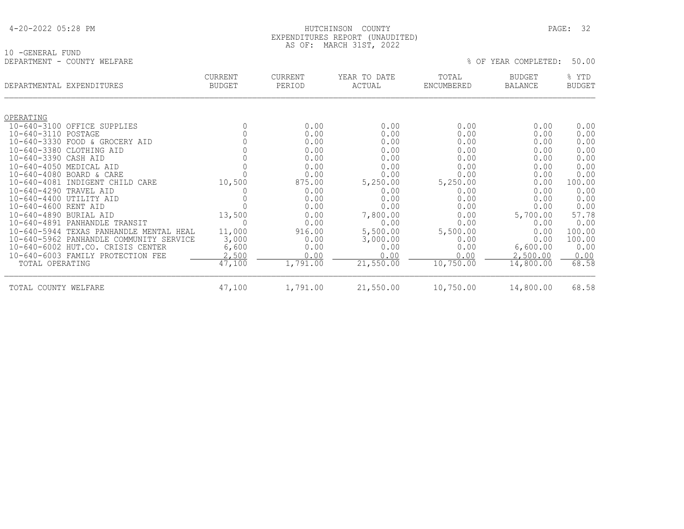### HUTCHINSON COUNTY PAGE: 32 EXPENDITURES REPORT (UNAUDITED) AS OF: MARCH 31ST, 2022

| 10 - GENERAL FUND           |  |
|-----------------------------|--|
| DEPARTMENT - COUNTY WELFARE |  |

|                        | DEPARTMENTAL EXPENDITURES                       | <b>CURRENT</b><br><b>BUDGET</b> | <b>CURRENT</b><br>PERIOD | YEAR TO DATE<br>ACTUAL | TOTAL<br>ENCUMBERED | <b>BUDGET</b><br><b>BALANCE</b> | % YTD<br><b>BUDGET</b> |
|------------------------|-------------------------------------------------|---------------------------------|--------------------------|------------------------|---------------------|---------------------------------|------------------------|
|                        |                                                 |                                 |                          |                        |                     |                                 |                        |
| OPERATING              |                                                 |                                 |                          |                        |                     |                                 |                        |
|                        | 10-640-3100 OFFICE SUPPLIES                     |                                 | 0.00                     | 0.00                   | 0.00                | 0.00                            | 0.00                   |
| 10-640-3110 POSTAGE    |                                                 |                                 | 0.00                     | 0.00                   | 0.00                | 0.00                            | 0.00                   |
|                        | 10-640-3330 FOOD & GROCERY AID                  |                                 | 0.00                     | 0.00                   | 0.00                | 0.00                            | 0.00                   |
|                        | 10-640-3380 CLOTHING AID                        |                                 | 0.00                     | 0.00                   | 0.00                | 0.00                            | 0.00                   |
| 10-640-3390 CASH AID   |                                                 |                                 | 0.00                     | 0.00                   | 0.00                | 0.00                            | 0.00                   |
|                        | 10-640-4050 MEDICAL AID                         |                                 | 0.00                     | 0.00                   | 0.00                | 0.00                            | 0.00                   |
| $10 - 640 - 4081$      | 10-640-4080 BOARD & CARE<br>INDIGENT CHILD CARE | 10,500                          | 0.00<br>875.00           | 0.00<br>5,250.00       | 0.00                | 0.00<br>0.00                    | 0.00<br>100.00         |
| 10-640-4290 TRAVEL AID |                                                 |                                 | 0.00                     | 0.00                   | 5,250.00<br>0.00    | 0.00                            | 0.00                   |
|                        | 10-640-4400 UTILITY AID                         |                                 | 0.00                     | 0.00                   | 0.00                | 0.00                            | 0.00                   |
| 10-640-4600 RENT AID   |                                                 |                                 | 0.00                     | 0.00                   | 0.00                | 0.00                            | 0.00                   |
| 10-640-4890 BURIAL AID |                                                 | 13,500                          | 0.00                     | 7,800.00               | 0.00                | 5,700.00                        | 57.78                  |
| $10 - 640 - 4891$      | PANHANDLE TRANSIT                               |                                 | 0.00                     | 0.00                   | 0.00                | 0.00                            | 0.00                   |
| $10 - 640 - 5944$      | TEXAS PANHANDLE MENTAL HEAL                     | 11,000                          | 916.00                   | 5,500.00               | 5,500.00            | 0.00                            | 100.00                 |
|                        | 10-640-5962 PANHANDLE COMMUNITY SERVICE         | 3,000                           | 0.00                     | 3,000.00               | 0.00                | 0.00                            | 100.00                 |
|                        | 10-640-6002 HUT.CO. CRISIS CENTER               | 6,600                           | 0.00                     | 0.00                   | 0.00                | 6,600.00                        | 0.00                   |
|                        | 10-640-6003 FAMILY PROTECTION FEE               | 2,500                           | 0.00                     | 0.00                   | 0.00                | 2,500.00                        | 0.00                   |
| TOTAL OPERATING        |                                                 | 47,100                          | 1,791.00                 | 21,550.00              | 10,750.00           | 14,800.00                       | 68.58                  |
| TOTAL COUNTY WELFARE   |                                                 | 47,100                          | 1,791.00                 | 21,550.00              | 10,750.00           | 14,800.00                       | 68.58                  |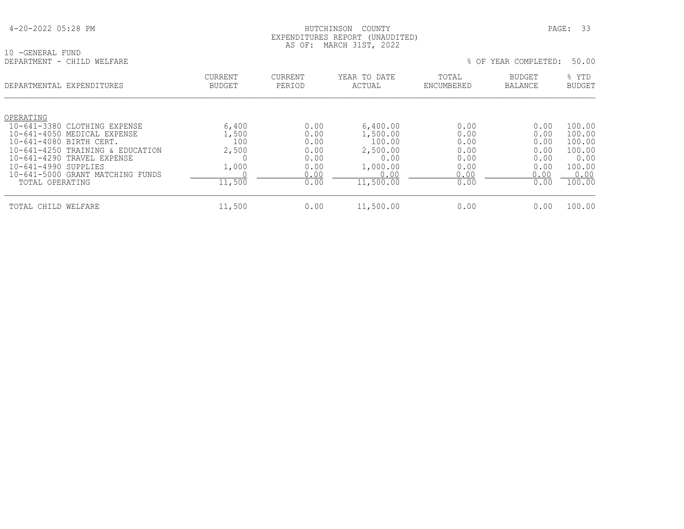### HUTCHINSON COUNTY PAGE: 33 EXPENDITURES REPORT (UNAUDITED) AS OF: MARCH 31ST, 2022

10 -GENERAL FUND<br>DEPARTMENT - CHILD WELFARE

| DEPARTMENTAL EXPENDITURES                                                                                                                                                                                                                            | <b>CURRENT</b><br><b>BUDGET</b>                   | <b>CURRENT</b><br>PERIOD                                     | YEAR TO DATE<br>ACTUAL                                                              | TOTAL<br>ENCUMBERED                                          | BUDGET<br>BALANCE                                            | % YTD<br><b>BUDGET</b>                                                   |
|------------------------------------------------------------------------------------------------------------------------------------------------------------------------------------------------------------------------------------------------------|---------------------------------------------------|--------------------------------------------------------------|-------------------------------------------------------------------------------------|--------------------------------------------------------------|--------------------------------------------------------------|--------------------------------------------------------------------------|
| OPERATING<br>10-641-3380 CLOTHING EXPENSE<br>10-641-4050 MEDICAL EXPENSE<br>10-641-4080 BIRTH CERT.<br>10-641-4250 TRAINING & EDUCATION<br>10-641-4290 TRAVEL EXPENSE<br>10-641-4990 SUPPLIES<br>10-641-5000 GRANT MATCHING FUNDS<br>TOTAL OPERATING | 6,400<br>1,500<br>100<br>2,500<br>1,000<br>11,500 | 0.00<br>0.00<br>0.00<br>0.00<br>0.00<br>0.00<br>0.00<br>0.00 | 6,400.00<br>1,500.00<br>100.00<br>2,500.00<br>0.00<br>1,000.00<br>0.00<br>11,500.00 | 0.00<br>0.00<br>0.00<br>0.00<br>0.00<br>0.00<br>0.00<br>0.00 | 0.00<br>0.00<br>0.00<br>0.00<br>0.00<br>0.00<br>0.00<br>0.00 | 100.00<br>100.00<br>100.00<br>100.00<br>0.00<br>100.00<br>0.00<br>100.00 |
| TOTAL CHILD WELFARE                                                                                                                                                                                                                                  | 11,500                                            | 0.00                                                         | 11,500.00                                                                           | 0.00                                                         | 0.00                                                         | 100.00                                                                   |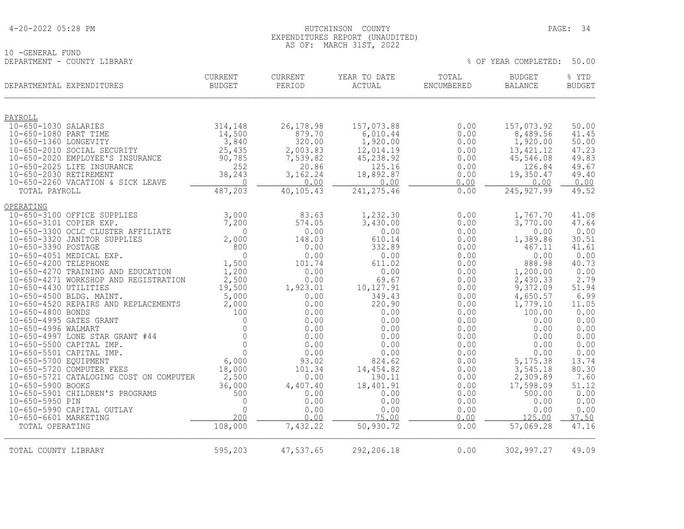| 4-20-2022 05:28 PM |  |  |
|--------------------|--|--|
|--------------------|--|--|

### HUTCHINSON COUNTY PAGE: 34 EXPENDITURES REPORT (UNAUDITED) AS OF: MARCH 31ST, 2022

% OF YEAR COMPLETED: 50.00

10 -GENERAL FUND<br>DEPARTMENT - COUNTY LIBRARY

|                        | DEPARTMENTAL EXPENDITURES                                        | CURRENT<br><b>BUDGET</b> | CURRENT<br>PERIOD    | YEAR TO DATE<br><b>ACTUAL</b> | TOTAL<br>ENCUMBERED | <b>BUDGET</b><br><b>BALANCE</b> | % YTD<br><b>BUDGET</b> |
|------------------------|------------------------------------------------------------------|--------------------------|----------------------|-------------------------------|---------------------|---------------------------------|------------------------|
| PAYROLL                |                                                                  |                          |                      |                               |                     |                                 |                        |
| 10-650-1030 SALARIES   |                                                                  | 314,148                  | 26, 178.98           | 157,073.88                    | 0.00                | 157,073.92                      | 50.00                  |
| 10-650-1080 PART TIME  |                                                                  | 14,500                   | 879.70               | 6,010.44                      | 0.00                | 8,489.56                        | 41.45                  |
| 10-650-1360 LONGEVITY  |                                                                  | 3,840                    | 320.00               | 1,920.00                      | 0.00                | 1,920.00                        | 50.00                  |
|                        | 10-650-2010 SOCIAL SECURITY<br>10-650-2020 EMPLOYEE'S INSURANCE  | 25,435<br>90,785         | 2,003.83<br>7,539.82 | 12,014.19<br>45,238.92        | 0.00<br>0.00        | 13, 421.12<br>45,546.08         | 47.23<br>49.83         |
|                        | 10-650-2025 LIFE INSURANCE                                       | 252                      | 20.86                | 125.16                        | 0.00                | 126.84                          | 49.67                  |
| 10-650-2030 RETIREMENT |                                                                  | 38,243                   | 3,162.24             | 18,892.87                     | 0.00                | 19,350.47                       | 49.40                  |
|                        | 10-650-2260 VACATION & SICK LEAVE                                | $\overline{0}$           | 0.00                 | 0.00                          | 0.00                | 0.00                            | 0.00                   |
| TOTAL PAYROLL          |                                                                  | 487,203                  | 40,105.43            | 241, 275.46                   | 0.00                | 245, 927.99                     | 49.52                  |
| OPERATING              |                                                                  |                          |                      |                               |                     |                                 |                        |
|                        | 10-650-3100 OFFICE SUPPLIES                                      | 3,000                    | 83.63                | 1,232.30                      | 0.00                | 1,767.70                        | 41.08                  |
|                        | 10-650-3101 COPIER EXP.                                          | 7,200                    | 574.05               | 3,430.00                      | 0.00                | 3,770.00                        | 47.64                  |
|                        | 10-650-3300 OCLC CLUSTER AFFILIATE                               | $\Omega$                 | 0.00                 | 0.00                          | 0.00                | 0.00                            | 0.00                   |
| 10-650-3390 POSTAGE    | 10-650-3320 JANITOR SUPPLIES                                     | 2,000<br>800             | 148.03<br>0.00       | 610.14<br>332.89              | 0.00<br>0.00        | 1,389.86<br>467.11              | 30.51<br>41.61         |
|                        | 10-650-4051 MEDICAL EXP.                                         | $\Omega$                 | 0.00                 | 0.00                          | 0.00                | 0.00                            | 0.00                   |
| 10-650-4200 TELEPHONE  |                                                                  | 1,500                    | 101.74               | 611.02                        | 0.00                | 888.98                          | 40.73                  |
|                        | 10-650-4270 TRAINING AND EDUCATION                               | 1,200                    | 0.00                 | 0.00                          | 0.00                | 1,200.00                        | 0.00                   |
|                        | 10-650-4271 WORKSHOP AND REGISTRATION                            | 2,500                    | 0.00                 | 69.67                         | 0.00                | 2,430.33                        | 2.79                   |
| 10-650-4430 UTILITIES  |                                                                  | 19,500                   | 1,923.01             | 10,127.91                     | 0.00                | 9,372.09                        | 51.94                  |
|                        | 10-650-4500 BLDG. MAINT.<br>10-650-4520 REPAIRS AND REPLACEMENTS | 5,000<br>2,000           | 0.00<br>0.00         | 349.43<br>220.90              | 0.00<br>0.00        | 4,650.57<br>1,779.10            | 6.99<br>11.05          |
| 10-650-4800 BONDS      |                                                                  | 100                      | 0.00                 | 0.00                          | 0.00                | 100.00                          | 0.00                   |
|                        | 10-650-4995 GATES GRANT                                          | $\mathbf{0}$             | 0.00                 | 0.00                          | 0.00                | 0.00                            | 0.00                   |
| 10-650-4996 WALMART    |                                                                  | $\Omega$                 | 0.00                 | 0.00                          | 0.00                | 0.00                            | 0.00                   |
|                        | 10-650-4997 LONE STAR GRANT #44                                  | $\mathbf{0}$             | 0.00                 | 0.00                          | 0.00                | 0.00                            | 0.00                   |
|                        | 10-650-5500 CAPITAL IMP.<br>10-650-5501 CAPITAL IMP.             | $\Omega$<br>$\Omega$     | 0.00<br>0.00         | 0.00<br>0.00                  | 0.00<br>0.00        | 0.00<br>0.00                    | 0.00<br>0.00           |
| 10-650-5700 EQUIPMENT  |                                                                  | 6,000                    | 93.02                | 824.62                        | 0.00                | 5,175.38                        | 13.74                  |
|                        | 10-650-5720 COMPUTER FEES                                        | 18,000                   | 101.34               | 14,454.82                     | 0.00                | 3,545.18                        | 80.30                  |
|                        | 10-650-5721 CATALOGING COST ON COMPUTER                          | 2,500                    | 0.00                 | 190.11                        | 0.00                | 2,309.89                        | 7.60                   |
| 10-650-5900 BOOKS      |                                                                  | 36,000                   | 4,407.40             | 18,401.91                     | 0.00                | 17,598.09                       | 51.12                  |
|                        | 10-650-5901 CHILDREN'S PROGRAMS                                  | 500                      | 0.00                 | 0.00                          | 0.00                | 500.00                          | 0.00                   |
| 10-650-5950 PIN        | 10-650-5990 CAPITAL OUTLAY                                       | 0<br>$\Omega$            | 0.00<br>0.00         | 0.00<br>0.00                  | 0.00<br>0.00        | 0.00<br>0.00                    | 0.00<br>0.00           |
| 10-650-6601 MARKETING  |                                                                  | 200                      | 0.00                 | 75.00                         | 0.00                | 125.00                          | 37.50                  |
| TOTAL OPERATING        |                                                                  | 108,000                  | 7,432.22             | 50,930.72                     | 0.00                | 57,069.28                       | 47.16                  |
|                        |                                                                  |                          |                      |                               |                     |                                 |                        |
| TOTAL COUNTY LIBRARY   |                                                                  | 595,203                  | 47,537.65            | 292,206.18                    | 0.00                | 302,997.27                      | 49.09                  |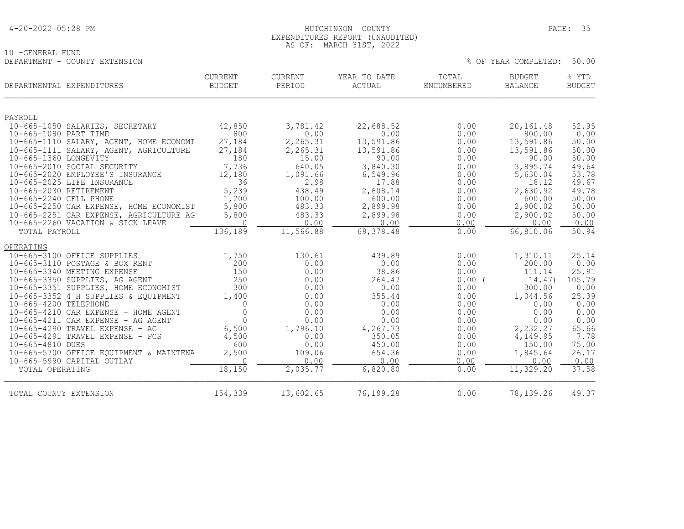10 -GENERAL FUND

### HUTCHINSON COUNTY PAGE: 35 EXPENDITURES REPORT (UNAUDITED) AS OF: MARCH 31ST, 2022

| DEPARTMENT - COUNTY EXTENSION                                          |                                 |                   |                                 |                     | % OF YEAR COMPLETED:            | 50.00                  |
|------------------------------------------------------------------------|---------------------------------|-------------------|---------------------------------|---------------------|---------------------------------|------------------------|
| DEPARTMENTAL EXPENDITURES                                              | <b>CURRENT</b><br><b>BUDGET</b> | CURRENT<br>PERIOD | YEAR TO DATE<br>$\verb ACTUAL $ | TOTAL<br>ENCUMBERED | <b>BUDGET</b><br><b>BALANCE</b> | % YTD<br><b>BUDGET</b> |
| PAYROLL                                                                |                                 |                   |                                 |                     |                                 |                        |
| 10-665-1050 SALARIES, SECRETARY                                        | 42,850                          | 3,781.42          | 22,688.52                       | 0.00                | 20, 161.48                      | 52.95                  |
| 10-665-1080 PART TIME                                                  | 800                             | 0.00              | 0.00                            | 0.00                | 800.00                          | 0.00                   |
| 10-665-1110 SALARY, AGENT, HOME ECONOMI                                | 27,184                          | 2,265.31          | 13,591.86                       | 0.00                | 13,591.86                       | 50.00                  |
| 10-665-1111 SALARY, AGENT, AGRICULTURE                                 | 27,184                          | 2,265.31          | 13,591.86                       | 0.00                | 13,591.86                       | 50.00                  |
| 10-665-1360 LONGEVITY<br>10-665-2010 SOCIAL SECURITY                   | 180<br>7,736                    | 15.00<br>640.05   | 90.00<br>3,840.30               | 0.00<br>0.00        | 90.00<br>3,895.74               | 50.00<br>49.64         |
| 10-665-2020 EMPLOYEE'S INSURANCE                                       | 12,180                          | 1,091.66          | 6,549.96                        | 0.00                | 5,630.04                        | 53.78                  |
| 10-665-2025 LIFE INSURANCE                                             | 36                              | 2.98              | 17.88                           | 0.00                | 18.12                           | 49.67                  |
| 10-665-2030 RETIREMENT                                                 | 5,239                           | 438.49            | 2,608.14                        | 0.00                | 2,630.92                        | 49.78                  |
| 10-665-2240 CELL PHONE                                                 | 1,200                           | 100.00            | 600.00                          | 0.00                | 600.00                          | 50.00                  |
| 10-665-2250 CAR EXPENSE, HOME ECONOMIST                                | 5,800                           | 483.33            | 2,899.98                        | 0.00                | 2,900.02                        | 50.00                  |
| 10-665-2251 CAR EXPENSE, AGRICULTURE AG                                | 5,800                           | 483.33            | 2,899.98                        | 0.00                | 2,900.02                        | 50.00                  |
| 10-665-2260 VACATION & SICK LEAVE                                      | $\Omega$<br>136,189             | 0.00              | 0.00<br>69,378.48               | 0.00                | 0.00                            | 0.00                   |
| TOTAL PAYROLL                                                          |                                 | 11,566.88         |                                 | 0.00                | 66,810.06                       | 50.94                  |
| OPERATING                                                              |                                 |                   |                                 |                     |                                 |                        |
| 10-665-3100 OFFICE SUPPLIES                                            | 1,750                           | 130.61            | 439.89                          | 0.00                | 1,310.11                        | 25.14                  |
| 10-665-3110 POSTAGE & BOX RENT                                         | 200                             | 0.00              | 0.00                            | 0.00                | 200.00                          | 0.00                   |
| 10-665-3340 MEETING EXPENSE                                            | 150                             | 0.00              | 38.86                           | 0.00                | 111.14                          | 25.91                  |
| 10-665-3350 SUPPLIES, AG AGENT<br>10-665-3351 SUPPLIES, HOME ECONOMIST | 250<br>300                      | 0.00<br>0.00      | 264.47<br>0.00                  | $0.00$ (<br>0.00    | 14.47)<br>300.00                | 105.79<br>0.00         |
| 10-665-3352 4 H SUPPLIES & EQUIPMENT                                   | 1,400                           | 0.00              | 355.44                          | 0.00                | 1,044.56                        | 25.39                  |
| 10-665-4200 TELEPHONE                                                  | $\Omega$                        | 0.00              | 0.00                            | 0.00                | 0.00                            | 0.00                   |
| 10-665-4210 CAR EXPENSE - HOME AGENT                                   | $\overline{0}$                  | 0.00              | 0.00                            | 0.00                | 0.00                            | 0.00                   |
| 10-665-4211 CAR EXPENSE - AG AGENT                                     | $\Omega$                        | 0.00              | 0.00                            | 0.00                | 0.00                            | 0.00                   |
| 10-665-4290 TRAVEL EXPENSE - AG                                        | 6,500                           | 1,796.10          | 4,267.73                        | 0.00                | 2,232.27                        | 65.66                  |
| $10-665-4291$ TRAVEL EXPENSE - FCS                                     | 4,500                           | 0.00              | 350.05                          | 0.00                | 4,149.95                        | 7.78                   |
| 10-665-4810 DUES                                                       | 600                             | 0.00              | 450.00                          | 0.00                | 150.00                          | 75.00                  |
| 10-665-5700 OFFICE EQUIPMENT & MAINTENA<br>10-665-5990 CAPITAL OUTLAY  | 2,500<br>$\cap$                 | 109.06<br>0.00    | 654.36<br>0.00                  | 0.00<br>0.00        | 1,845.64<br>0.00                | 26.17<br>0.00          |
| TOTAL OPERATING                                                        | 18,150                          | 2,035.77          | 6,820.80                        | 0.00                | 11,329.20                       | 37.58                  |
| TOTAL COUNTY EXTENSION                                                 | 154,339                         | 13,602.65         | 76,199.28                       | 0.00                | 78,139.26                       | 49.37                  |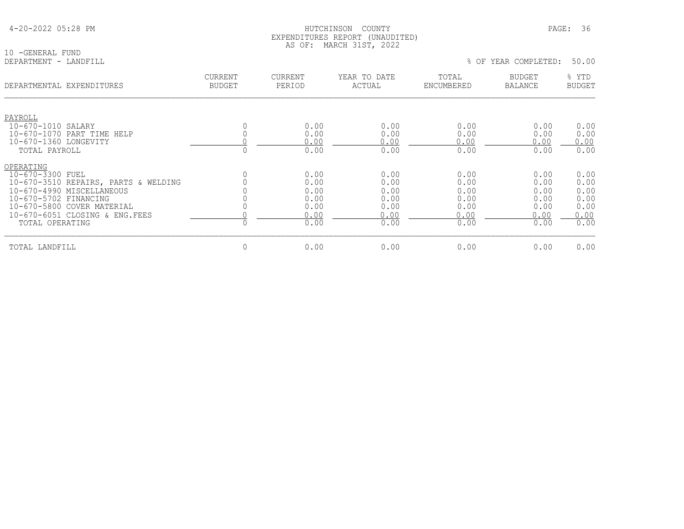| 4-20-2022 05:28 PM |  |  |
|--------------------|--|--|
|--------------------|--|--|

10 -GENERAL FUND<br>DEPARTMENT - LANDFILL

### HUTCHINSON COUNTY PAGE: 36 EXPENDITURES REPORT (UNAUDITED) AS OF: MARCH 31ST, 2022

| DEPARTMENTAL EXPENDITURES                                                                                                                                                                                       | <b>CURRENT</b><br><b>BUDGET</b> | <b>CURRENT</b><br>PERIOD                             | YEAR TO DATE<br>ACTUAL                               | TOTAL<br>ENCUMBERED                                  | <b>BUDGET</b><br><b>BALANCE</b>                      | % YTD<br><b>BUDGET</b>                               |
|-----------------------------------------------------------------------------------------------------------------------------------------------------------------------------------------------------------------|---------------------------------|------------------------------------------------------|------------------------------------------------------|------------------------------------------------------|------------------------------------------------------|------------------------------------------------------|
| PAYROLL<br>10-670-1010 SALARY<br>10-670-1070 PART TIME HELP<br>10-670-1360 LONGEVITY                                                                                                                            |                                 | 0.00<br>0.00<br>0.00                                 | 0.00<br>0.00<br>0.00                                 | 0.00<br>0.00<br>0.00                                 | 0.00<br>0.00<br>0.00                                 | 0.00<br>0.00<br>0.00                                 |
| TOTAL PAYROLL                                                                                                                                                                                                   |                                 | 0.00                                                 | 0.00                                                 | 0.00                                                 | 0.00                                                 | 0.00                                                 |
| OPERATING<br>10-670-3300 FUEL<br>10-670-3510 REPAIRS, PARTS & WELDING<br>10-670-4990 MISCELLANEOUS<br>10-670-5702 FINANCING<br>10-670-5800 COVER MATERIAL<br>10-670-6051 CLOSING & ENG. FEES<br>TOTAL OPERATING |                                 | 0.00<br>0.00<br>0.00<br>0.00<br>0.00<br>0.00<br>0.00 | 0.00<br>0.00<br>0.00<br>0.00<br>0.00<br>0.00<br>0.00 | 0.00<br>0.00<br>0.00<br>0.00<br>0.00<br>0.00<br>0.00 | 0.00<br>0.00<br>0.00<br>0.00<br>0.00<br>0.00<br>0.00 | 0.00<br>0.00<br>0.00<br>0.00<br>0.00<br>0.00<br>0.00 |
| TOTAL LANDFILL                                                                                                                                                                                                  | $\mathbf{0}$                    | 0.00                                                 | 0.00                                                 | 0.00                                                 | 0.00                                                 | 0.00                                                 |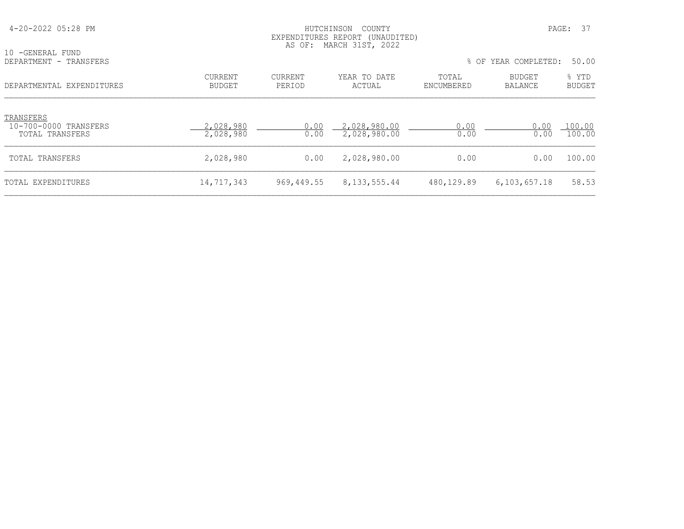| 4-20-2022 05:28 PM                                    |                        | HUTCHINSON<br>EXPENDITURES REPORT (UNAUDITED)<br>AS OF: MARCH 31ST, 2022 |                              | PAGE: 37            |                          |                        |
|-------------------------------------------------------|------------------------|--------------------------------------------------------------------------|------------------------------|---------------------|--------------------------|------------------------|
| 10 -GENERAL FUND<br>DEPARTMENT - TRANSFERS            |                        |                                                                          |                              |                     | % OF YEAR COMPLETED:     | 50.00                  |
| DEPARTMENTAL EXPENDITURES                             | CURRENT<br>BUDGET      | CURRENT<br>PERIOD                                                        | YEAR TO DATE<br>ACTUAL       | TOTAL<br>ENCUMBERED | BUDGET<br><b>BALANCE</b> | % YTD<br><b>BUDGET</b> |
| TRANSFERS<br>10-700-0000 TRANSFERS<br>TOTAL TRANSFERS | 2,028,980<br>2,028,980 | 0.00<br>0.00                                                             | 2,028,980.00<br>2,028,980.00 | 0.00<br>0.00        | 0.00<br>0.00             | 100.00<br>100.00       |
| TOTAL TRANSFERS                                       | 2,028,980              | 0.00                                                                     | 2,028,980.00                 | 0.00                | 0.00                     | 100.00                 |
| TOTAL EXPENDITURES                                    | 14,717,343             | 969,449.55                                                               | 8, 133, 555.44               | 480,129.89          | 6, 103, 657.18           | 58.53                  |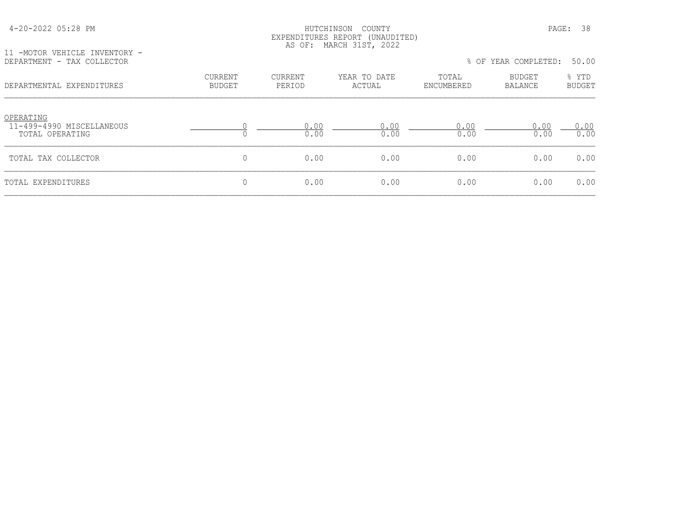| 4-20-2022 05:28 PM |
|--------------------|
|--------------------|

### HUTCHINSON COUNTY PAGE: 38 EXPENDITURES REPORT (UNAUDITED) AS OF: MARCH 31ST, 2022

11 -MOTOR VEHICLE INVENTORY -

| DEPARTMENT - TAX COLLECTOR                                |                          |                          |                        |                     | % OF YEAR COMPLETED:     | 50.00                  |
|-----------------------------------------------------------|--------------------------|--------------------------|------------------------|---------------------|--------------------------|------------------------|
| DEPARTMENTAL EXPENDITURES                                 | CURRENT<br><b>BUDGET</b> | <b>CURRENT</b><br>PERIOD | YEAR TO DATE<br>ACTUAL | TOTAL<br>ENCUMBERED | BUDGET<br><b>BALANCE</b> | % YTD<br><b>BUDGET</b> |
| OPERATING<br>11-499-4990 MISCELLANEOUS<br>TOTAL OPERATING |                          | 0.00<br>0.00             | 0.00<br>0.00           | 0.00<br>0.00        | 0.00<br>0.00             | 0.00<br>0.00           |
| TOTAL TAX COLLECTOR                                       | 0                        | 0.00                     | 0.00                   | 0.00                | 0.00                     | 0.00                   |
| TOTAL EXPENDITURES                                        | 0                        | 0.00                     | 0.00                   | 0.00                | 0.00                     | 0.00                   |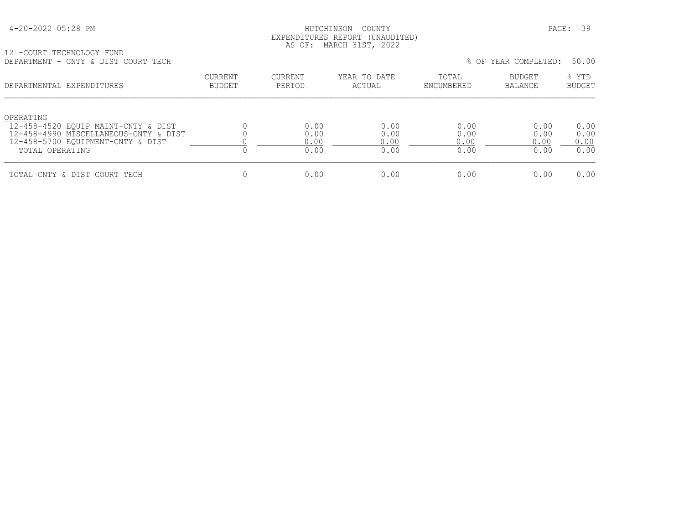## HUTCHINSON COUNTY PAGE: 39 EXPENDITURES REPORT (UNAUDITED) AS OF: MARCH 31ST, 2022

12 -COURT TECHNOLOGY FUND DEPARTMENT - CNTY & DIST COURT TECH % OF YEAR COMPLETED: 50.00

| णामारारामानार<br>CITLE & DIDI COONI ILCH                                                                                                          |                   |                              |                              |                              | 0 OL ILIN CONILILILU         | .                            |
|---------------------------------------------------------------------------------------------------------------------------------------------------|-------------------|------------------------------|------------------------------|------------------------------|------------------------------|------------------------------|
| DEPARTMENTAL EXPENDITURES                                                                                                                         | CURRENT<br>BUDGET | CURRENT<br>PERIOD            | YEAR TO DATE<br>ACTUAL       | TOTAL<br>ENCUMBERED          | <b>BUDGET</b><br>BALANCE     | % YTD<br><b>BUDGET</b>       |
| OPERATING<br>12-458-4520 EOUIP MAINT-CNTY & DIST<br>12-458-4990 MISCELLANEOUS-CNTY & DIST<br>12-458-5700 EQUIPMENT-CNTY & DIST<br>TOTAL OPERATING |                   | 0.00<br>0.00<br>0.00<br>0.00 | 0.00<br>0.00<br>0.00<br>0.00 | 0.00<br>0.00<br>0.00<br>0.00 | 0.00<br>0.00<br>0.00<br>0.00 | 0.00<br>0.00<br>0.00<br>0.00 |
| TOTAL CNTY & DIST COURT TECH                                                                                                                      |                   | 0.00                         | 0.00                         | 0.00                         | 0.00                         | 0.00                         |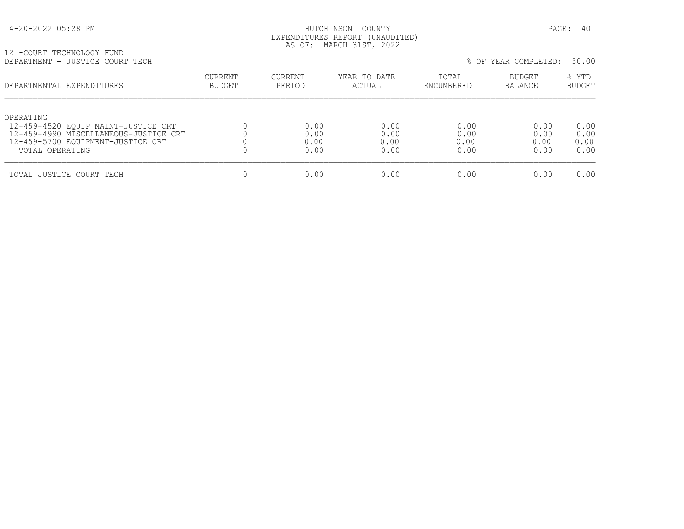## HUTCHINSON COUNTY PAGE: 40 EXPENDITURES REPORT (UNAUDITED) AS OF: MARCH 31ST, 2022

|  | 12 -COURT TECHNOLOGY FUND       |  |
|--|---------------------------------|--|
|  | DEPARTMENT - JUSTICE COURT TECH |  |

| DEPARTMENT - JUSTICE COURT TECH                                                                                                                   |                          |                              |                              |                              | % OF YEAR COMPLETED:         | 50.00                        |
|---------------------------------------------------------------------------------------------------------------------------------------------------|--------------------------|------------------------------|------------------------------|------------------------------|------------------------------|------------------------------|
| DEPARTMENTAL EXPENDITURES                                                                                                                         | <b>CURRENT</b><br>BUDGET | <b>CURRENT</b><br>PERIOD     | YEAR TO DATE<br>ACTUAL       | TOTAL<br>ENCUMBERED          | BUDGET<br>BALANCE            | % YTD<br><b>BUDGET</b>       |
| OPERATING<br>12-459-4520 EOUIP MAINT-JUSTICE CRT<br>12-459-4990 MISCELLANEOUS-JUSTICE CRT<br>12-459-5700 EQUIPMENT-JUSTICE CRT<br>TOTAL OPERATING |                          | 0.00<br>0.00<br>0.00<br>0.00 | 0.00<br>0.00<br>0.00<br>0.00 | 0.00<br>0.00<br>0.00<br>0.00 | 0.00<br>0.00<br>0.00<br>0.00 | 0.00<br>0.00<br>0.00<br>0.00 |
| TOTAL JUSTICE COURT TECH                                                                                                                          |                          | 0.00                         | 0.00                         | 0.00                         | 0.00                         | 0.00                         |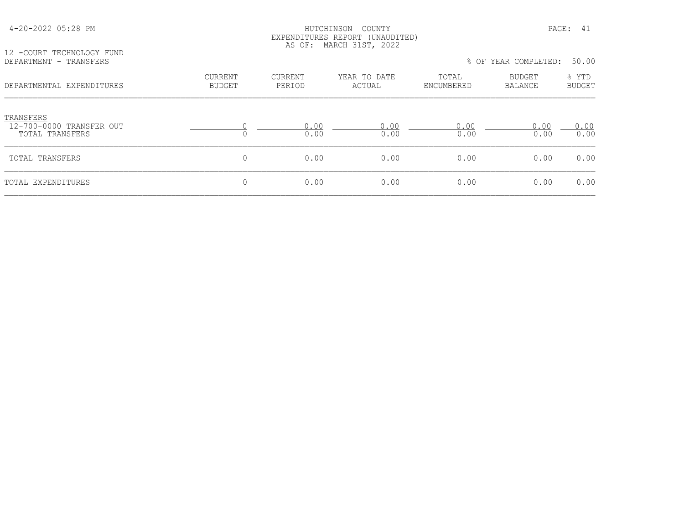| 12 -COURT TECHNOLOGY FUND<br>DEPARTMENT - TRANSFERS      | EXPENDITURES REPORT (UNAUDITED)<br>AS OF: MARCH 31ST, 2022<br>% OF YEAR COMPLETED: |                   |                        |                     |                          |                                 |  |
|----------------------------------------------------------|------------------------------------------------------------------------------------|-------------------|------------------------|---------------------|--------------------------|---------------------------------|--|
| DEPARTMENTAL EXPENDITURES                                | <b>CURRENT</b><br><b>BUDGET</b>                                                    | CURRENT<br>PERIOD | YEAR TO DATE<br>ACTUAL | TOTAL<br>ENCUMBERED | BUDGET<br><b>BALANCE</b> | 50.00<br>% YTD<br><b>BUDGET</b> |  |
| TRANSFERS<br>12-700-0000 TRANSFER OUT<br>TOTAL TRANSFERS | $\Omega$                                                                           | 0.00<br>0.00      | 0.00<br>0.00           | 0.00<br>0.00        | 0.00<br>0.00             | 0.00<br>0.00                    |  |
| TOTAL TRANSFERS                                          | $\mathbf 0$                                                                        | 0.00              | 0.00                   | 0.00                | 0.00                     | 0.00                            |  |
| TOTAL EXPENDITURES                                       | $\mathbf 0$                                                                        | 0.00              | 0.00                   | 0.00                | 0.00                     | 0.00                            |  |

4-20-2022 05:28 PM HUTCHINSON COUNTY PAGE: 41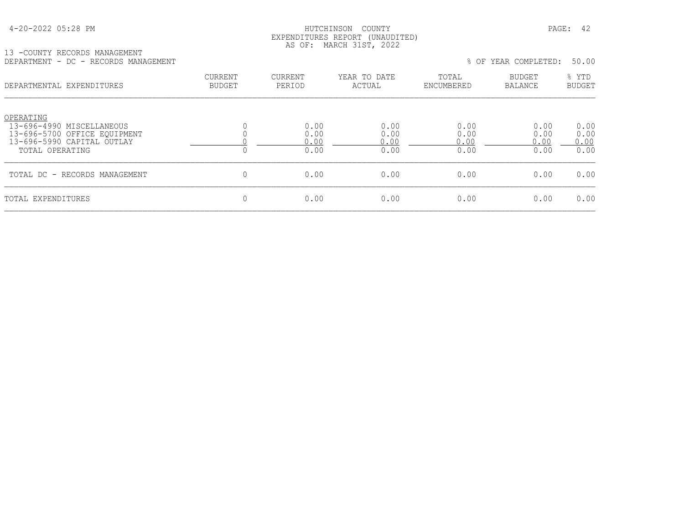### HUTCHINSON COUNTY PAGE: 42 EXPENDITURES REPORT (UNAUDITED) AS OF: MARCH 31ST, 2022

#### 13 -COUNTY RECORDS MANAGEMENT DEPARTMENT - DC - RECORDS MANAGEMENT % OF YEAR COMPLETED: 50.00

| --------------<br>1\1)VVI\DU 111\11\10111111\1                                                                          |                                 |                              |                              |                              | $\circ$ of think community.  | <u>JU.JU</u>                 |
|-------------------------------------------------------------------------------------------------------------------------|---------------------------------|------------------------------|------------------------------|------------------------------|------------------------------|------------------------------|
| DEPARTMENTAL EXPENDITURES                                                                                               | <b>CURRENT</b><br><b>BUDGET</b> | CURRENT<br>PERIOD            | YEAR TO DATE<br>ACTUAL       | TOTAL<br>ENCUMBERED          | BUDGET<br>BALANCE            | % YTD<br><b>BUDGET</b>       |
| OPERATING<br>13-696-4990 MISCELLANEOUS<br>13-696-5700 OFFICE EOUIPMENT<br>13-696-5990 CAPITAL OUTLAY<br>TOTAL OPERATING |                                 | 0.00<br>0.00<br>0.00<br>0.00 | 0.00<br>0.00<br>0.00<br>0.00 | 0.00<br>0.00<br>0.00<br>0.00 | 0.00<br>0.00<br>0.00<br>0.00 | 0.00<br>0.00<br>0.00<br>0.00 |
| TOTAL DC - RECORDS MANAGEMENT                                                                                           |                                 | 0.00                         | 0.00                         | 0.00                         | 0.00                         | 0.00                         |
| TOTAL EXPENDITURES                                                                                                      |                                 | 0.00                         | 0.00                         | 0.00                         | 0.00                         | 0.00                         |
|                                                                                                                         |                                 |                              |                              |                              |                              |                              |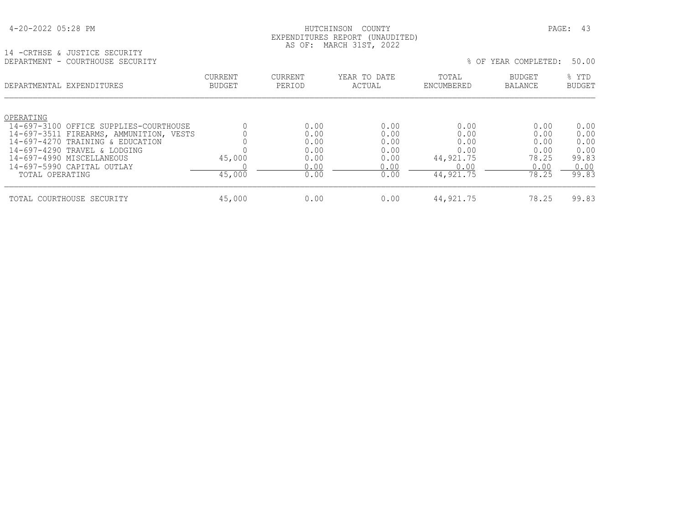## HUTCHINSON COUNTY PAGE: 43 EXPENDITURES REPORT (UNAUDITED) AS OF: MARCH 31ST, 2022

14 -CRTHSE & JUSTICE SECURITY

| DEPARTMENT - COURTHOUSE SECURITY                                                  |                                 |                   |                        |                     | % OF YEAR COMPLETED: | 50.00                  |
|-----------------------------------------------------------------------------------|---------------------------------|-------------------|------------------------|---------------------|----------------------|------------------------|
| DEPARTMENTAL EXPENDITURES                                                         | <b>CURRENT</b><br><b>BUDGET</b> | CURRENT<br>PERIOD | YEAR TO DATE<br>ACTUAL | TOTAL<br>ENCUMBERED | BUDGET<br>BALANCE    | % YTD<br><b>BUDGET</b> |
| OPERATING                                                                         |                                 | 0.00              | 0.00                   | 0.00                | 0.00                 | 0.00                   |
| 14-697-3100 OFFICE SUPPLIES-COURTHOUSE<br>14-697-3511 FIREARMS, AMMUNITION, VESTS |                                 | 0.00              | 0.00                   | 0.00                | 0.00                 | 0.00                   |
| 14-697-4270 TRAINING & EDUCATION                                                  |                                 | 0.00              | 0.00                   | 0.00                | 0.00                 | 0.00                   |
| 14-697-4290 TRAVEL & LODGING                                                      |                                 | 0.00              | 0.00                   | 0.00                | 0.00                 | 0.00                   |
| 14-697-4990 MISCELLANEOUS                                                         | 45,000                          | 0.00              | 0.00                   | 44,921.75           | 78.25                | 99.83                  |
| 14-697-5990 CAPITAL OUTLAY                                                        |                                 | 0.00              | 0.00                   | 0.00                | 0.00                 | 0.00                   |
| TOTAL OPERATING                                                                   | 45,000                          | 0.00              | 0.00                   | 44, 921.75          | 78.25                | 99.83                  |
| TOTAL COURTHOUSE SECURITY                                                         | 45,000                          | 0.00              | 0.00                   | 44,921.75           | 78.25                | 99.83                  |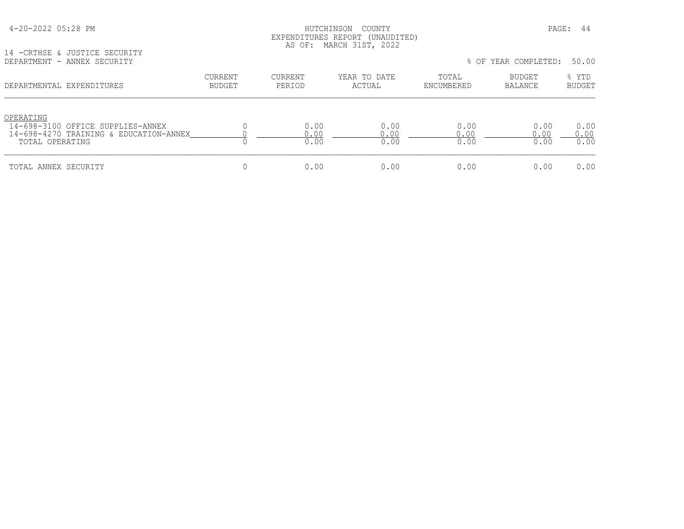## HUTCHINSON COUNTY PAGE: 44 EXPENDITURES REPORT (UNAUDITED) AS OF: MARCH 31ST, 2022

14 -CRTHSE & JUSTICE SECURITY

| $\ldots \qquad \qquad \ldots \qquad \qquad \qquad \ldots \qquad \qquad \ldots \qquad \qquad \ldots \qquad \qquad \ldots \qquad \qquad \ldots \qquad \qquad \ldots \qquad \qquad \ldots \qquad \qquad \ldots \qquad \qquad \ldots \qquad \qquad \ldots \qquad \qquad \ldots \qquad \qquad \ldots \qquad \qquad \ldots \qquad \qquad \ldots \qquad \qquad \ldots \qquad \qquad \ldots \qquad \qquad \ldots \qquad \qquad \ldots \qquad \qquad \ldots \qquad \qquad \ldots \qquad \qquad \ldots \qquad \qquad \ldots \qquad \qquad \$<br>DEPARTMENT - ANNEX SECURITY |                          |                     |                        |                      | % OF YEAR COMPLETED: | 50.00                  |
|-------------------------------------------------------------------------------------------------------------------------------------------------------------------------------------------------------------------------------------------------------------------------------------------------------------------------------------------------------------------------------------------------------------------------------------------------------------------------------------------------------------------------------------------------------------------|--------------------------|---------------------|------------------------|----------------------|----------------------|------------------------|
| DEPARTMENTAL EXPENDITURES                                                                                                                                                                                                                                                                                                                                                                                                                                                                                                                                         | <b>CURRENT</b><br>BUDGET | CURRENT<br>PERIOD   | YEAR TO DATE<br>ACTUAL | TOTAL<br>ENCUMBERED  | BUDGET<br>BALANCE    | % YTD<br><b>BUDGET</b> |
| OPERATING<br>14-698-3100 OFFICE SUPPLIES-ANNEX<br>14-698-4270 TRAINING & EDUCATION-ANNEX<br>TOTAL OPERATING                                                                                                                                                                                                                                                                                                                                                                                                                                                       |                          | 0.00<br>.00<br>0.00 | 0.00<br>0.00<br>0.00   | 0.00<br>0.00<br>0.00 | 0.00<br>0.00<br>0.00 | 0.00<br>0.00<br>0.00   |
| TOTAL ANNEX SECURITY                                                                                                                                                                                                                                                                                                                                                                                                                                                                                                                                              |                          | 0.00                | 0.00                   | 0.00                 | 0.00                 | 0.00                   |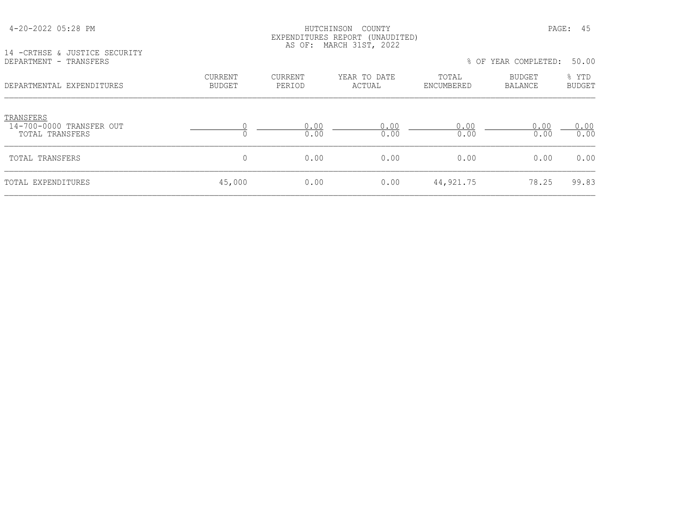### HUTCHINSON COUNTY PAGE: 45 EXPENDITURES REPORT (UNAUDITED) AS OF: MARCH 31ST, 2022

14 -CRTHSE & JUSTICE SECURITY<br>DEPARTMENT - TRANSFERS

| DEPARTMENT - TRANSFERS                                   |                          |                   |                        |                     | % OF YEAR COMPLETED:     | 50.00                  |
|----------------------------------------------------------|--------------------------|-------------------|------------------------|---------------------|--------------------------|------------------------|
| DEPARTMENTAL EXPENDITURES                                | <b>CURRENT</b><br>BUDGET | CURRENT<br>PERIOD | YEAR TO DATE<br>ACTUAL | TOTAL<br>ENCUMBERED | <b>BUDGET</b><br>BALANCE | % YTD<br><b>BUDGET</b> |
| TRANSFERS<br>14-700-0000 TRANSFER OUT<br>TOTAL TRANSFERS |                          | 0.00<br>0.00      | 0.00<br>0.00           | 0.00<br>0.00        | 0.00<br>0.00             | 0.00<br>0.00           |
| TOTAL TRANSFERS                                          |                          | 0.00              | 0.00                   | 0.00                | 0.00                     | 0.00                   |
| TOTAL EXPENDITURES                                       | 45,000                   | 0.00              | 0.00                   | 44,921.75           | 78.25                    | 99.83                  |
|                                                          |                          |                   |                        |                     |                          |                        |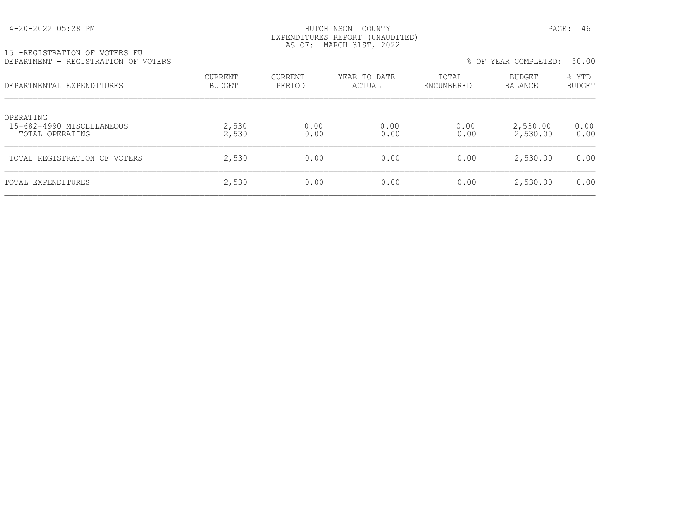### HUTCHINSON COUNTY PAGE: 46 EXPENDITURES REPORT (UNAUDITED) AS OF: MARCH 31ST, 2022

|                                 |                   |                        |                     |                                 | 50.00                  |
|---------------------------------|-------------------|------------------------|---------------------|---------------------------------|------------------------|
| <b>CURRENT</b><br><b>BUDGET</b> | CURRENT<br>PERIOD | YEAR TO DATE<br>ACTUAL | TOTAL<br>ENCUMBERED | <b>BUDGET</b><br><b>BALANCE</b> | % YTD<br><b>BUDGET</b> |
| 2,530<br>2,530                  | 0.00<br>0.00      | 0.00<br>0.00           | 0.00<br>0.00        | 2,530.00<br>2,530.00            | 0.00<br>0.00           |
| 2,530                           | 0.00              | 0.00                   | 0.00                | 2,530.00                        | 0.00                   |
|                                 |                   |                        |                     |                                 | % OF YEAR COMPLETED:   |

TOTAL EXPENDITURES 2,530 0.00 0.00 0.00 2,530.00 0.00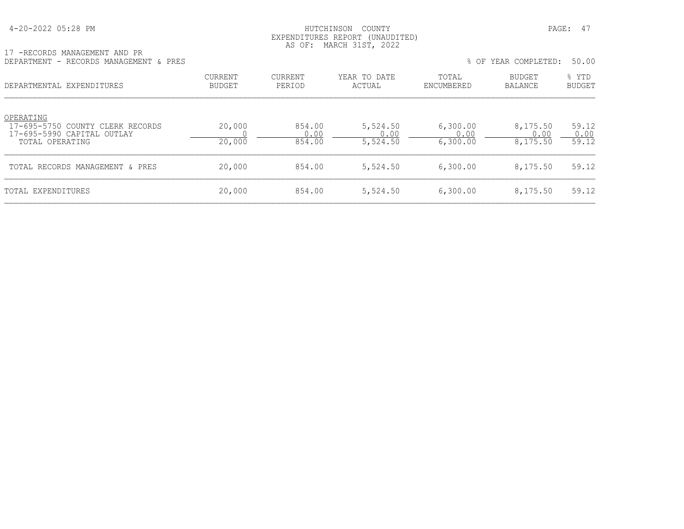17 -RECORDS MANAGEMENT AND PR

# 4-20-2022 05:28 PM HUTCHINSON COUNTY PAGE: 47 EXPENDITURES REPORT (UNAUDITED) AS OF: MARCH 31ST, 2022

| DEPARTMENT - RECORDS MANAGEMENT & PRES                                                         |                          |                          |                              |                              | % OF YEAR COMPLETED:         | 50.00                  |
|------------------------------------------------------------------------------------------------|--------------------------|--------------------------|------------------------------|------------------------------|------------------------------|------------------------|
| DEPARTMENTAL EXPENDITURES                                                                      | <b>CURRENT</b><br>BUDGET | <b>CURRENT</b><br>PERIOD | YEAR TO DATE<br>ACTUAL       | TOTAL<br>ENCUMBERED          | BUDGET<br>BALANCE            | % YTD<br><b>BUDGET</b> |
| OPERATING<br>17-695-5750 COUNTY CLERK RECORDS<br>17-695-5990 CAPITAL OUTLAY<br>TOTAL OPERATING | 20,000<br>20,000         | 854.00<br>0.00<br>854.00 | 5,524.50<br>0.00<br>5,524.50 | 6,300.00<br>0.00<br>6,300.00 | 8,175.50<br>0.00<br>8,175.50 | 59.12<br>0.00<br>59.12 |
| TOTAL RECORDS MANAGEMENT & PRES                                                                | 20,000                   | 854.00                   | 5,524.50                     | 6,300.00                     | 8,175.50                     | 59.12                  |
| TOTAL EXPENDITURES                                                                             | 20,000                   | 854.00                   | 5,524.50                     | 6,300.00                     | 8,175.50                     | 59.12                  |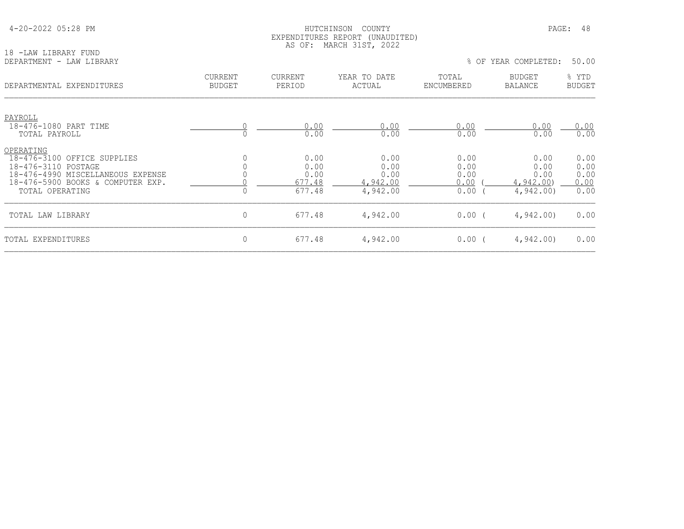| 4-20-2022 05:28 PM |  |  |
|--------------------|--|--|
|--------------------|--|--|

## HUTCHINSON COUNTY PAGE: 48 EXPENDITURES REPORT (UNAUDITED) AS OF: MARCH 31ST, 2022

| 18 -LAW LIBRARY FUND<br>DEPARTMENT - LAW LIBRARY                                                                                                             |                                 |                                          |                                              |                                      | % OF YEAR COMPLETED:                         | 50.00                                |
|--------------------------------------------------------------------------------------------------------------------------------------------------------------|---------------------------------|------------------------------------------|----------------------------------------------|--------------------------------------|----------------------------------------------|--------------------------------------|
|                                                                                                                                                              |                                 |                                          |                                              |                                      |                                              |                                      |
| DEPARTMENTAL EXPENDITURES                                                                                                                                    | <b>CURRENT</b><br><b>BUDGET</b> | CURRENT<br>PERIOD                        | YEAR TO DATE<br>ACTUAL                       | TOTAL<br>ENCUMBERED                  | <b>BUDGET</b><br><b>BALANCE</b>              | % YTD<br><b>BUDGET</b>               |
| PAYROLL                                                                                                                                                      |                                 |                                          |                                              |                                      |                                              |                                      |
| 18-476-1080 PART TIME<br>TOTAL PAYROLL                                                                                                                       |                                 | 0.00<br>0.00                             | 0.00<br>0.00                                 | 0.00<br>0.00                         | 0.00<br>0.00                                 | 0.00<br>0.00                         |
| OPERATING<br>18-476-3100 OFFICE SUPPLIES<br>18-476-3110 POSTAGE<br>18-476-4990 MISCELLANEOUS EXPENSE<br>18-476-5900 BOOKS & COMPUTER EXP.<br>TOTAL OPERATING |                                 | 0.00<br>0.00<br>0.00<br>677.48<br>677.48 | 0.00<br>0.00<br>0.00<br>4,942.00<br>4,942.00 | 0.00<br>0.00<br>0.00<br>0.00<br>0.00 | 0.00<br>0.00<br>0.00<br>4,942,00<br>4,942.00 | 0.00<br>0.00<br>0.00<br>0.00<br>0.00 |
| TOTAL LAW LIBRARY                                                                                                                                            | $\mathsf{O}\xspace$             | 677.48                                   | 4,942.00                                     | 0.00(                                | 4,942.00                                     | 0.00                                 |
| TOTAL EXPENDITURES                                                                                                                                           | $\circ$                         | 677.48                                   | 4,942.00                                     | 0.00(                                | 4,942.00                                     | 0.00                                 |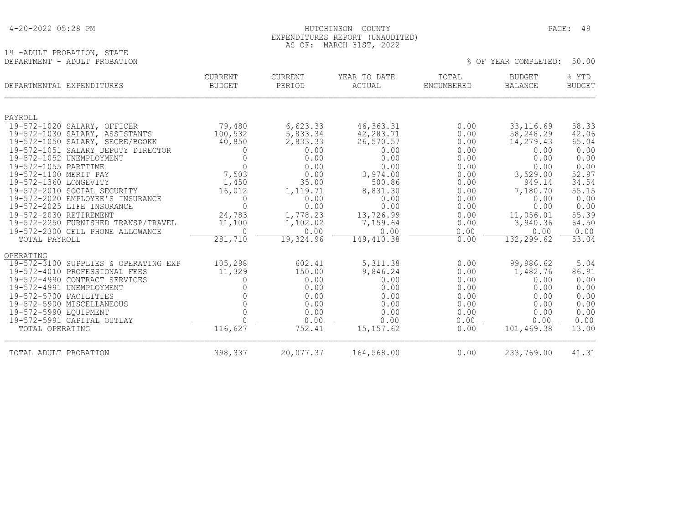| 4-20-2022 05:28 PM |
|--------------------|
|--------------------|

19 -ADULT PROBATION, STATE<br>DEPARTMENT - ADULT PROBATION

### HUTCHINSON COUNTY PAGE: 49 EXPENDITURES REPORT (UNAUDITED) AS OF: MARCH 31ST, 2022

% OF YEAR COMPLETED: 50.00

| DEPARTMENTAL EXPENDITURES |                                                                | <b>CURRENT</b><br><b>BUDGET</b> | <b>CURRENT</b><br>PERIOD | YEAR TO DATE<br>ACTUAL | TOTAL<br>ENCUMBERED | <b>BUDGET</b><br><b>BALANCE</b> | % YTD<br><b>BUDGET</b> |
|---------------------------|----------------------------------------------------------------|---------------------------------|--------------------------|------------------------|---------------------|---------------------------------|------------------------|
|                           |                                                                |                                 |                          |                        |                     |                                 |                        |
| PAYROLL                   |                                                                |                                 |                          |                        |                     |                                 |                        |
|                           | 19-572-1020 SALARY, OFFICER                                    | 79,480                          | 6,623.33                 | 46, 363. 31            | 0.00                | 33, 116.69                      | 58.33                  |
|                           | 19-572-1030 SALARY, ASSISTANTS                                 | 100,532                         | 5,833.34                 | 42,283.71              | 0.00                | 58,248.29                       | 42.06                  |
|                           | 19-572-1050 SALARY, SECRE/BOOKK                                | 40,850                          | 2,833.33                 | 26,570.57              | 0.00                | 14,279.43                       | 65.04                  |
|                           | 19-572-1051 SALARY DEPUTY DIRECTOR                             | 0                               | 0.00                     | 0.00                   | 0.00                | 0.00                            | 0.00                   |
|                           | 19-572-1052 UNEMPLOYMENT                                       | $\Omega$                        | 0.00                     | 0.00                   | 0.00                | 0.00                            | 0.00                   |
| 19-572-1055 PARTTIME      |                                                                | $\Omega$                        | 0.00                     | 0.00                   | 0.00                | 0.00                            | 0.00                   |
| 19-572-1100 MERIT PAY     |                                                                | 7,503                           | 0.00                     | 3,974.00               | 0.00                | 3,529.00                        | 52.97                  |
| 19-572-1360 LONGEVITY     |                                                                | 1,450                           | 35.00                    | 500.86                 | 0.00                | 949.14                          | 34.54                  |
|                           | 19-572-2010 SOCIAL SECURITY                                    | 16,012                          | 1,119.71                 | 8,831.30               | 0.00                | 7,180.70                        | 55.15                  |
|                           | 19-572-2020 EMPLOYEE'S INSURANCE<br>19-572-2025 LIFE INSURANCE | 0<br>$\Omega$                   | 0.00                     | 0.00                   | 0.00                | 0.00                            | 0.00                   |
|                           |                                                                |                                 | 0.00                     | 0.00                   | 0.00                | 0.00                            | 0.00                   |
| 19-572-2030 RETIREMENT    | 19-572-2250 FURNISHED TRANSP/TRAVEL                            | 24,783                          | 1,778.23                 | 13,726.99<br>7,159.64  | 0.00                | 11,056.01<br>3,940.36           | 55.39<br>64.50         |
|                           | 19-572-2300 CELL PHONE ALLOWANCE                               | 11,100                          | 1,102.02<br>0.00         | 0.00                   | 0.00                | 0.00                            |                        |
| TOTAL PAYROLL             |                                                                | 281,710                         | 19,324.96                | 149, 410.38            | 0.00<br>0.00        | 132, 299.62                     | 0.00<br>53.04          |
|                           |                                                                |                                 |                          |                        |                     |                                 |                        |
| OPERATING                 |                                                                |                                 |                          |                        |                     |                                 |                        |
| 19-572-3100               | SUPPLIES & OPERATING EXP                                       | 105,298                         | 602.41                   | 5, 311.38              | 0.00                | 99,986.62                       | 5.04                   |
|                           | 19-572-4010 PROFESSIONAL FEES                                  | 11,329                          | 150.00                   | 9,846.24               | 0.00                | 1,482.76                        | 86.91                  |
|                           | 19-572-4990 CONTRACT SERVICES                                  |                                 | 0.00                     | 0.00                   | 0.00                | 0.00                            | 0.00                   |
| 19-572-4991               | UNEMPLOYMENT                                                   |                                 | 0.00                     | 0.00                   | 0.00                | 0.00                            | 0.00                   |
| 19-572-5700 FACILITIES    |                                                                |                                 | 0.00                     | 0.00                   | 0.00                | 0.00                            | 0.00                   |
|                           | 19-572-5900 MISCELLANEOUS                                      |                                 | 0.00                     | 0.00                   | 0.00                | 0.00                            | 0.00                   |
| 19-572-5990 EOUIPMENT     |                                                                |                                 | 0.00                     | 0.00                   | 0.00                | 0.00                            | 0.00                   |
|                           | 19-572-5991 CAPITAL OUTLAY                                     |                                 | 0.00                     | 0.00                   | 0.00                | 0.00                            | 0.00                   |
| TOTAL OPERATING           |                                                                | 116,627                         | 752.41                   | 15, 157.62             | 0.00                | 101,469.38                      | 13.00                  |
| TOTAL ADULT PROBATION     |                                                                | 398,337                         | 20,077.37                | 164,568.00             | 0.00                | 233,769.00                      | 41.31                  |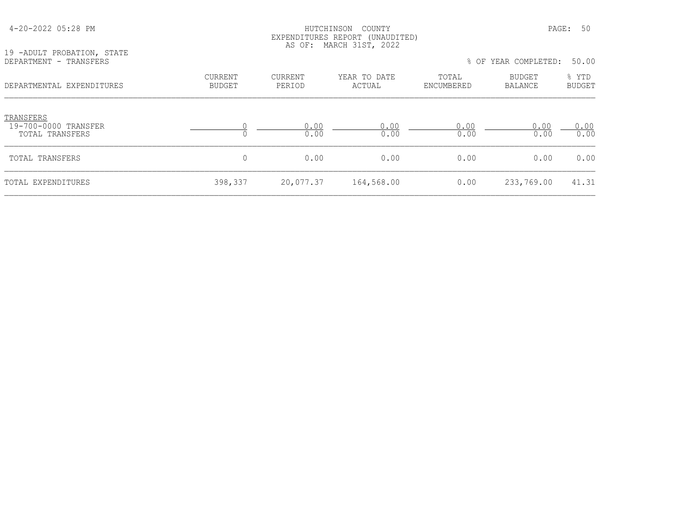|                                                      | EXPENDITURES REPORT (UNAUDITED)<br>MARCH 31ST, 2022<br>AS OF: |                          |                        |                     |                          |                        |  |  |
|------------------------------------------------------|---------------------------------------------------------------|--------------------------|------------------------|---------------------|--------------------------|------------------------|--|--|
| 19 -ADULT PROBATION, STATE<br>DEPARTMENT - TRANSFERS |                                                               |                          |                        |                     | % OF YEAR COMPLETED:     | 50.00                  |  |  |
| DEPARTMENTAL EXPENDITURES                            | <b>CURRENT</b><br><b>BUDGET</b>                               | <b>CURRENT</b><br>PERIOD | YEAR TO DATE<br>ACTUAL | TOTAL<br>ENCUMBERED | BUDGET<br><b>BALANCE</b> | % YTD<br><b>BUDGET</b> |  |  |
| TRANSFERS<br>19-700-0000 TRANSFER<br>TOTAL TRANSFERS |                                                               | 0.00<br>0.00             | 0.00<br>0.00           | 0.00<br>0.00        | 0.00<br>0.00             | 0.00<br>0.00           |  |  |
| TOTAL TRANSFERS                                      | $\circ$                                                       | 0.00                     | 0.00                   | 0.00                | 0.00                     | 0.00                   |  |  |
| TOTAL EXPENDITURES                                   | 398,337                                                       | 20,077.37                | 164,568.00             | 0.00                | 233,769.00               | 41.31                  |  |  |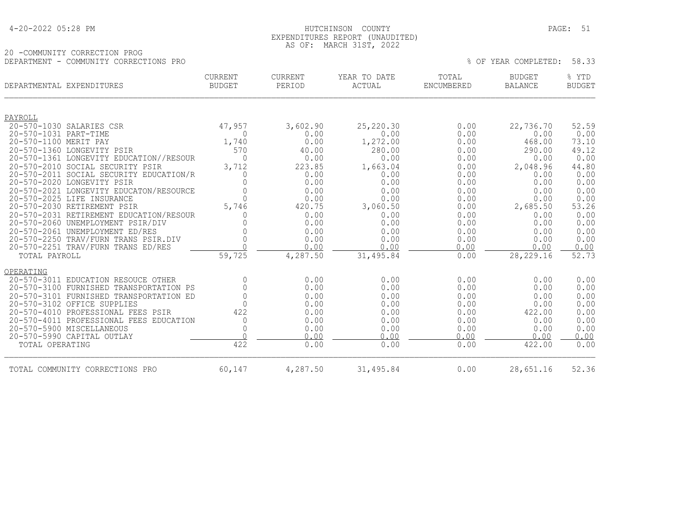| 4-20-2022 05:28 PM |
|--------------------|
|--------------------|

### HUTCHINSON COUNTY PAGE: 51 EXPENDITURES REPORT (UNAUDITED) AS OF: MARCH 31ST, 2022

## 20 -COMMUNITY CORRECTION PROG DEPARTMENT - COMMUNITY CORRECTIONS PRO % OF YEAR COMPLETED: 58.33

| DEPARTMENTAL EXPENDITURES |                                         | <b>CURRENT</b><br><b>CURRENT</b><br><b>BUDGET</b><br>PERIOD |          | YEAR TO DATE<br>ACTUAL | TOTAL<br><b>ENCUMBERED</b> | <b>BUDGET</b><br><b>BALANCE</b> | % YTD<br><b>BUDGET</b> |  |
|---------------------------|-----------------------------------------|-------------------------------------------------------------|----------|------------------------|----------------------------|---------------------------------|------------------------|--|
|                           |                                         |                                                             |          |                        |                            |                                 |                        |  |
| PAYROLL                   | 20-570-1030 SALARIES CSR                | 47,957                                                      | 3,602.90 | 25,220.30              | 0.00                       | 22,736.70                       | 52.59                  |  |
| 20-570-1031 PART-TIME     |                                         | 0                                                           | 0.00     | 0.00                   | 0.00                       | 0.00                            | 0.00                   |  |
| 20-570-1100 MERIT PAY     |                                         | 1,740                                                       | 0.00     | 1,272.00               | 0.00                       | 468.00                          | 73.10                  |  |
|                           | 20-570-1360 LONGEVITY PSIR              | 570                                                         | 40.00    | 280.00                 | 0.00                       | 290.00                          | 49.12                  |  |
|                           | 20-570-1361 LONGEVITY EDUCATION//RESOUR | $\Omega$                                                    | 0.00     | 0.00                   | 0.00                       | 0.00                            | 0.00                   |  |
|                           | 20-570-2010 SOCIAL SECURITY PSIR        | 3,712                                                       | 223.85   | 1,663.04               | 0.00                       | 2,048.96                        | 44.80                  |  |
|                           | 20-570-2011 SOCIAL SECURITY EDUCATION/R |                                                             | 0.00     | 0.00                   | 0.00                       | 0.00                            | 0.00                   |  |
|                           | 20-570-2020 LONGEVITY PSIR              |                                                             | 0.00     | 0.00                   | 0.00                       | 0.00                            | 0.00                   |  |
|                           | 20-570-2021 LONGEVITY EDUCATON/RESOURCE |                                                             | 0.00     | 0.00                   | 0.00                       | 0.00                            | 0.00                   |  |
|                           | 20-570-2025 LIFE INSURANCE              | $\Omega$                                                    | 0.00     | 0.00                   | 0.00                       | 0.00                            | 0.00                   |  |
|                           | 20-570-2030 RETIREMENT PSIR             | 5,746                                                       | 420.75   | 3,060.50               | 0.00                       | 2,685.50                        | 53.26                  |  |
|                           | 20-570-2031 RETIREMENT EDUCATION/RESOUR |                                                             | 0.00     | 0.00                   | 0.00                       | 0.00                            | 0.00                   |  |
|                           | 20-570-2060 UNEMPLOYMENT PSIR/DIV       |                                                             | 0.00     | 0.00                   | 0.00                       | 0.00                            | 0.00                   |  |
|                           | 20-570-2061 UNEMPLOYMENT ED/RES         |                                                             | 0.00     | 0.00                   | 0.00                       | 0.00                            | 0.00                   |  |
|                           | 20-570-2250 TRAV/FURN TRANS PSIR.DIV    |                                                             | 0.00     | 0.00                   | 0.00                       | 0.00                            | 0.00                   |  |
|                           | 20-570-2251 TRAV/FURN TRANS ED/RES      |                                                             | 0.00     | 0.00                   | 0.00                       | 0.00                            | 0.00                   |  |
| TOTAL PAYROLL             |                                         | 59,725                                                      | 4,287.50 | 31,495.84              | 0.00                       | 28, 229. 16                     | 52.73                  |  |
| OPERATING                 |                                         |                                                             |          |                        |                            |                                 |                        |  |
| $20 - 570 - 3011$         | EDUCATION RESOUCE OTHER                 | $\Omega$                                                    | 0.00     | 0.00                   | 0.00                       | 0.00                            | 0.00                   |  |
|                           | 20-570-3100 FURNISHED TRANSPORTATION PS |                                                             | 0.00     | 0.00                   | 0.00                       | 0.00                            | 0.00                   |  |
|                           | 20-570-3101 FURNISHED TRANSPORTATION ED |                                                             | 0.00     | 0.00                   | 0.00                       | 0.00                            | 0.00                   |  |
|                           | 20-570-3102 OFFICE SUPPLIES             |                                                             | 0.00     | 0.00                   | 0.00                       | 0.00                            | 0.00                   |  |
|                           | 20-570-4010 PROFESSIONAL FEES PSIR      | 422                                                         | 0.00     | 0.00                   | 0.00                       | 422.00                          | 0.00                   |  |
|                           | 20-570-4011 PROFESSIONAL FEES EDUCATION | 0                                                           | 0.00     | 0.00                   | 0.00                       | 0.00                            | 0.00                   |  |
|                           | 20-570-5900 MISCELLANEOUS               |                                                             | 0.00     | 0.00                   | 0.00                       | 0.00                            | 0.00                   |  |
|                           | 20-570-5990 CAPITAL OUTLAY              | $\cap$                                                      | 0.00     | 0.00                   | 0.00                       | 0.00                            | 0.00                   |  |
| TOTAL OPERATING           |                                         | 422                                                         | 0.00     | 0.00                   | 0.00                       | 422.00                          | 0.00                   |  |
|                           | TOTAL COMMUNITY CORRECTIONS PRO         | 60,147                                                      | 4,287.50 | 31,495.84              | 0.00                       | 28,651.16                       | 52.36                  |  |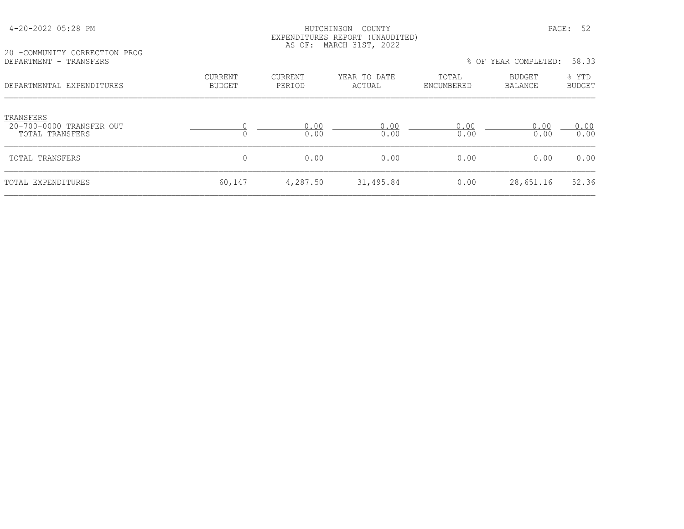| 20 -COMMUNITY CORRECTION PROG                            | EXPENDITURES REPORT (UNAUDITED)<br>MARCH 31ST, 2022<br>AS OF: |                          |                        |                     |                          |                        |  |
|----------------------------------------------------------|---------------------------------------------------------------|--------------------------|------------------------|---------------------|--------------------------|------------------------|--|
| DEPARTMENT - TRANSFERS                                   |                                                               |                          |                        |                     | % OF YEAR COMPLETED:     | 58.33                  |  |
| DEPARTMENTAL EXPENDITURES                                | <b>CURRENT</b><br><b>BUDGET</b>                               | <b>CURRENT</b><br>PERIOD | YEAR TO DATE<br>ACTUAL | TOTAL<br>ENCUMBERED | BUDGET<br><b>BALANCE</b> | % YTD<br><b>BUDGET</b> |  |
| TRANSFERS<br>20-700-0000 TRANSFER OUT<br>TOTAL TRANSFERS | $\Omega$                                                      | 0.00<br>0.00             | 0.00<br>0.00           | 0.00<br>0.00        | 0.00<br>0.00             | 0.00<br>0.00           |  |
| TOTAL TRANSFERS                                          | 0                                                             | 0.00                     | 0.00                   | 0.00                | 0.00                     | 0.00                   |  |
| TOTAL EXPENDITURES                                       | 60,147                                                        | 4,287.50                 | 31,495.84              | 0.00                | 28,651.16                | 52.36                  |  |

4-20-2022 05:28 PM HUTCHINSON COUNTY PAGE: 52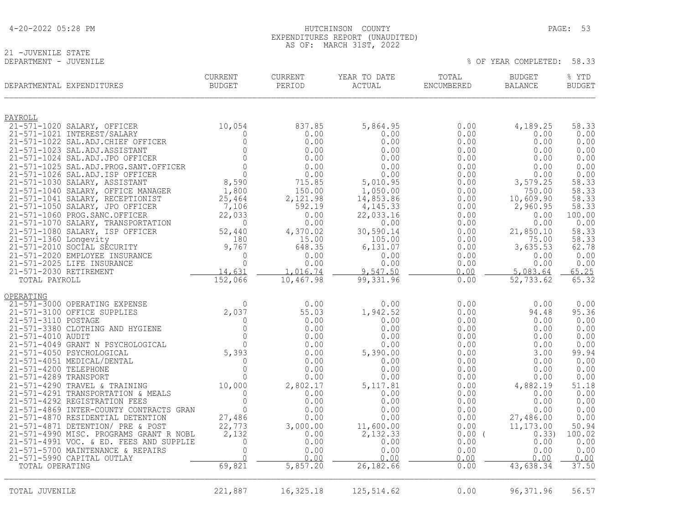| 4-20-2022 05:28 PM |
|--------------------|
|--------------------|

# 21 -JUVENILE STATE<br>DEPARTMENT - JUVENILE

| DEPARTMENTAL EXPENDITURES                                             | CURRENT<br><b>BUDGET</b> | <b>CURRENT</b><br>PERIOD | YEAR TO DATE<br>ACTUAL | TOTAL<br>ENCUMBERED | BUDGET<br>BALANCE | % YTD<br><b>BUDGET</b> |
|-----------------------------------------------------------------------|--------------------------|--------------------------|------------------------|---------------------|-------------------|------------------------|
| PAYROLL                                                               |                          |                          |                        |                     |                   |                        |
| 21-571-1020 SALARY, OFFICER                                           | 10,054                   | 837.85                   | 5,864.95               | 0.00                | 4,189.25          | 58.33                  |
| 21-571-1021 INTEREST/SALARY                                           |                          | 0.00                     | 0.00                   | 0.00                | 0.00              | 0.00                   |
| 21-571-1022 SAL.ADJ. CHIEF OFFICER                                    | $\circ$<br>$\Omega$      | 0.00                     | 0.00                   | 0.00                | 0.00              | 0.00                   |
| 21-571-1023 SAL.ADJ.ASSISTANT<br>21-571-1024 SAL.ADJ.JPO OFFICER      | $\mathbf{0}$             | 0.00<br>0.00             | 0.00<br>0.00           | 0.00<br>0.00        | 0.00<br>0.00      | 0.00<br>0.00           |
| 21-571-1025 SAL.ADJ.PROG.SANT.OFFICER                                 | $\Omega$                 | 0.00                     | 0.00                   | 0.00                | 0.00              | 0.00                   |
| 21-571-1026 SAL.ADJ.ISP OFFICER                                       | $\Omega$                 | 0.00                     | 0.00                   | 0.00                | 0.00              | 0.00                   |
| 21-571-1030 SALARY, ASSISTANT                                         | 8,590                    | 715.85                   | 5,010.95               | 0.00                | 3,579.25          | 58.33                  |
| 21-571-1040 SALARY, OFFICE MANAGER                                    | 1,800                    | 150.00                   | 1,050.00               | 0.00                | 750.00            | 58.33                  |
| 21-571-1041 SALARY, RECEPTIONIST                                      | 25,464                   | 2,121.98                 | 14,853.86              | 0.00                | 10,609.90         | 58.33                  |
| 21-571-1050 SALARY, JPO OFFICER                                       | 7,106                    | 592.19                   | 4, 145. 33             | 0.00                | 2,960.95          | 58.33                  |
| 21-571-1060 PROG. SANC. OFFICER<br>21-571-1070 SALARY, TRANSPORTATION | 22,033<br>$\mathbf{0}$   | 0.00<br>0.00             | 22,033.16<br>0.00      | 0.00<br>0.00        | 0.00<br>0.00      | 100.00<br>0.00         |
| 21-571-1080 SALARY, ISP OFFICER                                       | 52,440                   | 4,370.02                 | 30,590.14              | 0.00                | 21,850.10         | 58.33                  |
| 21-571-1360 Longevity                                                 | 180                      | 15.00                    | 105.00                 | 0.00                | 75.00             | 58.33                  |
| 21-571-2010 SOCIAL SECURITY                                           | 9,767                    | 648.35                   | 6,131.07               | 0.00                | 3,635.53          | 62.78                  |
| 21-571-2020 EMPLOYEE INSURANCE                                        | $\mathbf 0$              | 0.00                     | 0.00                   | 0.00                | 0.00              | 0.00                   |
| 21-571-2025 LIFE INSURANCE                                            | $\Omega$                 | 0.00                     | 0.00                   | 0.00                | 0.00              | 0.00                   |
| 21-571-2030 RETIREMENT                                                | 14,631                   | 1,016.74                 | 9,547.50               | 0.00                | 5,083.64          | 65.25                  |
| TOTAL PAYROLL                                                         | 152,066                  | 10,467.98                | 99,331.96              | 0.00                | 52,733.62         | 65.32                  |
| OPERATING                                                             |                          |                          |                        |                     |                   |                        |
| 21-571-3000 OPERATING EXPENSE                                         | $\Omega$                 | 0.00                     | 0.00                   | 0.00                | 0.00              | 0.00                   |
| 21-571-3100 OFFICE SUPPLIES                                           | 2,037                    | 55.03                    | 1,942.52               | 0.00                | 94.48             | 95.36                  |
| 21-571-3110 POSTAGE                                                   | 0                        | 0.00                     | 0.00                   | 0.00                | 0.00              | 0.00                   |
| 21-571-3380 CLOTHING AND HYGIENE<br>21-571-4010 AUDIT                 | $\Omega$<br>$\Omega$     | 0.00<br>0.00             | 0.00<br>0.00           | 0.00<br>0.00        | 0.00<br>0.00      | 0.00<br>0.00           |
| 21-571-4049 GRANT N PSYCHOLOGICAL                                     |                          | 0.00                     | 0.00                   | 0.00                | 0.00              | 0.00                   |
| 21-571-4050 PSYCHOLOGICAL                                             | $0$<br>5,393             | 0.00                     | 5,390.00               | 0.00                | 3.00              | 99.94                  |
| 21-571-4051 MEDICAL/DENTAL                                            | $\Omega$                 | 0.00                     | 0.00                   | 0.00                | 0.00              | 0.00                   |
| 21-571-4200 TELEPHONE                                                 | $\bigcap$                | 0.00                     | 0.00                   | 0.00                | 0.00              | 0.00                   |
| 21-571-4289 TRANSPORT                                                 | $\bigcap$                | 0.00                     | 0.00                   | 0.00                | 0.00              | 0.00                   |
| 21-571-4290 TRAVEL & TRAINING                                         | 10,000                   | 2,802.17                 | 5, 117.81              | 0.00                | 4,882.19          | 51.18                  |
| 21-571-4291 TRANSPORTATION & MEALS<br>21-571-4292 REGISTRATION FEES   | $\Omega$<br>$\mathbf{0}$ | 0.00<br>0.00             | 0.00<br>0.00           | 0.00<br>0.00        | 0.00<br>0.00      | 0.00<br>0.00           |
| 21-571-4869 INTER-COUNTY CONTRACTS GRAN                               | $\Omega$                 | 0.00                     | 0.00                   | 0.00                | 0.00              | 0.00                   |
| 21-571-4870 RESIDENTIAL DETENTION                                     | 27,486                   | 0.00                     | 0.00                   | 0.00                | 27,486.00         | 0.00                   |
| 21-571-4871 DETENTION/ PRE & POST                                     | 22,773                   | 3,000.00                 | 11,600.00              | 0.00                | 11,173.00         | 50.94                  |
| 21-571-4990 MISC. PROGRAMS GRANT R NOBL                               | 2,132                    | 0.00                     | 2,132.33               | 0.00(               | 0.33)             | 100.02                 |
| 21-571-4991 VOC. & ED. FEES AND SUPPLIE                               | $\mathbf{0}$             | 0.00                     | 0.00                   | 0.00                | 0.00              | 0.00                   |
| 21-571-5700 MAINTENANCE & REPAIRS                                     | $\mathbf 0$              | 0.00                     | 0.00                   | 0.00                | 0.00              | 0.00                   |
| 21-571-5990 CAPITAL OUTLAY                                            |                          | 0.00                     | 0.00                   | 0.00                | 0.00              | 0.00                   |
| TOTAL OPERATING                                                       | 69,821                   | 5,857.20                 | 26, 182.66             | 0.00                | 43,638.34         | 37.50                  |

 EXPENDITURES REPORT (UNAUDITED) AS OF: MARCH 31ST, 2022

HUTCHINSON COUNTY **PAGE: 53** 

% OF YEAR COMPLETED: 58.33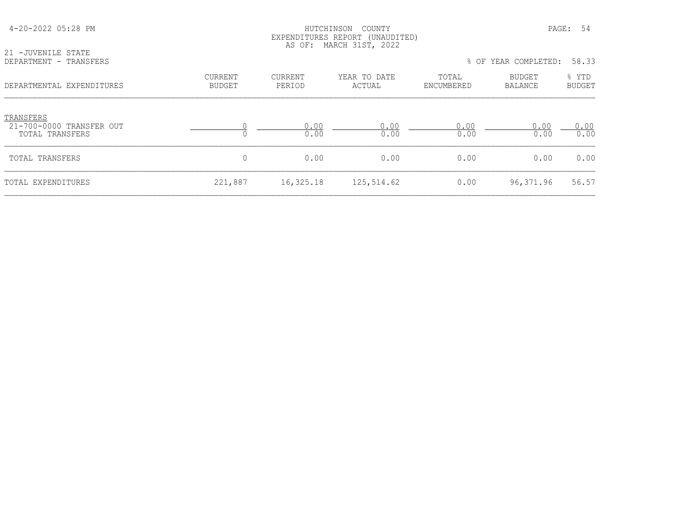| 21 -JUVENILE STATE                                       | EXPENDITURES REPORT (UNAUDITED)<br>AS OF: MARCH 31ST, 2022 |                   |                        |                     |                          |                        |  |  |
|----------------------------------------------------------|------------------------------------------------------------|-------------------|------------------------|---------------------|--------------------------|------------------------|--|--|
| DEPARTMENT - TRANSFERS                                   |                                                            |                   |                        |                     | % OF YEAR COMPLETED:     | 58.33                  |  |  |
| DEPARTMENTAL EXPENDITURES                                | <b>CURRENT</b><br><b>BUDGET</b>                            | CURRENT<br>PERIOD | YEAR TO DATE<br>ACTUAL | TOTAL<br>ENCUMBERED | BUDGET<br><b>BALANCE</b> | % YTD<br><b>BUDGET</b> |  |  |
| TRANSFERS<br>21-700-0000 TRANSFER OUT<br>TOTAL TRANSFERS |                                                            | 0.00<br>0.00      | 0.00<br>0.00           | 0.00<br>0.00        | 0.00<br>0.00             | 0.00<br>0.00           |  |  |
| TOTAL TRANSFERS                                          | $\mathbf 0$                                                | 0.00              | 0.00                   | 0.00                | 0.00                     | 0.00                   |  |  |
| TOTAL EXPENDITURES                                       | 221,887                                                    | 16,325.18         | 125,514.62             | 0.00                | 96,371.96                | 56.57                  |  |  |

4-20-2022 05:28 PM HUTCHINSON COUNTY PAGE: 54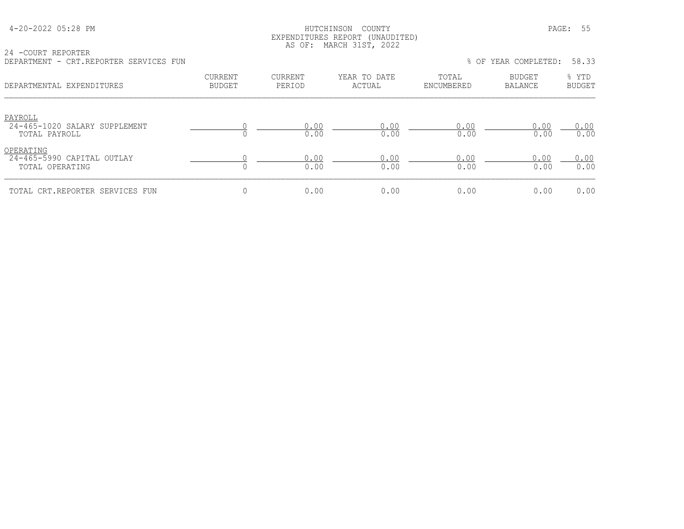| 4-20-2022 05:28 PM |  |  |
|--------------------|--|--|
|--------------------|--|--|

### HUTCHINSON COUNTY PAGE: 55 EXPENDITURES REPORT (UNAUDITED) AS OF: MARCH 31ST, 2022

24 -COURT REPORTER DEPARTMENT - CRT.REPORTER SERVICES FUN % OF YEAR COMPLETED: 58.33

| --------------<br>CILI, ILLUI CILILII CILILVICIO I OIN     |                                 |                                             |              |                     | $\circ$ of think communities. |                        |  |
|------------------------------------------------------------|---------------------------------|---------------------------------------------|--------------|---------------------|-------------------------------|------------------------|--|
| DEPARTMENTAL EXPENDITURES                                  | <b>CURRENT</b><br><b>BUDGET</b> | CURRENT<br>YEAR TO DATE<br>PERIOD<br>ACTUAL |              | TOTAL<br>ENCUMBERED | <b>BUDGET</b><br>BALANCE      | % YTD<br><b>BUDGET</b> |  |
| PAYROLL<br>24-465-1020 SALARY SUPPLEMENT<br>TOTAL PAYROLL  |                                 | 0.00<br>0.00                                | 0.00<br>0.00 | 0.00<br>0.00        | 0.00<br>0.00                  | 0.00<br>0.00           |  |
| OPERATING<br>24-465-5990 CAPITAL OUTLAY<br>TOTAL OPERATING |                                 | 0.00<br>0.00                                | 0.00<br>0.00 | 0.00<br>0.00        | 0.00<br>0.00                  | 0.00<br>0.00           |  |
| TOTAL CRT.REPORTER SERVICES FUN                            | $\Omega$                        | 0.00                                        | 0.00         | 0.00                | 0.00                          | 0.00                   |  |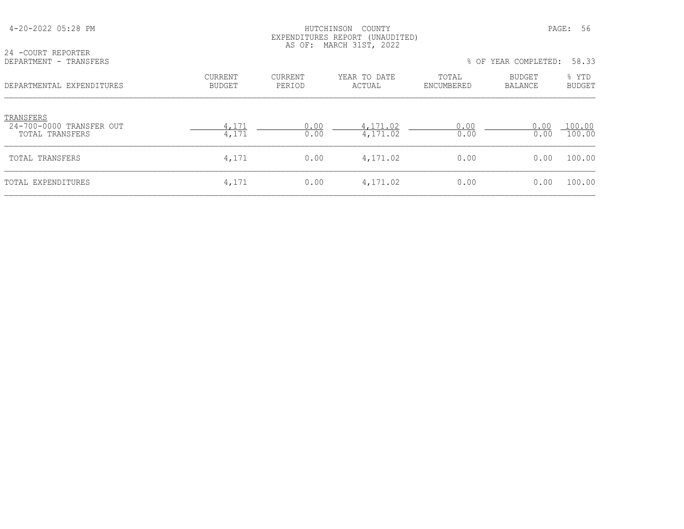| 24 - COURT REPORTER                                      |                                 |                          | EXPENDITURES REPORT (UNAUDITED)<br>AS OF: MARCH 31ST, 2022 |                     |                   |                        |
|----------------------------------------------------------|---------------------------------|--------------------------|------------------------------------------------------------|---------------------|-------------------|------------------------|
| DEPARTMENT - TRANSFERS                                   |                                 |                          |                                                            | % OF                | YEAR COMPLETED:   | 58.33                  |
| DEPARTMENTAL EXPENDITURES                                | <b>CURRENT</b><br><b>BUDGET</b> | <b>CURRENT</b><br>PERIOD | YEAR TO DATE<br>ACTUAL                                     | TOTAL<br>ENCUMBERED | BUDGET<br>BALANCE | % YTD<br><b>BUDGET</b> |
| TRANSFERS<br>24-700-0000 TRANSFER OUT<br>TOTAL TRANSFERS | 4,171<br>4,171                  | 0.00<br>0.00             | 4,171.02<br>4,171.02                                       | 0.00<br>0.00        | 0.00<br>0.00      | 100.00<br>100.00       |
| TOTAL TRANSFERS                                          | 4,171                           | 0.00                     | 4,171.02                                                   | 0.00                | 0.00              | 100.00                 |
| TOTAL EXPENDITURES                                       | 4,171                           | 0.00                     | 4,171.02                                                   | 0.00                | 0.00              | 100.00                 |

4-20-2022 05:28 PM HUTCHINSON COUNTY PAGE: 56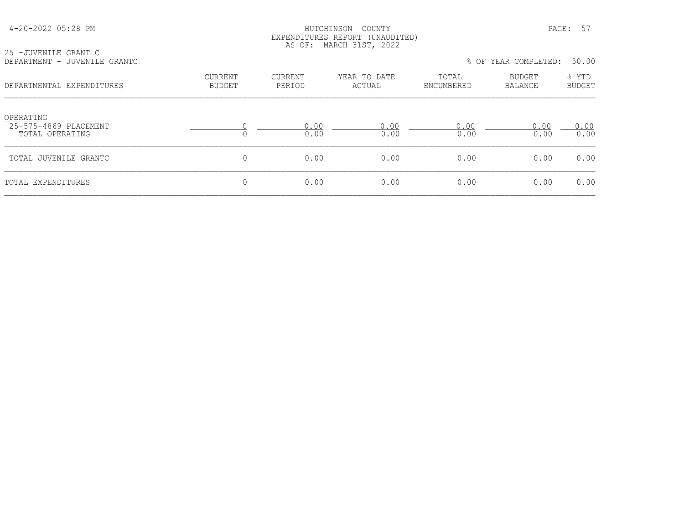### HUTCHINSON COUNTY PAGE: 57 EXPENDITURES REPORT (UNAUDITED) AS OF: MARCH 31ST, 2022

| 25 -JUVENILE GRANT C         | $1.10 \, \text{V} - 1.11 \, \text{m}$<br><u>in the community of the community of the community of the community of the community of the community of the community of the community of the community of the community of the community of the community of the community </u> |  |  |                            |  |
|------------------------------|-------------------------------------------------------------------------------------------------------------------------------------------------------------------------------------------------------------------------------------------------------------------------------|--|--|----------------------------|--|
| DEPARTMENT - JUVENILE GRANTC |                                                                                                                                                                                                                                                                               |  |  | % OF YEAR COMPLETED: 50.00 |  |

|  |  | OF YEAR COMPLETED: | 50.00 |  |
|--|--|--------------------|-------|--|
|--|--|--------------------|-------|--|

| DEPARTMENTAL EXPENDITURES                             | <b>CURRENT</b><br><b>BUDGET</b> | CURRENT<br>PERIOD | YEAR TO DATE<br>ACTUAL | TOTAL<br>ENCUMBERED | <b>BUDGET</b><br>BALANCE | % YTD<br><b>BUDGET</b> |
|-------------------------------------------------------|---------------------------------|-------------------|------------------------|---------------------|--------------------------|------------------------|
| OPERATING<br>25-575-4869 PLACEMENT<br>TOTAL OPERATING |                                 | 0.00<br>0.00      | 0.00<br>0.00           | 0.00<br>0.00        | 0.00<br>0.00             | 0.00<br>0.00           |
| TOTAL JUVENILE GRANTC                                 | 0                               | 0.00              | 0.00                   | 0.00                | 0.00                     | 0.00                   |
| TOTAL EXPENDITURES                                    | 0                               | 0.00              | 0.00                   | 0.00                | 0.00                     | 0.00                   |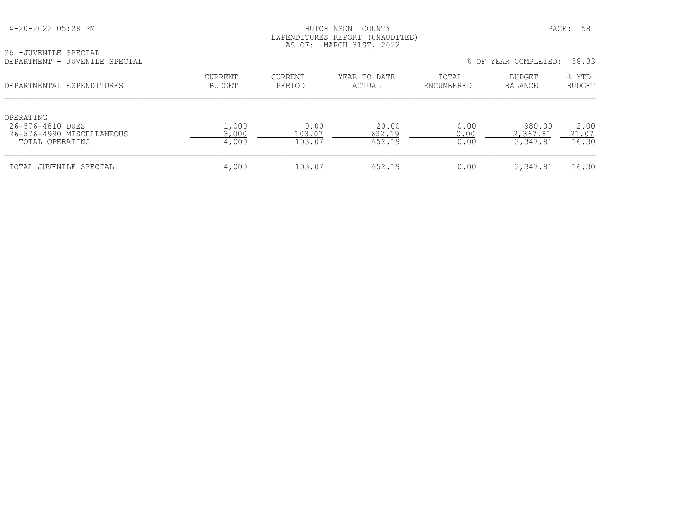### 4-20-2022 05:28 PM HUTCHINSON COUNTY PAGE: 58 EXPENDITURES REPORT (UNAUDITED) AS OF: MARCH 31ST, 2022

| 26 -JUVENILE SPECIAL          |  |  |
|-------------------------------|--|--|
| DEPARTMENT - JUVENILE SPECIAL |  |  |

| LU UUVLINIILU DILUUIAU<br>DEPARTMENT - JUVENILE SPECIAL                       |                                 |                          |                           |                      | % OF YEAR COMPLETED:           | 58.33                  |
|-------------------------------------------------------------------------------|---------------------------------|--------------------------|---------------------------|----------------------|--------------------------------|------------------------|
| DEPARTMENTAL EXPENDITURES                                                     | <b>CURRENT</b><br><b>BUDGET</b> | <b>CURRENT</b><br>PERIOD | YEAR TO DATE<br>ACTUAL    | TOTAL<br>ENCUMBERED  | BUDGET<br><b>BALANCE</b>       | % YTD<br>BUDGET        |
| OPERATING<br>26-576-4810 DUES<br>26-576-4990 MISCELLANEOUS<br>TOTAL OPERATING | 1,000<br>3,000<br>4,000         | 0.00<br>103.07<br>103.07 | 20.00<br>632.19<br>652.19 | 0.00<br>0.00<br>0.00 | 980.00<br>2,367.81<br>3,347.81 | 2.00<br>21.07<br>16.30 |
| TOTAL JUVENILE SPECIAL                                                        | 4,000                           | 103.07                   | 652.19                    | 0.00                 | 3,347.81                       | 16.30                  |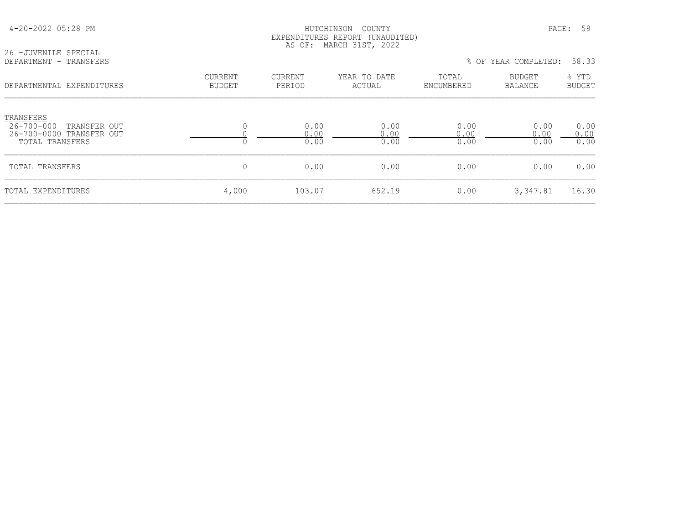|                                                                                              |                          |                      | EXPENDITURES REPORT (UNAUDITED)<br>AS OF: MARCH 31ST, 2022 |                      |                                 |                      |
|----------------------------------------------------------------------------------------------|--------------------------|----------------------|------------------------------------------------------------|----------------------|---------------------------------|----------------------|
| 26 - JUVENILE SPECIAL<br>DEPARTMENT - TRANSFERS                                              |                          |                      |                                                            |                      | % OF YEAR COMPLETED:            | 58.33                |
| DEPARTMENTAL EXPENDITURES                                                                    | CURRENT<br><b>BUDGET</b> | CURRENT<br>PERIOD    | YEAR TO DATE<br>ACTUAL                                     | TOTAL<br>ENCUMBERED  | <b>BUDGET</b><br><b>BALANCE</b> | % YTD<br>BUDGET      |
| TRANSFERS<br>$26 - 700 - 000$<br>TRANSFER OUT<br>26-700-0000 TRANSFER OUT<br>TOTAL TRANSFERS | 0                        | 0.00<br>0.00<br>0.00 | 0.00<br>0.00<br>0.00                                       | 0.00<br>0.00<br>0.00 | 0.00<br>0.00<br>0.00            | 0.00<br>0.00<br>0.00 |
| TOTAL TRANSFERS                                                                              | 0                        | 0.00                 | 0.00                                                       | 0.00                 | 0.00                            | 0.00                 |
| TOTAL EXPENDITURES                                                                           | 4,000                    | 103.07               | 652.19                                                     | 0.00                 | 3,347.81                        | 16.30                |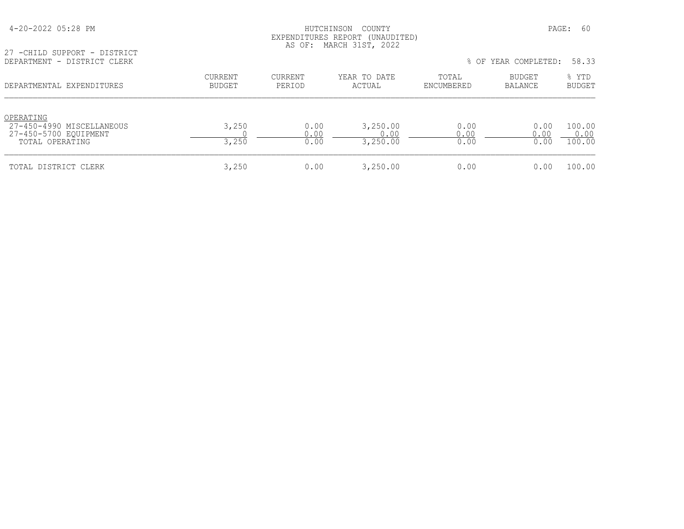### HUTCHINSON COUNTY PAGE: 60 EXPENDITURES REPORT (UNAUDITED) AS OF: MARCH 31ST, 2022

27 -CHILD SUPPORT - DISTRICT

| 27-450-4990 MISCELLANEOUS<br>27-450-5700 EQUIPMENT<br>TOTAL OPERATING | 3,250<br>3,250 | J.UU<br>n n | n r<br>250.00 | .00  | 0.00 | 100.00<br>100.00 |
|-----------------------------------------------------------------------|----------------|-------------|---------------|------|------|------------------|
| TOTAL DISTRICT CLERK                                                  | 250,           | 0.00        | 8,250.00      | 0.00 | 0.00 | 100.00           |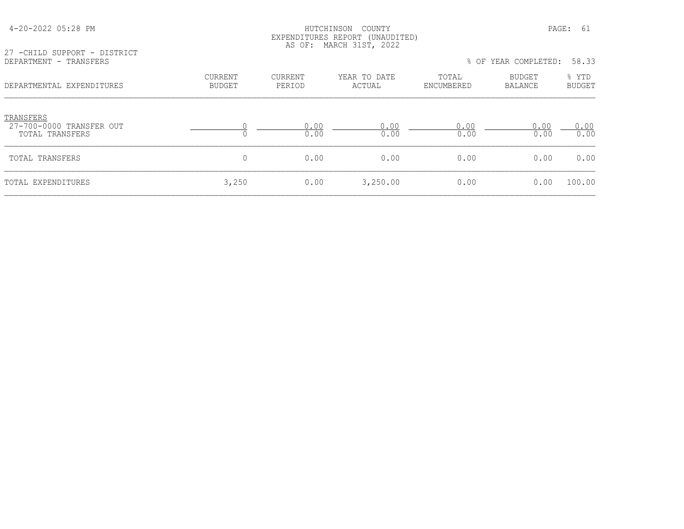| 27 -CHILD SUPPORT - DISTRICT                             |                          |                          | EXPENDITURES REPORT (UNAUDITED)<br>AS OF: MARCH 31ST, 2022 |                     |                          |                        |
|----------------------------------------------------------|--------------------------|--------------------------|------------------------------------------------------------|---------------------|--------------------------|------------------------|
| DEPARTMENT - TRANSFERS                                   |                          |                          |                                                            |                     | % OF YEAR COMPLETED:     | 58.33                  |
| DEPARTMENTAL EXPENDITURES                                | CURRENT<br><b>BUDGET</b> | <b>CURRENT</b><br>PERIOD | YEAR TO DATE<br>ACTUAL                                     | TOTAL<br>ENCUMBERED | <b>BUDGET</b><br>BALANCE | % YTD<br><b>BUDGET</b> |
| TRANSFERS<br>27-700-0000 TRANSFER OUT<br>TOTAL TRANSFERS |                          | 0.00<br>0.00             | 0.00<br>0.00                                               | 0.00<br>0.00        | 0.00<br>0.00             | 0.00<br>0.00           |
| TOTAL TRANSFERS                                          | 0                        | 0.00                     | 0.00                                                       | 0.00                | 0.00                     | 0.00                   |
| TOTAL EXPENDITURES                                       | 3,250                    | 0.00                     | 3,250.00                                                   | 0.00                | 0.00                     | 100.00                 |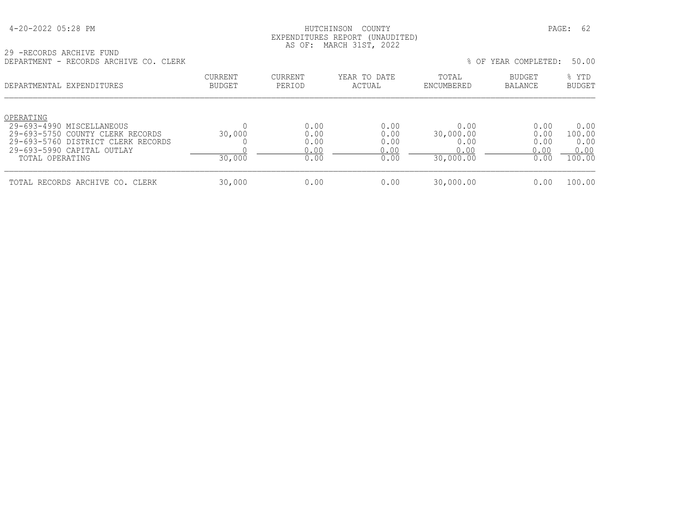| 4-20-2022 05:28 PM |  |
|--------------------|--|
|--------------------|--|

## HUTCHINSON COUNTY PAGE: 62 EXPENDITURES REPORT (UNAUDITED) AS OF: MARCH 31ST, 2022

29 -RECORDS ARCHIVE FUND DEPARTMENT - RECORDS ARCHIVE CO. CLERK % OF YEAR COMPLETED: 50.00

| LE LAIVITENT<br>INSCOMBO ARCHIVE CO. CHERR                                                                                                                        |                                 |                                      |                                      |                                                | 0 UI ILAN CONILLELL.                 | JV.VV                                    |
|-------------------------------------------------------------------------------------------------------------------------------------------------------------------|---------------------------------|--------------------------------------|--------------------------------------|------------------------------------------------|--------------------------------------|------------------------------------------|
| DEPARTMENTAL EXPENDITURES                                                                                                                                         | <b>CURRENT</b><br><b>BUDGET</b> | CURRENT<br>PERIOD                    | YEAR TO DATE<br>ACTUAL               | TOTAL<br>ENCUMBERED                            | <b>BUDGET</b><br>BALANCE             | % YTD<br><b>BUDGET</b>                   |
| OPERATING<br>29-693-4990 MISCELLANEOUS<br>29-693-5750 COUNTY CLERK RECORDS<br>29-693-5760 DISTRICT CLERK RECORDS<br>29-693-5990 CAPITAL OUTLAY<br>TOTAL OPERATING | 30,000<br>30,000                | 0.00<br>0.00<br>0.00<br>0.00<br>0.00 | 0.00<br>0.00<br>0.00<br>0.00<br>0.00 | 0.00<br>30,000.00<br>0.00<br>0.00<br>30,000.00 | 0.00<br>0.00<br>0.00<br>0.00<br>0.00 | 0.00<br>100.00<br>0.00<br>0.00<br>100.00 |
| TOTAL RECORDS ARCHIVE CO. CLERK                                                                                                                                   | 30,000                          | 0.00                                 | 0.00                                 | 30,000.00                                      | 0.00                                 | 100.00                                   |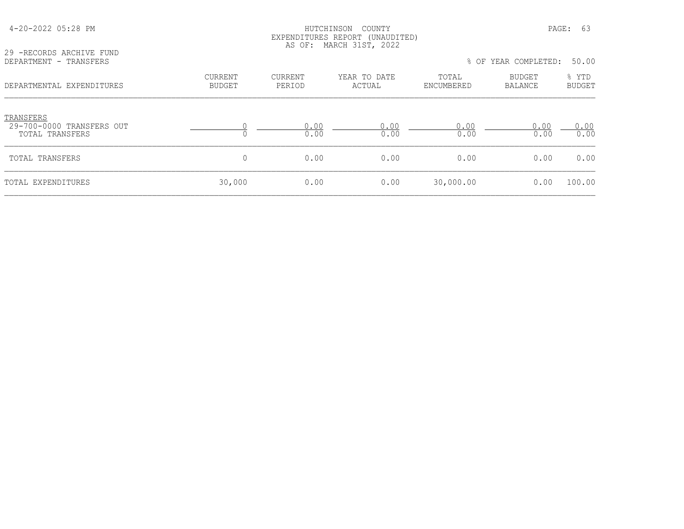| 29 - RECORDS ARCHIVE FUND                                 |                                 |                   | LAPELIULIONES NEPUNI (UNAUDIIED)<br>AS OF: MARCH 31ST, 2022 |                     |                          |                        |
|-----------------------------------------------------------|---------------------------------|-------------------|-------------------------------------------------------------|---------------------|--------------------------|------------------------|
| DEPARTMENT - TRANSFERS                                    |                                 |                   |                                                             |                     | % OF YEAR COMPLETED:     | 50.00                  |
| DEPARTMENTAL EXPENDITURES                                 | <b>CURRENT</b><br><b>BUDGET</b> | CURRENT<br>PERIOD | YEAR TO DATE<br>ACTUAL                                      | TOTAL<br>ENCUMBERED | <b>BUDGET</b><br>BALANCE | % YTD<br><b>BUDGET</b> |
| TRANSFERS<br>29-700-0000 TRANSFERS OUT<br>TOTAL TRANSFERS | $\Omega$                        | 0.00<br>0.00      | 0.00<br>0.00                                                | 0.00<br>0.00        | 0.00<br>0.00             | 0.00<br>0.00           |
| <b>TOTAL TRANSFERS</b>                                    | $\overline{0}$                  | 0.00              | 0.00                                                        | 0.00                | 0.00                     | 0.00                   |
| TOTAL EXPENDITURES                                        | 30,000                          | 0.00              | 0.00                                                        | 30,000.00           | 0.00                     | 100.00                 |

 4-20-2022 05:28 PM HUTCHINSON COUNTY PAGE: 63 EXPENDITURES REPORT (UNAUDITED)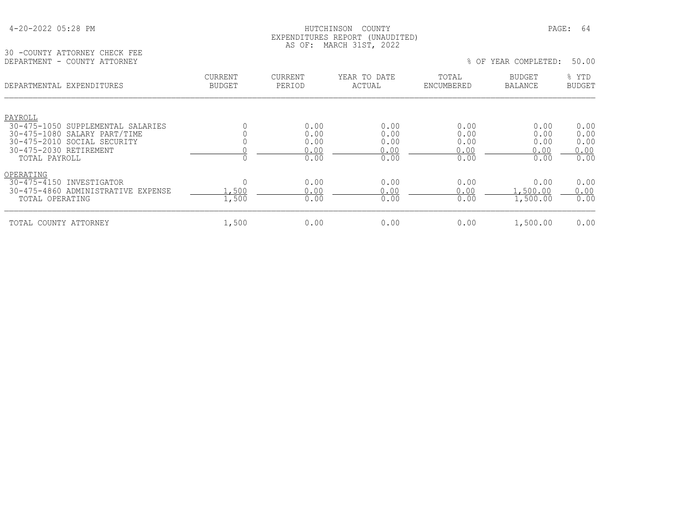### HUTCHINSON COUNTY PAGE: 64 EXPENDITURES REPORT (UNAUDITED) AS OF: MARCH 31ST, 2022

30 -COUNTY ATTORNEY CHECK FEE DEPARTMENT - COUNTY ATTORNEY % OF YEAR COMPLETED: 50.00

| DEPARTMENTAL EXPENDITURES                                         | CURRENT<br><b>BUDGET</b> | CURRENT<br>PERIOD | YEAR TO DATE<br>ACTUAL | TOTAL<br>ENCUMBERED | BUDGET<br>BALANCE | % YTD<br><b>BUDGET</b> |
|-------------------------------------------------------------------|--------------------------|-------------------|------------------------|---------------------|-------------------|------------------------|
| PAYROLL                                                           |                          |                   |                        |                     |                   |                        |
| 30-475-1050 SUPPLEMENTAL SALARIES<br>30-475-1080 SALARY PART/TIME |                          | 0.00<br>0.00      | 0.00<br>0.00           | 0.00<br>0.00        | 0.00<br>0.00      | 0.00<br>0.00           |
| 30-475-2010 SOCIAL SECURITY                                       |                          | 0.00              | 0.00                   | 0.00                | 0.00              | 0.00                   |
| 30-475-2030 RETIREMENT                                            |                          | 0.00              | 0.00                   | 0.00                | 0.00              | 0.00                   |
| TOTAL PAYROLL                                                     |                          | 0.00              | 0.00                   | 0.00                | 0.00              | 0.00                   |
| OPERATING                                                         |                          |                   |                        |                     |                   |                        |
| 30-475-4150 INVESTIGATOR                                          |                          | 0.00              | 0.00                   | 0.00                | 0.00              | 0.00                   |
| 30-475-4860 ADMINISTRATIVE EXPENSE                                | ,500                     | 0.00              | 0.00                   | 0.00                | 1,500.00          | 0.00                   |
| TOTAL OPERATING                                                   | 1,500                    | 0.00              | 0.00                   | 0.00                | 1,500.00          | 0.00                   |
| TOTAL COUNTY ATTORNEY                                             | 1,500                    | 0.00              | 0.00                   | 0.00                | 1,500.00          | 0.00                   |
|                                                                   |                          |                   |                        |                     |                   |                        |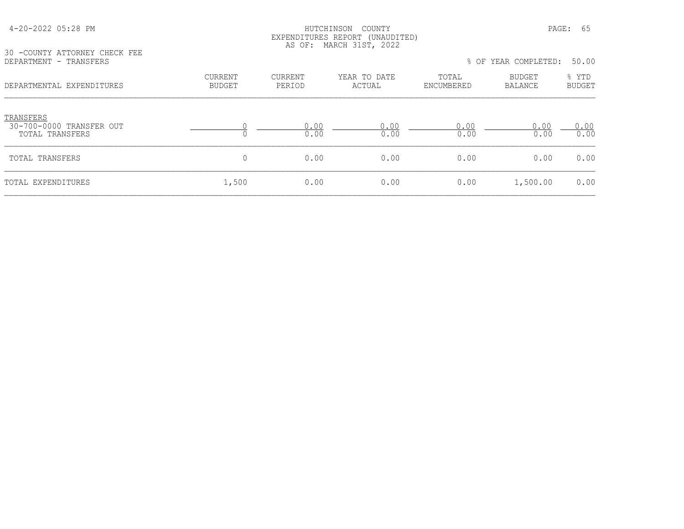### HUTCHINSON COUNTY PAGE: 65 EXPENDITURES REPORT (UNAUDITED) AS OF: MARCH 31ST, 2022

30 -COUNTY ATTORNEY CHECK FEE<br>DEPARTMENT - TRANSFERS

| DEPARTMENT - TRANSFERS                                   |                   |                   |                        |                     | % OF YEAR COMPLETED:     | 50.00                  |
|----------------------------------------------------------|-------------------|-------------------|------------------------|---------------------|--------------------------|------------------------|
| DEPARTMENTAL EXPENDITURES                                | CURRENT<br>BUDGET | CURRENT<br>PERIOD | YEAR TO DATE<br>ACTUAL | TOTAL<br>ENCUMBERED | BUDGET<br><b>BALANCE</b> | % YTD<br><b>BUDGET</b> |
| TRANSFERS<br>30-700-0000 TRANSFER OUT<br>TOTAL TRANSFERS |                   | 0.00<br>0.00      | 0.00<br>0.00           | 0.00<br>0.00        | 0.00<br>0.00             | 0.00<br>0.00           |
| TOTAL TRANSFERS                                          | 0                 | 0.00              | 0.00                   | 0.00                | 0.00                     | 0.00                   |
| TOTAL EXPENDITURES                                       | 1,500             | 0.00              | 0.00                   | 0.00                | 1,500.00                 | 0.00                   |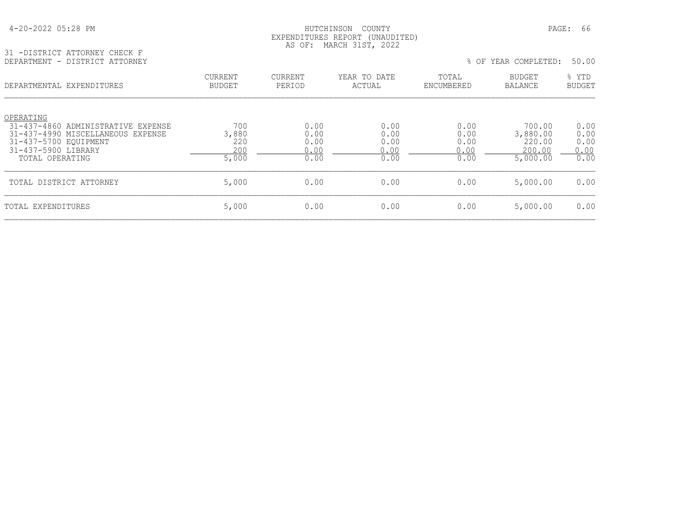| 4-20-2022 05:28 PM |  |  |
|--------------------|--|--|
|--------------------|--|--|

## HUTCHINSON COUNTY PAGE: 66 EXPENDITURES REPORT (UNAUDITED) AS OF: MARCH 31ST, 2022

31 -DISTRICT ATTORNEY CHECK F DEPARTMENT - DISTRICT ATTORNEY % OF YEAR COMPLETED: 50.00

| -------------<br>PIOINICI IIIIOIUDI             |                                 |                   |                        |                     | $\circ$ of think communities. | <u>JU.JU</u>           |
|-------------------------------------------------|---------------------------------|-------------------|------------------------|---------------------|-------------------------------|------------------------|
| DEPARTMENTAL EXPENDITURES                       | <b>CURRENT</b><br><b>BUDGET</b> | CURRENT<br>PERIOD | YEAR TO DATE<br>ACTUAL | TOTAL<br>ENCUMBERED | BUDGET<br>BALANCE             | % YTD<br><b>BUDGET</b> |
| OPERATING<br>31-437-4860 ADMINISTRATIVE EXPENSE | 700                             | 0.00              | 0.00                   | 0.00                | 700.00                        | 0.00                   |
| 31-437-4990 MISCELLANEOUS EXPENSE               | 3,880                           | 0.00              | 0.00                   | 0.00                | 3,880.00                      | 0.00                   |
| 31-437-5700 EOUIPMENT<br>31-437-5900 LIBRARY    | 220<br>200                      | 0.00<br>0.00      | 0.00<br>0.00           | 0.00<br>0.00        | 220.00<br>200.00              | 0.00<br>0.00           |
| TOTAL OPERATING                                 | 5,000                           | 0.00              | 0.00                   | 0.00                | 5,000.00                      | 0.00                   |
| TOTAL DISTRICT ATTORNEY                         | 5,000                           | 0.00              | 0.00                   | 0.00                | 5,000.00                      | 0.00                   |
| TOTAL EXPENDITURES                              | 5,000                           | 0.00              | 0.00                   | 0.00                | 5,000.00                      | 0.00                   |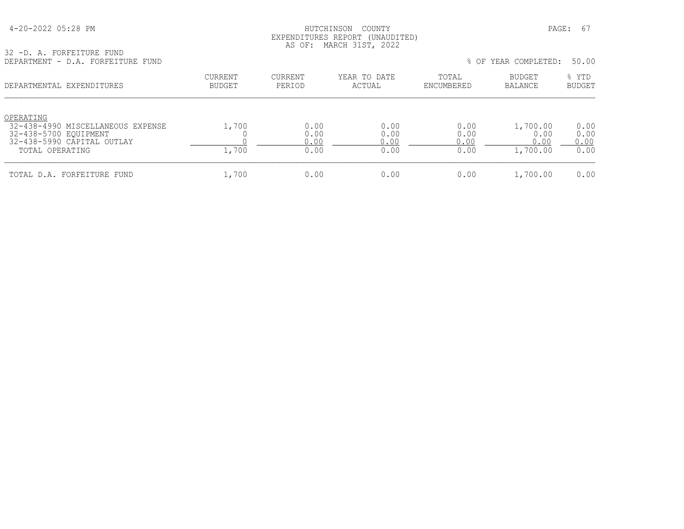# HUTCHINSON COUNTY **PAGE: 67**  EXPENDITURES REPORT (UNAUDITED) AS OF: MARCH 31ST, 2022

32 -D. A. FORFEITURE FUND

| DEPARTMENT - D.A. FORFEITURE FUND                                                                                        |                          |                              |                              |                              | % OF YEAR COMPLETED:                 | 50.00                        |
|--------------------------------------------------------------------------------------------------------------------------|--------------------------|------------------------------|------------------------------|------------------------------|--------------------------------------|------------------------------|
| DEPARTMENTAL EXPENDITURES                                                                                                | CURRENT<br><b>BUDGET</b> | CURRENT<br>PERIOD            | YEAR TO DATE<br>ACTUAL       | TOTAL<br>ENCUMBERED          | <b>BUDGET</b><br>BALANCE             | % YTD<br><b>BUDGET</b>       |
| OPERATING<br>32-438-4990 MISCELLANEOUS EXPENSE<br>32-438-5700 EOUIPMENT<br>32-438-5990 CAPITAL OUTLAY<br>TOTAL OPERATING | 1,700<br>1,700           | 0.00<br>0.00<br>0.00<br>0.00 | 0.00<br>0.00<br>0.00<br>0.00 | 0.00<br>0.00<br>0.00<br>0.00 | 1,700.00<br>0.00<br>0.00<br>1,700.00 | 0.00<br>0.00<br>0.00<br>0.00 |
| TOTAL D.A. FORFEITURE FUND                                                                                               | 1,700                    | 0.00                         | 0.00                         | 0.00                         | 1,700.00                             | 0.00                         |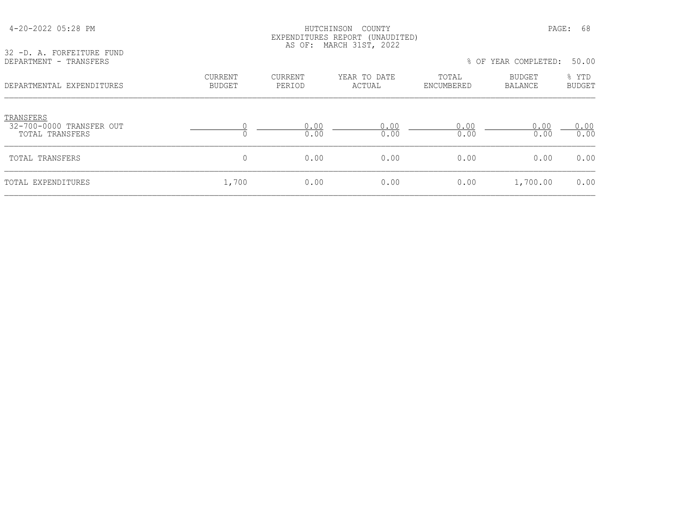| 32 -D. A. FORFEITURE FUND<br>DEPARTMENT - TRANSFERS      |                                 |                          | LAPELIULIURES REFURI (UNAUDIIED)<br>AS OF: MARCH 31ST, 2022 |                     | % OF YEAR COMPLETED: | 50.00           |
|----------------------------------------------------------|---------------------------------|--------------------------|-------------------------------------------------------------|---------------------|----------------------|-----------------|
| DEPARTMENTAL EXPENDITURES                                | <b>CURRENT</b><br><b>BUDGET</b> | <b>CURRENT</b><br>PERIOD | YEAR TO DATE<br>ACTUAL                                      | TOTAL<br>ENCUMBERED | BUDGET<br>BALANCE    | % YTD<br>BUDGET |
| TRANSFERS<br>32-700-0000 TRANSFER OUT<br>TOTAL TRANSFERS |                                 | 0.00<br>0.00             | 0.00<br>0.00                                                | 0.00<br>0.00        | 0.00<br>0.00         | 0.00<br>0.00    |
| TOTAL TRANSFERS                                          | $\mathbf 0$                     | 0.00                     | 0.00                                                        | 0.00                | 0.00                 | 0.00            |
| TOTAL EXPENDITURES                                       | 1,700                           | 0.00                     | 0.00                                                        | 0.00                | 1,700.00             | 0.00            |

 4-20-2022 05:28 PM HUTCHINSON COUNTY PAGE: 68 EXPENDITURES REPORT (UNAUDITED)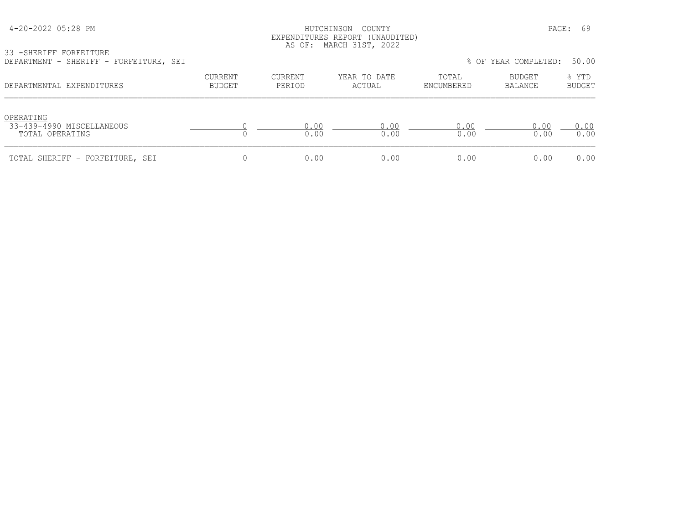| 4-20-2022 05:28 PM |  |  |
|--------------------|--|--|
|--------------------|--|--|

# HUTCHINSON COUNTY **PAGE: 69**  EXPENDITURES REPORT (UNAUDITED) AS OF: MARCH 31ST, 2022

33 -SHERIFF FORFEITURE

| DEPARTMENT - SHERIFF - FORFEITURE, SEI                    |                          |                   |                        |                     | % OF YEAR COMPLETED: | 50.00                  |
|-----------------------------------------------------------|--------------------------|-------------------|------------------------|---------------------|----------------------|------------------------|
| DEPARTMENTAL EXPENDITURES                                 | CURRENT<br><b>BUDGET</b> | CURRENT<br>PERIOD | YEAR TO DATE<br>ACTUAL | TOTAL<br>ENCUMBERED | BUDGET<br>BALANCE    | % YTD<br><b>BUDGET</b> |
| OPERATING<br>33-439-4990 MISCELLANEOUS<br>TOTAL OPERATING |                          | 0.00<br>0.00      | 0.00<br>0.00           | 0.00<br>0.00        | 0.00<br>0.00         | 0.00<br>0.00           |
| TOTAL SHERIFF - FORFEITURE, SEI                           |                          | 0.00              | 0.00                   | 0.00                | 0.00                 | 0.00                   |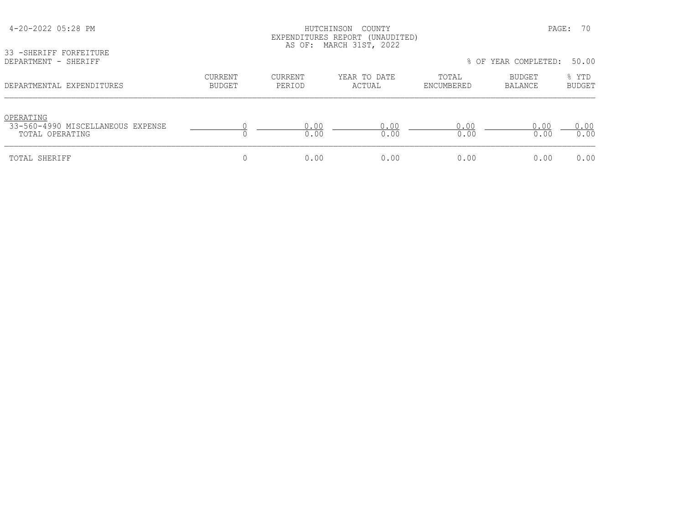| 33 - SHERIFF FORFEITURE<br>DEPARTMENT - SHERIFF                   | LAPLNDIIUKLS KLPUKI (UNAUDIILD)<br>AS OF: MARCH 31ST, 2022<br>% OF YEAR COMPLETED:<br>50.00 |                |              |              |                |               |  |
|-------------------------------------------------------------------|---------------------------------------------------------------------------------------------|----------------|--------------|--------------|----------------|---------------|--|
|                                                                   | <b>CURRENT</b>                                                                              | <b>CURRENT</b> | YEAR TO DATE | TOTAL        | BUDGET         | % YTD         |  |
| DEPARTMENTAL EXPENDITURES                                         | <b>BUDGET</b>                                                                               | PERIOD         | ACTUAL       | ENCUMBERED   | <b>BALANCE</b> | <b>BUDGET</b> |  |
| OPERATING<br>33-560-4990 MISCELLANEOUS EXPENSE<br>TOTAL OPERATING |                                                                                             | 0.00<br>0.00   | 0.00<br>0.00 | 0.00<br>0.00 | 0.00<br>0.00   | 0.00<br>0.00  |  |
| TOTAL SHERIFF                                                     | 0                                                                                           | 0.00           | 0.00         | 0.00         | 0.00           | 0.00          |  |

 4-20-2022 05:28 PM HUTCHINSON COUNTY PAGE: 70 EXPENDITURES REPORT (UNAUDITED)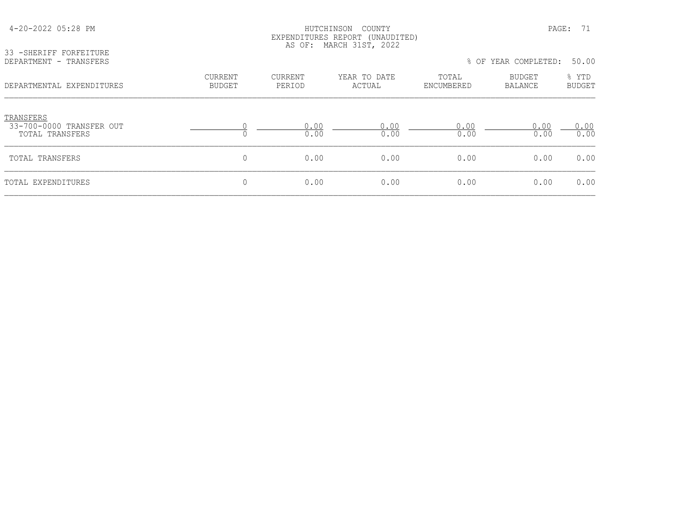| 33 - SHERIFF FORFEITURE<br>DEPARTMENT - TRANSFERS        | EXPENDITURES REPORT (UNAUDITED)<br>AS OF: MARCH 31ST, 2022<br>% OF YEAR COMPLETED:<br>50.00 |                   |                        |                     |                          |                        |  |
|----------------------------------------------------------|---------------------------------------------------------------------------------------------|-------------------|------------------------|---------------------|--------------------------|------------------------|--|
| DEPARTMENTAL EXPENDITURES                                | <b>CURRENT</b><br><b>BUDGET</b>                                                             | CURRENT<br>PERIOD | YEAR TO DATE<br>ACTUAL | TOTAL<br>ENCUMBERED | BUDGET<br><b>BALANCE</b> | % YTD<br><b>BUDGET</b> |  |
| TRANSFERS<br>33-700-0000 TRANSFER OUT<br>TOTAL TRANSFERS | $\Omega$                                                                                    | 0.00<br>0.00      | 0.00<br>0.00           | 0.00<br>0.00        | 0.00<br>0.00             | 0.00<br>0.00           |  |
| TOTAL TRANSFERS                                          | 0                                                                                           | 0.00              | 0.00                   | 0.00                | 0.00                     | 0.00                   |  |
| TOTAL EXPENDITURES                                       | 0                                                                                           | 0.00              | 0.00                   | 0.00                | 0.00                     | 0.00                   |  |

4-20-2022 05:28 PM HUTCHINSON COUNTY PAGE: 71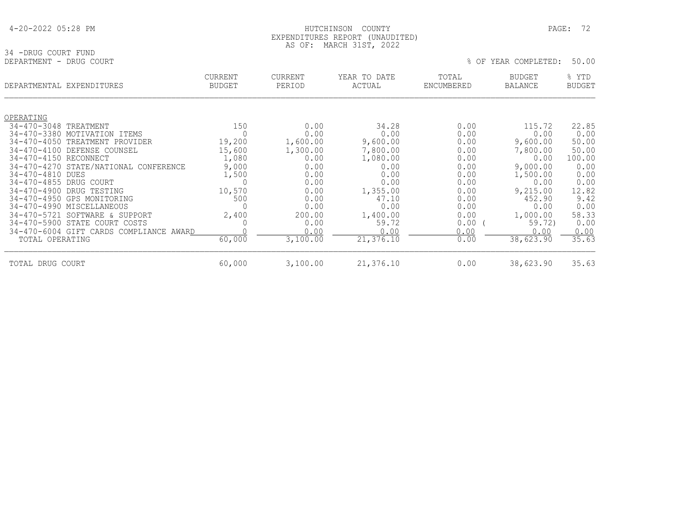| 4-20-2022 05:28 PM |  |  |
|--------------------|--|--|
|--------------------|--|--|

## HUTCHINSON COUNTY PAGE: 72 EXPENDITURES REPORT (UNAUDITED) AS OF: MARCH 31ST, 2022

| 34 -DRUG COURT FUND<br>DEPARTMENT - DRUG COURT                  |                                 |                          |                        | 50.00<br>YEAR COMPLETED:<br>$8$ OF |                                 |                        |
|-----------------------------------------------------------------|---------------------------------|--------------------------|------------------------|------------------------------------|---------------------------------|------------------------|
| DEPARTMENTAL EXPENDITURES                                       | <b>CURRENT</b><br><b>BUDGET</b> | <b>CURRENT</b><br>PERIOD | YEAR TO DATE<br>ACTUAL | TOTAL<br>ENCUMBERED                | <b>BUDGET</b><br><b>BALANCE</b> | % YTD<br><b>BUDGET</b> |
| OPERATING                                                       |                                 |                          |                        |                                    |                                 |                        |
| 34-470-3048 TREATMENT                                           | 150                             | 0.00                     | 34.28                  | 0.00                               | 115.72                          | 22.85                  |
| 34-470-3380 MOTIVATION ITEMS                                    | $\Omega$                        | 0.00                     | 0.00                   | 0.00                               | 0.00                            | 0.00                   |
| 34-470-4050 TREATMENT PROVIDER<br>34-470-4100 DEFENSE COUNSEL   | 19,200<br>15,600                | 1,600.00<br>1,300.00     | 9,600.00<br>7,800.00   | 0.00<br>0.00                       | 9,600.00<br>7,800.00            | 50.00<br>50.00         |
| 34-470-4150 RECONNECT                                           | 1,080                           | 0.00                     | 1,080.00               | 0.00                               | 0.00                            | 100.00                 |
| 34-470-4270 STATE/NATIONAL CONFERENCE                           | 9,000                           | 0.00                     | 0.00                   | 0.00                               | 9,000.00                        | 0.00                   |
| 34-470-4810 DUES                                                | 1,500                           | 0.00                     | 0.00                   | 0.00                               | 1,500.00                        | 0.00                   |
| 34-470-4855 DRUG COURT                                          | $\Omega$                        | 0.00                     | 0.00                   | 0.00                               | 0.00                            | 0.00                   |
| 34-470-4900 DRUG TESTING                                        | 10,570                          | 0.00                     | 1,355.00               | 0.00                               | 9,215.00                        | 12.82                  |
| 34-470-4950 GPS MONITORING                                      | 500                             | 0.00                     | 47.10                  | 0.00                               | 452.90                          | 9.42                   |
| 34-470-4990 MISCELLANEOUS                                       | 0                               | 0.00                     | 0.00                   | 0.00                               | 0.00                            | 0.00                   |
| 34-470-5721 SOFTWARE & SUPPORT<br>34-470-5900 STATE COURT COSTS | 2,400<br>0                      | 200.00<br>0.00           | 1,400.00<br>59.72      | 0.00<br>0.00                       | 1,000.00<br>59.72)              | 58.33<br>0.00          |
| 34-470-6004 GIFT CARDS COMPLIANCE AWARD                         |                                 | 0.00                     | 0.00                   | 0.00                               | 0.00                            | 0.00                   |
| TOTAL OPERATING                                                 | 60,000                          | 3,100.00                 | 21,376.10              | 0.00                               | 38,623.90                       | 35.63                  |
| TOTAL DRUG COURT                                                | 60,000                          | 3,100.00                 | 21,376.10              | 0.00                               | 38,623.90                       | 35.63                  |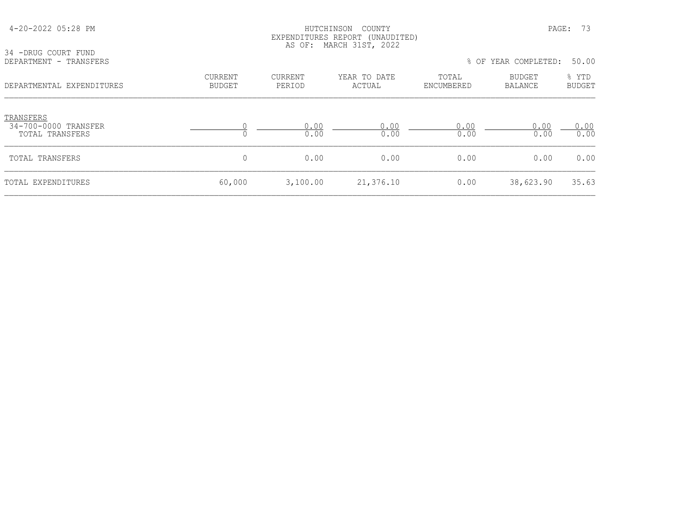| 34 -DRUG COURT FUND                                  |                                 |                          | LALENDIIQRES REIGNI (ONAUDIIED)<br>AS OF: MARCH 31ST, 2022 |                     |                      |                        |
|------------------------------------------------------|---------------------------------|--------------------------|------------------------------------------------------------|---------------------|----------------------|------------------------|
| DEPARTMENT - TRANSFERS                               |                                 |                          |                                                            |                     | % OF YEAR COMPLETED: | 50.00                  |
| DEPARTMENTAL EXPENDITURES                            | <b>CURRENT</b><br><b>BUDGET</b> | <b>CURRENT</b><br>PERIOD | YEAR TO DATE<br>ACTUAL                                     | TOTAL<br>ENCUMBERED | BUDGET<br>BALANCE    | % YTD<br><b>BUDGET</b> |
| TRANSFERS<br>34-700-0000 TRANSFER<br>TOTAL TRANSFERS |                                 | 0.00<br>0.00             | 0.00<br>0.00                                               | 0.00<br>0.00        | 0.00<br>0.00         | 0.00<br>0.00           |
| TOTAL TRANSFERS                                      | 0                               | 0.00                     | 0.00                                                       | 0.00                | 0.00                 | 0.00                   |
| TOTAL EXPENDITURES                                   | 60,000                          | 3,100.00                 | 21,376.10                                                  | 0.00                | 38,623.90            | 35.63                  |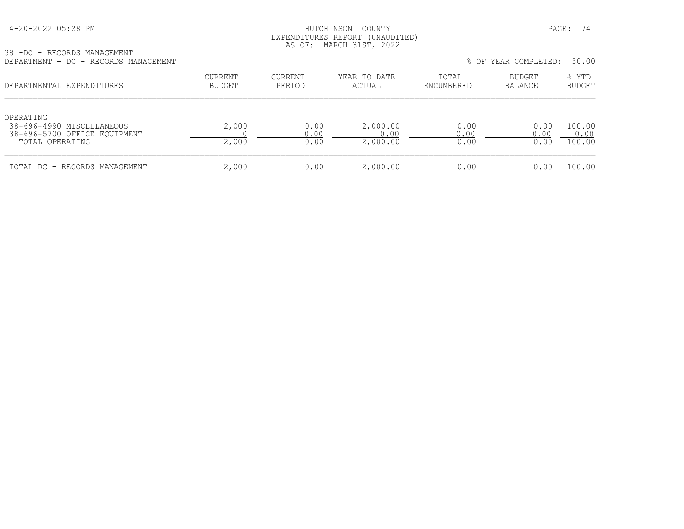#### HUTCHINSON COUNTY PAGE: 74 EXPENDITURES REPORT (UNAUDITED) AS OF: MARCH 31ST, 2022

38 -DC - RECORDS MANAGEMENT

| DEPARTMENT - DC - RECORDS MANAGEMENT                                                      |                          |                      |                              |                      | % OF YEAR COMPLETED:     | 50.00                    |
|-------------------------------------------------------------------------------------------|--------------------------|----------------------|------------------------------|----------------------|--------------------------|--------------------------|
| DEPARTMENTAL EXPENDITURES                                                                 | CURRENT<br><b>BUDGET</b> | CURRENT<br>PERIOD    | YEAR TO DATE<br>ACTUAL       | TOTAL<br>ENCUMBERED  | <b>BUDGET</b><br>BALANCE | % YTD<br><b>BUDGET</b>   |
| OPERATING<br>38-696-4990 MISCELLANEOUS<br>38-696-5700 OFFICE EOUIPMENT<br>TOTAL OPERATING | 2,000<br>2,000           | 0.00<br>0.00<br>0.00 | 2,000.00<br>0.00<br>2,000.00 | 0.00<br>0.00<br>0.00 | 0.00<br>0.00<br>0.00     | 100.00<br>0.00<br>100.00 |
| TOTAL DC - RECORDS MANAGEMENT                                                             | 2,000                    | 0.00                 | 2,000.00                     | 0.00                 | 0.00                     | 100.00                   |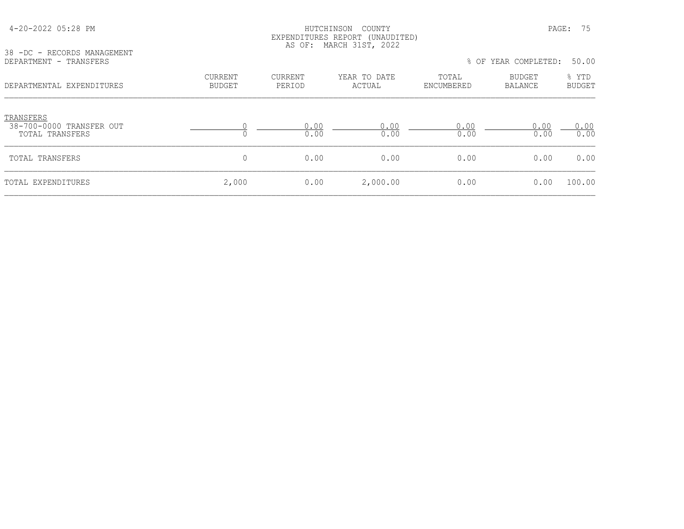| 38 -DC - RECORDS MANAGEMENT                              |                                 | AS OF:                   | EXPENDITURES REPORT (UNAUDITED)<br>MARCH 31ST, 2022 |                     |                          |                        |
|----------------------------------------------------------|---------------------------------|--------------------------|-----------------------------------------------------|---------------------|--------------------------|------------------------|
| DEPARTMENT - TRANSFERS                                   |                                 |                          |                                                     |                     | % OF YEAR COMPLETED:     | 50.00                  |
| DEPARTMENTAL EXPENDITURES                                | <b>CURRENT</b><br><b>BUDGET</b> | <b>CURRENT</b><br>PERIOD | YEAR TO DATE<br>ACTUAL                              | TOTAL<br>ENCUMBERED | BUDGET<br><b>BALANCE</b> | % YTD<br><b>BUDGET</b> |
| TRANSFERS<br>38-700-0000 TRANSFER OUT<br>TOTAL TRANSFERS |                                 | 0.00<br>0.00             | 0.00<br>0.00                                        | 0.00<br>0.00        | 0.00<br>0.00             | 0.00<br>0.00           |
| TOTAL TRANSFERS                                          | 0                               | 0.00                     | 0.00                                                | 0.00                | 0.00                     | 0.00                   |
| TOTAL EXPENDITURES                                       | 2,000                           | 0.00                     | 2,000.00                                            | 0.00                | 0.00                     | 100.00                 |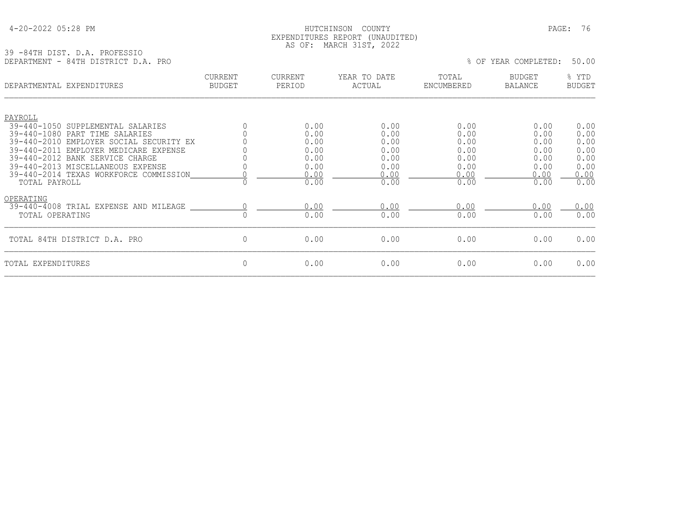# 4-20-2022 05:28 PM HUTCHINSON COUNTY PAGE: 76 EXPENDITURES REPORT (UNAUDITED) AS OF: MARCH 31ST, 2022

39 -84TH DIST. D.A. PROFESSIO DEPARTMENT - 84TH DISTRICT D.A. PRO % OF YEAR COMPLETED: 50.00

|                              | DEPARTMENTAL EXPENDITURES                                                                                                                                                                                                            | CURRENT<br><b>BUDGET</b> | CURRENT<br>PERIOD                                    | YEAR TO DATE<br>ACTUAL                               | TOTAL<br>ENCUMBERED                                  | <b>BUDGET</b><br>BALANCE                             | % YTD<br><b>BUDGET</b>                               |
|------------------------------|--------------------------------------------------------------------------------------------------------------------------------------------------------------------------------------------------------------------------------------|--------------------------|------------------------------------------------------|------------------------------------------------------|------------------------------------------------------|------------------------------------------------------|------------------------------------------------------|
| PAYROLL                      | 39-440-1050 SUPPLEMENTAL SALARIES                                                                                                                                                                                                    |                          | 0.00                                                 | 0.00                                                 | 0.00                                                 | 0.00                                                 | 0.00                                                 |
| TOTAL PAYROLL                | 39-440-1080 PART TIME SALARIES<br>39-440-2010 EMPLOYER SOCIAL SECURITY EX<br>39-440-2011 EMPLOYER MEDICARE EXPENSE<br>39-440-2012 BANK SERVICE CHARGE<br>39-440-2013 MISCELLANEOUS EXPENSE<br>39-440-2014 TEXAS WORKFORCE COMMISSION |                          | 0.00<br>0.00<br>0.00<br>0.00<br>0.00<br>0.00<br>0.00 | 0.00<br>0.00<br>0.00<br>0.00<br>0.00<br>0.00<br>0.00 | 0.00<br>0.00<br>0.00<br>0.00<br>0.00<br>0.00<br>0.00 | 0.00<br>0.00<br>0.00<br>0.00<br>0.00<br>0.00<br>0.00 | 0.00<br>0.00<br>0.00<br>0.00<br>0.00<br>0.00<br>0.00 |
| OPERATING<br>TOTAL OPERATING | 39-440-4008 TRIAL EXPENSE AND MILEAGE                                                                                                                                                                                                |                          | 0.00<br>0.00                                         | 0.00<br>0.00                                         | 0.00<br>0.00                                         | 0.00<br>0.00                                         | 0.00<br>0.00                                         |
|                              | TOTAL 84TH DISTRICT D.A. PRO                                                                                                                                                                                                         | $\mathbf{0}$             | 0.00                                                 | 0.00                                                 | 0.00                                                 | 0.00                                                 | 0.00                                                 |
| TOTAL EXPENDITURES           |                                                                                                                                                                                                                                      | $\Omega$                 | 0.00                                                 | 0.00                                                 | 0.00                                                 | 0.00                                                 | 0.00                                                 |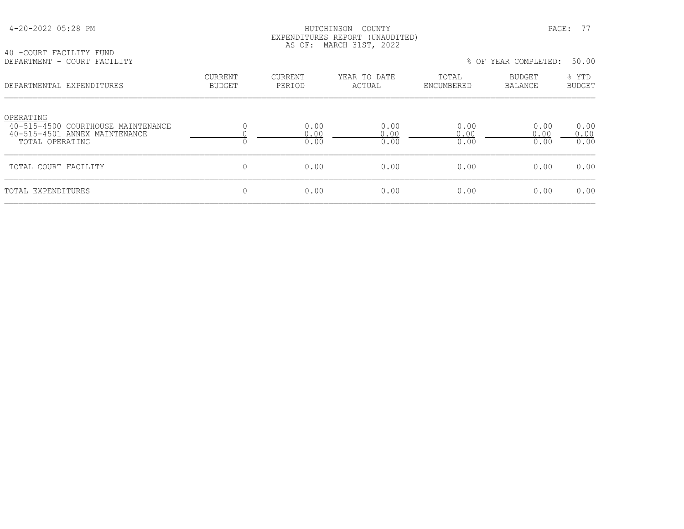#### HUTCHINSON COUNTY PAGE: 77 EXPENDITURES REPORT (UNAUDITED) AS OF: MARCH 31ST, 2022

40 -COURT FACILITY FUND DEPARTMENT - COURT FACILITY % OF YEAR COMPLETED: 50.00

| LE LAIVIEUN I<br>COONT LUCTUITT                                                                     |                                 |                      |                        |                      | 0 UI IEAN COMIEEELD. | JU • UU                |
|-----------------------------------------------------------------------------------------------------|---------------------------------|----------------------|------------------------|----------------------|----------------------|------------------------|
| DEPARTMENTAL EXPENDITURES                                                                           | <b>CURRENT</b><br><b>BUDGET</b> | CURRENT<br>PERIOD    | YEAR TO DATE<br>ACTUAL | TOTAL<br>ENCUMBERED  | BUDGET<br>BALANCE    | % YTD<br><b>BUDGET</b> |
| OPERATING<br>40-515-4500 COURTHOUSE MAINTENANCE<br>40-515-4501 ANNEX MAINTENANCE<br>TOTAL OPERATING |                                 | 0.00<br>0.00<br>0.00 | 0.00<br>0.00<br>0.00   | 0.00<br>0.00<br>0.00 | 0.00<br>0.00<br>0.00 | 0.00<br>0.00<br>0.00   |
| TOTAL COURT FACILITY                                                                                |                                 | 0.00                 | 0.00                   | 0.00                 | 0.00                 | 0.00                   |
| TOTAL EXPENDITURES                                                                                  |                                 | 0.00                 | 0.00                   | 0.00                 | 0.00                 | 0.00                   |
|                                                                                                     |                                 |                      |                        |                      |                      |                        |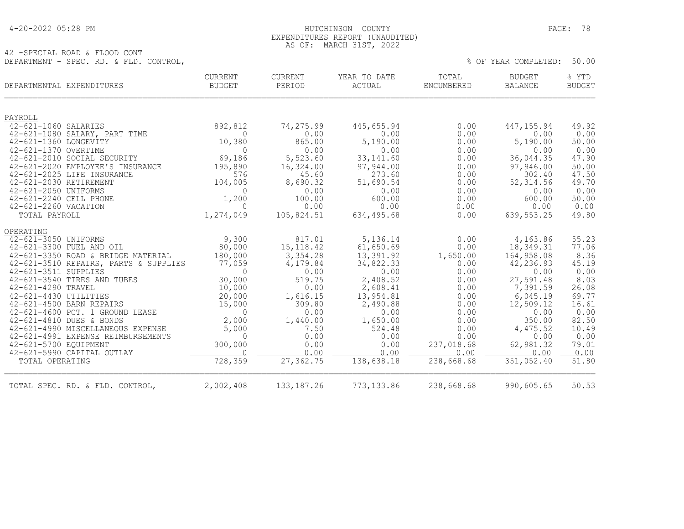# 4-20-2022 05:28 PM HUTCHINSON COUNTY PAGE: 78 EXPENDITURES REPORT (UNAUDITED) AS OF: MARCH 31ST, 2022

42 -SPECIAL ROAD & FLOOD CONT DEPARTMENT - SPEC. RD. & FLD. CONTROL,  $\%$  Of YEAR COMPLETED: 50.00

| DEPARTMENTAL EXPENDITURES                                     | CURRENT<br><b>BUDGET</b> | CURRENT<br>PERIOD | YEAR TO DATE<br>ACTUAL | TOTAL<br>ENCUMBERED | <b>BUDGET</b><br><b>BALANCE</b> | % YTD<br><b>BUDGET</b> |
|---------------------------------------------------------------|--------------------------|-------------------|------------------------|---------------------|---------------------------------|------------------------|
| PAYROLL                                                       |                          |                   |                        |                     |                                 |                        |
| 42-621-1060 SALARIES                                          | 892,812                  | 74,275.99         | 445,655.94             | 0.00                | 447, 155.94                     | 49.92                  |
| 42-621-1080 SALARY, PART TIME                                 | $\Omega$                 | 0.00              | 0.00                   | 0.00                | 0.00                            | 0.00                   |
| 42-621-1360 LONGEVITY                                         | 10,380                   | 865.00            | 5,190.00               | 0.00                | 5,190.00                        | 50.00                  |
| 42-621-1370 OVERTIME                                          | $\Omega$                 | 0.00              | 0.00                   | 0.00                | 0.00                            | 0.00                   |
| 42-621-2010 SOCIAL SECURITY                                   | 69,186                   | 5,523.60          | 33, 141.60             | 0.00                | 36,044.35                       | 47.90                  |
| 42-621-2020 EMPLOYEE'S INSURANCE                              | 195,890                  | 16,324.00         | 97,944.00              | 0.00                | 97,946.00                       | 50.00                  |
| 42-621-2025 LIFE INSURANCE                                    | 576                      | 45.60             | 273.60                 | 0.00                | 302.40                          | 47.50                  |
| 42-621-2030 RETIREMENT                                        | 104,005                  | 8,690.32          | 51,690.54              | 0.00                | 52, 314.56                      | 49.70                  |
| 42-621-2050 UNIFORMS                                          | $\mathbf 0$              | 0.00              | 0.00                   | 0.00                | 0.00                            | 0.00                   |
| 42-621-2240 CELL PHONE<br>42-621-2260 VACATION                | 1,200<br>$\Omega$        | 100.00<br>0.00    | 600.00<br>0.00         | 0.00<br>0.00        | 600.00<br>0.00                  | 50.00                  |
| TOTAL PAYROLL                                                 | 1,274,049                | 105,824.51        | 634,495.68             | 0.00                | 639, 553.25                     | 0.00<br>49.80          |
|                                                               |                          |                   |                        |                     |                                 |                        |
| OPERATING                                                     |                          |                   |                        |                     |                                 |                        |
| 42-621-3050 UNIFORMS                                          | 9,300                    | 817.01            | 5,136.14               | 0.00                | 4,163.86                        | 55.23                  |
| 42-621-3300 FUEL AND OIL                                      | 80,000                   | 15, 118.42        | 61,650.69              | 0.00                | 18,349.31                       | 77.06                  |
| 42-621-3350 ROAD & BRIDGE MATERIAL                            | 180,000                  | 3,354.28          | 13,391.92              | 1,650.00            | 164,958.08                      | 8.36                   |
| 42-621-3510 REPAIRS, PARTS & SUPPLIES                         | 77,059                   | 4,179.84          | 34,822.33              | 0.00                | 42,236.93                       | 45.19                  |
| 42-621-3511 SUPPLIES                                          | $\Omega$                 | 0.00              | 0.00                   | 0.00                | 0.00                            | 0.00                   |
| 42-621-3540 TIRES AND TUBES                                   | 30,000                   | 519.75            | 2,408.52               | 0.00                | 27,591.48                       | 8.03                   |
| 42-621-4290 TRAVEL                                            | 10,000                   | 0.00              | 2,608.41               | 0.00                | 7,391.59                        | 26.08                  |
| 42-621-4430 UTILITIES                                         | 20,000                   | 1,616.15          | 13,954.81              | 0.00                | 6,045.19                        | 69.77                  |
| 42-621-4500 BARN REPAIRS                                      | 15,000                   | 309.80            | 2,490.88               | 0.00                | 12,509.12                       | 16.61                  |
| 42-621-4600 PCT. 1 GROUND LEASE                               | $\overline{0}$           | 0.00              | 0.00                   | 0.00                | 0.00                            | 0.00                   |
| 42-621-4810 DUES & BONDS<br>42-621-4990 MISCELLANEOUS EXPENSE | 2,000<br>5,000           | 1,440.00<br>7.50  | 1,650.00<br>524.48     | 0.00<br>0.00        | 350.00<br>4,475.52              | 82.50<br>10.49         |
| 42-621-4991 EXPENSE REIMBURSEMENTS                            | $\Omega$                 | 0.00              | 0.00                   | 0.00                | 0.00                            | 0.00                   |
| 42-621-5700 EQUIPMENT                                         | 300,000                  | 0.00              | 0.00                   | 237,018.68          | 62,981.32                       | 79.01                  |
| 42-621-5990 CAPITAL OUTLAY                                    | $\Omega$                 | 0.00              | 0.00                   | 0.00                | 0.00                            | 0.00                   |
| TOTAL OPERATING                                               | 728,359                  | 27,362.75         | 138,638.18             | 238,668.68          | 351,052.40                      | 51.80                  |
| TOTAL SPEC. RD. & FLD. CONTROL,                               | 2,002,408                | 133, 187. 26      | 773, 133.86            | 238,668.68          | 990,605.65                      | 50.53                  |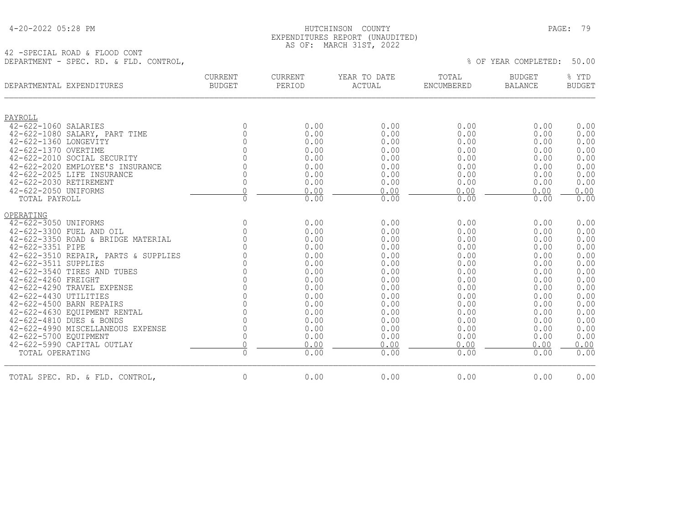| 4-20-2022 05:28 PM |  |  |
|--------------------|--|--|
|--------------------|--|--|

#### HUTCHINSON COUNTY PAGE: 79 EXPENDITURES REPORT (UNAUDITED) AS OF: MARCH 31ST, 2022

42 -SPECIAL ROAD & FLOOD CONT DEPARTMENT - SPEC. RD. & FLD. CONTROL,  $\%$  Of YEAR COMPLETED: 50.00

| DEPARTMENTAL EXPENDITURES            | <b>CURRENT</b><br><b>BUDGET</b> | <b>CURRENT</b><br>PERIOD | YEAR TO DATE<br>ACTUAL | TOTAL<br>ENCUMBERED | <b>BUDGET</b><br><b>BALANCE</b> | % YTD<br><b>BUDGET</b> |
|--------------------------------------|---------------------------------|--------------------------|------------------------|---------------------|---------------------------------|------------------------|
| PAYROLL                              |                                 |                          |                        |                     |                                 |                        |
| 42-622-1060 SALARIES                 | $\mathbf{0}$                    | 0.00                     | 0.00                   | 0.00                | 0.00                            | 0.00                   |
| 42-622-1080 SALARY, PART TIME        | 0                               | 0.00                     | 0.00                   | 0.00                | 0.00                            | 0.00                   |
| 42-622-1360 LONGEVITY                | $\Omega$                        | 0.00                     | 0.00                   | 0.00                | 0.00                            | 0.00                   |
| 42-622-1370 OVERTIME                 | $\Omega$                        | 0.00                     | 0.00                   | 0.00                | 0.00                            | 0.00                   |
| 42-622-2010 SOCIAL SECURITY          | $\Omega$                        | 0.00                     | 0.00                   | 0.00                | 0.00                            | 0.00                   |
| 42-622-2020 EMPLOYEE'S INSURANCE     | $\Omega$                        | 0.00                     | 0.00                   | 0.00                | 0.00                            | 0.00                   |
| 42-622-2025 LIFE INSURANCE           | $\Omega$                        | 0.00                     | 0.00                   | 0.00                | 0.00                            | 0.00                   |
| 42-622-2030 RETIREMENT               | $\overline{0}$                  | 0.00                     | 0.00                   | 0.00                | 0.00                            | 0.00                   |
| 42-622-2050 UNIFORMS                 | $\mathbf{0}$                    | 0.00                     | 0.00                   | 0.00                | 0.00                            | 0.00                   |
| TOTAL PAYROLL                        | 0                               | 0.00                     | 0.00                   | 0.00                | 0.00                            | 0.00                   |
| OPERATING                            |                                 |                          |                        |                     |                                 |                        |
| 42-622-3050 UNIFORMS                 | $\overline{0}$                  | 0.00                     | 0.00                   | 0.00                | 0.00                            | 0.00                   |
| 42-622-3300 FUEL AND OIL             | 0                               | 0.00                     | 0.00                   | 0.00                | 0.00                            | 0.00                   |
| 42-622-3350 ROAD & BRIDGE MATERIAL   | $\Omega$                        | 0.00                     | 0.00                   | 0.00                | 0.00                            | 0.00                   |
| 42-622-3351 PIPE                     |                                 | 0.00                     | 0.00                   | 0.00                | 0.00                            | 0.00                   |
| 42-622-3510 REPAIR, PARTS & SUPPLIES |                                 | 0.00                     | 0.00                   | 0.00                | 0.00                            | 0.00                   |
| 42-622-3511 SUPPLIES                 | $\Omega$                        | 0.00                     | 0.00                   | 0.00                | 0.00                            | 0.00                   |
| 42-622-3540 TIRES AND TUBES          | $\Omega$                        | 0.00                     | 0.00                   | 0.00                | 0.00                            | 0.00                   |
| 42-622-4260 FREIGHT                  | $\Omega$                        | 0.00                     | 0.00                   | 0.00                | 0.00                            | 0.00                   |
| 42-622-4290 TRAVEL EXPENSE           | $\Omega$                        | 0.00                     | 0.00                   | 0.00                | 0.00                            | 0.00                   |
| 42-622-4430 UTILITIES                | $\Omega$                        | 0.00                     | 0.00                   | 0.00                | 0.00                            | 0.00                   |
| 42-622-4500 BARN REPAIRS             | $\Omega$                        | 0.00                     | 0.00                   | 0.00                | 0.00                            | 0.00                   |
| 42-622-4630 EOUIPMENT RENTAL         | 0                               | 0.00                     | 0.00                   | 0.00                | 0.00                            | 0.00                   |
| 42-622-4810 DUES & BONDS             | 0                               | 0.00                     | 0.00                   | 0.00                | 0.00                            | 0.00                   |
| 42-622-4990 MISCELLANEOUS EXPENSE    | 0                               | 0.00                     | 0.00                   | 0.00                | 0.00                            | 0.00                   |
| 42-622-5700 EQUIPMENT                | 0                               | 0.00                     | 0.00                   | 0.00                | 0.00                            | 0.00                   |
| 42-622-5990 CAPITAL OUTLAY           | $\Omega$                        | 0.00                     | 0.00                   | 0.00                | 0.00                            | 0.00                   |
| TOTAL OPERATING                      | $\mathsf{O}\xspace$             | 0.00                     | 0.00                   | 0.00                | 0.00                            | 0.00                   |
| TOTAL SPEC. RD. & FLD. CONTROL,      | 0                               | 0.00                     | 0.00                   | 0.00                | 0.00                            | 0.00                   |
|                                      |                                 |                          |                        |                     |                                 |                        |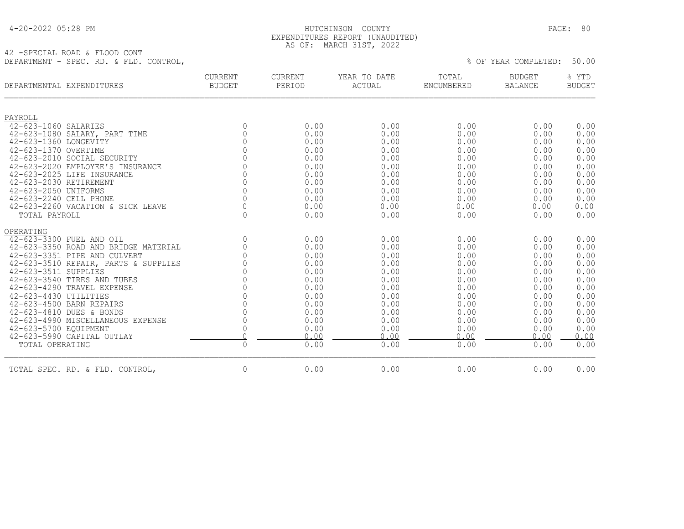| 4-20-2022 05:28 PM |  |  |
|--------------------|--|--|
|--------------------|--|--|

#### HUTCHINSON COUNTY PAGE: 80 EXPENDITURES REPORT (UNAUDITED) AS OF: MARCH 31ST, 2022

42 -SPECIAL ROAD & FLOOD CONT DEPARTMENT - SPEC. RD. & FLD. CONTROL,

| DEPARTMENTAL EXPENDITURES            | <b>CURRENT</b><br><b>BUDGET</b> | CURRENT<br>PERIOD | YEAR TO DATE<br>ACTUAL | TOTAL<br>ENCUMBERED | <b>BUDGET</b><br><b>BALANCE</b> | % YTD<br><b>BUDGET</b> |
|--------------------------------------|---------------------------------|-------------------|------------------------|---------------------|---------------------------------|------------------------|
| PAYROLL                              |                                 |                   |                        |                     |                                 |                        |
| 42-623-1060 SALARIES                 | $\Omega$                        | 0.00              | 0.00                   | 0.00                | 0.00                            | 0.00                   |
| 42-623-1080 SALARY, PART TIME        | $\Omega$                        | 0.00              | 0.00                   | 0.00                | 0.00                            | 0.00                   |
| 42-623-1360 LONGEVITY                | $\Omega$                        | 0.00              | 0.00                   | 0.00                | 0.00                            | 0.00                   |
| 42-623-1370 OVERTIME                 | $\Omega$                        | 0.00              | 0.00                   | 0.00                | 0.00                            | 0.00                   |
| 42-623-2010 SOCIAL SECURITY          | $\Omega$                        | 0.00              | 0.00                   | 0.00                | 0.00                            | 0.00                   |
| 42-623-2020 EMPLOYEE'S INSURANCE     | $\Omega$                        | 0.00              | 0.00                   | 0.00                | 0.00                            | 0.00                   |
| 42-623-2025 LIFE INSURANCE           | $\cap$                          | 0.00              | 0.00                   | 0.00                | 0.00                            | 0.00                   |
| 42-623-2030 RETIREMENT               | $\Omega$                        | 0.00              | 0.00                   | 0.00                | 0.00                            | 0.00                   |
| 42-623-2050 UNIFORMS                 | $\Omega$                        | 0.00              | 0.00                   | 0.00                | 0.00                            | 0.00                   |
| 42-623-2240 CELL PHONE               | $\mathbf 0$                     | 0.00              | 0.00                   | 0.00                | 0.00                            | 0.00                   |
| 42-623-2260 VACATION & SICK LEAVE    | $\Omega$                        | 0.00              | 0.00                   | 0.00                | 0.00                            | 0.00                   |
| TOTAL PAYROLL                        | $\Omega$                        | 0.00              | 0.00                   | 0.00                | 0.00                            | 0.00                   |
| OPERATING                            |                                 |                   |                        |                     |                                 |                        |
| 42-623-3300 FUEL AND OIL             | $\mathbf{0}$                    | 0.00              | 0.00                   | 0.00                | 0.00                            | 0.00                   |
| 42-623-3350 ROAD AND BRIDGE MATERIAL | $\overline{0}$                  | 0.00              | 0.00                   | 0.00                | 0.00                            | 0.00                   |
| 42-623-3351 PIPE AND CULVERT         | $\Omega$                        | 0.00              | 0.00                   | 0.00                | 0.00                            | 0.00                   |
| 42-623-3510 REPAIR, PARTS & SUPPLIES | $\overline{0}$                  | 0.00              | 0.00                   | 0.00                | 0.00                            | 0.00                   |
| 42-623-3511 SUPPLIES                 | $\Omega$                        | 0.00              | 0.00                   | 0.00                | 0.00                            | 0.00                   |
| 42-623-3540 TIRES AND TUBES          | $\overline{0}$                  | 0.00              | 0.00                   | 0.00                | 0.00                            | 0.00                   |
| 42-623-4290 TRAVEL EXPENSE           | $\overline{0}$                  | 0.00              | 0.00                   | 0.00                | 0.00                            | 0.00                   |
| 42-623-4430 UTILITIES                | $\Omega$                        | 0.00              | 0.00                   | 0.00                | 0.00                            | 0.00                   |
| 42-623-4500 BARN REPAIRS             | 0                               | 0.00              | 0.00                   | 0.00                | 0.00                            | 0.00                   |
| 42-623-4810 DUES & BONDS             | $\mathsf{O}\xspace$             | 0.00              | 0.00                   | 0.00                | 0.00                            | 0.00                   |
| 42-623-4990 MISCELLANEOUS EXPENSE    | $\mathbb O$                     | 0.00              | 0.00                   | 0.00                | 0.00                            | 0.00                   |
| 42-623-5700 EQUIPMENT                | $\mathbf 0$                     | 0.00              | 0.00                   | 0.00                | 0.00                            | 0.00                   |
| 42-623-5990 CAPITAL OUTLAY           | $\Omega$                        | 0.00              | 0.00                   | 0.00                | 0.00                            | 0.00                   |
| TOTAL OPERATING                      | $\mathbf{0}$                    | 0.00              | 0.00                   | 0.00                | 0.00                            | 0.00                   |
| TOTAL SPEC. RD. & FLD. CONTROL,      | $\overline{0}$                  | 0.00              | 0.00                   | 0.00                | 0.00                            | 0.00                   |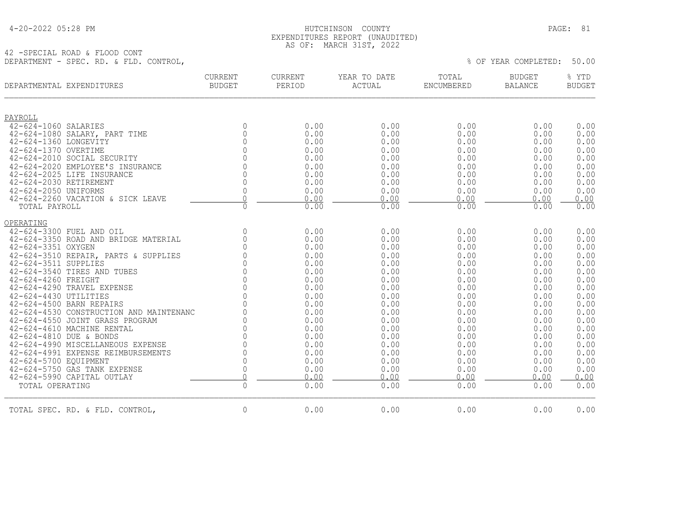| 4-20-2022 05:28 PM |  |  |
|--------------------|--|--|
|--------------------|--|--|

#### HUTCHINSON COUNTY PAGE: 81 EXPENDITURES REPORT (UNAUDITED) AS OF: MARCH 31ST, 2022

42 -SPECIAL ROAD & FLOOD CONT DEPARTMENT - SPEC. RD. & FLD. CONTROL, % OF YEAR COMPLETED: 50.00

| DEPARTMENTAL EXPENDITURES                                     | <b>CURRENT</b><br><b>BUDGET</b> | CURRENT<br>PERIOD | YEAR TO DATE<br>ACTUAL | TOTAL<br>ENCUMBERED | <b>BUDGET</b><br><b>BALANCE</b> | % YTD<br><b>BUDGET</b> |
|---------------------------------------------------------------|---------------------------------|-------------------|------------------------|---------------------|---------------------------------|------------------------|
| PAYROLL                                                       |                                 |                   |                        |                     |                                 |                        |
| 42-624-1060 SALARIES                                          | $\mathbf 0$                     | 0.00              | 0.00                   | 0.00                | 0.00                            | 0.00                   |
| 42-624-1080 SALARY, PART TIME                                 | $\mathbf{0}$                    | 0.00              | 0.00                   | 0.00                | 0.00                            | 0.00                   |
| 42-624-1360 LONGEVITY                                         | $\mathbb O$                     | 0.00              | 0.00                   | 0.00                | 0.00                            | 0.00                   |
| 42-624-1370 OVERTIME                                          | $\mathsf{O}\xspace$             | 0.00              | 0.00                   | 0.00                | 0.00                            | 0.00                   |
| 42-624-2010 SOCIAL SECURITY                                   | $\Omega$                        | 0.00              | 0.00                   | 0.00                | 0.00                            | 0.00                   |
| 42-624-2020 EMPLOYEE'S INSURANCE                              | $\cap$                          | 0.00              | 0.00                   | 0.00                | 0.00                            | 0.00                   |
| 42-624-2025 LIFE INSURANCE                                    | 0                               | 0.00              | 0.00                   | 0.00                | 0.00                            | 0.00                   |
| 42-624-2030 RETIREMENT                                        | $\mathbf 0$                     | 0.00              | 0.00                   | 0.00                | 0.00                            | 0.00                   |
| 42-624-2050 UNIFORMS                                          | $\mathbf 0$                     | 0.00              | 0.00                   | 0.00                | 0.00                            | 0.00                   |
| 42-624-2260 VACATION & SICK LEAVE                             | $\bigcap$                       | 0.00              | 0.00                   | 0.00                | 0.00                            | 0.00                   |
| TOTAL PAYROLL                                                 | $\mathsf{O}\xspace$             | 0.00              | 0.00                   | 0.00                | 0.00                            | 0.00                   |
| OPERATING                                                     |                                 |                   |                        |                     |                                 |                        |
| 42-624-3300 FUEL AND OIL                                      | $\mathbf 0$                     | 0.00              | 0.00                   | 0.00                | 0.00                            | 0.00                   |
| 42-624-3350 ROAD AND BRIDGE MATERIAL                          | $\overline{0}$                  | 0.00              | 0.00                   | 0.00                | 0.00                            | 0.00                   |
| 42-624-3351 OXYGEN                                            | $\overline{0}$                  | 0.00              | 0.00                   | 0.00                | 0.00                            | 0.00                   |
| 42-624-3510 REPAIR, PARTS & SUPPLIES                          | $\Omega$                        | 0.00              | 0.00                   | 0.00                | 0.00                            | 0.00                   |
| 42-624-3511 SUPPLIES                                          | $\overline{0}$                  | 0.00              | 0.00                   | 0.00                | 0.00                            | 0.00                   |
| 42-624-3540 TIRES AND TUBES                                   | $\mathsf{O}\xspace$             | 0.00              | 0.00                   | 0.00                | 0.00                            | 0.00                   |
| 42-624-4260 FREIGHT                                           | $\mathsf{O}\xspace$             | 0.00              | 0.00                   | 0.00                | 0.00                            | 0.00                   |
| 42-624-4290 TRAVEL EXPENSE                                    | $\Omega$                        | 0.00              | 0.00                   | 0.00                | 0.00                            | 0.00                   |
| 42-624-4430 UTILITIES                                         | $\Omega$                        | 0.00              | 0.00                   | 0.00                | 0.00                            | 0.00                   |
| 42-624-4500 BARN REPAIRS                                      | $\Omega$                        | 0.00              | 0.00                   | 0.00                | 0.00                            | 0.00                   |
| 42-624-4530 CONSTRUCTION AND MAINTENANC                       | $\Omega$<br>$\Omega$            | 0.00              | 0.00                   | 0.00                | 0.00                            | 0.00                   |
| 42-624-4550 JOINT GRASS PROGRAM<br>42-624-4610 MACHINE RENTAL | $\overline{0}$                  | 0.00<br>0.00      | 0.00<br>0.00           | 0.00<br>0.00        | 0.00<br>0.00                    | 0.00<br>0.00           |
| 42-624-4810 DUE & BONDS                                       | $\mathsf{O}$                    | 0.00              | 0.00                   | 0.00                | 0.00                            | 0.00                   |
| 42-624-4990 MISCELLANEOUS EXPENSE                             | $\mathbb O$                     | 0.00              | 0.00                   | 0.00                | 0.00                            | 0.00                   |
| 42-624-4991 EXPENSE REIMBURSEMENTS                            | $\Omega$                        | 0.00              | 0.00                   | 0.00                | 0.00                            | 0.00                   |
| 42-624-5700 EQUIPMENT                                         | $\mathsf{O}\xspace$             | 0.00              | 0.00                   | 0.00                | 0.00                            | 0.00                   |
| 42-624-5750 GAS TANK EXPENSE                                  | $\mathbf 0$                     | 0.00              | 0.00                   | 0.00                | 0.00                            | 0.00                   |
| 42-624-5990 CAPITAL OUTLAY                                    | $\overline{0}$                  | 0.00              | 0.00                   | 0.00                | 0.00                            | 0.00                   |
| TOTAL OPERATING                                               | $\Omega$                        | 0.00              | 0.00                   | 0.00                | 0.00                            | 0.00                   |
| TOTAL SPEC. RD. & FLD. CONTROL,                               | $\mathbf 0$                     | 0.00              | 0.00                   | 0.00                | 0.00                            | 0.00                   |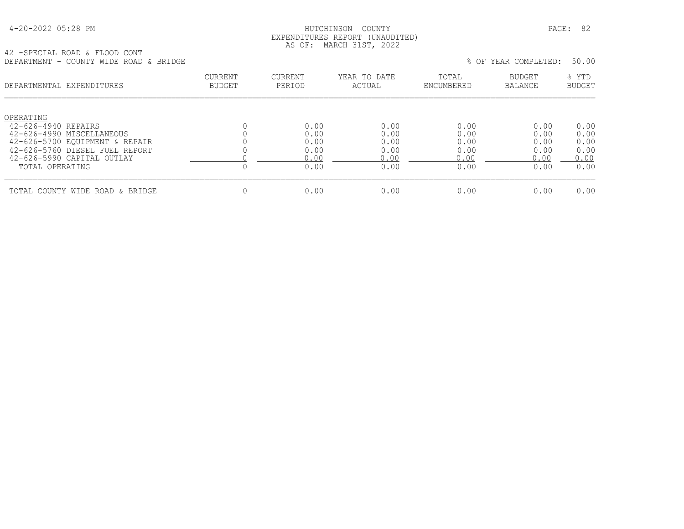| 4-20-2022 05:28 PM |  |
|--------------------|--|
|--------------------|--|

#### HUTCHINSON COUNTY PAGE: 82 EXPENDITURES REPORT (UNAUDITED) AS OF: MARCH 31ST, 2022

42 -SPECIAL ROAD & FLOOD CONT DEPARTMENT - COUNTY WIDE ROAD & BRIDGE % OF YEAR COMPLETED: 50.00

| ---------------<br>COONII WIDD IWAD CONTROL      |                          |                   |                        |                     | ○ ──────────────────────────────── | <u>JU.JU</u>           |
|--------------------------------------------------|--------------------------|-------------------|------------------------|---------------------|------------------------------------|------------------------|
| DEPARTMENTAL EXPENDITURES                        | CURRENT<br><b>BUDGET</b> | CURRENT<br>PERIOD | YEAR TO DATE<br>ACTUAL | TOTAL<br>ENCUMBERED | <b>BUDGET</b><br>BALANCE           | % YTD<br><b>BUDGET</b> |
| OPERATING                                        |                          |                   |                        |                     |                                    |                        |
| 42-626-4940 REPAIRS<br>42-626-4990 MISCELLANEOUS |                          | 0.00<br>0.00      | 0.00<br>0.00           | 0.00<br>0.00        | 0.00<br>0.00                       | 0.00<br>0.00           |
| 42-626-5700 EOUIPMENT & REPAIR                   |                          | 0.00              | 0.00                   | 0.00                | 0.00                               | 0.00                   |
| 42-626-5760 DIESEL FUEL REPORT                   |                          | 0.00              | 0.00                   | 0.00                | 0.00                               | 0.00                   |
| 42-626-5990 CAPITAL OUTLAY                       |                          | 0.00              | 0.00                   | 0.00                | 0.00                               | 0.00                   |
| TOTAL OPERATING                                  | U                        | 0.00              | 0.00                   | 0.00                | 0.00                               | 0.00                   |
| TOTAL COUNTY WIDE ROAD & BRIDGE                  |                          | 0.00              | 0.00                   | 0.00                | 0.00                               | 0.00                   |
|                                                  |                          |                   |                        |                     |                                    |                        |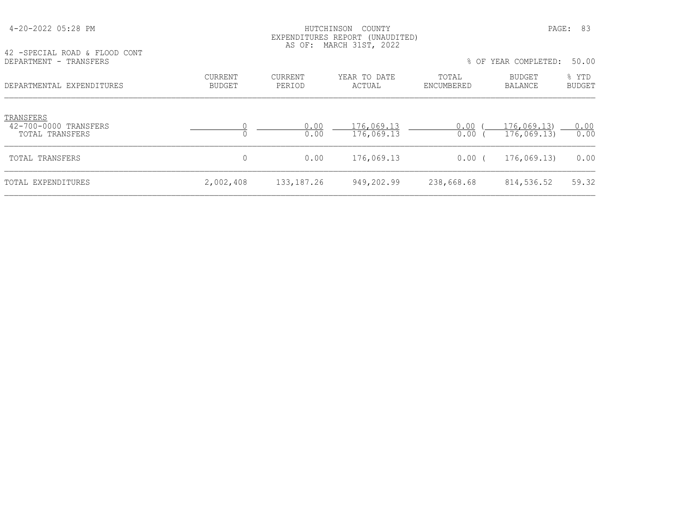| 42 - SPECIAL ROAD & FLOOD CONT                        |                          | EXPENDITURES REPORT<br>AS OF: | (UNAUDITED)<br>MARCH 31ST, 2022 |                     |                                 |                        |
|-------------------------------------------------------|--------------------------|-------------------------------|---------------------------------|---------------------|---------------------------------|------------------------|
| DEPARTMENT - TRANSFERS                                |                          |                               |                                 |                     | % OF YEAR COMPLETED:            | 50.00                  |
| DEPARTMENTAL EXPENDITURES                             | CURRENT<br><b>BUDGET</b> | CURRENT<br>PERIOD             | YEAR TO DATE<br>ACTUAL          | TOTAL<br>ENCUMBERED | <b>BUDGET</b><br><b>BALANCE</b> | % YTD<br><b>BUDGET</b> |
| TRANSFERS<br>42-700-0000 TRANSFERS<br>TOTAL TRANSFERS |                          | 0.00<br>0.00                  | 176,069.13<br>176,069.13        | 0.00<br>0.00        | 176,069,13<br>176,069.13        | 0.00<br>0.00           |
| TOTAL TRANSFERS                                       | 0                        | 0.00                          | 176,069.13                      | 0.00(               | 176,069,13                      | 0.00                   |
| TOTAL EXPENDITURES                                    | 2,002,408                | 133, 187. 26                  | 949,202.99                      | 238,668.68          | 814,536.52                      | 59.32                  |

4-20-2022 05:28 PM HUTCHINSON COUNTY PAGE: 83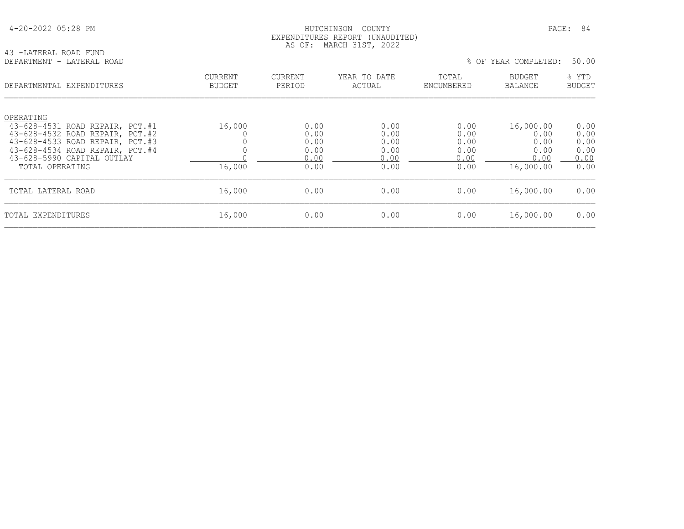#### HUTCHINSON COUNTY PAGE: 84 EXPENDITURES REPORT (UNAUDITED) AS OF: MARCH 31ST, 2022

43 -LATERAL ROAD FUND<br>DEPARTMENT - LATERAL ROAD

#### % OF YEAR COMPLETED: 50.00

| DEPARTMENTAL EXPENDITURES                                          | CURRENT<br><b>BUDGET</b> | <b>CURRENT</b><br>PERIOD | YEAR TO DATE<br>ACTUAL | TOTAL<br>ENCUMBERED | <b>BUDGET</b><br>BALANCE | % YTD<br><b>BUDGET</b> |
|--------------------------------------------------------------------|--------------------------|--------------------------|------------------------|---------------------|--------------------------|------------------------|
| OPERATING<br>43-628-4531 ROAD REPAIR, PCT.#1                       | 16,000                   | 0.00                     | 0.00                   | 0.00                | 16,000.00                | 0.00                   |
| 43-628-4532 ROAD REPAIR, PCT.#2                                    |                          | 0.00                     | 0.00                   | 0.00                | 0.00                     | 0.00                   |
| 43-628-4533 ROAD REPAIR, PCT.#3<br>43-628-4534 ROAD REPAIR, PCT.#4 |                          | 0.00<br>0.00             | 0.00<br>0.00           | 0.00<br>0.00        | 0.00<br>0.00             | 0.00<br>0.00           |
| 43-628-5990 CAPITAL OUTLAY                                         |                          | 0.00                     | 0.00                   | 0.00                | 0.00                     | 0.00                   |
| TOTAL OPERATING                                                    | 16,000                   | 0.00                     | 0.00                   | 0.00                | 16,000.00                | 0.00                   |
| TOTAL LATERAL ROAD                                                 | 16,000                   | 0.00                     | 0.00                   | 0.00                | 16,000.00                | 0.00                   |
| TOTAL EXPENDITURES                                                 | 16,000                   | 0.00                     | 0.00                   | 0.00                | 16,000.00                | 0.00                   |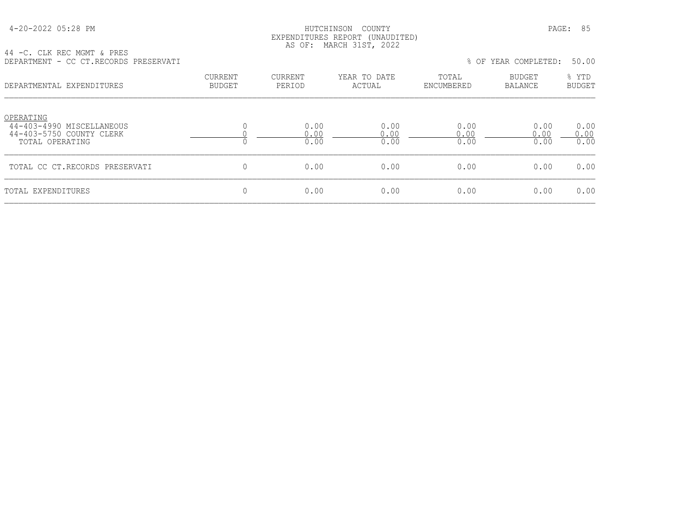#### HUTCHINSON COUNTY PAGE: 85 EXPENDITURES REPORT (UNAUDITED) AS OF: MARCH 31ST, 2022

44 -C. CLK REC MGMT & PRES DEPARTMENT - CC CT.RECORDS PRESERVATI % OF YEAR COMPLETED: 50.00

| DEPARTMENTAL EXPENDITURES                                                             | <b>CURRENT</b><br><b>BUDGET</b> | <b>CURRENT</b><br>PERIOD | YEAR TO DATE<br>ACTUAL | TOTAL<br>ENCUMBERED  | <b>BUDGET</b><br>BALANCE | % YTD<br><b>BUDGET</b> |
|---------------------------------------------------------------------------------------|---------------------------------|--------------------------|------------------------|----------------------|--------------------------|------------------------|
| OPERATING<br>44-403-4990 MISCELLANEOUS<br>44-403-5750 COUNTY CLERK<br>TOTAL OPERATING | л.                              | 0.00<br>0.00<br>0.00     | 0.00<br>0.00<br>0.00   | 0.00<br>0.00<br>0.00 | 0.00<br>0.00<br>0.00     | 0.00<br>0.00<br>0.00   |
| TOTAL CC CT.RECORDS PRESERVATI                                                        | $\mathbf 0$                     | 0.00                     | 0.00                   | 0.00                 | 0.00                     | 0.00                   |
| TOTAL EXPENDITURES                                                                    | $\mathbf{0}$                    | 0.00                     | 0.00                   | 0.00                 | 0.00                     | 0.00                   |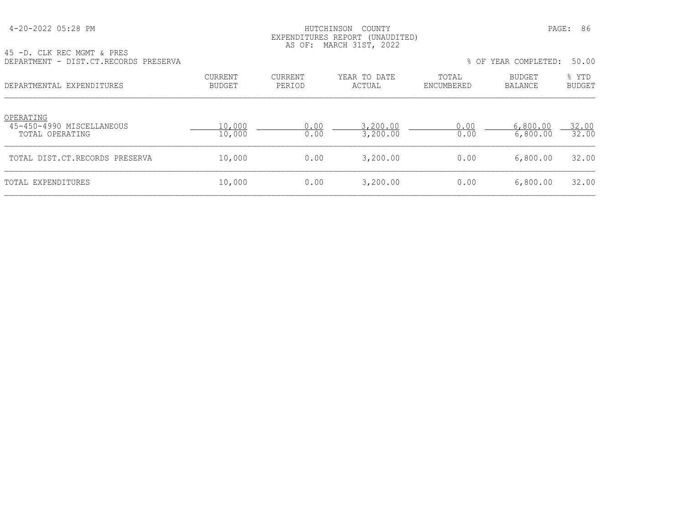| 4-20-2022 05:28 PM |  |  |
|--------------------|--|--|
|--------------------|--|--|

# HUTCHINSON COUNTY PAGE: 86 EXPENDITURES REPORT (UNAUDITED) AS OF: MARCH 31ST, 2022

|  |  | 45 -D. CLK REC MGMT & PRES |  |                                       |  |
|--|--|----------------------------|--|---------------------------------------|--|
|  |  |                            |  | DEPARTMENT - DIST.CT.RECORDS PRESERVA |  |

| AN LA' CHU URC MAMI & LUDO<br>DEPARTMENT - DIST.CT.RECORDS PRESERVA |                          |                          |                        |                     | % OF YEAR COMPLETED:            | 50.00                  |
|---------------------------------------------------------------------|--------------------------|--------------------------|------------------------|---------------------|---------------------------------|------------------------|
| DEPARTMENTAL EXPENDITURES                                           | CURRENT<br><b>BUDGET</b> | <b>CURRENT</b><br>PERIOD | YEAR TO DATE<br>ACTUAL | TOTAL<br>ENCUMBERED | <b>BUDGET</b><br><b>BALANCE</b> | % YTD<br><b>BUDGET</b> |
| OPERATING<br>45-450-4990 MISCELLANEOUS<br>TOTAL OPERATING           | 10,000<br>10,000         | 0.00<br>0.00             | 3,200.00<br>3,200.00   | 0.00<br>0.00        | 6,800.00<br>6,800.00            | 32.00<br>32.00         |
| TOTAL DIST.CT.RECORDS PRESERVA                                      | 10,000                   | 0.00                     | 3,200.00               | 0.00                | 6,800.00                        | 32.00                  |
| TOTAL EXPENDITURES                                                  | 10,000                   | 0.00                     | 3,200.00               | 0.00                | 6,800.00                        | 32.00                  |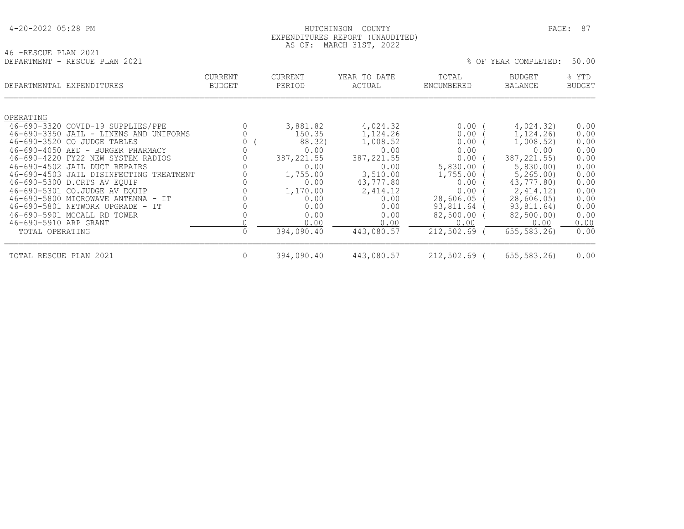|  |  |  | 4-20-2022 05:28 PM |  |
|--|--|--|--------------------|--|
|--|--|--|--------------------|--|

#### 4-20-2022 05:28 PM HUTCHINSON COUNTY PAGE: 87 EXPENDITURES REPORT (UNAUDITED) AS OF: MARCH 31ST, 2022

| 46 -RESCUE PLAN 2021 |                               |  |
|----------------------|-------------------------------|--|
|                      | DEPARTMENT - RESCUE PLAN 2021 |  |

| DEPARTMENT - RESCUE PLAN 2021                                               |                   |                    |                        |                     | % OF YEAR COMPLETED:   | 50.00                  |
|-----------------------------------------------------------------------------|-------------------|--------------------|------------------------|---------------------|------------------------|------------------------|
| DEPARTMENTAL EXPENDITURES                                                   | CURRENT<br>BUDGET | CURRENT<br>PERIOD  | YEAR TO DATE<br>ACTUAL | TOTAL<br>ENCUMBERED | BUDGET<br>BALANCE      | % YTD<br><b>BUDGET</b> |
| OPERATING                                                                   |                   |                    |                        |                     |                        |                        |
| 46-690-3320 COVID-19 SUPPLIES/PPE<br>46-690-3350 JAIL - LINENS AND UNIFORMS |                   | 3,881.82<br>150.35 | 4,024.32<br>1,124.26   | 0.00<br>0.00        | 4,024.32)<br>1,124.26) | 0.00<br>0.00           |
| 46-690-3520 CO JUDGE TABLES                                                 |                   | 88.32)             | 1,008.52               | 0.00                | 1,008.52)              | 0.00                   |
| 46-690-4050 AED - BORGER PHARMACY                                           |                   | 0.00               | 0.00                   | 0.00                | 0.00                   | 0.00                   |
| AG-690-4220 FY22 NEW SYSTEM PADIOS                                          |                   | 387 221 55         | 387 221 55             | n nn                | 38722155               | 0.00                   |

| 0.00        | 0.00        | 0.00         | 0.00          | 0.00 |
|-------------|-------------|--------------|---------------|------|
| 387, 221.55 | 387, 221.55 | 0.00         | 387, 221, 55) | 0.00 |
| 0.00        | 0.00        | 5,830.00     | 5,830,00      | 0.00 |
| 1,755.00    | 3,510.00    | 1,755.00     | 5, 265, 00    | 0.00 |
| 0.00        | 43,777.80   | 0.00         | 43,777,80)    | 0.00 |
| 1,170.00    | 2,414.12    | 0.00         | 2,414.12)     | 0.00 |
| 0.00        | 0.00        | 28,606.05    | 28,606.05)    | 0.00 |
| 0.00        | 0.00        | 93,811.64 (  | 93,811.64)    | 0.00 |
| 0.00        | 0.00        | 82,500.00 (  | 82,500.00)    | 0.00 |
| 0.00        | 0.00        | 0.00         | 0.00          | 0.00 |
| 394,090.40  | 443,080.57  | 212,502.69 ( | 655,583.26)   | 0.00 |
| 394,090.40  | 443,080.57  | 212,502.69 ( | 655,583.26)   | 0.00 |
|             |             |              |               |      |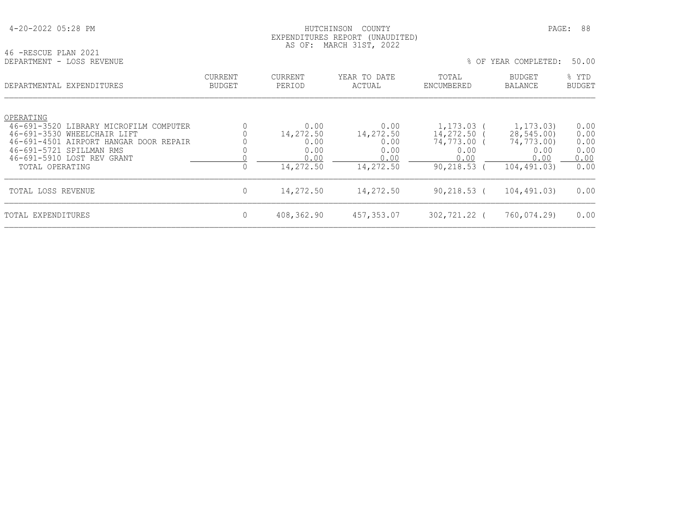# HUTCHINSON COUNTY PAGE: 88 EXPENDITURES REPORT (UNAUDITED) AS OF: MARCH 31ST, 2022

| 46 -RESCUE PLAN 2021      |  | $1.10 \, \text{V} - 1.1 \, \text{m}$ $1.10 \, \text{m}$ $1.10 \, \text{m}$ $1.10 \, \text{m}$ |  |  |
|---------------------------|--|-----------------------------------------------------------------------------------------------|--|--|
| DEPARTMENT - LOSS REVENUE |  |                                                                                               |  |  |

| DEPARTMENTAL EXPENDITURES                                          | CURRENT<br><b>BUDGET</b> | <b>CURRENT</b><br>PERIOD | YEAR TO DATE<br>ACTUAL | TOTAL<br>ENCUMBERED | <b>BUDGET</b><br>BALANCE | % YTD<br><b>BUDGET</b> |
|--------------------------------------------------------------------|--------------------------|--------------------------|------------------------|---------------------|--------------------------|------------------------|
| OPERATING<br>46-691-3520 LIBRARY MICROFILM COMPUTER                |                          | 0.00                     | 0.00                   | 1,173.03            | 1,173.03)                | 0.00                   |
| 46-691-3530 WHEELCHAIR LIFT                                        |                          | 14,272.50                | 14,272.50              | 14,272.50           | 28,545.00)               | 0.00                   |
| 46-691-4501 AIRPORT HANGAR DOOR REPAIR<br>46-691-5721 SPILLMAN RMS |                          | 0.00<br>0.00             | 0.00<br>0.00           | 74,773.00<br>0.00   | 74,773.00)<br>0.00       | 0.00<br>0.00           |
| 46-691-5910 LOST REV GRANT                                         |                          | 0.00                     | 0.00                   | 0.00                | 0.00                     | 0.00                   |
| TOTAL OPERATING                                                    | 0                        | 14,272.50                | 14,272.50              | 90,218.53           | 104,491.03)              | 0.00                   |
| TOTAL LOSS REVENUE                                                 | $\mathbf{0}$             | 14,272.50                | 14,272.50              | $90, 218.53$ (      | 104,491.03)              | 0.00                   |
| TOTAL EXPENDITURES                                                 | $\mathbf{0}$             | 408,362.90               | 457,353.07             | 302,721.22 (        | 760,074.29)              | 0.00                   |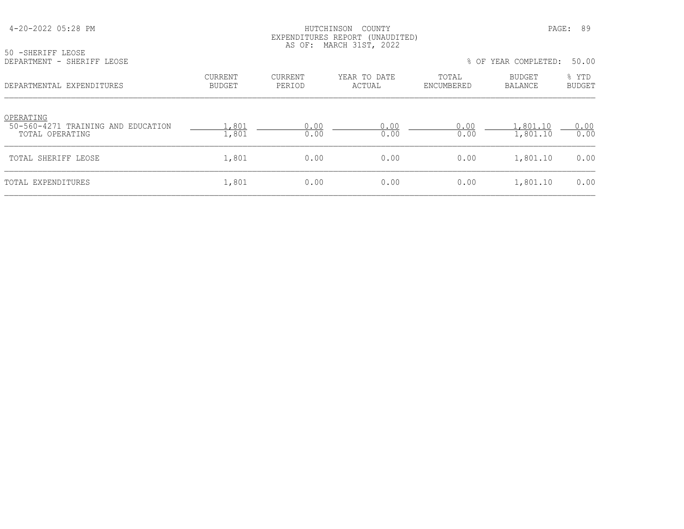#### HUTCHINSON COUNTY PAGE: 89 EXPENDITURES REPORT (UNAUDITED) AS OF: MARCH 31ST, 2022

| 50 -SHERIFF LEOSE |                            |
|-------------------|----------------------------|
|                   | DEPARTMENT - SHERIFF LEOSE |

| DEPARTMENT - SHERIFF LEOSE |  |  |  | % OF YEAR COMPLETED: 50.00 |  |  |
|----------------------------|--|--|--|----------------------------|--|--|
|----------------------------|--|--|--|----------------------------|--|--|

| DEPARTMENTAL EXPENDITURES                                          | <b>CURRENT</b><br><b>BUDGET</b> | CURRENT<br>PERIOD | YEAR TO DATE<br>ACTUAL | TOTAL<br>ENCUMBERED | <b>BUDGET</b><br>BALANCE | % YTD<br><b>BUDGET</b> |
|--------------------------------------------------------------------|---------------------------------|-------------------|------------------------|---------------------|--------------------------|------------------------|
| OPERATING<br>50-560-4271 TRAINING AND EDUCATION<br>TOTAL OPERATING | 1,801<br>1,801                  | 0.00<br>0.00      | 0.00<br>0.00           | 0.00<br>0.00        | .,801.10<br>1,801.10     | 0.00<br>0.00           |
| TOTAL SHERIFF LEOSE                                                | 1,801                           | 0.00              | 0.00                   | 0.00                | 1,801.10                 | 0.00                   |
| TOTAL EXPENDITURES                                                 | 1,801                           | 0.00              | 0.00                   | 0.00                | 1,801.10                 | 0.00                   |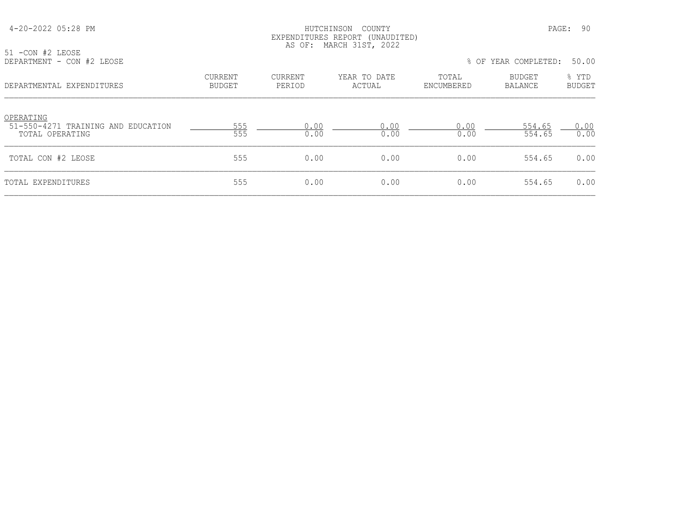#### HUTCHINSON COUNTY PAGE: 90 EXPENDITURES REPORT (UNAUDITED) AS OF: MARCH 31ST, 2022

|  | 51 -CON #2 LEOSE |  |  |                           |
|--|------------------|--|--|---------------------------|
|  |                  |  |  | DEPARTMENT - CON #2 LEOSE |

| DEPARTMENT - CON #2 LEOSE |  |  |  |  | % OF YEAR COMPLETED: 50.00 |  |  |
|---------------------------|--|--|--|--|----------------------------|--|--|
|---------------------------|--|--|--|--|----------------------------|--|--|

| DEPARTMENTAL EXPENDITURES                                          | <b>CURRENT</b><br><b>BUDGET</b> | CURRENT<br>PERIOD | YEAR TO DATE<br>ACTUAL | TOTAL<br>ENCUMBERED | <b>BUDGET</b><br>BALANCE | % YTD<br><b>BUDGET</b> |
|--------------------------------------------------------------------|---------------------------------|-------------------|------------------------|---------------------|--------------------------|------------------------|
| OPERATING<br>51-550-4271 TRAINING AND EDUCATION<br>TOTAL OPERATING | 555<br>555                      | 0.00<br>0.00      | 0.00<br>0.00           | 0.00<br>0.00        | 554.65<br>554.65         | 0.00<br>0.00           |
| TOTAL CON #2 LEOSE                                                 | 555                             | 0.00              | 0.00                   | 0.00                | 554.65                   | 0.00                   |
| TOTAL EXPENDITURES                                                 | 555                             | 0.00              | 0.00                   | 0.00                | 554.65                   | 0.00                   |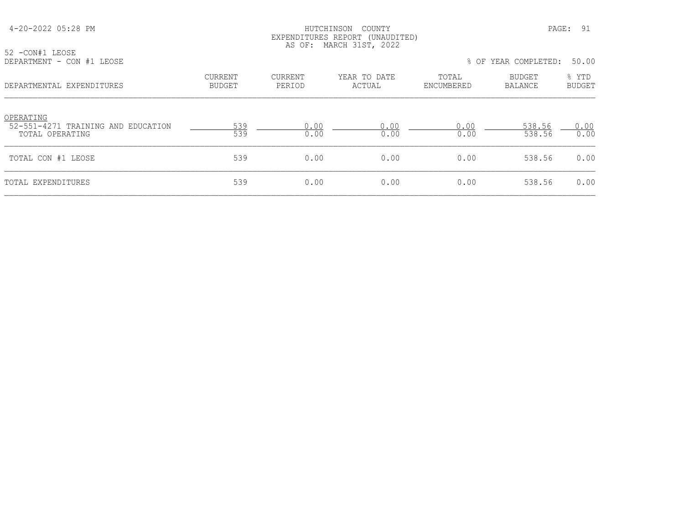#### HUTCHINSON COUNTY PAGE: 91 EXPENDITURES REPORT (UNAUDITED) AS OF: MARCH 31ST, 2022

| 52 -CON#1 LEOSE           |  |  |
|---------------------------|--|--|
| DEPARTMENT - CON #1 LEOSE |  |  |

|  | DEPARTMENT - CON #1 LEOSE | % OF YEAR COMPLETED: 50.00 |  |
|--|---------------------------|----------------------------|--|
|--|---------------------------|----------------------------|--|

| DEPARTMENTAL EXPENDITURES                                          | <b>CURRENT</b><br><b>BUDGET</b> | CURRENT<br>PERIOD | YEAR TO DATE<br>ACTUAL | TOTAL<br>ENCUMBERED | <b>BUDGET</b><br>BALANCE | % YTD<br><b>BUDGET</b> |
|--------------------------------------------------------------------|---------------------------------|-------------------|------------------------|---------------------|--------------------------|------------------------|
| OPERATING<br>52-551-4271 TRAINING AND EDUCATION<br>TOTAL OPERATING | 539<br>539                      | 0.00<br>0.00      | 0.00<br>0.00           | 0.00<br>0.00        | 538.56<br>538.56         | 0.00<br>0.00           |
| TOTAL CON #1 LEOSE                                                 | 539                             | 0.00              | 0.00                   | 0.00                | 538.56                   | 0.00                   |
| TOTAL EXPENDITURES                                                 | 539                             | 0.00              | 0.00                   | 0.00                | 538.56                   | 0.00                   |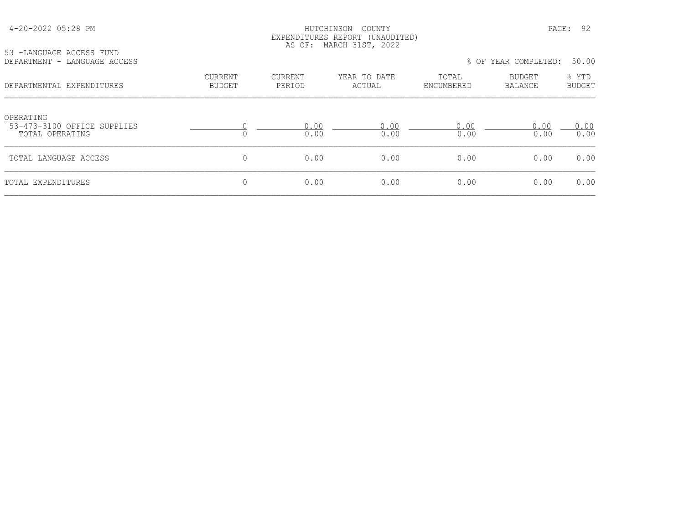| 4-20-2022 05:28 PM |  |  |
|--------------------|--|--|
|--------------------|--|--|

# HUTCHINSON COUNTY PAGE: 92 EXPENDITURES REPORT (UNAUDITED) AS OF: MARCH 31ST, 2022

| 53 -LANGUAGE ACCESS FUND     |  |
|------------------------------|--|
| DEPARTMENT - LANGUAGE ACCESS |  |

| DEPARTMENT - LANGUAGE ACCESS |  |  | % OF YEAR COMPLETED: 50.00 |  |  |
|------------------------------|--|--|----------------------------|--|--|
|------------------------------|--|--|----------------------------|--|--|

| DEPARTMENTAL EXPENDITURES                                   | <b>CURRENT</b><br><b>BUDGET</b> | <b>CURRENT</b><br>PERIOD | YEAR TO DATE<br>ACTUAL | TOTAL<br>ENCUMBERED | <b>BUDGET</b><br>BALANCE | % YTD<br><b>BUDGET</b> |
|-------------------------------------------------------------|---------------------------------|--------------------------|------------------------|---------------------|--------------------------|------------------------|
| OPERATING<br>53-473-3100 OFFICE SUPPLIES<br>TOTAL OPERATING |                                 | 0.00<br>0.00             | 0.00<br>0.00           | 0.00<br>0.00        | 0.00<br>0.00             | 0.00<br>0.00           |
| TOTAL LANGUAGE ACCESS                                       | $\mathbf 0$                     | 0.00                     | 0.00                   | 0.00                | 0.00                     | 0.00                   |
| TOTAL EXPENDITURES                                          | $\mathbf 0$                     | 0.00                     | 0.00                   | 0.00                | 0.00                     | 0.00                   |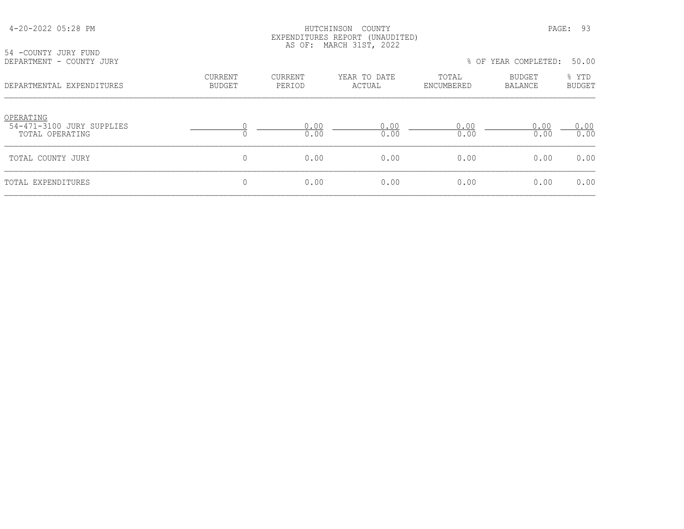| 54 - COUNTY JURY FUND                                     |                                 | AS OF:                   | EXPENDITURES REPORT (UNAUDITED)<br>MARCH 31ST, 2022 |                     |                                 |                        |  |
|-----------------------------------------------------------|---------------------------------|--------------------------|-----------------------------------------------------|---------------------|---------------------------------|------------------------|--|
| DEPARTMENT - COUNTY JURY                                  |                                 |                          |                                                     |                     | % OF YEAR COMPLETED:<br>50.00   |                        |  |
| DEPARTMENTAL EXPENDITURES                                 | <b>CURRENT</b><br><b>BUDGET</b> | <b>CURRENT</b><br>PERIOD | YEAR TO DATE<br>ACTUAL                              | TOTAL<br>ENCUMBERED | <b>BUDGET</b><br><b>BALANCE</b> | % YTD<br><b>BUDGET</b> |  |
| OPERATING<br>54-471-3100 JURY SUPPLIES<br>TOTAL OPERATING | $\Omega$                        | 0.00<br>0.00             | 0.00<br>0.00                                        | 0.00<br>0.00        | 0.00<br>0.00                    | 0.00<br>0.00           |  |
| TOTAL COUNTY JURY                                         | $\mathbf{0}$                    | 0.00                     | 0.00                                                | 0.00                | 0.00                            | 0.00                   |  |
| TOTAL EXPENDITURES                                        | 0                               | 0.00                     | 0.00                                                | 0.00                | 0.00                            | 0.00                   |  |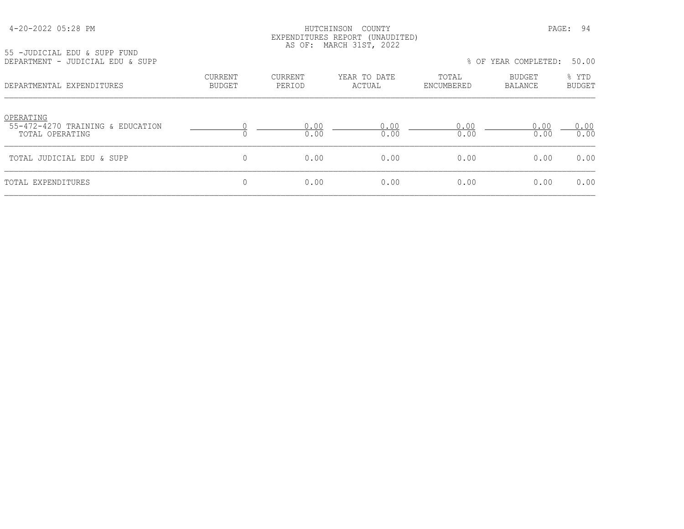| 4-20-2022 05:28 PM |  |  |
|--------------------|--|--|
|--------------------|--|--|

#### HUTCHINSON COUNTY PAGE: 94 EXPENDITURES REPORT (UNAUDITED) AS OF: MARCH 31ST, 2022

55 -JUDICIAL EDU & SUPP FUND

| DEPARTMENT - JUDICIAL EDU & SUPP                                 |                                 |                   |                        |                     | % OF YEAR COMPLETED: | 50.00                  |
|------------------------------------------------------------------|---------------------------------|-------------------|------------------------|---------------------|----------------------|------------------------|
| DEPARTMENTAL EXPENDITURES                                        | <b>CURRENT</b><br><b>BUDGET</b> | CURRENT<br>PERIOD | YEAR TO DATE<br>ACTUAL | TOTAL<br>ENCUMBERED | BUDGET<br>BALANCE    | % YTD<br><b>BUDGET</b> |
| OPERATING<br>55-472-4270 TRAINING & EDUCATION<br>TOTAL OPERATING |                                 | 0.00<br>0.00      | 0.00<br>0.00           | 0.00<br>0.00        | 0.00<br>0.00         | 0.00<br>0.00           |
| TOTAL JUDICIAL EDU & SUPP                                        | $\mathbf{0}$                    | 0.00              | 0.00                   | 0.00                | 0.00                 | 0.00                   |
| TOTAL EXPENDITURES                                               | 0                               | 0.00              | 0.00                   | 0.00                | 0.00                 | 0.00                   |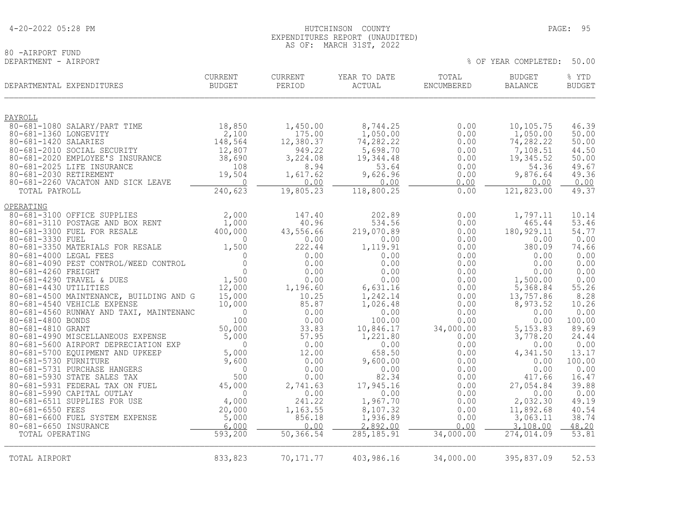# 80 -AIRPORT FUND<br>DEPARTMENT - AIRPORT

% OF YEAR COMPLETED: 50.00

| DEPARTMENTAL EXPENDITURES                                                 | <b>CURRENT</b><br>BUDGET | CURRENT<br>PERIOD   | YEAR TO DATE<br>ACTUAL | TOTAL<br>ENCUMBERED | <b>BUDGET</b><br><b>BALANCE</b> | % YTD<br><b>BUDGET</b> |
|---------------------------------------------------------------------------|--------------------------|---------------------|------------------------|---------------------|---------------------------------|------------------------|
| PAYROLL                                                                   |                          |                     |                        |                     |                                 |                        |
| 80-681-1080 SALARY/PART TIME                                              | 18,850                   | 1,450.00            | 8,744.25               | 0.00                | 10,105.75                       | 46.39                  |
| 80-681-1360 LONGEVITY<br>80-681-1420 SALARIES                             | 2,100<br>148,564         | 175.00<br>12,380.37 | 1,050.00<br>74,282.22  | 0.00<br>0.00        | 1,050.00<br>74, 282.22          | 50.00<br>50.00         |
| 80-681-2010 SOCIAL SECURITY                                               | 12,807                   | 949.22              | 5,698.70               | 0.00                | 7,108.51                        | 44.50                  |
| 80-681-2020 EMPLOYEE'S INSURANCE                                          | 38,690                   | 3,224.08            | 19,344.48              | 0.00                | 19,345.52                       | 50.00                  |
| 80-681-2025 LIFE INSURANCE                                                | 108                      | 8.94                | 53.64                  | 0.00                | 54.36                           | 49.67                  |
| 80-681-2030 RETIREMENT                                                    | 19,504                   | 1,617.62            | 9,626.96               | 0.00                | 9,876.64                        | 49.36                  |
| 80-681-2260 VACATON AND SICK LEAVE                                        | $\sim$ 0                 | 0.00                | 0.00                   | 0.00                | 0.00                            | 0.00                   |
| TOTAL PAYROLL                                                             | 240,623                  | 19,805.23           | 118,800.25             | 0.00                | 121,823.00                      | 49.37                  |
| OPERATING                                                                 |                          |                     |                        |                     |                                 |                        |
| 80-681-3100 OFFICE SUPPLIES                                               | 2,000                    | 147.40              | 202.89                 | 0.00                | 1,797.11                        | 10.14                  |
| 80-681-3110 POSTAGE AND BOX RENT                                          | 1,000                    | 40.96               | 534.56                 | 0.00                | 465.44                          | 53.46                  |
| 80-681-3300 FUEL FOR RESALE<br>80-681-3330 FUEL                           | 400,000<br>$\Omega$      | 43,556.66<br>0.00   | 219,070.89<br>0.00     | 0.00<br>0.00        | 180, 929.11<br>0.00             | 54.77<br>0.00          |
| 80-681-3350 MATERIALS FOR RESALE                                          | 1,500                    | 222.44              | 1,119.91               | 0.00                | 380.09                          | 74.66                  |
| 80-681-4000 LEGAL FEES                                                    | $\mathbf{0}$             | 0.00                | 0.00                   | 0.00                | 0.00                            | 0.00                   |
| 80-681-4090 PEST CONTROL/WEED CONTROL                                     | $\Omega$                 | 0.00                | 0.00                   | 0.00                | 0.00                            | 0.00                   |
| 80-681-4260 FREIGHT                                                       | $\overline{0}$           | 0.00                | 0.00                   | 0.00                | 0.00                            | 0.00                   |
| 80-681-4290 TRAVEL & DUES                                                 | 1,500                    | 0.00                | 0.00                   | 0.00                | 1,500.00                        | 0.00                   |
| 80-681-4430 UTILITIES<br>80-681-4500 MAINTENANCE, BUILDING AND G          | 12,000<br>15,000         | 1,196.60<br>10.25   | 6,631.16<br>1,242.14   | 0.00<br>0.00        | 5,368.84<br>13,757.86           | 55.26<br>8.28          |
| 80-681-4540 VEHICLE EXPENSE                                               | 10,000                   | 85.87               | 1,026.48               | 0.00                | 8,973.52                        | 10.26                  |
| 80-681-4560 RUNWAY AND TAXI, MAINTENANC                                   | $\overline{0}$           | 0.00                | 0.00                   | 0.00                | 0.00                            | 0.00                   |
| 80-681-4800 BONDS                                                         | 100                      | 0.00                | 100.00                 | 0.00                | 0.00                            | 100.00                 |
| 80-681-4810 GRANT                                                         | 50,000                   | 33.83               | 10,846.17              | 34,000.00           | 5, 153.83                       | 89.69                  |
| 80-681-4990 MISCELLANEOUS EXPENSE<br>80-681-5600 AIRPORT DEPRECIATION EXP | 5,000<br>$\Omega$        | 57.95<br>0.00       | 1,221.80<br>0.00       | 0.00<br>0.00        | 3,778.20<br>0.00                | 24.44<br>0.00          |
| 80-681-5700 EQUIPMENT AND UPKEEP                                          | 5,000                    | 12.00               | 658.50                 | 0.00                | 4,341.50                        | 13.17                  |
| 80-681-5730 FURNITURE                                                     | 9,600                    | 0.00                | 9,600.00               | 0.00                | 0.00                            | 100.00                 |
| 80-681-5731 PURCHASE HANGERS                                              | $\mathbf 0$              | 0.00                | 0.00                   | 0.00                | 0.00                            | 0.00                   |
| 80-681-5930 STATE SALES TAX                                               | 500                      | 0.00                | 82.34                  | 0.00                | 417.66                          | 16.47                  |
| 80-681-5931 FEDERAL TAX ON FUEL                                           | 45,000<br>$\Omega$       | 2,741.63            | 17,945.16              | 0.00                | 27,054.84                       | 39.88                  |
| 80-681-5990 CAPITAL OUTLAY<br>80-681-6511 SUPPLIES FOR USE                | 4,000                    | 0.00<br>241.22      | 0.00<br>1,967.70       | 0.00<br>0.00        | 0.00<br>2,032.30                | 0.00<br>49.19          |
| 80-681-6550 FEES                                                          | 20,000                   | 1,163.55            | 8,107.32               | 0.00                | 11,892.68                       | 40.54                  |
| 80-681-6600 FUEL SYSTEM EXPENSE                                           | 5,000                    | 856.18              | 1,936.89               | 0.00                | 3,063.11                        | 38.74                  |
| 80-681-6650 INSURANCE                                                     | 6,000                    | 0.00                | 2.892.00               | 0.00                | 3,108.00                        | 48.20                  |
| TOTAL OPERATING                                                           | 593,200                  | 50, 366.54          | 285, 185.91            | 34,000.00           | 274,014.09                      | 53.81                  |
| TOTAL AIRPORT                                                             | 833,823                  | 70, 171.77          | 403,986.16             | 34,000.00           | 395,837.09                      | 52.53                  |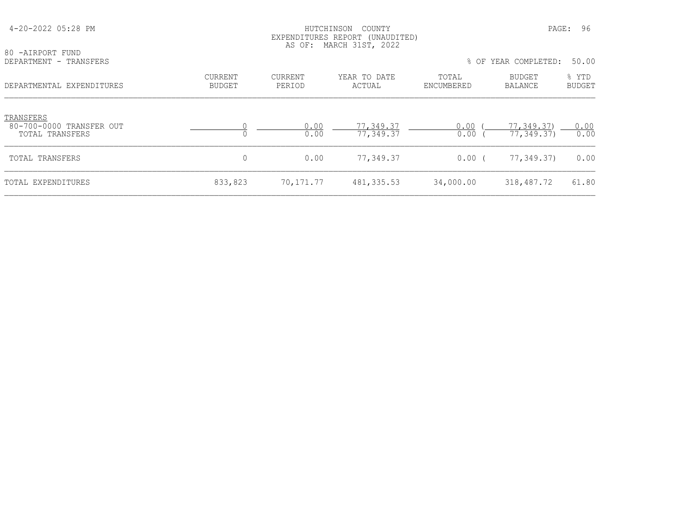| 80 -AIRPORT FUND                      |                          | AS OF:                   | EXPENDITURES REPORT (UNAUDITED)<br>MARCH 31ST, 2022 |                     |                          |                        |
|---------------------------------------|--------------------------|--------------------------|-----------------------------------------------------|---------------------|--------------------------|------------------------|
| DEPARTMENT - TRANSFERS                |                          |                          |                                                     |                     | % OF YEAR COMPLETED:     | 50.00                  |
| DEPARTMENTAL EXPENDITURES             | CURRENT<br><b>BUDGET</b> | <b>CURRENT</b><br>PERIOD | YEAR TO DATE<br>ACTUAL                              | TOTAL<br>ENCUMBERED | BUDGET<br><b>BALANCE</b> | % YTD<br><b>BUDGET</b> |
| TRANSFERS<br>80-700-0000 TRANSFER OUT |                          | 0.00                     | 77,349.37                                           | 0.00                | 77,349.37)               | 0.00                   |
| TOTAL TRANSFERS                       |                          | 0.00                     | 77,349.37                                           | 0.00                | 77,349.37)               | 0.00                   |
| TOTAL TRANSFERS                       | 0                        | 0.00                     | 77,349.37                                           | 0.00(               | 77,349.37)               | 0.00                   |
| TOTAL EXPENDITURES                    | 833,823                  | 70,171.77                | 481, 335.53                                         | 34,000.00           | 318,487.72               | 61.80                  |

4-20-2022 05:28 PM HUTCHINSON COUNTY PAGE: 96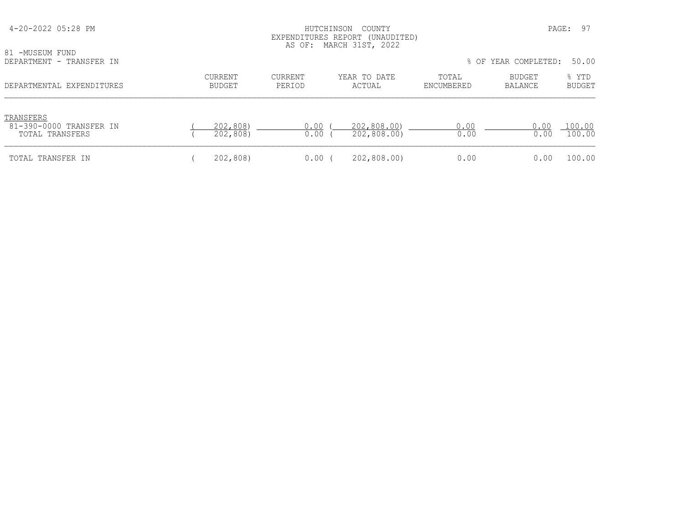| 4-20-2022 05:28 PM<br>81 -MUSEUM FUND<br>DEPARTMENT - TRANSFER IN | PAGE:<br>HUTCHINSON<br>COUNTY<br>EXPENDITURES REPORT (UNAUDITED)<br>AS OF: MARCH 31ST, 2022<br>% OF YEAR COMPLETED: |                   |                            |                     |                   |                                 |
|-------------------------------------------------------------------|---------------------------------------------------------------------------------------------------------------------|-------------------|----------------------------|---------------------|-------------------|---------------------------------|
| DEPARTMENTAL EXPENDITURES                                         | CURRENT<br><b>BUDGET</b>                                                                                            | CURRENT<br>PERIOD | YEAR TO DATE<br>ACTUAL     | TOTAL<br>ENCUMBERED | BUDGET<br>BALANCE | 50.00<br>% YTD<br><b>BUDGET</b> |
| TRANSFERS<br>81-390-0000 TRANSFER IN<br>TOTAL TRANSFERS           | 202,808)<br>202,808)                                                                                                | 0.00<br>0.00      | 202,808.00)<br>202,808.00) | 0.00<br>0.00        | 0.00<br>0.00      | 100.00<br>100.00                |
| TOTAL TRANSFER IN                                                 | 202,808)                                                                                                            | $0.00$ (          | 202,808.00)                | 0.00                | 0.00              | 100.00                          |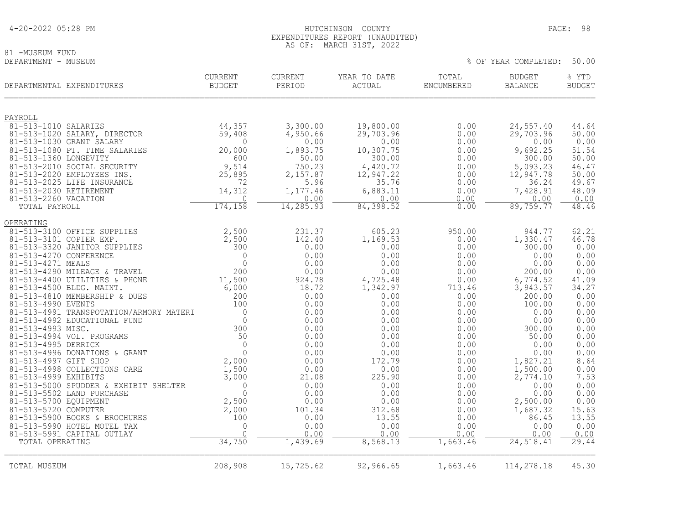# 81 -MUSEUM FUND<br>DEPARTMENT - MUSEUM

% OF YEAR COMPLETED: 50.00

| DEPARTMENTAL EXPENDITURES                            | <b>CURRENT</b><br><b>BUDGET</b> | CURRENT<br>PERIOD | YEAR TO DATE<br>ACTUAL | TOTAL<br>ENCUMBERED | <b>BUDGET</b><br><b>BALANCE</b> | % YTD<br><b>BUDGET</b> |
|------------------------------------------------------|---------------------------------|-------------------|------------------------|---------------------|---------------------------------|------------------------|
| PAYROLL                                              |                                 |                   |                        |                     |                                 |                        |
| 81-513-1010 SALARIES                                 | 44,357                          | 3,300.00          | 19,800.00              | 0.00                | 24,557.40                       | 44.64                  |
| 81-513-1020 SALARY, DIRECTOR                         | 59,408                          | 4,950.66          | 29,703.96              | 0.00                | 29,703.96                       | 50.00                  |
| 81-513-1030 GRANT SALARY                             | $\Omega$                        | 0.00              | 0.00                   | 0.00                | 0.00                            | 0.00                   |
| 81-513-1080 PT. TIME SALARIES                        | 20,000                          | 1,893.75          | 10,307.75              | 0.00                | 9,692.25                        | 51.54                  |
| 81-513-1360 LONGEVITY<br>81-513-2010 SOCIAL SECURITY | 600<br>9,514                    | 50.00<br>750.23   | 300.00<br>4,420.72     | 0.00                | 300.00                          | 50.00<br>46.47         |
| 81-513-2020 EMPLOYEES INS.                           | 25,895                          | 2,157.87          | 12,947.22              | 0.00<br>0.00        | 5,093.23<br>12,947.78           | 50.00                  |
| 81-513-2025 LIFE INSURANCE                           | 72                              | 5.96              | 35.76                  | 0.00                | 36.24                           | 49.67                  |
| 81-513-2030 RETIREMENT                               | 14,312                          | 1,177.46          | 6,883.11               | 0.00                | 7,428.91                        | 48.09                  |
| 81-513-2260 VACATION                                 | $\Omega$                        | 0.00              | 0.00                   | 0.00                | 0.00                            | 0.00                   |
| TOTAL PAYROLL                                        | 174,158                         | 14,285.93         | 84,398.52              | 0.00                | 89,759.77                       | 48.46                  |
| OPERATING                                            |                                 |                   |                        |                     |                                 |                        |
| 81-513-3100 OFFICE SUPPLIES                          | 2,500                           | 231.37            | 605.23                 | 950.00              | 944.77                          | 62.21                  |
| 81-513-3101 COPIER EXP.                              | 2,500                           | 142.40            | 1,169.53               | 0.00                | 1,330.47                        | 46.78                  |
| 81-513-3320 JANITOR SUPPLIES                         | 300                             | 0.00              | 0.00                   | 0.00                | 300.00                          | 0.00                   |
| 81-513-4270 CONFERENCE                               | $\mathbf{0}$                    | 0.00              | 0.00                   | 0.00                | 0.00                            | 0.00                   |
| 81-513-4271 MEALS<br>81-513-4290 MILEAGE & TRAVEL    | $\Omega$<br>200                 | 0.00              | 0.00                   | 0.00                | 0.00<br>200.00                  | 0.00<br>0.00           |
| 81-513-4400 UTILITIES & PHONE                        | 11,500                          | 0.00<br>924.78    | 0.00                   | 0.00<br>0.00        | 6,774.52                        | 41.09                  |
| 81-513-4500 BLDG. MAINT.                             | 6,000                           | 18.72             | 4,725.48<br>1,342.97   | 713.46              | 3,943.57                        | 34.27                  |
| 81-513-4810 MEMBERSHIP & DUES                        | 200                             | 0.00              | 0.00                   | 0.00                | 200.00                          | 0.00                   |
| 81-513-4990 EVENTS                                   | 100                             | 0.00              | 0.00                   | 0.00                | 100.00                          | 0.00                   |
| 81-513-4991 TRANSPOTATION/ARMORY MATERI              | $\overline{0}$                  | 0.00              | 0.00                   | 0.00                | 0.00                            | 0.00                   |
| 81-513-4992 EDUCATIONAL FUND                         | $\overline{0}$                  | 0.00              | 0.00                   | 0.00                | 0.00                            | 0.00                   |
| 81-513-4993 MISC.                                    | 300                             | 0.00              | 0.00                   | 0.00                | 300.00                          | 0.00                   |
| 81-513-4994 VOL. PROGRAMS                            | 50                              | 0.00              | 0.00                   | 0.00                | 50.00                           | 0.00                   |
| 81-513-4995 DERRICK                                  | $\Omega$                        | 0.00              | 0.00                   | 0.00                | 0.00                            | 0.00                   |
| 81-513-4996 DONATIONS & GRANT                        | $\Omega$                        | 0.00              | 0.00                   | 0.00                | 0.00                            | 0.00                   |
| 81-513-4997 GIFT SHOP                                | 2,000                           | 0.00              | 172.79                 | 0.00                | 1,827.21                        | 8.64                   |
| 81-513-4998 COLLECTIONS CARE<br>81-513-4999 EXHIBITS | 1,500<br>3,000                  | 0.00<br>21.08     | 0.00<br>225.90         | 0.00<br>0.00        | 1,500.00<br>2,774.10            | $0.00$<br>7.53         |
| 81-513-5000 SPUDDER & EXHIBIT SHELTER                | $\mathbf{0}$                    | 0.00              | 0.00                   | 0.00                | 0.00                            | 0.00                   |
| 81-513-5502 LAND PURCHASE                            | $\Omega$                        | 0.00              | 0.00                   | 0.00                | 0.00                            |                        |
| 81-513-5700 EQUIPMENT                                | 2,500                           | 0.00              | 0.00                   | 0.00                | 2,500.00                        | $0.00$<br>$0.00$       |
| 81-513-5720 COMPUTER                                 | 2,000                           | 101.34            | 312.68                 | 0.00                | 1,687.32                        | 15.63                  |
| 81-513-5900 BOOKS & BROCHURES                        | 100                             | 0.00              | 13.55                  | 0.00                | 86.45                           | 13.55                  |
| 81-513-5990 HOTEL MOTEL TAX                          | $\mathbf{0}$                    | 0.00              | 0.00                   | 0.00                | 0.00                            | 0.00                   |
| 81-513-5991 CAPITAL OUTLAY                           | $\Omega$                        | 0.00              | 0.00                   | 0.00                | 0.00                            | 0.00                   |
| TOTAL OPERATING                                      | 34,750                          | 1,439.69          | 8,568.13               | 1,663.46            | 24,518.41                       | 29.44                  |
| TOTAL MUSEUM                                         | 208,908                         | 15,725.62         | 92,966.65              | 1,663.46            | 114,278.18                      | 45.30                  |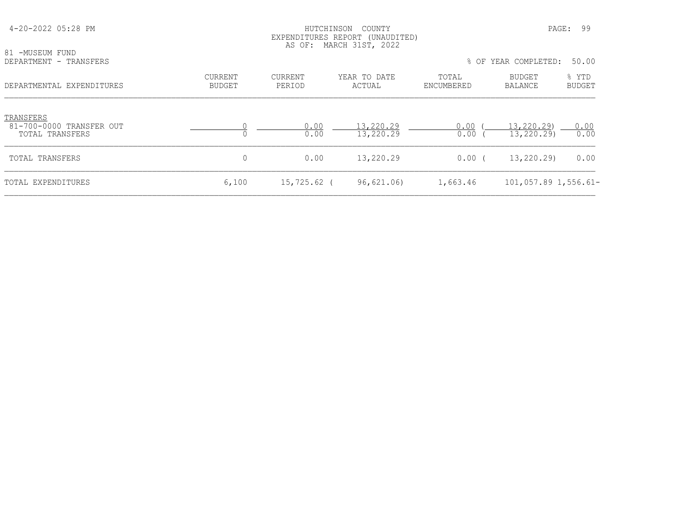| 81 -MUSEUM FUND<br>DEPARTMENT - TRANSFERS                |                                 |                          | EXPENDITURES REPORT (UNAUDITED)<br>AS OF: MARCH 31ST, 2022 |                     | % OF YEAR COMPLETED:     | 50.00                  |
|----------------------------------------------------------|---------------------------------|--------------------------|------------------------------------------------------------|---------------------|--------------------------|------------------------|
| DEPARTMENTAL EXPENDITURES                                | <b>CURRENT</b><br><b>BUDGET</b> | <b>CURRENT</b><br>PERIOD | YEAR TO DATE<br>ACTUAL                                     | TOTAL<br>ENCUMBERED | BUDGET<br>BALANCE        | % YTD<br><b>BUDGET</b> |
| TRANSFERS<br>81-700-0000 TRANSFER OUT<br>TOTAL TRANSFERS |                                 | 0.00<br>0.00             | 13,220.29<br>13,220.29                                     | 0.00<br>0.00        | 13,220.29)<br>13,220.29) | 0.00<br>0.00           |
| TOTAL TRANSFERS                                          | 0                               | 0.00                     | 13,220.29                                                  | $0.00$ (            | 13,220.29)               | 0.00                   |
| TOTAL EXPENDITURES                                       | 6,100                           | $15,725.62$ (            | 96,621.06)                                                 | 1,663.46            | $101,057.89$ 1,556.61-   |                        |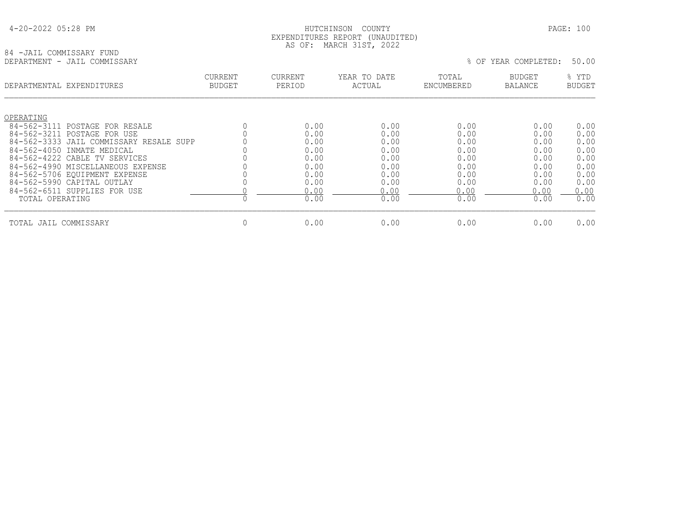#### HUTCHINSON COUNTY PAGE: 100 EXPENDITURES REPORT (UNAUDITED) AS OF: MARCH 31ST, 2022

# 84 -JAIL COMMISSARY FUND<br>DEPARTMENT - JAIL COMMISSARY

% OF YEAR COMPLETED: 50.00

|                          | DEPARTMENTAL EXPENDITURES                                                                        | CURRENT<br><b>BUDGET</b> | <b>CURRENT</b><br>PERIOD | YEAR TO DATE<br>ACTUAL | TOTAL<br>ENCUMBERED  | <b>BUDGET</b><br><b>BALANCE</b> | % YTD<br><b>BUDGET</b> |
|--------------------------|--------------------------------------------------------------------------------------------------|--------------------------|--------------------------|------------------------|----------------------|---------------------------------|------------------------|
| OPERATING<br>84-562-3111 | POSTAGE FOR RESALE                                                                               |                          | 0.00                     | 0.00                   | 0.00                 | 0.00                            | 0.00                   |
| 84-562-3211              | POSTAGE FOR USE<br>84-562-3333 JAIL COMMISSARY RESALE SUPP                                       |                          | 0.00<br>0.00             | 0.00<br>0.00           | 0.00<br>0.00         | 0.00<br>0.00                    | 0.00<br>0.00           |
| 84-562-4050              | INMATE MEDICAL<br>84-562-4222 CABLE TV SERVICES                                                  |                          | 0.00<br>0.00             | 0.00<br>0.00           | 0.00<br>0.00         | 0.00<br>0.00                    | 0.00<br>0.00           |
|                          | 84-562-4990 MISCELLANEOUS EXPENSE<br>84-562-5706 EOUIPMENT EXPENSE<br>84-562-5990 CAPITAL OUTLAY |                          | 0.00<br>0.00<br>0.00     | 0.00<br>0.00           | 0.00<br>0.00         | 0.00<br>0.00                    | 0.00<br>0.00           |
| TOTAL OPERATING          | 84-562-6511 SUPPLIES FOR USE                                                                     |                          | 0.00<br>0.00             | 0.00<br>0.00<br>0.00   | 0.00<br>0.00<br>0.00 | 0.00<br>0.00<br>0.00            | 0.00<br>0.00<br>0.00   |
|                          |                                                                                                  |                          |                          |                        |                      |                                 |                        |
| TOTAL JAIL COMMISSARY    |                                                                                                  | 0                        | 0.00                     | 0.00                   | 0.00                 | 0.00                            | 0.00                   |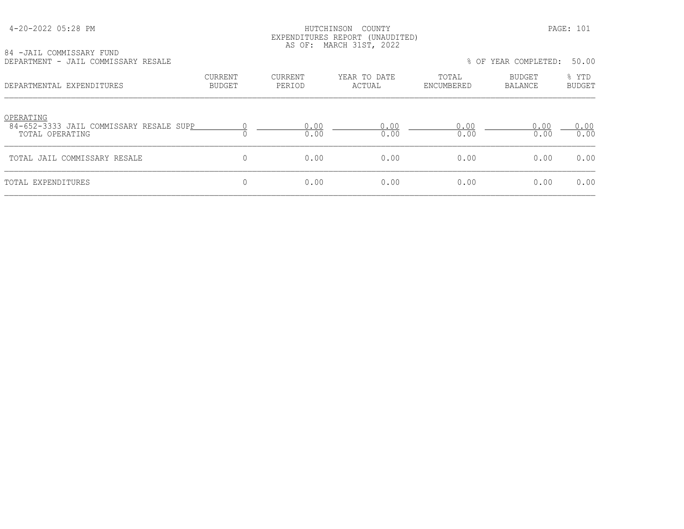#### HUTCHINSON COUNTY PAGE: 101 EXPENDITURES REPORT (UNAUDITED) AS OF: MARCH 31ST, 2022

| 84 -JAIL COMMISSARY FUND            |  |  |
|-------------------------------------|--|--|
| DEPARTMENT - JAIL COMMISSARY RESALE |  |  |

| 04 TUAIL COMMISSARI IUND<br>DEPARTMENT - JAIL COMMISSARY RESALE         |                          |                          |                        |                     | % OF YEAR COMPLETED: | 50.00                  |
|-------------------------------------------------------------------------|--------------------------|--------------------------|------------------------|---------------------|----------------------|------------------------|
| DEPARTMENTAL EXPENDITURES                                               | <b>CURRENT</b><br>BUDGET | <b>CURRENT</b><br>PERIOD | YEAR TO DATE<br>ACTUAL | TOTAL<br>ENCUMBERED | BUDGET<br>BALANCE    | % YTD<br><b>BUDGET</b> |
| OPERATING<br>84-652-3333 JAIL COMMISSARY RESALE SUPP<br>TOTAL OPERATING |                          | 0.00<br>0.00             | 0.00<br>0.00           | 0.00<br>0.00        | 0.00<br>0.00         | 0.00<br>0.00           |
| TOTAL JAIL COMMISSARY RESALE                                            | 0                        | 0.00                     | 0.00                   | 0.00                | 0.00                 | 0.00                   |
| TOTAL EXPENDITURES                                                      | 0                        | 0.00                     | 0.00                   | 0.00                | 0.00                 | 0.00                   |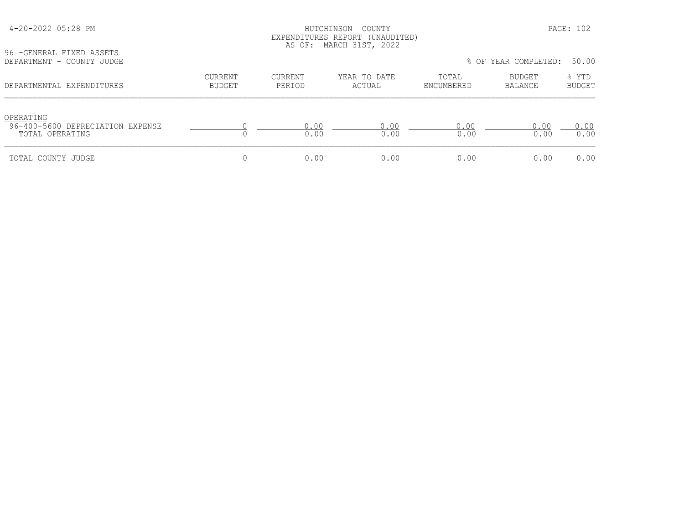| 4-20-2022 05:28 PM<br>96 - GENERAL FIXED ASSETS                  |                                 |                   | COUNTY<br>HUTCHINSON<br>EXPENDITURES REPORT (UNAUDITED)<br>AS OF: MARCH 31ST, 2022 |                     |                      | PAGE: 102              |
|------------------------------------------------------------------|---------------------------------|-------------------|------------------------------------------------------------------------------------|---------------------|----------------------|------------------------|
| DEPARTMENT - COUNTY JUDGE                                        |                                 |                   |                                                                                    |                     | % OF YEAR COMPLETED: | 50.00                  |
| DEPARTMENTAL EXPENDITURES                                        | <b>CURRENT</b><br><b>BUDGET</b> | CURRENT<br>PERIOD | YEAR TO DATE<br>ACTUAL                                                             | TOTAL<br>ENCUMBERED | BUDGET<br>BALANCE    | % YTD<br><b>BUDGET</b> |
| OPERATING<br>96-400-5600 DEPRECIATION EXPENSE<br>TOTAL OPERATING |                                 | 0.00<br>0.00      | 0.00<br>0.00                                                                       | 0.00<br>0.00        | 0.00<br>0.00         | 0.00<br>0.00           |
| TOTAL COUNTY JUDGE                                               | $\Omega$                        | 0.00              | 0.00                                                                               | 0.00                | 0.00                 | 0.00                   |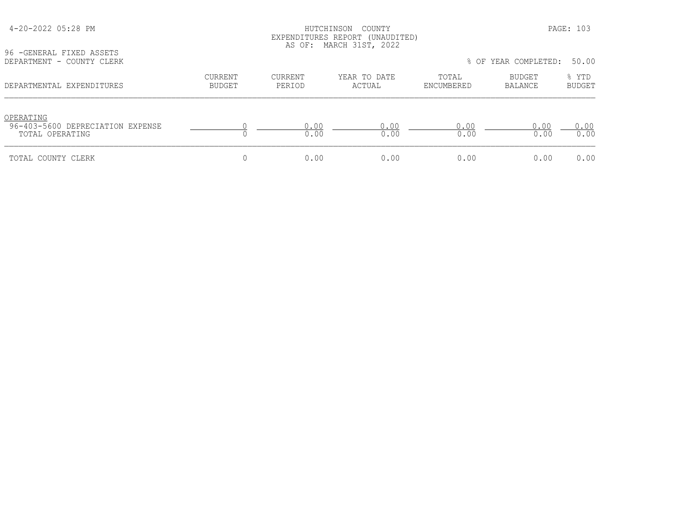| 4-20-2022 05:28 PM<br>96 - GENERAL FIXED ASSETS                  |                                 |                          | HUTCHINSON COUNTY<br>EXPENDITURES REPORT (UNAUDITED)<br>AS OF: MARCH 31ST, 2022 |                     |                      | PAGE: 103              |
|------------------------------------------------------------------|---------------------------------|--------------------------|---------------------------------------------------------------------------------|---------------------|----------------------|------------------------|
| DEPARTMENT - COUNTY CLERK                                        |                                 |                          |                                                                                 |                     | % OF YEAR COMPLETED: | 50.00                  |
| DEPARTMENTAL EXPENDITURES                                        | <b>CURRENT</b><br><b>BUDGET</b> | <b>CURRENT</b><br>PERIOD | YEAR TO DATE<br>ACTUAL                                                          | TOTAL<br>ENCUMBERED | BUDGET<br>BALANCE    | % YTD<br><b>BUDGET</b> |
| OPERATING<br>96-403-5600 DEPRECIATION EXPENSE<br>TOTAL OPERATING |                                 | 0.00<br>0.00             | 0.00<br>0.00                                                                    | 0.00<br>0.00        | 0.00<br>0.00         | 0.00<br>0.00           |
| TOTAL COUNTY CLERK                                               |                                 | 0.00                     | 0.00                                                                            | 0.00                | 0.00                 | 0.00                   |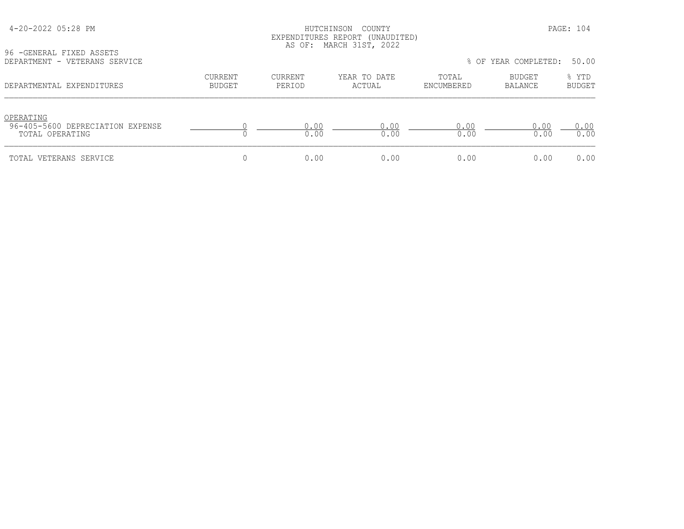| 4-20-2022 05:28 PM |  |  |
|--------------------|--|--|
|--------------------|--|--|

#### HUTCHINSON COUNTY PAGE: 104 EXPENDITURES REPORT (UNAUDITED) AS OF: MARCH 31ST, 2022

96 -GENERAL FIXED ASSETS

| DEPARTMENT - VETERANS SERVICE                                    |                          |                   |                        |                     | % OF YEAR COMPLETED: | 50.00                  |
|------------------------------------------------------------------|--------------------------|-------------------|------------------------|---------------------|----------------------|------------------------|
| DEPARTMENTAL EXPENDITURES                                        | CURRENT<br><b>BUDGET</b> | CURRENT<br>PERIOD | YEAR TO DATE<br>ACTUAL | TOTAL<br>ENCUMBERED | BUDGET<br>BALANCE    | % YTD<br><b>BUDGET</b> |
| OPERATING<br>96-405-5600 DEPRECIATION EXPENSE<br>TOTAL OPERATING |                          | 0.00<br>0.00      | 0.00<br>0.00           | 0.00<br>0.00        | 0.00<br>0.00         | 0.00<br>0.00           |
| TOTAL VETERANS SERVICE                                           |                          | 0.00              | 0.00                   | 0.00                | 0.00                 | 0.00                   |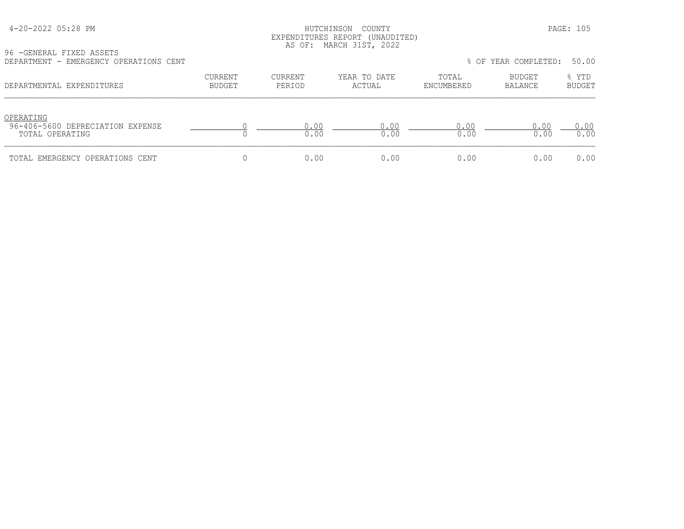#### HUTCHINSON COUNTY PAGE: 105 EXPENDITURES REPORT (UNAUDITED) AS OF: MARCH 31ST, 2022

96 -GENERAL FIXED ASSETS

| DEPARTMENT - EMERGENCY OPERATIONS CENT                           |                          |                   |                        |                     | % OF YEAR COMPLETED:     | 50.00                  |
|------------------------------------------------------------------|--------------------------|-------------------|------------------------|---------------------|--------------------------|------------------------|
| DEPARTMENTAL EXPENDITURES                                        | CURRENT<br><b>BUDGET</b> | CURRENT<br>PERIOD | YEAR TO DATE<br>ACTUAL | TOTAL<br>ENCUMBERED | <b>BUDGET</b><br>BALANCE | % YTD<br><b>BUDGET</b> |
| OPERATING<br>96-406-5600 DEPRECIATION EXPENSE<br>TOTAL OPERATING |                          | 0.00<br>0.00      | 0.00<br>0.00           | 0.00<br>0.00        | 0.00<br>0.00             | 0.00<br>0.00           |
| TOTAL EMERGENCY OPERATIONS CENT                                  |                          | 0.00              | 0.00                   | 0.00                | 0.00                     | 0.00                   |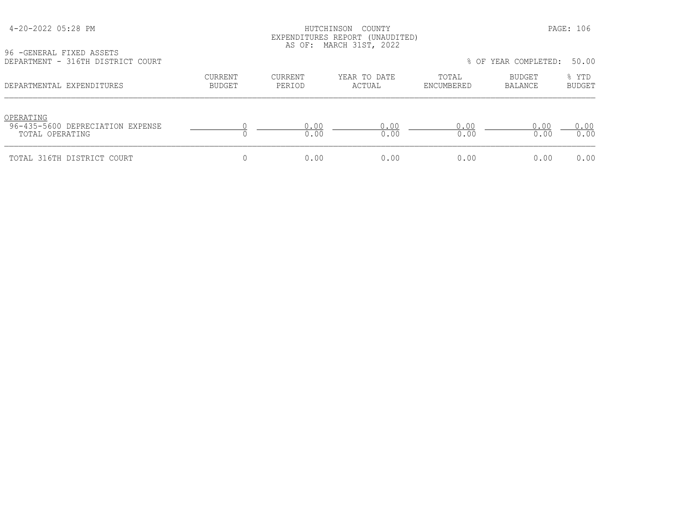#### HUTCHINSON COUNTY PAGE: 106 EXPENDITURES REPORT (UNAUDITED) AS OF: MARCH 31ST, 2022

96 -GENERAL FIXED ASSETS

| DEPARTMENT - 316TH DISTRICT COURT                                |                          |                   |                        |                     | % OF YEAR COMPLETED:     | 50.00                  |
|------------------------------------------------------------------|--------------------------|-------------------|------------------------|---------------------|--------------------------|------------------------|
| DEPARTMENTAL EXPENDITURES                                        | CURRENT<br><b>BUDGET</b> | CURRENT<br>PERIOD | YEAR TO DATE<br>ACTUAL | TOTAL<br>ENCUMBERED | <b>BUDGET</b><br>BALANCE | % YTD<br><b>BUDGET</b> |
| OPERATING<br>96-435-5600 DEPRECIATION EXPENSE<br>TOTAL OPERATING |                          | 0.00<br>0.00      | 0.00<br>0.00           | 0.00<br>0.00        | 0.00<br>0.00             | 0.00<br>0.00           |
| TOTAL 316TH DISTRICT COURT                                       |                          | 0.00              | 0.00                   | 0.00                | 0.00                     | 0.00                   |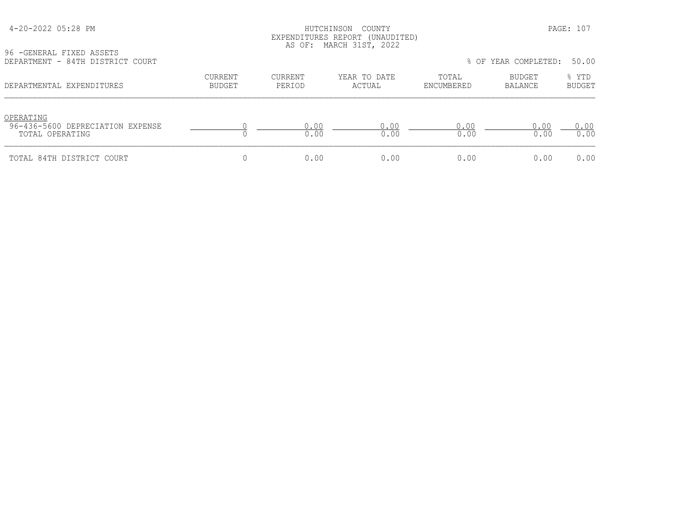| 4-20-2022 05:28 PM |  |  |
|--------------------|--|--|
|--------------------|--|--|

#### HUTCHINSON COUNTY PAGE: 107 EXPENDITURES REPORT (UNAUDITED) AS OF: MARCH 31ST, 2022

96 -GENERAL FIXED ASSETS<br>DEPARTMENT - 84TH DISTRI

| DEPARTMENT - 84TH DISTRICT COURT                                 |                          |                   |                        |                     | % OF YEAR COMPLETED: | 50.00                  |
|------------------------------------------------------------------|--------------------------|-------------------|------------------------|---------------------|----------------------|------------------------|
| DEPARTMENTAL EXPENDITURES                                        | CURRENT<br><b>BUDGET</b> | CURRENT<br>PERIOD | YEAR TO DATE<br>ACTUAL | TOTAL<br>ENCUMBERED | BUDGET<br>BALANCE    | % YTD<br><b>BUDGET</b> |
| OPERATING<br>96-436-5600 DEPRECIATION EXPENSE<br>TOTAL OPERATING |                          | 0.00<br>0.00      | 0.00<br>0.00           | 0.00<br>0.00        | 0.00<br>0.00         | 0.00<br>0.00           |
| TOTAL 84TH DISTRICT COURT                                        |                          | 0.00              | 0.00                   | 0.00                | 0.00                 | 0.00                   |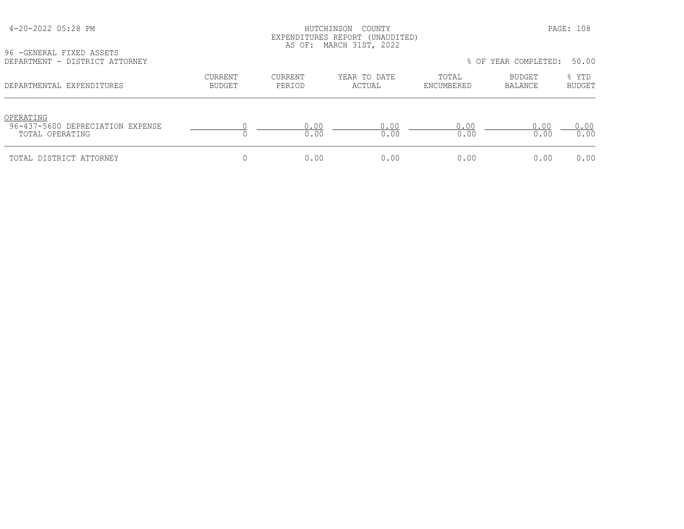96 -GENERAL FIXED ASSETS

#### HUTCHINSON COUNTY PAGE: 108 EXPENDITURES REPORT (UNAUDITED) AS OF: MARCH 31ST, 2022

| DEPARTMENT - DISTRICT ATTORNEY                                   |                   |                          |                        | % OF YEAR COMPLETED: |                          | 50.00                  |
|------------------------------------------------------------------|-------------------|--------------------------|------------------------|----------------------|--------------------------|------------------------|
| DEPARTMENTAL EXPENDITURES                                        | CURRENT<br>BUDGET | <b>CURRENT</b><br>PERIOD | YEAR TO DATE<br>ACTUAL | TOTAL<br>ENCUMBERED  | <b>BUDGET</b><br>BALANCE | % YTD<br><b>BUDGET</b> |
| OPERATING<br>96-437-5600 DEPRECIATION EXPENSE<br>TOTAL OPERATING |                   | 0.00<br>0.00             | 0.00<br>0.00           | 0.00<br>0.00         | 0.00<br>0.00             | 0.00<br>0.00           |

TOTAL DISTRICT ATTORNEY 0 0.00 0.00 0.00 0.00 0.00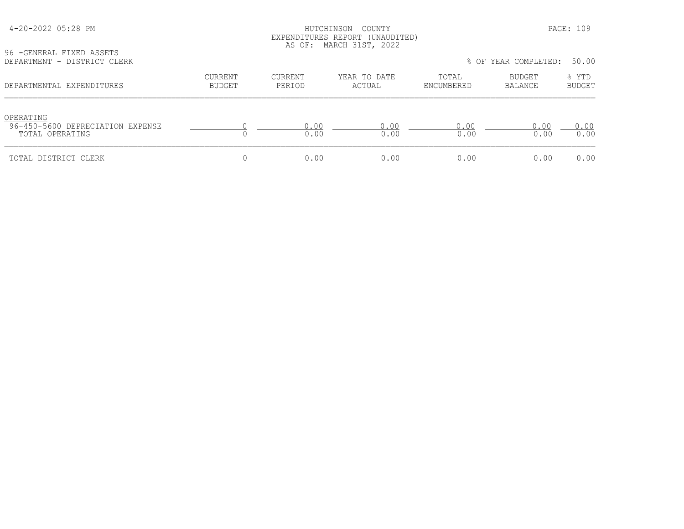# HUTCHINSON COUNTY PAGE: 109 EXPENDITURES REPORT (UNAUDITED) AS OF: MARCH 31ST, 2022

96 -GENERAL FIXED ASSETS<br>DEPARTMENT - DISTRICT CL

| DEPARTMENT - DISTRICT CLERK                                      |                                 |                   |                        |                     | % OF YEAR COMPLETED: 50.00 |                        |
|------------------------------------------------------------------|---------------------------------|-------------------|------------------------|---------------------|----------------------------|------------------------|
| DEPARTMENTAL EXPENDITURES                                        | <b>CURRENT</b><br><b>BUDGET</b> | CURRENT<br>PERIOD | YEAR TO DATE<br>ACTUAL | TOTAL<br>ENCUMBERED | BUDGET<br>BALANCE          | % YTD<br><b>BUDGET</b> |
| OPERATING<br>96-450-5600 DEPRECIATION EXPENSE<br>TOTAL OPERATING |                                 | 0.00<br>0.00      | 0.00<br>0.00           | 0.00<br>0.00        | 0.00<br>0.00               | 0.00<br>0.00           |
| TOTAL DISTRICT CLERK                                             |                                 | 0.00              | 0.00                   | 0.00                | 0.00                       | 0.00                   |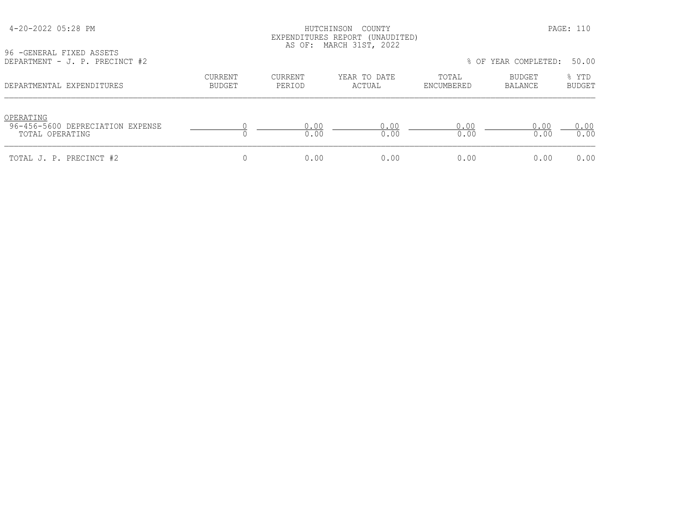### HUTCHINSON COUNTY PAGE: 110 EXPENDITURES REPORT (UNAUDITED) AS OF: MARCH 31ST, 2022

| 96 - GENERAL FIXED ASSETS<br>DEPARTMENT - J. P. PRECINCT #2 |         |               | .                              |                   | % OF YEAR COMPLETED: 5 | 50.00          |
|-------------------------------------------------------------|---------|---------------|--------------------------------|-------------------|------------------------|----------------|
|                                                             | CURRENT | CURRENT       | YEAR TO DATE                   | TOTAL             | BUDGET                 | YTD.           |
| DEPARTMENTAI EXPENDITHIRES                                  | RIIDCET | <b>PERTOD</b> | $\Delta$ $\cap$ tit $\Delta$ t | <b>ENCIMBERED</b> | RALANCE                | <b>RIIDCET</b> |

|  |  |  | % OF YEAR COMPLETED: | 50.00 |  |
|--|--|--|----------------------|-------|--|
|--|--|--|----------------------|-------|--|

| DEPARTMENTAL EXPENDITURES                                        | CURRENT<br><b>BUDGET</b> | CURRENT<br>PERIOD | YEAR TO DATE<br>ACTUAL | TOTAL<br>ENCUMBERED | BUDGET<br>BALANCE | % YTD<br>BUDGET |
|------------------------------------------------------------------|--------------------------|-------------------|------------------------|---------------------|-------------------|-----------------|
| OPERATING<br>96-456-5600 DEPRECIATION EXPENSE<br>TOTAL OPERATING |                          | 0.00<br>0.00      | 0.00<br>0.00           | 0.00<br>0.00        | 0.00<br>0.00      | 0.00<br>0.00    |
| TOTAL J. P. PRECINCT #2                                          |                          | 0.00              | 0.00                   | 0.00                | 0.00              | 0.00            |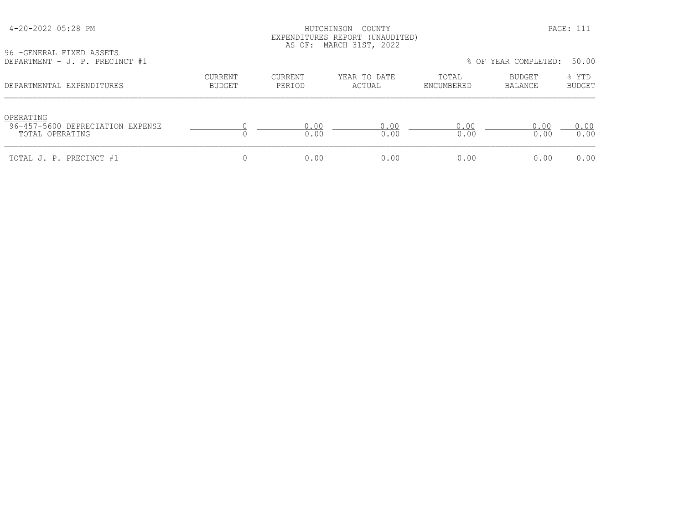### HUTCHINSON COUNTY PAGE: 111 EXPENDITURES REPORT (UNAUDITED) AS OF: MARCH 31ST, 2022

| 96 - GENERAL FIXED ASSETS      |  |
|--------------------------------|--|
| DEPARTMENT - J. P. PRECINCT #1 |  |

| UULUULU LAILU INUULIU<br>DEPARTMENT - J. P. PRECINCT #1 |         |         |              |            | % OF YEAR COMPLETED: 50.00 |        |
|---------------------------------------------------------|---------|---------|--------------|------------|----------------------------|--------|
| DEPARTMENTAL EXPENDITURES                               | CURRENT | CURRENT | YEAR TO DATE | TOTAL      | <b>BUDGET</b>              | % YTD  |
|                                                         | BUDGET  | PERIOD  | ACTUAL       | ENCUMBERED | BALANCE                    | BUDGET |

| OPERATING<br>96-457-5600 DEPRECIATION EXPENSE<br>TOTAL OPERATING | .00. | .00  | -00<br>0.00 | 0.00 | ,.00 |
|------------------------------------------------------------------|------|------|-------------|------|------|
| TOTAL J. P. PRECINCT #1                                          | N.NO | חח ר | . 00        | 0.00 | 0.00 |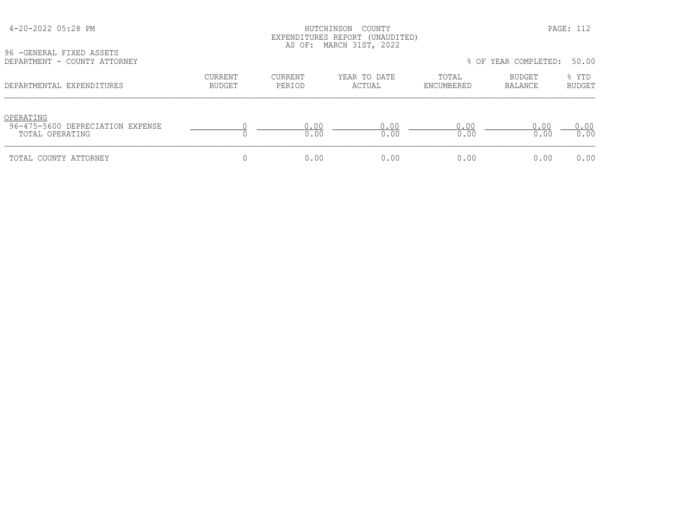| 4-20-2022 05:28 PM |  |  |
|--------------------|--|--|
|--------------------|--|--|

### HUTCHINSON COUNTY PAGE: 112 EXPENDITURES REPORT (UNAUDITED) AS OF: MARCH 31ST, 2022

96 -GENERAL FIXED ASSETS<br>DEPARTMENT - COUNTY ATTO

| DEPARTMENT - COUNTY ATTORNEY                                     |                          |                   |                        |                     | % OF YEAR COMPLETED: 50.00 |                        |
|------------------------------------------------------------------|--------------------------|-------------------|------------------------|---------------------|----------------------------|------------------------|
| DEPARTMENTAL EXPENDITURES                                        | CURRENT<br><b>BUDGET</b> | CURRENT<br>PERIOD | YEAR TO DATE<br>ACTUAL | TOTAL<br>ENCUMBERED | BUDGET<br>BALANCE          | % YTD<br><b>BUDGET</b> |
| OPERATING<br>96-475-5600 DEPRECIATION EXPENSE<br>TOTAL OPERATING |                          | 0.00<br>0.00      | 0.00<br>0.00           | 0.00<br>0.00        | 0.00<br>0.00               | 0.00<br>0.00           |
| TOTAL COUNTY ATTORNEY                                            |                          | 0.00              | 0.00                   | 0.00                | 0.00                       | 0.00                   |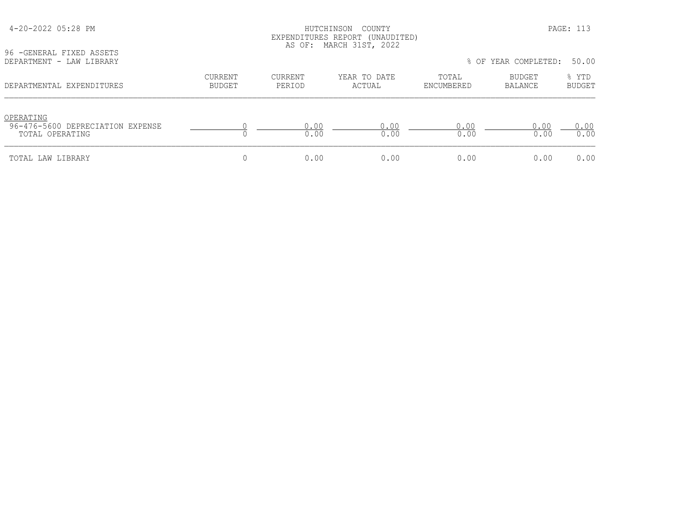| 96 - GENERAL FIXED ASSETS<br>DEPARTMENT - LAW LIBRARY            |                                 |                          | LALENDIIQRES RELONI (ONAUDIIED)<br>AS OF: MARCH 31ST, 2022 |                     | % OF YEAR COMPLETED: | 50.00           |
|------------------------------------------------------------------|---------------------------------|--------------------------|------------------------------------------------------------|---------------------|----------------------|-----------------|
| DEPARTMENTAL EXPENDITURES                                        | <b>CURRENT</b><br><b>BUDGET</b> | <b>CURRENT</b><br>PERIOD | YEAR TO DATE<br>ACTUAL                                     | TOTAL<br>ENCUMBERED | BUDGET<br>BALANCE    | % YTD<br>BUDGET |
| OPERATING<br>96-476-5600 DEPRECIATION EXPENSE<br>TOTAL OPERATING |                                 | 0.00<br>0.00             | 0.00<br>0.00                                               | 0.00<br>0.00        | 0.00<br>0.00         | 0.00<br>0.00    |
| TOTAL LAW LIBRARY                                                |                                 | 0.00                     | 0.00                                                       | 0.00                | 0.00                 | 0.00            |

# 4-20-2022 05:28 PM HUTCHINSON COUNTY PAGE: 113 EXPENDITURES REPORT (UNAUDITED)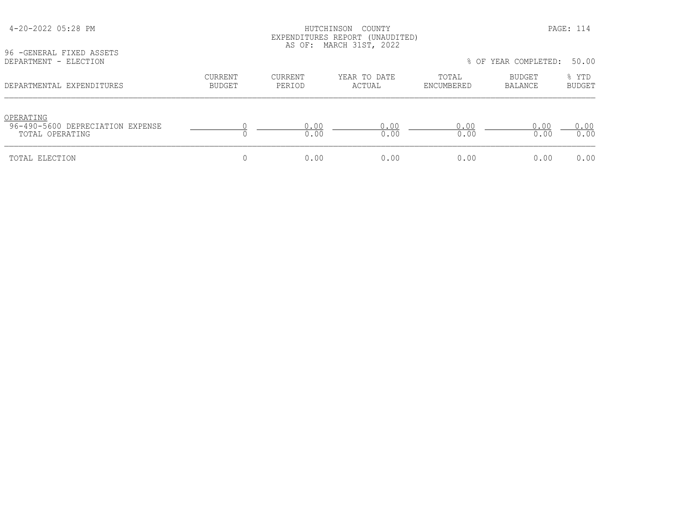| 96 - GENERAL FIXED ASSETS                                        |                   |                   | EXPENDITURES REPORT (UNAUDITED)<br>AS OF: MARCH 31ST, 2022 |                     |                          |                        |
|------------------------------------------------------------------|-------------------|-------------------|------------------------------------------------------------|---------------------|--------------------------|------------------------|
| DEPARTMENT - ELECTION                                            |                   |                   |                                                            |                     | % OF YEAR COMPLETED:     | 50.00                  |
| DEPARTMENTAL EXPENDITURES                                        | CURRENT<br>BUDGET | CURRENT<br>PERIOD | YEAR TO DATE<br>ACTUAL                                     | TOTAL<br>ENCUMBERED | BUDGET<br><b>BALANCE</b> | % YTD<br><b>BUDGET</b> |
| OPERATING<br>96-490-5600 DEPRECIATION EXPENSE<br>TOTAL OPERATING |                   | 0.00<br>0.00      | 0.00<br>0.00                                               | 0.00<br>0.00        | 0.00<br>0.00             | 0.00<br>0.00           |
| TOTAL ELECTION                                                   |                   | 0.00              | 0.00                                                       | 0.00                | 0.00                     | 0.00                   |

4-20-2022 05:28 PM HUTCHINSON COUNTY PAGE: 114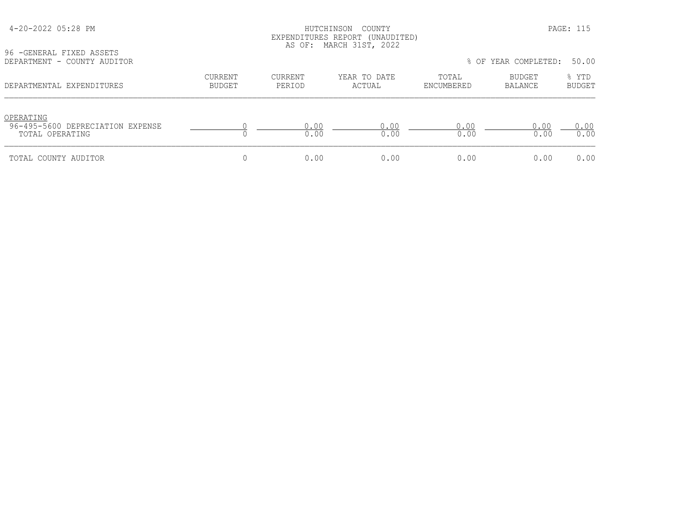# HUTCHINSON COUNTY PAGE: 115 EXPENDITURES REPORT (UNAUDITED) AS OF: MARCH 31ST, 2022

96 -GENERAL FIXED ASSETS<br>DEPARTMENT - COUNTY AUDI

| DEPARTMENT - COUNTY AUDITOR                                      |                          |                   |                        |                     | % OF YEAR COMPLETED: | 50.00                  |
|------------------------------------------------------------------|--------------------------|-------------------|------------------------|---------------------|----------------------|------------------------|
| DEPARTMENTAL EXPENDITURES                                        | CURRENT<br><b>BUDGET</b> | CURRENT<br>PERIOD | YEAR TO DATE<br>ACTUAL | TOTAL<br>ENCUMBERED | BUDGET<br>BALANCE    | % YTD<br><b>BUDGET</b> |
| OPERATING<br>96-495-5600 DEPRECIATION EXPENSE<br>TOTAL OPERATING |                          | 0.00<br>0.00      | 0.00<br>0.00           | 0.00<br>0.00        | 0.00<br>0.00         | 0.00<br>0.00           |
| TOTAL COUNTY AUDITOR                                             |                          | 0.00              | 0.00                   | 0.00                | 0.00                 | 0.00                   |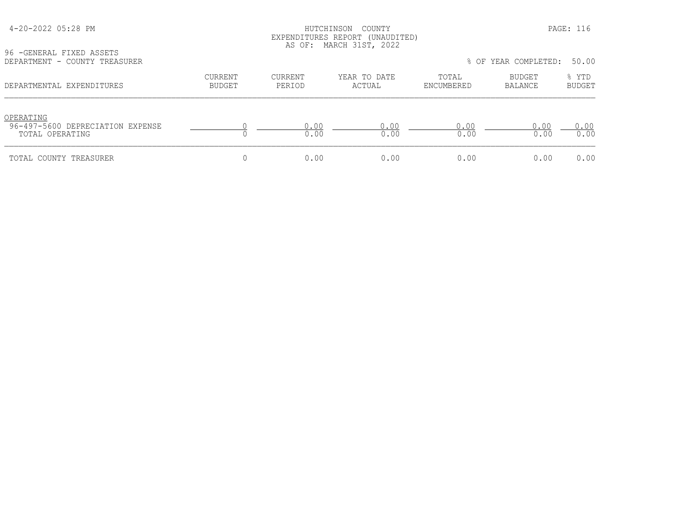### HUTCHINSON COUNTY PAGE: 116 EXPENDITURES REPORT (UNAUDITED) AS OF: MARCH 31ST, 2022

96 -GENERAL FIXED ASSETS

| DEPARTMENT - COUNTY TREASURER                                    |                          |                   |                        |                     | % OF YEAR COMPLETED: | 50.00                  |
|------------------------------------------------------------------|--------------------------|-------------------|------------------------|---------------------|----------------------|------------------------|
| DEPARTMENTAL EXPENDITURES                                        | CURRENT<br><b>BUDGET</b> | CURRENT<br>PERIOD | YEAR TO DATE<br>ACTUAL | TOTAL<br>ENCUMBERED | BUDGET<br>BALANCE    | % YTD<br><b>BUDGET</b> |
| OPERATING<br>96-497-5600 DEPRECIATION EXPENSE<br>TOTAL OPERATING |                          | 0.00<br>0.00      | 0.00<br>0.00           | 0.00<br>0.00        | 0.00<br>0.00         | 0.00<br>0.00           |
| TOTAL COUNTY TREASURER                                           |                          | 0.00              | 0.00                   | 0.00                | 0.00                 | 0.00                   |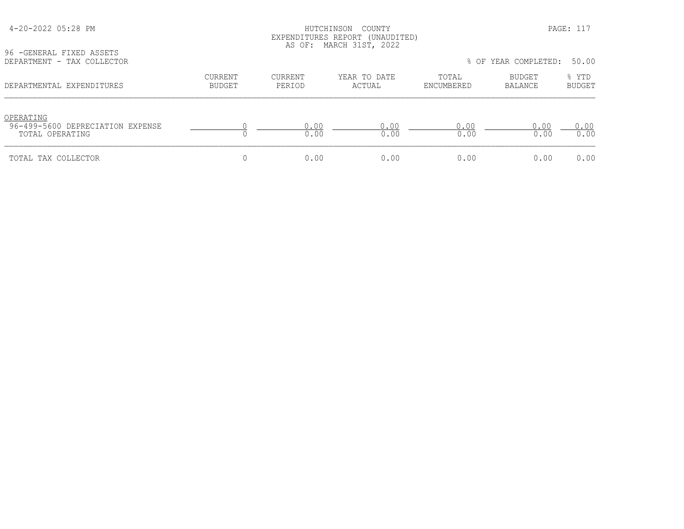| 4-20-2022 05:28 PM |  |  |
|--------------------|--|--|
|--------------------|--|--|

# HUTCHINSON COUNTY PAGE: 117 EXPENDITURES REPORT (UNAUDITED) AS OF: MARCH 31ST, 2022

96 -GENERAL FIXED ASSETS<br>DEPARTMENT - TAX COLLECT

| DEPARTMENT - TAX COLLECTOR                                       |                          |                   |                        |                     | % OF YEAR COMPLETED: | 50.00                  |
|------------------------------------------------------------------|--------------------------|-------------------|------------------------|---------------------|----------------------|------------------------|
| DEPARTMENTAL EXPENDITURES                                        | CURRENT<br><b>BUDGET</b> | CURRENT<br>PERIOD | YEAR TO DATE<br>ACTUAL | TOTAL<br>ENCUMBERED | BUDGET<br>BALANCE    | % YTD<br><b>BUDGET</b> |
| OPERATING<br>96-499-5600 DEPRECIATION EXPENSE<br>TOTAL OPERATING |                          | 0.00<br>0.00      | 0.00<br>0.00           | 0.00<br>0.00        | 0.00<br>0.00         | 0.00<br>0.00           |
| TOTAL TAX COLLECTOR                                              |                          | 0.00              | 0.00                   | 0.00                | 0.00                 | 0.00                   |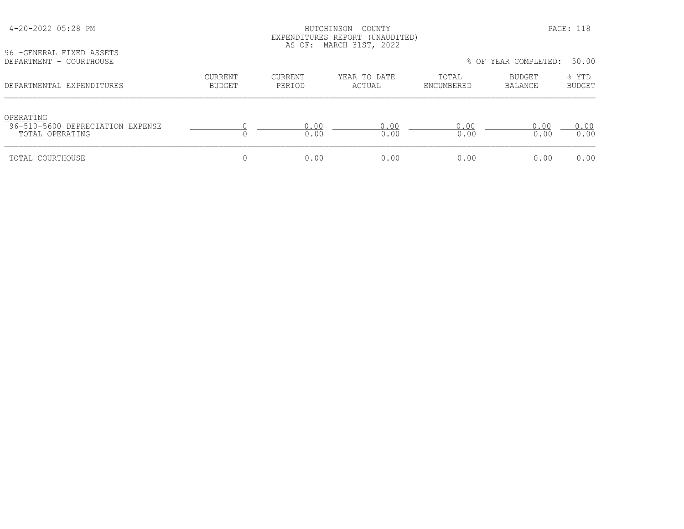| 96 - GENERAL FIXED ASSETS<br>DEPARTMENT - COURTHOUSE             |                                 |                   | LAPLNDIIORLS REPORI (ONAUDIIED)<br>AS OF: MARCH 31ST, 2022 |                     | % OF YEAR COMPLETED:     | 50.00                  |
|------------------------------------------------------------------|---------------------------------|-------------------|------------------------------------------------------------|---------------------|--------------------------|------------------------|
| DEPARTMENTAL EXPENDITURES                                        | <b>CURRENT</b><br><b>BUDGET</b> | CURRENT<br>PERIOD | YEAR TO DATE<br>ACTUAL                                     | TOTAL<br>ENCUMBERED | BUDGET<br><b>BALANCE</b> | % YTD<br><b>BUDGET</b> |
| OPERATING<br>96-510-5600 DEPRECIATION EXPENSE<br>TOTAL OPERATING |                                 | 0.00<br>0.00      | 0.00<br>0.00                                               | 0.00<br>0.00        | 0.00<br>0.00             | 0.00<br>0.00           |
| TOTAL COURTHOUSE                                                 |                                 | 0.00              | 0.00                                                       | 0.00                | 0.00                     | 0.00                   |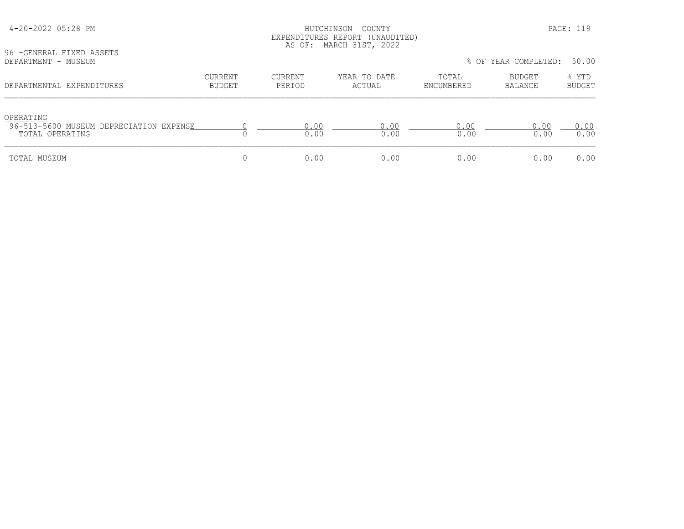| 96 - GENERAL FIXED ASSETS                                               |                          |                   | EXPENDITURES REPORT (UNAUDITED)<br>AS OF: MARCH 31ST, 2022 |                     |                          |                        |
|-------------------------------------------------------------------------|--------------------------|-------------------|------------------------------------------------------------|---------------------|--------------------------|------------------------|
| DEPARTMENT - MUSEUM                                                     |                          |                   |                                                            |                     | % OF YEAR COMPLETED:     | 50.00                  |
| DEPARTMENTAL EXPENDITURES                                               | CURRENT<br><b>BUDGET</b> | CURRENT<br>PERIOD | YEAR TO DATE<br>ACTUAL                                     | TOTAL<br>ENCUMBERED | <b>BUDGET</b><br>BALANCE | % YTD<br><b>BUDGET</b> |
| OPERATING<br>96-513-5600 MUSEUM DEPRECIATION EXPENSE<br>TOTAL OPERATING |                          | 0.00<br>0.00      | 0.00<br>0.00                                               | 0.00<br>0.00        | 0.00<br>0.00             | 0.00<br>0.00           |
| TOTAL MUSEUM                                                            |                          | 0.00              | 0.00                                                       | 0.00                | 0.00                     | 0.00                   |

# 4-20-2022 05:28 PM HUTCHINSON COUNTY PAGE: 119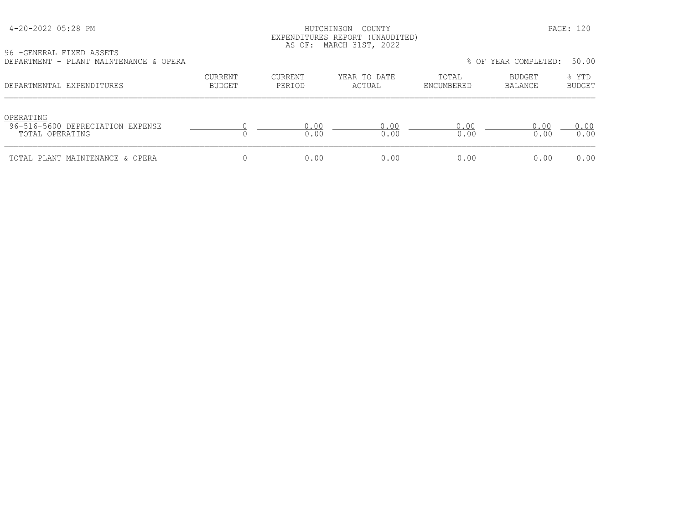| 4-20-2022 05:28 PM |  |  |
|--------------------|--|--|
|--------------------|--|--|

### HUTCHINSON COUNTY PAGE: 120 EXPENDITURES REPORT (UNAUDITED) AS OF: MARCH 31ST, 2022

96 -GENERAL FIXED ASSETS DEPARTMENT - PLANT MAINTENANCE & OPERA % OF YEAR COMPLETED: 50.00

| DEPARIMENI - PLANI MAINIENANCE & OPERA                           |                          |                   |                        |                     | ∛ u: ilar completed: ⊃0.00 |                        |
|------------------------------------------------------------------|--------------------------|-------------------|------------------------|---------------------|----------------------------|------------------------|
| DEPARTMENTAL EXPENDITURES                                        | CURRENT<br><b>BUDGET</b> | CURRENT<br>PERIOD | YEAR TO DATE<br>ACTUAL | TOTAL<br>ENCUMBERED | BUDGET<br>BALANCE          | % YTD<br><b>BUDGET</b> |
| OPERATING<br>96-516-5600 DEPRECIATION EXPENSE<br>TOTAL OPERATING |                          | 0.00<br>0.00      | 0.00<br>0.00           | 0 0 0<br>0.00       | 0.00<br>0.00               | 0.00<br>0.00           |
| TOTAL PLANT MAINTENANCE & OPERA                                  |                          | 0.00              | 0.00                   | 0.00                | 0.00                       | 0.00                   |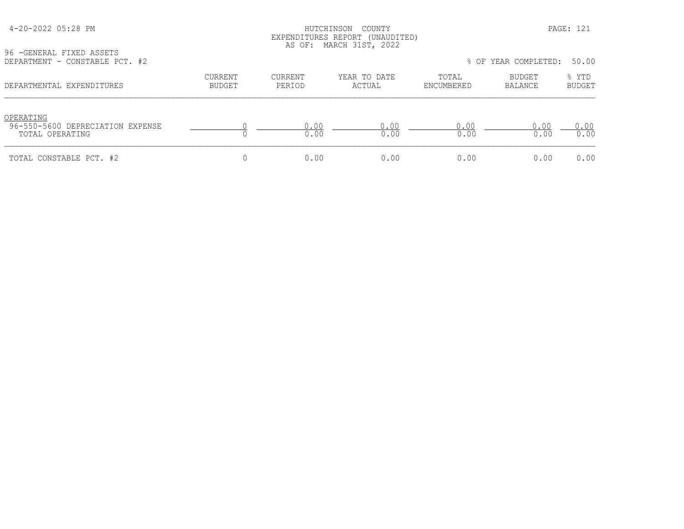| 4-20-2022 05:28 PM |  |  |
|--------------------|--|--|
|--------------------|--|--|

### HUTCHINSON COUNTY PAGE: 121 EXPENDITURES REPORT (UNAUDITED) AS OF: MARCH 31ST, 2022

96 -GENERAL FIXED ASSETS<br>DEPARTMENT - CONSTABLE PC'

| DEPARTMENT - CONSTABLE PCT. #2                                   |                          |                   |                        |                     | % OF YEAR COMPLETED: | 50.00                  |
|------------------------------------------------------------------|--------------------------|-------------------|------------------------|---------------------|----------------------|------------------------|
| DEPARTMENTAL EXPENDITURES                                        | CURRENT<br><b>BUDGET</b> | CURRENT<br>PERIOD | YEAR TO DATE<br>ACTUAL | TOTAL<br>ENCUMBERED | BUDGET<br>BALANCE    | % YTD<br><b>BUDGET</b> |
| OPERATING<br>96-550-5600 DEPRECIATION EXPENSE<br>TOTAL OPERATING |                          | 0.00<br>0.00      | 0.00<br>0.00           | 0.00<br>0.00        | 0.00<br>0.00         | 0.00<br>0.00           |
| TOTAL CONSTABLE PCT. #2                                          |                          | 0.00              | 0.00                   | 0.00                | 0.00                 | 0.00                   |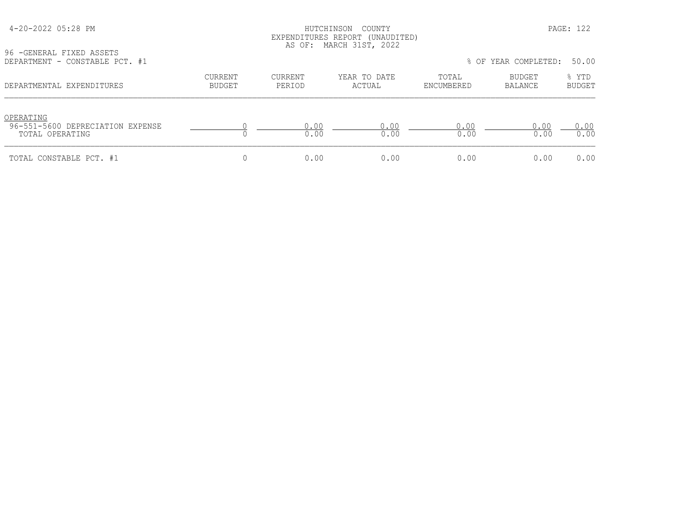| 4-20-2022 05:28 PM |  |  |
|--------------------|--|--|
|--------------------|--|--|

# HUTCHINSON COUNTY PAGE: 122 EXPENDITURES REPORT (UNAUDITED) AS OF: MARCH 31ST, 2022

96 -GENERAL FIXED ASSETS<br>DEPARTMENT - CONSTABLE P

| DEPARTMENT - CONSTABLE PCT. #1                                   |                          |                   |                        |                     | % OF YEAR COMPLETED: | 50.00                  |
|------------------------------------------------------------------|--------------------------|-------------------|------------------------|---------------------|----------------------|------------------------|
| DEPARTMENTAL EXPENDITURES                                        | CURRENT<br><b>BUDGET</b> | CURRENT<br>PERIOD | YEAR TO DATE<br>ACTUAL | TOTAL<br>ENCUMBERED | BUDGET<br>BALANCE    | % YTD<br><b>BUDGET</b> |
| OPERATING<br>96-551-5600 DEPRECIATION EXPENSE<br>TOTAL OPERATING |                          | 0.00<br>0.00      | 0.00<br>0.00           | 0.00<br>0.00        | 0.00<br>0.00         | 0.00<br>0.00           |
| TOTAL CONSTABLE PCT. #1                                          |                          | 0.00              | 0.00                   | 0.00                | 0.00                 | 0.00                   |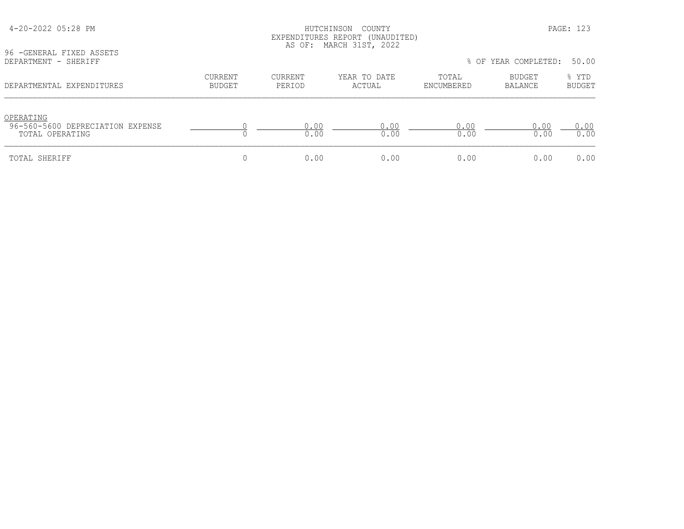| 96 - GENERAL FIXED ASSETS                                        |                          |                          |                        |                     |                      |                        |
|------------------------------------------------------------------|--------------------------|--------------------------|------------------------|---------------------|----------------------|------------------------|
| DEPARTMENT - SHERIFF                                             |                          |                          |                        |                     | % OF YEAR COMPLETED: | 50.00                  |
| DEPARTMENTAL EXPENDITURES                                        | <b>CURRENT</b><br>BUDGET | <b>CURRENT</b><br>PERIOD | YEAR TO DATE<br>ACTUAL | TOTAL<br>ENCUMBERED | BUDGET<br>BALANCE    | % YTD<br><b>BUDGET</b> |
| OPERATING<br>96-560-5600 DEPRECIATION EXPENSE<br>TOTAL OPERATING |                          | 0.00<br>0.00             | 0.00<br>0.00           | 0.00<br>0.00        | 0.00<br>0.00         | 0.00<br>0.00           |
| TOTAL SHERIFF                                                    |                          | 0.00                     | 0.00                   | 0.00                | 0.00                 | 0.00                   |

# 4-20-2022 05:28 PM HUTCHINSON COUNTY PAGE: 123 EXPENDITURES REPORT (UNAUDITED)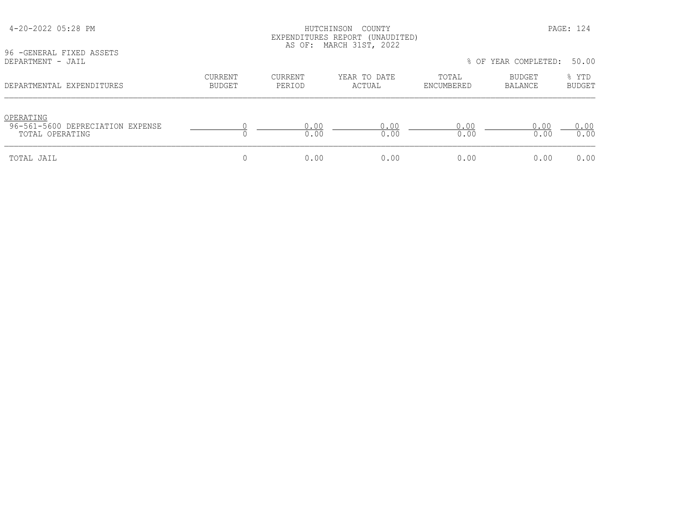| 96 - GENERAL FIXED ASSETS                                        |                          |                          | EXPENDITURES REPORT (UNAUDITED)<br>AS OF: MARCH 31ST, 2022 |                     |                          |                        |
|------------------------------------------------------------------|--------------------------|--------------------------|------------------------------------------------------------|---------------------|--------------------------|------------------------|
| DEPARTMENT - JAIL                                                |                          |                          |                                                            |                     | % OF YEAR COMPLETED:     | 50.00                  |
| DEPARTMENTAL EXPENDITURES                                        | CURRENT<br><b>BUDGET</b> | <b>CURRENT</b><br>PERIOD | YEAR TO DATE<br>ACTUAL                                     | TOTAL<br>ENCUMBERED | BUDGET<br><b>BALANCE</b> | % YTD<br><b>BUDGET</b> |
| OPERATING<br>96-561-5600 DEPRECIATION EXPENSE<br>TOTAL OPERATING |                          | 0.00<br>0.00             | 0.00<br>0.00                                               | 0.00<br>0.00        | 0.00<br>0.00             | 0.00<br>0.00           |
| TOTAL JAIL                                                       |                          | 0.00                     | 0.00                                                       | 0.00                | 0.00                     | 0.00                   |

4-20-2022 05:28 PM HUTCHINSON COUNTY PAGE: 124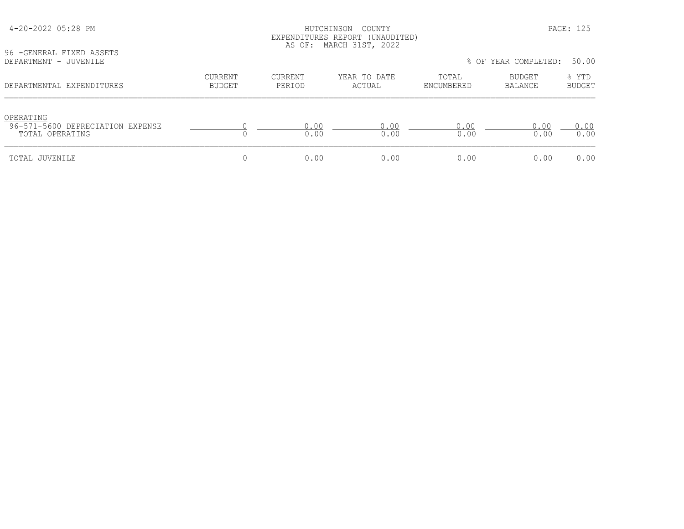| 96 - GENERAL FIXED ASSETS                           | EXPENDITURES REPORT (UNAUDITED)<br>AS OF: MARCH 31ST, 2022<br>% OF YEAR COMPLETED: |                   |                        |                     |                          |                        |  |
|-----------------------------------------------------|------------------------------------------------------------------------------------|-------------------|------------------------|---------------------|--------------------------|------------------------|--|
| DEPARTMENT - JUVENILE                               |                                                                                    |                   |                        |                     |                          | 50.00                  |  |
| DEPARTMENTAL EXPENDITURES                           | CURRENT<br>BUDGET                                                                  | CURRENT<br>PERIOD | YEAR TO DATE<br>ACTUAL | TOTAL<br>ENCUMBERED | BUDGET<br><b>BALANCE</b> | % YTD<br><b>BUDGET</b> |  |
| OPERATING                                           |                                                                                    |                   |                        |                     |                          |                        |  |
| 96-571-5600 DEPRECIATION EXPENSE<br>TOTAL OPERATING |                                                                                    | 0.00<br>0.00      | 0.00<br>0.00           | 0.00<br>0.00        | 0.00<br>0.00             | 0.00<br>0.00           |  |
| TOTAL JUVENILE                                      |                                                                                    | 0.00              | 0.00                   | 0.00                | 0.00                     | 0.00                   |  |

 4-20-2022 05:28 PM HUTCHINSON COUNTY PAGE: 125 EXPENDITURES REPORT (UNAUDITED)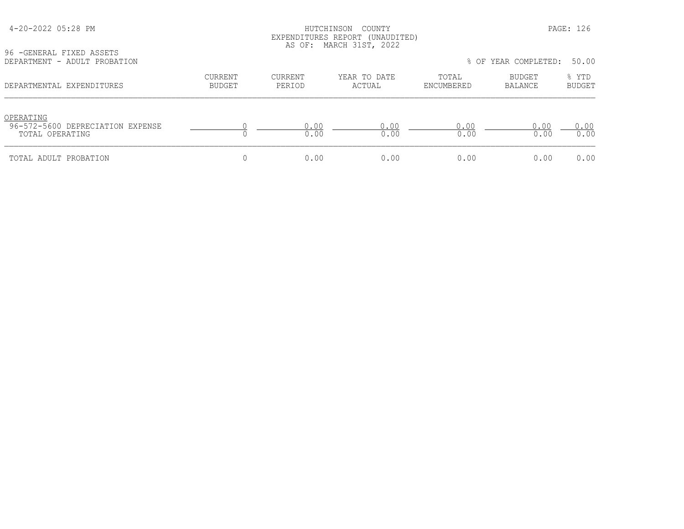# HUTCHINSON COUNTY PAGE: 126 EXPENDITURES REPORT (UNAUDITED) AS OF: MARCH 31ST, 2022

96 -GENERAL FIXED ASSETS<br>DEPARTMENT - ADULT PROBA

| DEPARTMENT - ADULT PROBATION                                     |                   |                   |                        |                     | % OF YEAR COMPLETED: | 50.00                  |
|------------------------------------------------------------------|-------------------|-------------------|------------------------|---------------------|----------------------|------------------------|
| DEPARTMENTAL EXPENDITURES                                        | CURRENT<br>BUDGET | CURRENT<br>PERIOD | YEAR TO DATE<br>ACTUAL | TOTAL<br>ENCUMBERED | BUDGET<br>BALANCE    | % YTD<br><b>BUDGET</b> |
| OPERATING<br>96-572-5600 DEPRECIATION EXPENSE<br>TOTAL OPERATING |                   | 0.00<br>0.00      | 0.00<br>0.00           | 0.00<br>0.00        | 0.00<br>0.00         | 0.00<br>0.00           |
| TOTAL ADULT PROBATION                                            |                   | 0.00              | 0.00                   | 0.00                | 0.00                 | 0.00                   |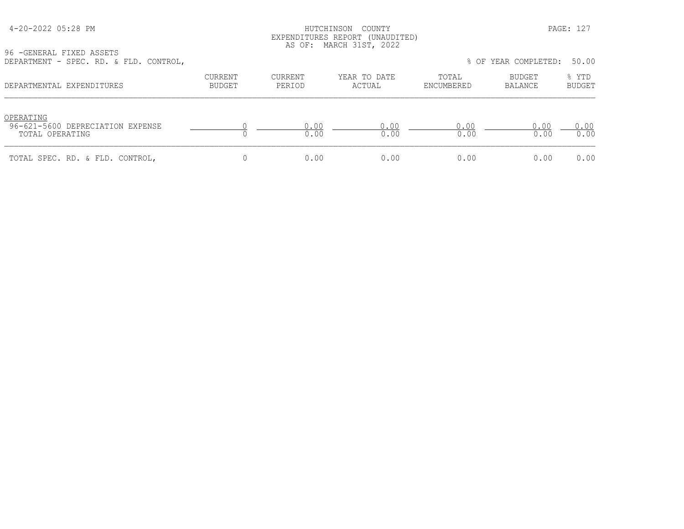### HUTCHINSON COUNTY PAGE: 127 EXPENDITURES REPORT (UNAUDITED) AS OF: MARCH 31ST, 2022

96 -GENERAL FIXED ASSETS

| DEPARTMENT - SPEC. RD. & FLD. CONTROL,                           |                          |                   |                        |                     | % OF YEAR COMPLETED: | 50.00                  |
|------------------------------------------------------------------|--------------------------|-------------------|------------------------|---------------------|----------------------|------------------------|
| DEPARTMENTAL EXPENDITURES                                        | CURRENT<br><b>BUDGET</b> | CURRENT<br>PERIOD | YEAR TO DATE<br>ACTUAL | TOTAL<br>ENCUMBERED | BUDGET<br>BALANCE    | % YTD<br><b>BUDGET</b> |
| OPERATING<br>96-621-5600 DEPRECIATION EXPENSE<br>TOTAL OPERATING |                          | 0.00<br>0.00      | 0.00<br>0.00           | 0.00<br>0.00        | 0.00<br>0.00         | 0.00<br>0.00           |
| TOTAL SPEC. RD. & FLD. CONTROL,                                  |                          | 0.00              | 0.00                   | 0.00                | 0.00                 | 0.00                   |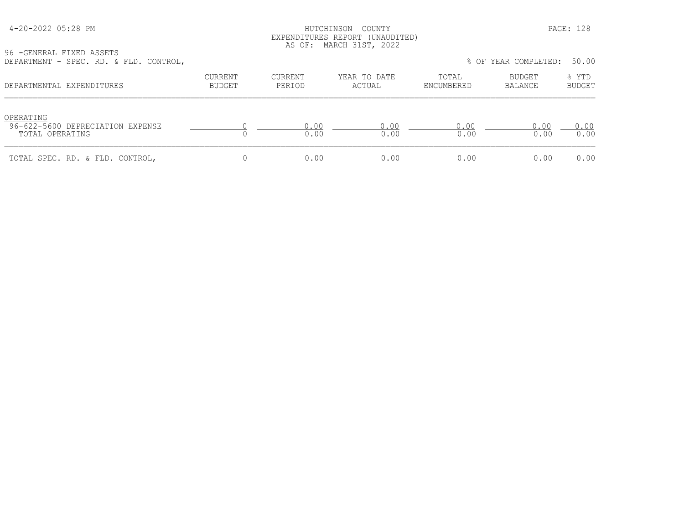### HUTCHINSON COUNTY PAGE: 128 EXPENDITURES REPORT (UNAUDITED) AS OF: MARCH 31ST, 2022

96 -GENERAL FIXED ASSETS

| DEPARTMENT - SPEC. RD. & FLD. CONTROL,                           |                          |                   |                        |                     | % OF YEAR COMPLETED: | 50.00                  |
|------------------------------------------------------------------|--------------------------|-------------------|------------------------|---------------------|----------------------|------------------------|
| DEPARTMENTAL EXPENDITURES                                        | CURRENT<br><b>BUDGET</b> | CURRENT<br>PERIOD | YEAR TO DATE<br>ACTUAL | TOTAL<br>ENCUMBERED | BUDGET<br>BALANCE    | % YTD<br><b>BUDGET</b> |
| OPERATING<br>96-622-5600 DEPRECIATION EXPENSE<br>TOTAL OPERATING |                          | 0.00<br>0.00      | 0.00<br>0.00           | 0.00<br>0.00        | 0.00<br>0.00         | 0.00<br>0.00           |
| TOTAL SPEC. RD. & FLD. CONTROL,                                  |                          | 0.00              | 0.00                   | 0.00                | 0.00                 | 0.00                   |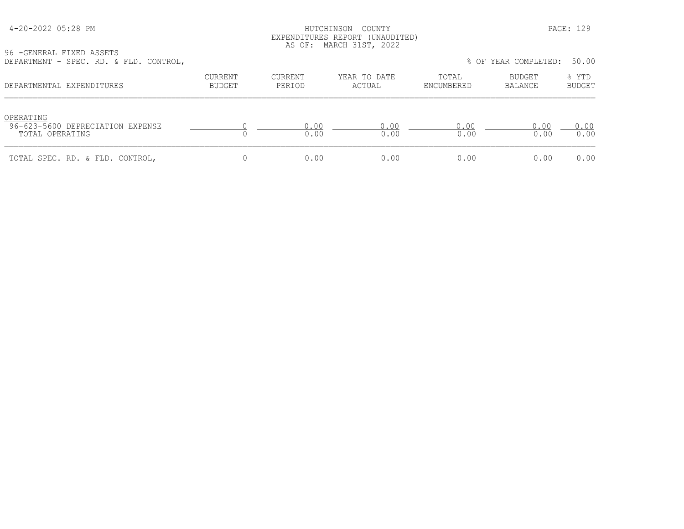### HUTCHINSON COUNTY PAGE: 129 EXPENDITURES REPORT (UNAUDITED) AS OF: MARCH 31ST, 2022

96 -GENERAL FIXED ASSETS DEPARTMENT - SPEC. RD. & FLD. CONTROL, % OF YEAR COMPLETED: 50.00

| $DLEANIIMENI = SIEU$ , $ND$ , $XIDU$ , CONINOL,                  |                   |                   |                        |                     | O VI ILAN COMELLILLU. | JU.UU                  |
|------------------------------------------------------------------|-------------------|-------------------|------------------------|---------------------|-----------------------|------------------------|
| DEPARTMENTAL EXPENDITURES                                        | CURRENT<br>BUDGET | CURRENT<br>PERIOD | YEAR TO DATE<br>ACTUAL | TOTAL<br>ENCUMBERED | BUDGET<br>BALANCE     | % YTD<br><b>BUDGET</b> |
| OPERATING<br>96-623-5600 DEPRECIATION EXPENSE<br>TOTAL OPERATING |                   | 0.00<br>0.00      | 0.00<br>0.00           | 0.00<br>0.00        | 0.00<br>0.00          | 0.00<br>0.00           |
| TOTAL SPEC. RD. & FLD. CONTROL,                                  |                   | 0.00              | 0.00                   | 0.00                | 0.00                  | 0.00                   |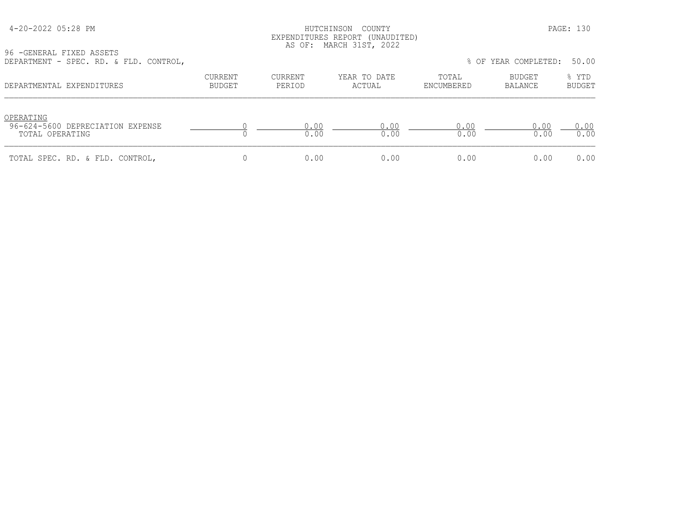### HUTCHINSON COUNTY PAGE: 130 EXPENDITURES REPORT (UNAUDITED) AS OF: MARCH 31ST, 2022

96 -GENERAL FIXED ASSETS DEPARTMENT - SPEC. RD. & FLD. CONTROL, % OF YEAR COMPLETED: 50.00

| DEFARIMENI - JIEU, RD, & IED, CONIROL,                           |                          |                   |                        |                     | O UI ILAN CUMILILILU. | JU.UU                  |
|------------------------------------------------------------------|--------------------------|-------------------|------------------------|---------------------|-----------------------|------------------------|
| DEPARTMENTAL EXPENDITURES                                        | CURRENT<br><b>BUDGET</b> | CURRENT<br>PERIOD | YEAR TO DATE<br>ACTUAL | TOTAL<br>ENCUMBERED | BUDGET<br>BALANCE     | % YTD<br><b>BUDGET</b> |
| OPERATING<br>96-624-5600 DEPRECIATION EXPENSE<br>TOTAL OPERATING |                          | 0.00<br>0.00      | 0.00<br>0.00           | 0.00<br>0.00        | 0.00<br>0.00          | 0.00<br>0.00           |
| TOTAL SPEC. RD. & FLD. CONTROL,                                  |                          | 0.00              | 0.00                   | 0.00                | 0.00                  | 0.00                   |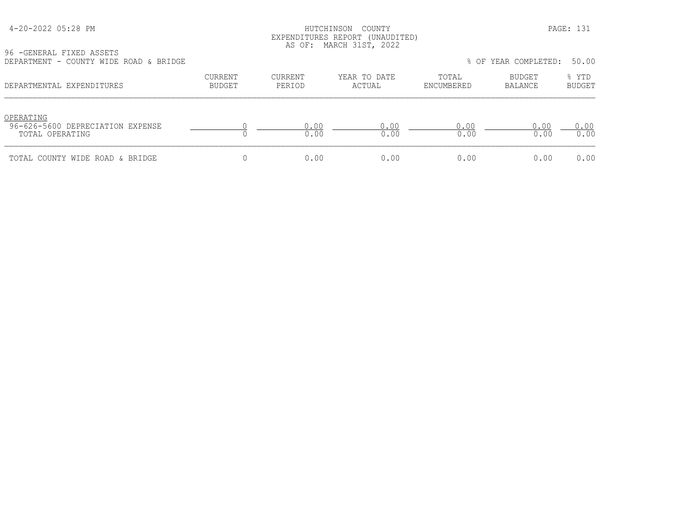| 4-20-2022 05:28 PM |  |  |
|--------------------|--|--|
|--------------------|--|--|

### HUTCHINSON COUNTY PAGE: 131 EXPENDITURES REPORT (UNAUDITED) AS OF: MARCH 31ST, 2022

96 -GENERAL FIXED ASSETS

| DEPARTMENT - COUNTY WIDE ROAD & BRIDGE                           |                          |                   |                        |                     | % OF YEAR COMPLETED: | 50.00                  |
|------------------------------------------------------------------|--------------------------|-------------------|------------------------|---------------------|----------------------|------------------------|
| DEPARTMENTAL EXPENDITURES                                        | CURRENT<br><b>BUDGET</b> | CURRENT<br>PERIOD | YEAR TO DATE<br>ACTUAL | TOTAL<br>ENCUMBERED | BUDGET<br>BALANCE    | % YTD<br><b>BUDGET</b> |
| OPERATING<br>96-626-5600 DEPRECIATION EXPENSE<br>TOTAL OPERATING |                          | 0.00<br>0.00      | 0.00<br>0.00           | 0.00<br>0.00        | 0.00<br>0.00         | 0.00<br>0.00           |
| TOTAL COUNTY WIDE ROAD & BRIDGE                                  |                          | 0.00              | 0.00                   | 0.00                | 0.00                 | 0.00                   |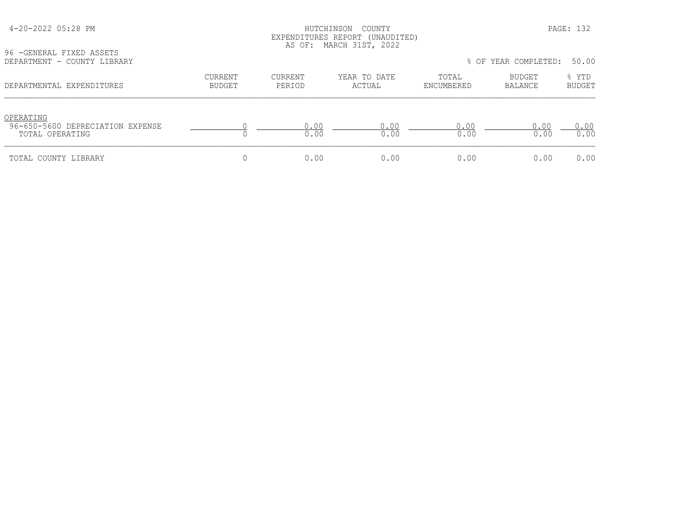# HUTCHINSON COUNTY PAGE: 132 EXPENDITURES REPORT (UNAUDITED) AS OF: MARCH 31ST, 2022

96 -GENERAL FIXED ASSETS<br>DEPARTMENT - COUNTY LIBR

| DEPARTMENT - COUNTY LIBRARY                                      |                          |                   |                        |                     | % OF YEAR COMPLETED: | 50.00                  |
|------------------------------------------------------------------|--------------------------|-------------------|------------------------|---------------------|----------------------|------------------------|
| DEPARTMENTAL EXPENDITURES                                        | CURRENT<br><b>BUDGET</b> | CURRENT<br>PERIOD | YEAR TO DATE<br>ACTUAL | TOTAL<br>ENCUMBERED | BUDGET<br>BALANCE    | % YTD<br><b>BUDGET</b> |
| OPERATING<br>96-650-5600 DEPRECIATION EXPENSE<br>TOTAL OPERATING |                          | 0.00<br>0.00      | 0.00<br>0.00           | 0.00<br>0.00        | 0.00<br>0.00         | 0.00<br>0.00           |
| TOTAL COUNTY LIBRARY                                             |                          | 0.00              | 0.00                   | 0.00                | 0.00                 | 0.00                   |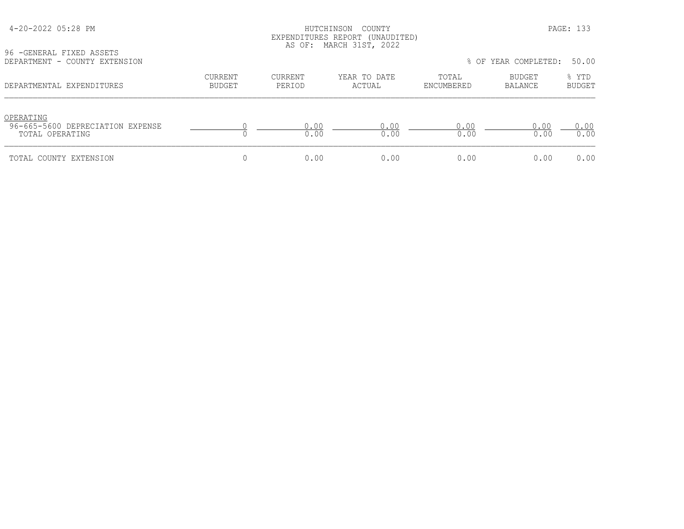# HUTCHINSON COUNTY PAGE: 133 EXPENDITURES REPORT (UNAUDITED) AS OF: MARCH 31ST, 2022

96 -GENERAL FIXED ASSETS<br>DEPARTMENT - COUNTY EXTED

| DEPARTMENT - COUNTY EXTENSION                                    |                          |                   |                        |                     | % OF YEAR COMPLETED:     | 50.00                  |
|------------------------------------------------------------------|--------------------------|-------------------|------------------------|---------------------|--------------------------|------------------------|
| DEPARTMENTAL EXPENDITURES                                        | CURRENT<br><b>BUDGET</b> | CURRENT<br>PERIOD | YEAR TO DATE<br>ACTUAL | TOTAL<br>ENCUMBERED | <b>BUDGET</b><br>BALANCE | % YTD<br><b>BUDGET</b> |
| OPERATING<br>96-665-5600 DEPRECIATION EXPENSE<br>TOTAL OPERATING |                          | 0.00<br>0.00      | 0.00<br>0.00           | 0.00<br>0.00        | 0.00<br>0.00             | 0.00<br>0.00           |
| TOTAL COUNTY EXTENSION                                           |                          | 0.00              | 0.00                   | 0.00                | 0.00                     | 0.00                   |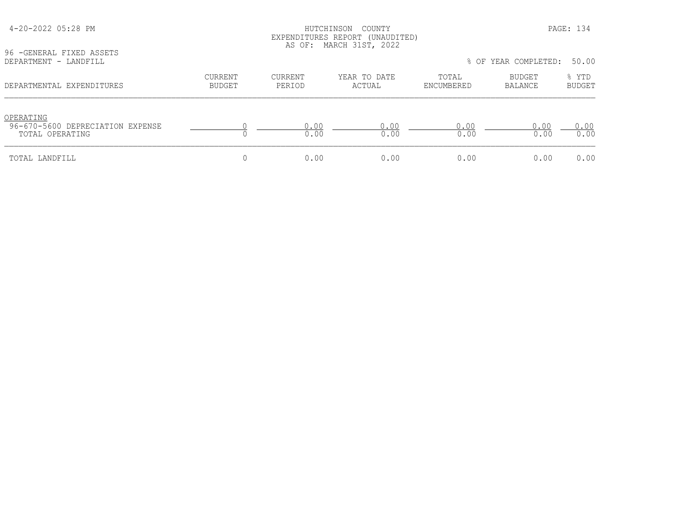| 96 - GENERAL FIXED ASSETS                           |                                 |                   | LAPLNDIIUKLS KLPUKI (UNAUDIILD)<br>AS OF: MARCH 31ST, 2022 |                     |                          |                        |
|-----------------------------------------------------|---------------------------------|-------------------|------------------------------------------------------------|---------------------|--------------------------|------------------------|
| DEPARTMENT - LANDFILL                               |                                 |                   |                                                            |                     | % OF YEAR COMPLETED:     | 50.00                  |
| DEPARTMENTAL EXPENDITURES                           | <b>CURRENT</b><br><b>BUDGET</b> | CURRENT<br>PERIOD | YEAR TO DATE<br>ACTUAL                                     | TOTAL<br>ENCUMBERED | BUDGET<br><b>BALANCE</b> | % YTD<br><b>BUDGET</b> |
| OPERATING                                           |                                 |                   |                                                            |                     |                          |                        |
| 96-670-5600 DEPRECIATION EXPENSE<br>TOTAL OPERATING |                                 | 0.00<br>0.00      | 0.00<br>0.00                                               | 0.00<br>0.00        | 0.00<br>0.00             | 0.00<br>0.00           |
| TOTAL LANDFILL                                      |                                 | 0.00              | 0.00                                                       | 0.00                | 0.00                     | 0.00                   |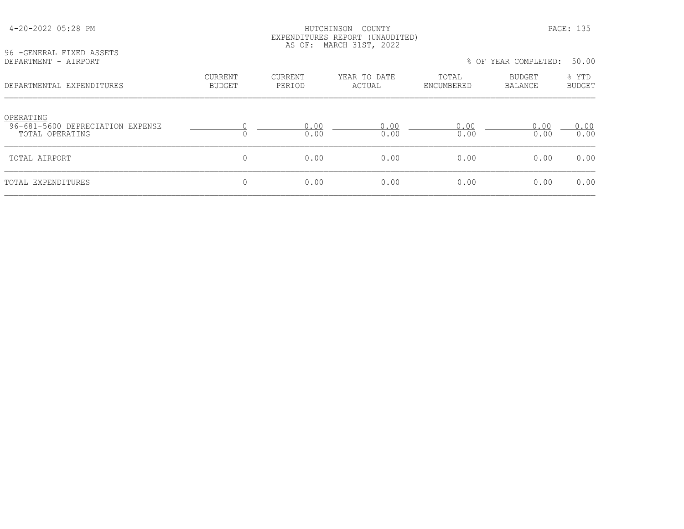### HUTCHINSON COUNTY PAGE: 135 EXPENDITURES REPORT (UNAUDITED) AS OF: MARCH 31ST, 2022

96 -GENERAL FIXED ASSETS<br>DEPARTMENT - AIRPORT

| DEPARTMENT - AIRPORT                                             |                          |                   |                        | % OF YEAR COMPLETED: |                          | 50.00                  |  |
|------------------------------------------------------------------|--------------------------|-------------------|------------------------|----------------------|--------------------------|------------------------|--|
| DEPARTMENTAL EXPENDITURES                                        | <b>CURRENT</b><br>BUDGET | CURRENT<br>PERIOD | YEAR TO DATE<br>ACTUAL | TOTAL<br>ENCUMBERED  | <b>BUDGET</b><br>BALANCE | % YTD<br><b>BUDGET</b> |  |
| OPERATING<br>96-681-5600 DEPRECIATION EXPENSE<br>TOTAL OPERATING |                          | 0.00<br>0.00      | 0.00<br>0.00           | 0.00<br>0.00         | 0.00<br>0.00             | 0.00<br>0.00           |  |
| TOTAL AIRPORT                                                    | 0                        | 0.00              | 0.00                   | 0.00                 | 0.00                     | 0.00                   |  |
| TOTAL EXPENDITURES                                               |                          | 0.00              | 0.00                   | 0.00                 | 0.00                     | 0.00                   |  |
|                                                                  |                          |                   |                        |                      |                          |                        |  |